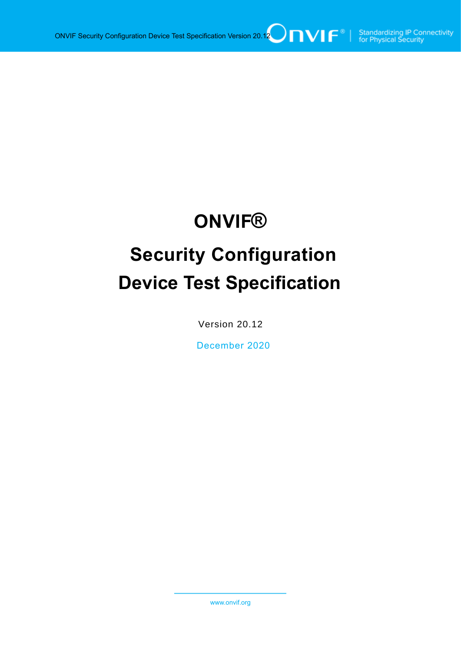# **ONVIF®**

# **Security Configuration Device Test Specification**

Version 20.12

December 2020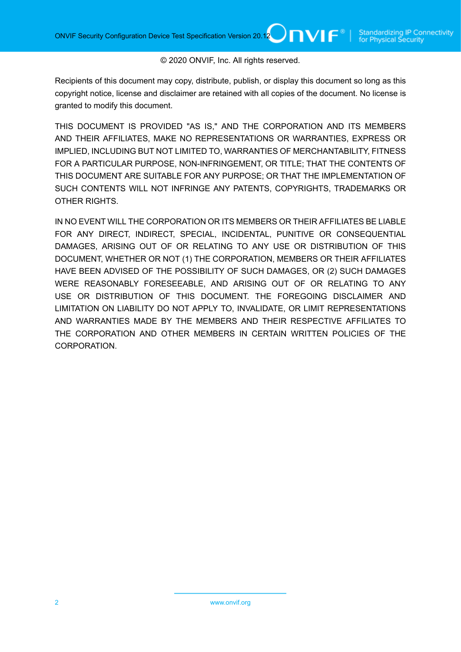#### © 2020 ONVIF, Inc. All rights reserved.

Recipients of this document may copy, distribute, publish, or display this document so long as this copyright notice, license and disclaimer are retained with all copies of the document. No license is granted to modify this document.

THIS DOCUMENT IS PROVIDED "AS IS," AND THE CORPORATION AND ITS MEMBERS AND THEIR AFFILIATES, MAKE NO REPRESENTATIONS OR WARRANTIES, EXPRESS OR IMPLIED, INCLUDING BUT NOT LIMITED TO, WARRANTIES OF MERCHANTABILITY, FITNESS FOR A PARTICULAR PURPOSE, NON-INFRINGEMENT, OR TITLE; THAT THE CONTENTS OF THIS DOCUMENT ARE SUITABLE FOR ANY PURPOSE; OR THAT THE IMPLEMENTATION OF SUCH CONTENTS WILL NOT INFRINGE ANY PATENTS, COPYRIGHTS, TRADEMARKS OR OTHER RIGHTS.

IN NO EVENT WILL THE CORPORATION OR ITS MEMBERS OR THEIR AFFILIATES BE LIABLE FOR ANY DIRECT, INDIRECT, SPECIAL, INCIDENTAL, PUNITIVE OR CONSEQUENTIAL DAMAGES, ARISING OUT OF OR RELATING TO ANY USE OR DISTRIBUTION OF THIS DOCUMENT, WHETHER OR NOT (1) THE CORPORATION, MEMBERS OR THEIR AFFILIATES HAVE BEEN ADVISED OF THE POSSIBILITY OF SUCH DAMAGES, OR (2) SUCH DAMAGES WERE REASONABLY FORESEEABLE, AND ARISING OUT OF OR RELATING TO ANY USE OR DISTRIBUTION OF THIS DOCUMENT. THE FOREGOING DISCLAIMER AND LIMITATION ON LIABILITY DO NOT APPLY TO, INVALIDATE, OR LIMIT REPRESENTATIONS AND WARRANTIES MADE BY THE MEMBERS AND THEIR RESPECTIVE AFFILIATES TO THE CORPORATION AND OTHER MEMBERS IN CERTAIN WRITTEN POLICIES OF THE CORPORATION.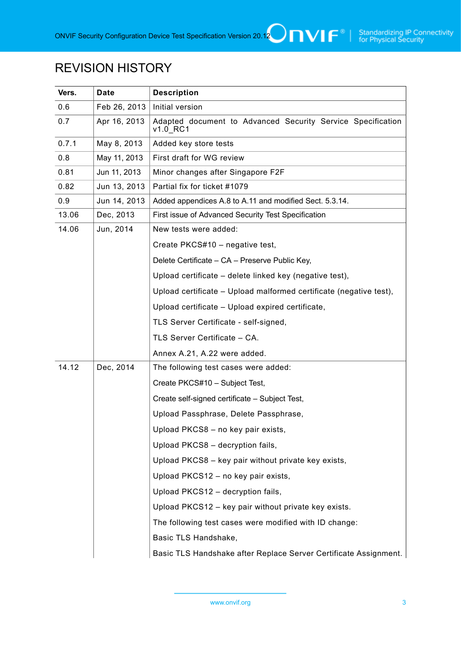# REVISION HISTORY

| Vers. | <b>Date</b>  | <b>Description</b>                                                      |
|-------|--------------|-------------------------------------------------------------------------|
| 0.6   | Feb 26, 2013 | Initial version                                                         |
| 0.7   | Apr 16, 2013 | Adapted document to Advanced Security Service Specification<br>v1.0 RC1 |
| 0.7.1 | May 8, 2013  | Added key store tests                                                   |
| 0.8   | May 11, 2013 | First draft for WG review                                               |
| 0.81  | Jun 11, 2013 | Minor changes after Singapore F2F                                       |
| 0.82  | Jun 13, 2013 | Partial fix for ticket #1079                                            |
| 0.9   | Jun 14, 2013 | Added appendices A.8 to A.11 and modified Sect. 5.3.14.                 |
| 13.06 | Dec, 2013    | First issue of Advanced Security Test Specification                     |
| 14.06 | Jun, 2014    | New tests were added:                                                   |
|       |              | Create PKCS#10 - negative test,                                         |
|       |              | Delete Certificate - CA - Preserve Public Key,                          |
|       |              | Upload certificate - delete linked key (negative test),                 |
|       |              | Upload certificate - Upload malformed certificate (negative test),      |
|       |              | Upload certificate - Upload expired certificate,                        |
|       |              | TLS Server Certificate - self-signed,                                   |
|       |              | TLS Server Certificate - CA.                                            |
|       |              | Annex A.21, A.22 were added.                                            |
| 14.12 | Dec, 2014    | The following test cases were added:                                    |
|       |              | Create PKCS#10 - Subject Test,                                          |
|       |              | Create self-signed certificate - Subject Test,                          |
|       |              | Upload Passphrase, Delete Passphrase,                                   |
|       |              | Upload PKCS8 - no key pair exists,                                      |
|       |              | Upload PKCS8 - decryption fails,                                        |
|       |              | Upload PKCS8 - key pair without private key exists,                     |
|       |              | Upload PKCS12 - no key pair exists,                                     |
|       |              | Upload PKCS12 - decryption fails,                                       |
|       |              | Upload PKCS12 - key pair without private key exists.                    |
|       |              | The following test cases were modified with ID change:                  |
|       |              | Basic TLS Handshake,                                                    |
|       |              | Basic TLS Handshake after Replace Server Certificate Assignment.        |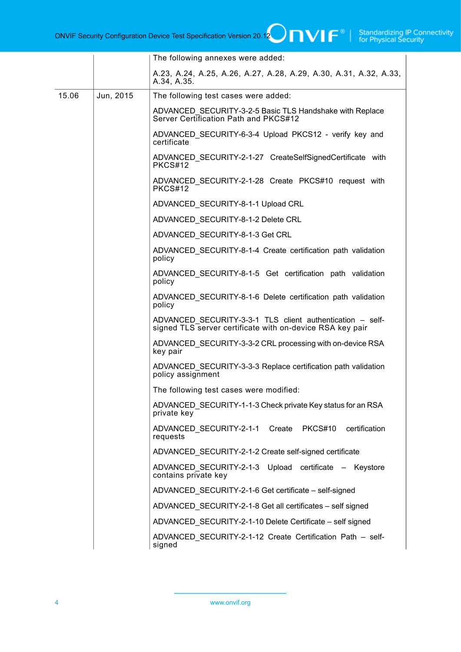|       |           | The following annexes were added:                                                                                      |
|-------|-----------|------------------------------------------------------------------------------------------------------------------------|
|       |           | A.23, A.24, A.25, A.26, A.27, A.28, A.29, A.30, A.31, A.32, A.33,<br>A.34, A.35.                                       |
| 15.06 | Jun, 2015 | The following test cases were added:                                                                                   |
|       |           | ADVANCED_SECURITY-3-2-5 Basic TLS Handshake with Replace<br>Server Certification Path and PKCS#12                      |
|       |           | ADVANCED_SECURITY-6-3-4 Upload PKCS12 - verify key and<br>certificate                                                  |
|       |           | ADVANCED SECURITY-2-1-27 CreateSelfSignedCertificate with<br>PKCS#12                                                   |
|       |           | ADVANCED SECURITY-2-1-28 Create PKCS#10 request with<br>PKCS#12                                                        |
|       |           | ADVANCED_SECURITY-8-1-1 Upload CRL                                                                                     |
|       |           | ADVANCED SECURITY-8-1-2 Delete CRL                                                                                     |
|       |           | ADVANCED SECURITY-8-1-3 Get CRL                                                                                        |
|       |           | ADVANCED SECURITY-8-1-4 Create certification path validation<br>policy                                                 |
|       |           | ADVANCED SECURITY-8-1-5 Get certification path validation<br>policy                                                    |
|       |           | ADVANCED_SECURITY-8-1-6 Delete certification path validation<br>policy                                                 |
|       |           | ADVANCED SECURITY-3-3-1 TLS client authentication - self-<br>signed TLS server certificate with on-device RSA key pair |
|       |           | ADVANCED SECURITY-3-3-2 CRL processing with on-device RSA<br>key pair                                                  |
|       |           | ADVANCED SECURITY-3-3-3 Replace certification path validation<br>policy assignment                                     |
|       |           | The following test cases were modified:                                                                                |
|       |           | ADVANCED_SECURITY-1-1-3 Check private Key status for an RSA<br>private key                                             |
|       |           | ADVANCED_SECURITY-2-1-1 Create PKCS#10 certification<br>requests                                                       |
|       |           | ADVANCED_SECURITY-2-1-2 Create self-signed certificate                                                                 |
|       |           | ADVANCED_SECURITY-2-1-3 Upload certificate - Keystore<br>contains private key                                          |
|       |           | ADVANCED SECURITY-2-1-6 Get certificate – self-signed                                                                  |
|       |           | ADVANCED_SECURITY-2-1-8 Get all certificates - self signed                                                             |
|       |           | ADVANCED_SECURITY-2-1-10 Delete Certificate - self signed                                                              |
|       |           | ADVANCED_SECURITY-2-1-12 Create Certification Path - self-<br>signed                                                   |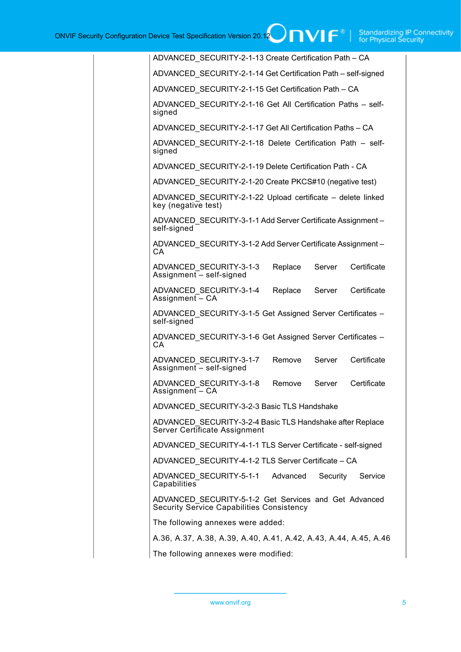|  | ADVANCED_SECURITY-2-1-13 Create Certification Path - CA                                            |  |         |          |                                                                  |
|--|----------------------------------------------------------------------------------------------------|--|---------|----------|------------------------------------------------------------------|
|  | ADVANCED SECURITY-2-1-14 Get Certification Path - self-signed                                      |  |         |          |                                                                  |
|  | ADVANCED SECURITY-2-1-15 Get Certification Path - CA                                               |  |         |          |                                                                  |
|  | ADVANCED_SECURITY-2-1-16 Get All Certification Paths - self-<br>signed                             |  |         |          |                                                                  |
|  | ADVANCED_SECURITY-2-1-17 Get All Certification Paths - CA                                          |  |         |          |                                                                  |
|  | ADVANCED SECURITY-2-1-18 Delete Certification Path - self-<br>signed                               |  |         |          |                                                                  |
|  | ADVANCED SECURITY-2-1-19 Delete Certification Path - CA                                            |  |         |          |                                                                  |
|  | ADVANCED SECURITY-2-1-20 Create PKCS#10 (negative test)                                            |  |         |          |                                                                  |
|  | ADVANCED SECURITY-2-1-22 Upload certificate - delete linked<br>key (negative test)                 |  |         |          |                                                                  |
|  | ADVANCED_SECURITY-3-1-1 Add Server Certificate Assignment -<br>self-signed                         |  |         |          |                                                                  |
|  | ADVANCED_SECURITY-3-1-2 Add Server Certificate Assignment-<br>CA.                                  |  |         |          |                                                                  |
|  | ADVANCED SECURITY-3-1-3<br>Assignment - self-signed                                                |  | Replace | Server   | Certificate                                                      |
|  | ADVANCED SECURITY-3-1-4<br>Assignment $\overline{-}$ CA                                            |  | Replace | Server   | Certificate                                                      |
|  | ADVANCED_SECURITY-3-1-5 Get Assigned Server Certificates -<br>self-signed                          |  |         |          |                                                                  |
|  | ADVANCED_SECURITY-3-1-6 Get Assigned Server Certificates -<br>CA.                                  |  |         |          |                                                                  |
|  | ADVANCED SECURITY-3-1-7<br>Assignment - self-signed                                                |  | Remove  | Server   | Certificate                                                      |
|  | ADVANCED SECURITY-3-1-8<br>Assignment - CA                                                         |  | Remove  | Server   | Certificate                                                      |
|  | ADVANCED_SECURITY-3-2-3 Basic TLS Handshake                                                        |  |         |          |                                                                  |
|  | ADVANCED_SECURITY-3-2-4 Basic TLS Handshake after Replace<br>Server Certificate Assignment         |  |         |          |                                                                  |
|  | ADVANCED_SECURITY-4-1-1 TLS Server Certificate - self-signed                                       |  |         |          |                                                                  |
|  | ADVANCED SECURITY-4-1-2 TLS Server Certificate - CA                                                |  |         |          |                                                                  |
|  | ADVANCED SECURITY-5-1-1 Advanced<br>Capabilities                                                   |  |         | Security | Service                                                          |
|  | ADVANCED SECURITY-5-1-2 Get Services and Get Advanced<br>Security Service Capabilities Consistency |  |         |          |                                                                  |
|  | The following annexes were added:                                                                  |  |         |          |                                                                  |
|  |                                                                                                    |  |         |          | A.36, A.37, A.38, A.39, A.40, A.41, A.42, A.43, A.44, A.45, A.46 |
|  | The following annexes were modified:                                                               |  |         |          |                                                                  |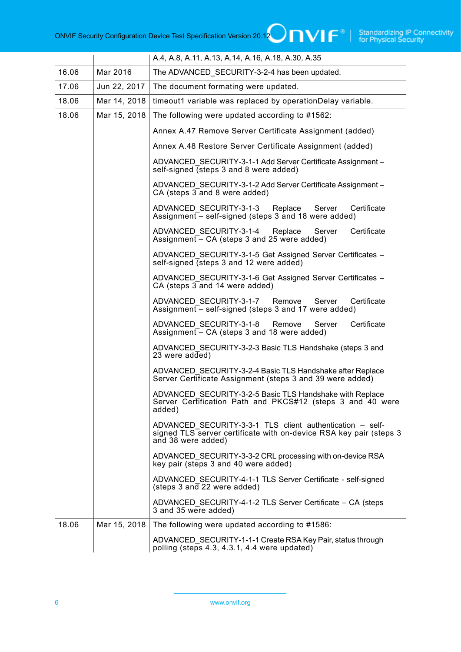|       |              | A.4, A.8, A.11, A.13, A.14, A.16, A.18, A.30, A.35                                                                                                    |
|-------|--------------|-------------------------------------------------------------------------------------------------------------------------------------------------------|
| 16.06 | Mar 2016     | The ADVANCED SECURITY-3-2-4 has been updated.                                                                                                         |
| 17.06 | Jun 22, 2017 | The document formating were updated.                                                                                                                  |
| 18.06 | Mar 14, 2018 | timeout1 variable was replaced by operationDelay variable.                                                                                            |
| 18.06 | Mar 15, 2018 | The following were updated according to #1562:                                                                                                        |
|       |              | Annex A.47 Remove Server Certificate Assignment (added)                                                                                               |
|       |              | Annex A.48 Restore Server Certificate Assignment (added)                                                                                              |
|       |              | ADVANCED SECURITY-3-1-1 Add Server Certificate Assignment -<br>self-signed (steps 3 and 8 were added)                                                 |
|       |              | ADVANCED SECURITY-3-1-2 Add Server Certificate Assignment -<br>$CA$ (steps $3$ and 8 were added)                                                      |
|       |              | ADVANCED SECURITY-3-1-3 Replace<br>Certificate<br>Server<br>Assignment $\overline{-}$ self-signed (steps 3 and 18 were added)                         |
|       |              | ADVANCED SECURITY-3-1-4 Replace<br>Certificate<br>Server<br>Assignment $-$ CA (steps 3 and 25 were added)                                             |
|       |              | ADVANCED SECURITY-3-1-5 Get Assigned Server Certificates -<br>self-signed (steps 3 and 12 were added)                                                 |
|       |              | ADVANCED SECURITY-3-1-6 Get Assigned Server Certificates -<br>$CA$ (steps $3$ and 14 were added)                                                      |
|       |              | ADVANCED SECURITY-3-1-7<br>Remove<br>Certificate<br>Server<br>Assignment $-$ self-signed (steps 3 and 17 were added)                                  |
|       |              | Certificate<br>ADVANCED SECURITY-3-1-8 Remove<br>Server<br>Assignment $-$ CA (steps 3 and 18 were added)                                              |
|       |              | ADVANCED SECURITY-3-2-3 Basic TLS Handshake (steps 3 and<br>23 were $added)$                                                                          |
|       |              | ADVANCED SECURITY-3-2-4 Basic TLS Handshake after Replace<br>Server Certificate Assignment (steps 3 and 39 were added)                                |
|       |              | ADVANCED_SECURITY-3-2-5 Basic TLS Handshake with Replace<br>Server Certification Path and PKCS#12 (steps 3 and 40 were<br>added)                      |
|       |              | ADVANCED SECURITY-3-3-1 TLS client authentication - self-<br>signed TLS server certificate with on-device RSA key pair (steps 3<br>and 38 were added) |
|       |              | ADVANCED_SECURITY-3-3-2 CRL processing with on-device RSA<br>key pair (steps 3 and 40 were added)                                                     |
|       |              | ADVANCED SECURITY-4-1-1 TLS Server Certificate - self-signed<br>(steps 3 and 22 were added)                                                           |
|       |              | ADVANCED SECURITY-4-1-2 TLS Server Certificate – CA (steps<br>3 and 35 were added)                                                                    |
| 18.06 | Mar 15, 2018 | The following were updated according to #1586:                                                                                                        |
|       |              | ADVANCED SECURITY-1-1-1 Create RSA Key Pair, status through<br>polling (steps 4.3, 4.3.1, 4.4 were updated)                                           |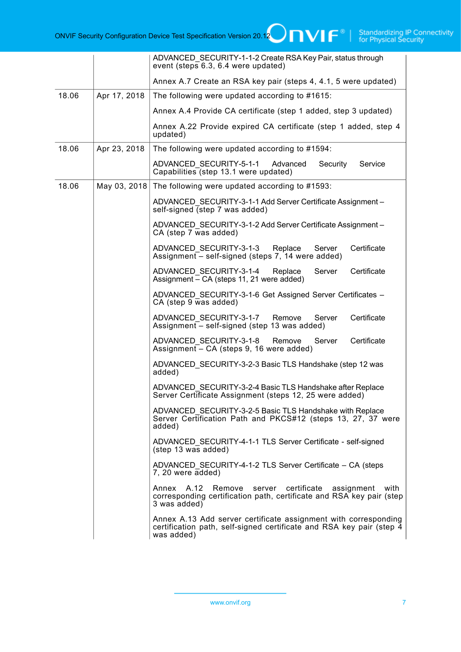|       |              | ADVANCED SECURITY-1-1-2 Create RSA Key Pair, status through<br>event (steps 6.3, 6.4 were updated)                                                    |
|-------|--------------|-------------------------------------------------------------------------------------------------------------------------------------------------------|
|       |              | Annex A.7 Create an RSA key pair (steps 4, 4.1, 5 were updated)                                                                                       |
| 18.06 | Apr 17, 2018 | The following were updated according to #1615:                                                                                                        |
|       |              | Annex A.4 Provide CA certificate (step 1 added, step 3 updated)                                                                                       |
|       |              | Annex A.22 Provide expired CA certificate (step 1 added, step 4<br>updated)                                                                           |
| 18.06 | Apr 23, 2018 | The following were updated according to #1594:                                                                                                        |
|       |              | ADVANCED SECURITY-5-1-1<br>Advanced<br>Security<br>Service<br>Capabilities (step 13.1 were updated)                                                   |
| 18.06 | May 03, 2018 | The following were updated according to #1593:                                                                                                        |
|       |              | ADVANCED SECURITY-3-1-1 Add Server Certificate Assignment -<br>self-signed (step 7 was added)                                                         |
|       |              | ADVANCED SECURITY-3-1-2 Add Server Certificate Assignment -<br>$CA$ (step $7$ was added)                                                              |
|       |              | ADVANCED SECURITY-3-1-3 Replace<br>Server<br>Certificate<br>Assignment $-$ self-signed (steps 7, 14 were added)                                       |
|       |              | ADVANCED SECURITY-3-1-4<br>Replace<br>Server<br>Certificate<br>Assignment $=$ CA (steps 11, 21 were added)                                            |
|       |              | ADVANCED SECURITY-3-1-6 Get Assigned Server Certificates -<br>$CA$ (step $9$ was added)                                                               |
|       |              | Certificate<br>ADVANCED SECURITY-3-1-7<br>Remove<br>Server<br>Assignment $-$ self-signed (step 13 was added)                                          |
|       |              | Certificate<br>ADVANCED SECURITY-3-1-8 Remove<br>Server<br>Assignment - CA (steps 9, 16 were added)                                                   |
|       |              | ADVANCED SECURITY-3-2-3 Basic TLS Handshake (step 12 was<br>added)                                                                                    |
|       |              | ADVANCED SECURITY-3-2-4 Basic TLS Handshake after Replace<br>Server Certificate Assignment (steps 12, 25 were added)                                  |
|       |              | ADVANCED_SECURITY-3-2-5 Basic TLS Handshake with Replace<br>Server Certification Path and PKCS#12 (steps 13, 27, 37 were<br>added)                    |
|       |              | ADVANCED SECURITY-4-1-1 TLS Server Certificate - self-signed<br>(step 13 was added)                                                                   |
|       |              | ADVANCED SECURITY-4-1-2 TLS Server Certificate - CA (steps<br>7, 20 were added)                                                                       |
|       |              | Annex A.12<br>Remove<br>server certificate<br>assignment with<br>corresponding certification path, certificate and RSA key pair (step<br>3 was added) |
|       |              | Annex A.13 Add server certificate assignment with corresponding<br>certification path, self-signed certificate and RSA key pair (step 4<br>was added) |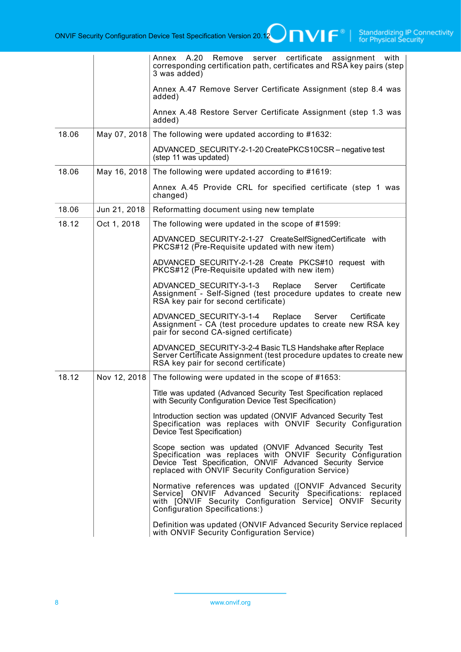|       |              | Annex A.20 Remove<br>server certificate assignment<br>with<br>corresponding certification path, certificates and RSA key pairs (step<br>3 was added)                                                                                         |
|-------|--------------|----------------------------------------------------------------------------------------------------------------------------------------------------------------------------------------------------------------------------------------------|
|       |              | Annex A.47 Remove Server Certificate Assignment (step 8.4 was<br>added)                                                                                                                                                                      |
|       |              | Annex A.48 Restore Server Certificate Assignment (step 1.3 was<br>added)                                                                                                                                                                     |
| 18.06 | May 07, 2018 | The following were updated according to #1632:                                                                                                                                                                                               |
|       |              | ADVANCED SECURITY-2-1-20 CreatePKCS10CSR – negative test<br>(step 11 was updated)                                                                                                                                                            |
| 18.06 | May 16, 2018 | The following were updated according to #1619:                                                                                                                                                                                               |
|       |              | Annex A.45 Provide CRL for specified certificate (step 1 was<br>changed)                                                                                                                                                                     |
| 18.06 | Jun 21, 2018 | Reformatting document using new template                                                                                                                                                                                                     |
| 18.12 | Oct 1, 2018  | The following were updated in the scope of #1599:                                                                                                                                                                                            |
|       |              | ADVANCED SECURITY-2-1-27 CreateSelfSignedCertificate with<br>PKCS#12 (Pre-Requisite updated with new item)                                                                                                                                   |
|       |              | ADVANCED SECURITY-2-1-28 Create PKCS#10 request with<br>PKCS#12 (Pre-Requisite updated with new item)                                                                                                                                        |
|       |              | Replace<br>ADVANCED SECURITY-3-1-3<br>Server<br>Certificate<br>Assignment - Self-Signed (test procedure updates to create new<br>RSA key pair for second certificate)                                                                        |
|       |              | ADVANCED SECURITY-3-1-4 Replace<br>Server<br>Certificate<br>Assignment - CA (test procedure updates to create new RSA key<br>pair for second CA-signed certificate)                                                                          |
|       |              | ADVANCED SECURITY-3-2-4 Basic TLS Handshake after Replace<br>Server Certificate Assignment (test procedure updates to create new<br>RSA key pair for second certificate)                                                                     |
| 18.12 | Nov 12, 2018 | The following were updated in the scope of #1653:                                                                                                                                                                                            |
|       |              | Title was updated (Advanced Security Test Specification replaced<br>with Security Configuration Device Test Specification)                                                                                                                   |
|       |              | Introduction section was updated (ONVIF Advanced Security Test<br>Specification was replaces with ONVIF Security Configuration<br>Device Test Specification)                                                                                 |
|       |              | Scope section was updated (ONVIF Advanced Security Test<br>Specification was replaces with ONVIF Security Configuration<br>Device Test Specification, ONVIF Advanced Security Service<br>replaced with ONVIF Security Configuration Service) |
|       |              | Normative references was updated ([ONVIF Advanced Security<br>Service] ONVIF Advanced Security Specifications: replaced with [ONVIF Security Configuration Service] ONVIF Security<br>Configuration Specifications:)                         |
|       |              | Definition was updated (ONVIF Advanced Security Service replaced<br>with ONVIF Security Configuration Service)                                                                                                                               |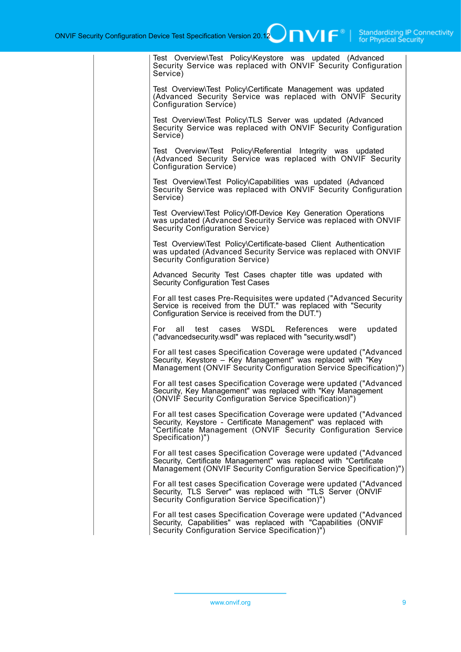| Test Overview\Test Policy\Keystore was updated (Advanced<br>Security Service was replaced with ONVIF Security Configuration<br>Service)                                                                                  |
|--------------------------------------------------------------------------------------------------------------------------------------------------------------------------------------------------------------------------|
| Test Overview\Test Policy\Certificate Management was updated<br>(Advanced Security Service was replaced with ONVIF Security<br>Configuration Service)                                                                    |
| Test Overview\Test Policy\TLS Server was updated (Advanced<br>Security Service was replaced with ONVIF Security Configuration<br>Service)                                                                                |
| Test Overview\Test Policy\Referential Integrity was updated<br>(Advanced Security Service was replaced with ONVIF Security<br>Configuration Service)                                                                     |
| Test Overview\Test Policy\Capabilities was updated (Advanced<br>Security Service was replaced with ONVIF Security Configuration<br>Service)                                                                              |
| Test Overview\Test Policy\Off-Device Key Generation Operations<br>was updated (Advanced Security Service was replaced with ONVIF<br>Security Configuration Service)                                                      |
| Test Overview\Test Policy\Certificate-based Client Authentication<br>was updated (Advanced Security Service was replaced with ONVIF<br>Security Configuration Service)                                                   |
| Advanced Security Test Cases chapter title was updated with<br><b>Security Configuration Test Cases</b>                                                                                                                  |
| For all test cases Pre-Requisites were updated ("Advanced Security<br>Service is received from the DUT." was replaced with "Security<br>Configuration Service is received from the DUT.")                                |
| cases WSDL<br>References were<br>For<br>all<br>test<br>updated<br>("advancedsecurity.wsdl" was replaced with "security.wsdl")                                                                                            |
| For all test cases Specification Coverage were updated ("Advanced<br>Security, Keystore - Key Management" was replaced with "Key<br>Management (ONVIF Security Configuration Service Specification)")                    |
| For all test cases Specification Coverage were updated ("Advanced<br>Security, Key Management" was replaced with "Key Management<br>(ONVIF Security Configuration Service Specification)")                               |
| For all test cases Specification Coverage were updated ("Advanced<br>Security, Keystore - Certificate Management" was replaced with<br>"Certificate Management (ONVIF Security Configuration Service<br>Specification)") |
| For all test cases Specification Coverage were updated ("Advanced<br>Security, Certificate Management" was replaced with "Certificate<br>Management (ONVIF Security Configuration Service Specification)")               |
| For all test cases Specification Coverage were updated ("Advanced<br>Security, TLS Server" was replaced with "TLS Server (ONVIF<br>Security Configuration Service Specification)")                                       |
| For all test cases Specification Coverage were updated ("Advanced<br>Security, Capabilities" was replaced with "Capabilities (ONVIF<br>Security Configuration Service Specification)")                                   |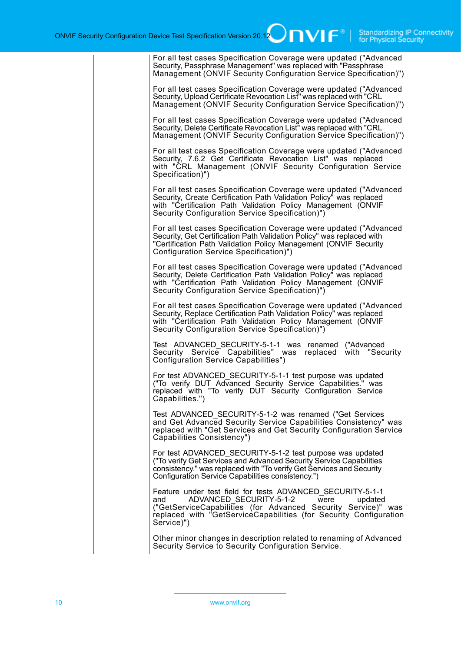| For all test cases Specification Coverage were updated ("Advanced<br>Security, Passphrase Management" was replaced with "Passphrase<br>Management (ONVIF Security Configuration Service Specification)")                                                            |
|---------------------------------------------------------------------------------------------------------------------------------------------------------------------------------------------------------------------------------------------------------------------|
| For all test cases Specification Coverage were updated ("Advanced<br>Security, Upload Certificate Revocation List" was replaced with "CRL<br>Management (ONVIF Security Configuration Service Specification)")                                                      |
| For all test cases Specification Coverage were updated ("Advanced<br>Security, Delete Certificate Revocation List" was replaced with "CRL<br>Management (ONVIF Security Configuration Service Specification)")                                                      |
| For all test cases Specification Coverage were updated ("Advanced<br>Security, 7.6.2 Get Certificate Revocation List" was replaced<br>with "CRL Management (ONVIF Security Configuration Service<br>Specification)")                                                |
| For all test cases Specification Coverage were updated ("Advanced<br>Security, Create Certification Path Validation Policy" was replaced<br>with "Certification Path Validation Policy Management (ONVIF<br>Security Configuration Service Specification)")         |
| For all test cases Specification Coverage were updated ("Advanced<br>Security, Get Certification Path Validation Policy" was replaced with<br>"Certification Path Validation Policy Management (ONVIF Security<br>Configuration Service Specification)")            |
| For all test cases Specification Coverage were updated ("Advanced<br>Security, Delete Certification Path Validation Policy" was replaced<br>with "Certification Path Validation Policy Management (ONVIF<br>Security Configuration Service Specification)")         |
| For all test cases Specification Coverage were updated ("Advanced<br>Security, Replace Certification Path Validation Policy" was replaced<br>with "Certification Path Validation Policy Management (ONVIF<br>Security Configuration Service Specification)")        |
| Test ADVANCED SECURITY-5-1-1 was renamed ("Advanced<br>Security Service Capabilities" was<br>replaced with "Security<br>Configuration Service Capabilities")                                                                                                        |
| For test ADVANCED_SECURITY-5-1-1 test purpose was updated<br>("To verify DUT Advanced Security Service Capabilities." was<br>replaced with "To verify DUT Security Configuration Service<br>Capabilities.")                                                         |
| Test ADVANCED_SECURITY-5-1-2 was renamed ("Get Services<br>and Get Advanced Security Service Capabilities Consistency" was<br>replaced with "Get Services and Get Security Configuration Service<br>Capabilities Consistency")                                      |
| For test ADVANCED SECURITY-5-1-2 test purpose was updated<br>("To verify Get Services and Advanced Security Service Capabilities<br>consistency." was replaced with "To verify Get Services and Security<br>Configuration Service Capabilities consistency.")       |
| Feature under test field for tests ADVANCED_SECURITY-5-1-1<br>ADVANCED SECURITY-5-1-2<br>updated<br>and<br>were<br>("GetServiceCapabilities (for Advanced Security Service)" was<br>replaced with "GetServiceCapabilities (for Security Configuration<br>Service)") |
| Other minor changes in description related to renaming of Advanced<br>Security Service to Security Configuration Service.                                                                                                                                           |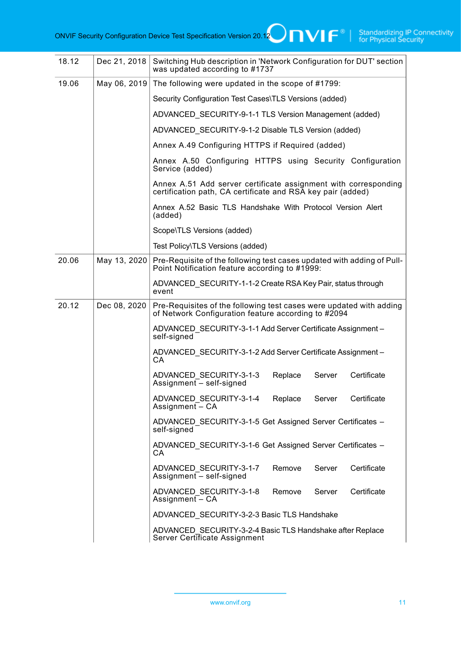| 18.12 | Dec 21, 2018 | Switching Hub description in 'Network Configuration for DUT' section<br>was updated according to #1737                         |
|-------|--------------|--------------------------------------------------------------------------------------------------------------------------------|
| 19.06 | May 06, 2019 | The following were updated in the scope of #1799:                                                                              |
|       |              | Security Configuration Test Cases\TLS Versions (added)                                                                         |
|       |              | ADVANCED SECURITY-9-1-1 TLS Version Management (added)                                                                         |
|       |              | ADVANCED SECURITY-9-1-2 Disable TLS Version (added)                                                                            |
|       |              | Annex A.49 Configuring HTTPS if Required (added)                                                                               |
|       |              | Annex A.50 Configuring HTTPS using Security Configuration<br>Service (added)                                                   |
|       |              | Annex A.51 Add server certificate assignment with corresponding<br>certification path, CA certificate and RSA key pair (added) |
|       |              | Annex A.52 Basic TLS Handshake With Protocol Version Alert<br>(added)                                                          |
|       |              | Scope\TLS Versions (added)                                                                                                     |
|       |              | Test Policy\TLS Versions (added)                                                                                               |
| 20.06 | May 13, 2020 | Pre-Requisite of the following test cases updated with adding of Pull-<br>Point Notification feature according to #1999:       |
|       |              | ADVANCED SECURITY-1-1-2 Create RSA Key Pair, status through<br>event                                                           |
| 20.12 | Dec 08, 2020 | Pre-Requisites of the following test cases were updated with adding<br>of Network Configuration feature according to #2094     |
|       |              | ADVANCED_SECURITY-3-1-1 Add Server Certificate Assignment-<br>self-signed                                                      |
|       |              | ADVANCED_SECURITY-3-1-2 Add Server Certificate Assignment -<br>CA                                                              |
|       |              | Certificate<br>Replace<br>ADVANCED SECURITY-3-1-3<br>Server<br>Assignment - self-signed                                        |
|       |              | ADVANCED_SECURITY-3-1-4 Replace<br>Server<br>Certificate<br>Assignment - CA                                                    |
|       |              | ADVANCED SECURITY-3-1-5 Get Assigned Server Certificates -<br>self-signed                                                      |
|       |              | ADVANCED_SECURITY-3-1-6 Get Assigned Server Certificates -<br>CA.                                                              |
|       |              | Certificate<br>ADVANCED SECURITY-3-1-7<br>Remove<br>Server<br>Assignment $-$ self-signed                                       |
|       |              | ADVANCED SECURITY-3-1-8<br>Remove<br>Server<br>Certificate<br>Assignment $\overline{-}$ CA                                     |
|       |              | ADVANCED_SECURITY-3-2-3 Basic TLS Handshake                                                                                    |
|       |              | ADVANCED_SECURITY-3-2-4 Basic TLS Handshake after Replace<br>Server Certificate Assignment                                     |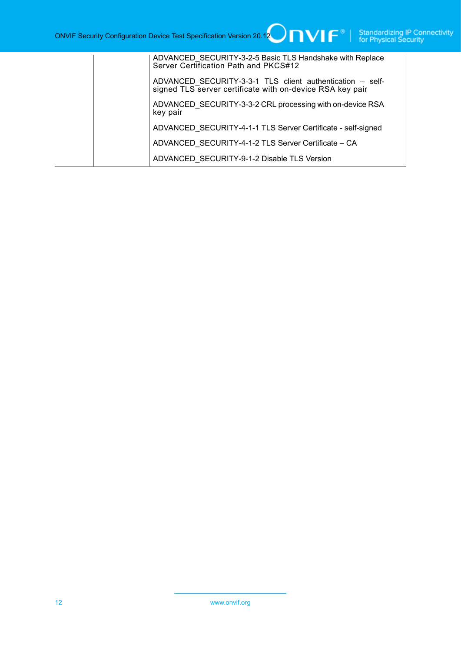| ADVANCED SECURITY-3-2-5 Basic TLS Handshake with Replace<br>Server Certification Path and PKCS#12                      |
|------------------------------------------------------------------------------------------------------------------------|
| ADVANCED SECURITY-3-3-1 TLS client authentication - self-<br>signed TLS server certificate with on-device RSA key pair |
| ADVANCED_SECURITY-3-3-2 CRL processing with on-device RSA<br>key pair                                                  |
| ADVANCED SECURITY-4-1-1 TLS Server Certificate - self-signed                                                           |
| ADVANCED SECURITY-4-1-2 TLS Server Certificate - CA                                                                    |
| ADVANCED SECURITY-9-1-2 Disable TLS Version                                                                            |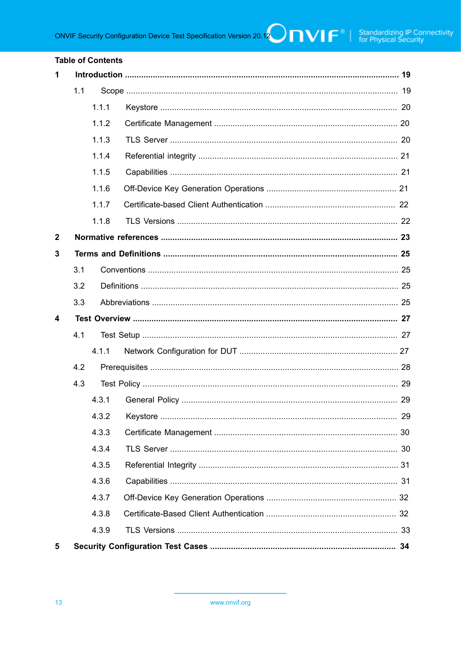#### **Table of Contents**

| 1                       |     |       |  |    |
|-------------------------|-----|-------|--|----|
|                         | 1.1 |       |  |    |
|                         |     | 1.1.1 |  |    |
|                         |     | 1.1.2 |  |    |
|                         |     | 1.1.3 |  |    |
|                         |     | 1.1.4 |  |    |
|                         |     | 1.1.5 |  |    |
|                         |     | 1.1.6 |  |    |
|                         |     | 1.1.7 |  |    |
|                         |     | 1.1.8 |  |    |
| $\boldsymbol{2}$        |     |       |  |    |
| 3                       |     |       |  |    |
|                         | 3.1 |       |  |    |
|                         | 3.2 |       |  |    |
|                         | 3.3 |       |  |    |
|                         |     |       |  |    |
| $\overline{\mathbf{4}}$ |     |       |  |    |
|                         | 4.1 |       |  |    |
|                         |     | 4.1.1 |  |    |
|                         | 4.2 |       |  |    |
|                         | 4.3 |       |  |    |
|                         |     | 4.3.1 |  |    |
|                         |     |       |  | 29 |
|                         |     | 4.3.3 |  |    |
|                         |     | 4.3.4 |  |    |
|                         |     | 4.3.5 |  |    |
|                         |     | 4.3.6 |  |    |
|                         |     | 4.3.7 |  |    |
|                         |     | 4.3.8 |  |    |
|                         |     | 4.3.9 |  |    |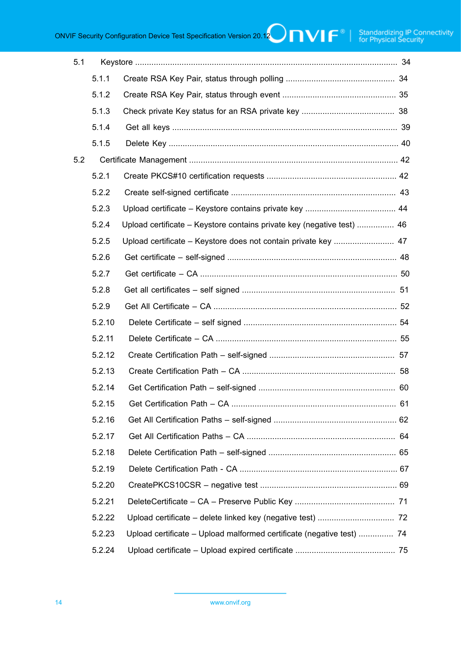ONVIF Security Configuration Device Test Specification Version 20.12  $\bigcap_{\mathbf{V}}\bigcap_{\mathbf{V}}\bigcap_{\mathbf{V}}\bigcap_{\mathbf{V}}$  Standardizing IP Connectivity

| 5.1 |        |                                                                        |
|-----|--------|------------------------------------------------------------------------|
|     | 5.1.1  |                                                                        |
|     | 5.1.2  |                                                                        |
|     | 5.1.3  |                                                                        |
|     | 5.1.4  |                                                                        |
|     | 5.1.5  |                                                                        |
| 5.2 |        |                                                                        |
|     | 5.2.1  |                                                                        |
|     | 5.2.2  |                                                                        |
|     | 5.2.3  |                                                                        |
|     | 5.2.4  | Upload certificate – Keystore contains private key (negative test)  46 |
|     | 5.2.5  | Upload certificate - Keystore does not contain private key  47         |
|     | 5.2.6  |                                                                        |
|     | 5.2.7  |                                                                        |
|     | 5.2.8  |                                                                        |
|     | 5.2.9  |                                                                        |
|     | 5.2.10 |                                                                        |
|     | 5.2.11 |                                                                        |
|     | 5.2.12 |                                                                        |
|     | 5.2.13 |                                                                        |
|     | 5.2.14 |                                                                        |
|     | 5.2.15 |                                                                        |
|     | 5.2.16 |                                                                        |
|     | 5.2.17 |                                                                        |
|     | 5.2.18 |                                                                        |
|     | 5.2.19 |                                                                        |
|     | 5.2.20 |                                                                        |
|     | 5.2.21 |                                                                        |
|     | 5.2.22 |                                                                        |
|     | 5.2.23 | Upload certificate - Upload malformed certificate (negative test)  74  |
|     | 5.2.24 |                                                                        |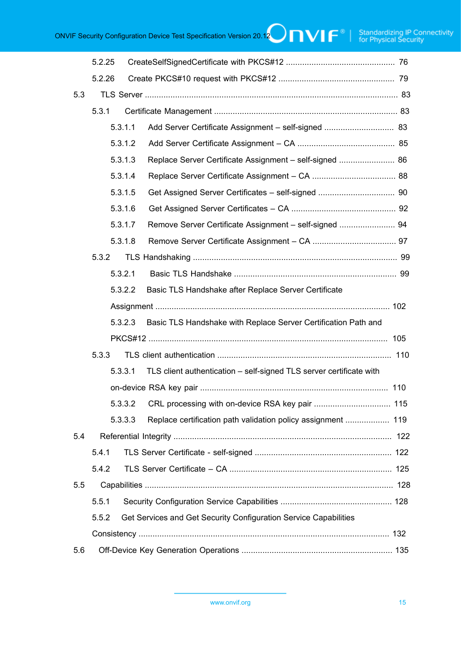ONVIF Security Configuration Device Test Specification Version 20.12 **ONVIF Standardizing IP Connectivity**<br>
ONVIF Security Configuration Device Test Specification Version 20.12 **ONVIF F**<sup>®</sup> | Standardizing IP Connectivit

|     | 5.2.25  |         |                                                                  |                                                                     |  |  |
|-----|---------|---------|------------------------------------------------------------------|---------------------------------------------------------------------|--|--|
|     | 5.2.26  |         |                                                                  |                                                                     |  |  |
| 5.3 |         |         |                                                                  |                                                                     |  |  |
|     | 5.3.1   |         |                                                                  |                                                                     |  |  |
|     |         | 5.3.1.1 |                                                                  |                                                                     |  |  |
|     |         | 5.3.1.2 |                                                                  |                                                                     |  |  |
|     | 5.3.1.3 |         |                                                                  | Replace Server Certificate Assignment - self-signed  86             |  |  |
|     |         | 5.3.1.4 |                                                                  |                                                                     |  |  |
|     | 5.3.1.5 |         |                                                                  |                                                                     |  |  |
|     |         | 5.3.1.6 |                                                                  |                                                                     |  |  |
|     |         | 5.3.1.7 |                                                                  | Remove Server Certificate Assignment - self-signed  94              |  |  |
|     |         | 5.3.1.8 |                                                                  |                                                                     |  |  |
|     | 5.3.2   |         |                                                                  |                                                                     |  |  |
|     |         | 5.3.2.1 |                                                                  |                                                                     |  |  |
|     | 5.3.2.2 |         |                                                                  | Basic TLS Handshake after Replace Server Certificate                |  |  |
|     |         |         |                                                                  |                                                                     |  |  |
|     |         | 5.3.2.3 |                                                                  | Basic TLS Handshake with Replace Server Certification Path and      |  |  |
|     | 5.3.3   |         |                                                                  |                                                                     |  |  |
|     |         |         |                                                                  |                                                                     |  |  |
|     |         | 5.3.3.1 |                                                                  | TLS client authentication - self-signed TLS server certificate with |  |  |
|     |         |         |                                                                  |                                                                     |  |  |
|     | 5.3.3.2 |         |                                                                  |                                                                     |  |  |
|     | 5.3.3.3 |         |                                                                  | Replace certification path validation policy assignment  119        |  |  |
| 5.4 |         |         |                                                                  |                                                                     |  |  |
|     | 5.4.1   |         |                                                                  |                                                                     |  |  |
|     | 5.4.2   |         |                                                                  |                                                                     |  |  |
| 5.5 |         |         |                                                                  |                                                                     |  |  |
|     | 5.5.1   |         |                                                                  |                                                                     |  |  |
|     | 5.5.2   |         | Get Services and Get Security Configuration Service Capabilities |                                                                     |  |  |
|     |         |         |                                                                  |                                                                     |  |  |
| 5.6 |         |         |                                                                  |                                                                     |  |  |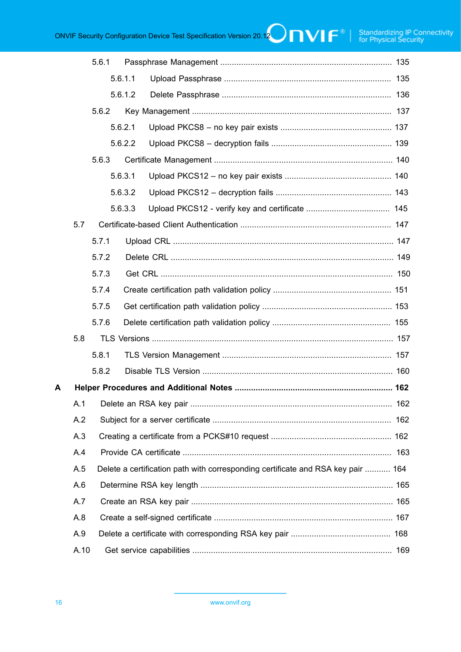ONVIF Security Configuration Device Test Specification Version 20.12 **ONVIF Standardizing IP Connectivity**<br>
ONVIF Security Configuration Device Test Specification Version 20.12 **ONVIF F**<sup>®</sup> | Standardizing IP Connectivit

|   |            | 5.6.1   |         |                                                                                  |  |
|---|------------|---------|---------|----------------------------------------------------------------------------------|--|
|   |            |         | 5.6.1.1 |                                                                                  |  |
|   |            | 5.6.1.2 |         |                                                                                  |  |
|   |            | 5.6.2   |         |                                                                                  |  |
|   |            |         | 5.6.2.1 |                                                                                  |  |
|   |            |         | 5.6.2.2 |                                                                                  |  |
|   |            | 5.6.3   |         |                                                                                  |  |
|   |            |         | 5.6.3.1 |                                                                                  |  |
|   |            |         | 5.6.3.2 |                                                                                  |  |
|   |            |         | 5.6.3.3 |                                                                                  |  |
|   | 5.7        |         |         |                                                                                  |  |
|   |            | 5.7.1   |         |                                                                                  |  |
|   |            | 5.7.2   |         |                                                                                  |  |
|   |            | 5.7.3   |         |                                                                                  |  |
|   |            | 5.7.4   |         |                                                                                  |  |
|   |            | 5.7.5   |         |                                                                                  |  |
|   |            | 5.7.6   |         |                                                                                  |  |
|   | 5.8        |         |         |                                                                                  |  |
|   |            | 5.8.1   |         |                                                                                  |  |
|   |            | 5.8.2   |         |                                                                                  |  |
| A |            |         |         |                                                                                  |  |
|   | A.1        |         |         |                                                                                  |  |
|   | A.2<br>A.3 |         |         |                                                                                  |  |
|   |            |         |         |                                                                                  |  |
|   | A.4        |         |         |                                                                                  |  |
|   | A.5        |         |         | Delete a certification path with corresponding certificate and RSA key pair  164 |  |
|   | A.6        |         |         |                                                                                  |  |
|   | A.7        |         |         |                                                                                  |  |
|   | A.8        |         |         |                                                                                  |  |
|   | A.9        |         |         |                                                                                  |  |
|   | A.10       |         |         |                                                                                  |  |
|   |            |         |         |                                                                                  |  |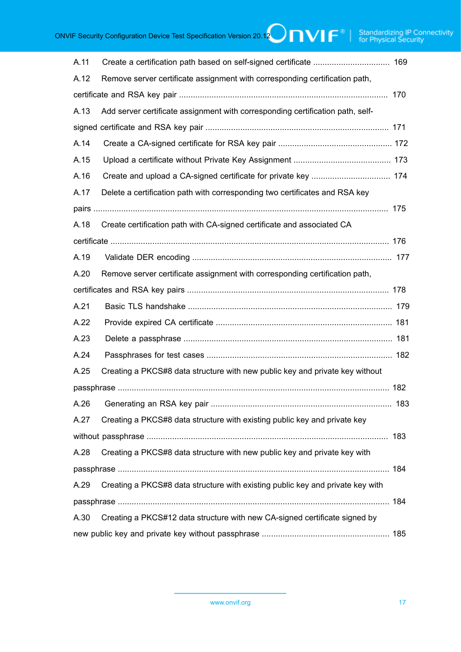| A.11 |                                                                                |  |  |  |  |
|------|--------------------------------------------------------------------------------|--|--|--|--|
| A.12 | Remove server certificate assignment with corresponding certification path,    |  |  |  |  |
|      |                                                                                |  |  |  |  |
| A.13 | Add server certificate assignment with corresponding certification path, self- |  |  |  |  |
|      |                                                                                |  |  |  |  |
| A.14 |                                                                                |  |  |  |  |
| A.15 |                                                                                |  |  |  |  |
| A.16 |                                                                                |  |  |  |  |
| A.17 | Delete a certification path with corresponding two certificates and RSA key    |  |  |  |  |
|      |                                                                                |  |  |  |  |
| A.18 | Create certification path with CA-signed certificate and associated CA         |  |  |  |  |
|      |                                                                                |  |  |  |  |
| A.19 |                                                                                |  |  |  |  |
| A.20 | Remove server certificate assignment with corresponding certification path,    |  |  |  |  |
|      |                                                                                |  |  |  |  |
| A.21 |                                                                                |  |  |  |  |
| A.22 |                                                                                |  |  |  |  |
| A.23 |                                                                                |  |  |  |  |
| A.24 |                                                                                |  |  |  |  |
| A.25 | Creating a PKCS#8 data structure with new public key and private key without   |  |  |  |  |
|      |                                                                                |  |  |  |  |
|      |                                                                                |  |  |  |  |
| A.27 | Creating a PKCS#8 data structure with existing public key and private key      |  |  |  |  |
|      |                                                                                |  |  |  |  |
| A.28 | Creating a PKCS#8 data structure with new public key and private key with      |  |  |  |  |
|      |                                                                                |  |  |  |  |
| A.29 | Creating a PKCS#8 data structure with existing public key and private key with |  |  |  |  |
|      |                                                                                |  |  |  |  |
| A.30 | Creating a PKCS#12 data structure with new CA-signed certificate signed by     |  |  |  |  |
|      |                                                                                |  |  |  |  |
|      |                                                                                |  |  |  |  |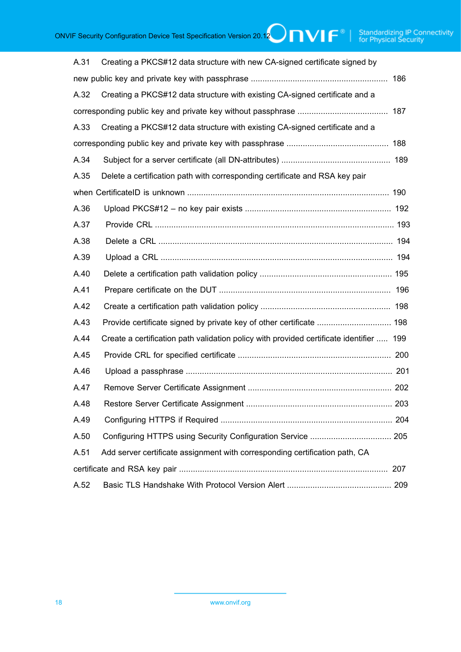| A.31                                                                                | Creating a PKCS#12 data structure with new CA-signed certificate signed by              |  |  |  |  |
|-------------------------------------------------------------------------------------|-----------------------------------------------------------------------------------------|--|--|--|--|
|                                                                                     |                                                                                         |  |  |  |  |
| A.32                                                                                | Creating a PKCS#12 data structure with existing CA-signed certificate and a             |  |  |  |  |
|                                                                                     |                                                                                         |  |  |  |  |
| Creating a PKCS#12 data structure with existing CA-signed certificate and a<br>A.33 |                                                                                         |  |  |  |  |
|                                                                                     |                                                                                         |  |  |  |  |
| A.34                                                                                |                                                                                         |  |  |  |  |
| A.35                                                                                | Delete a certification path with corresponding certificate and RSA key pair             |  |  |  |  |
|                                                                                     |                                                                                         |  |  |  |  |
| A.36                                                                                |                                                                                         |  |  |  |  |
| A.37                                                                                |                                                                                         |  |  |  |  |
| A.38                                                                                |                                                                                         |  |  |  |  |
| A.39                                                                                |                                                                                         |  |  |  |  |
| A.40                                                                                |                                                                                         |  |  |  |  |
| A.41                                                                                |                                                                                         |  |  |  |  |
| A.42                                                                                |                                                                                         |  |  |  |  |
| A.43                                                                                |                                                                                         |  |  |  |  |
| A.44                                                                                | Create a certification path validation policy with provided certificate identifier  199 |  |  |  |  |
| A.45                                                                                |                                                                                         |  |  |  |  |
| A.46                                                                                |                                                                                         |  |  |  |  |
| A.47                                                                                |                                                                                         |  |  |  |  |
| A.48                                                                                |                                                                                         |  |  |  |  |
| A.49                                                                                |                                                                                         |  |  |  |  |
| A.50                                                                                |                                                                                         |  |  |  |  |
| A.51                                                                                | Add server certificate assignment with corresponding certification path, CA             |  |  |  |  |
|                                                                                     |                                                                                         |  |  |  |  |
| A.52                                                                                |                                                                                         |  |  |  |  |
|                                                                                     |                                                                                         |  |  |  |  |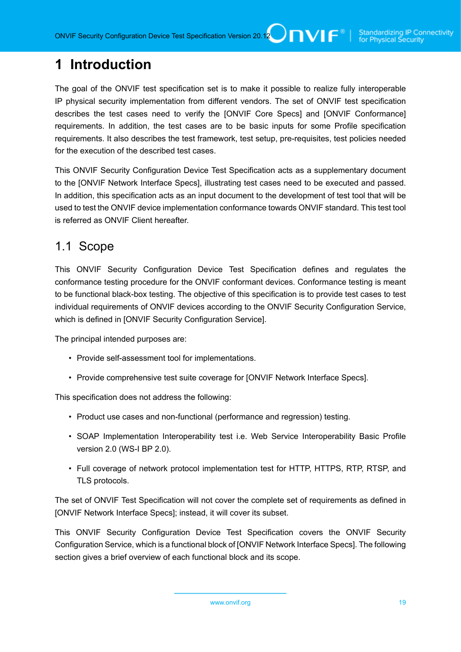# <span id="page-18-0"></span>**1 Introduction**

The goal of the ONVIF test specification set is to make it possible to realize fully interoperable IP physical security implementation from different vendors. The set of ONVIF test specification describes the test cases need to verify the [ONVIF Core Specs] and [ONVIF Conformance] requirements. In addition, the test cases are to be basic inputs for some Profile specification requirements. It also describes the test framework, test setup, pre-requisites, test policies needed for the execution of the described test cases.

This ONVIF Security Configuration Device Test Specification acts as a supplementary document to the [ONVIF Network Interface Specs], illustrating test cases need to be executed and passed. In addition, this specification acts as an input document to the development of test tool that will be used to test the ONVIF device implementation conformance towards ONVIF standard. This test tool is referred as ONVIF Client hereafter.

#### <span id="page-18-1"></span>1.1 Scope

This ONVIF Security Configuration Device Test Specification defines and regulates the conformance testing procedure for the ONVIF conformant devices. Conformance testing is meant to be functional black-box testing. The objective of this specification is to provide test cases to test individual requirements of ONVIF devices according to the ONVIF Security Configuration Service, which is defined in [ONVIF Security Configuration Service].

The principal intended purposes are:

- Provide self-assessment tool for implementations.
- Provide comprehensive test suite coverage for [ONVIF Network Interface Specs].

This specification does not address the following:

- Product use cases and non-functional (performance and regression) testing.
- SOAP Implementation Interoperability test i.e. Web Service Interoperability Basic Profile version 2.0 (WS-I BP 2.0).
- Full coverage of network protocol implementation test for HTTP, HTTPS, RTP, RTSP, and TLS protocols.

The set of ONVIF Test Specification will not cover the complete set of requirements as defined in [ONVIF Network Interface Specs]; instead, it will cover its subset.

This ONVIF Security Configuration Device Test Specification covers the ONVIF Security Configuration Service, which is a functional block of [ONVIF Network Interface Specs]. The following section gives a brief overview of each functional block and its scope.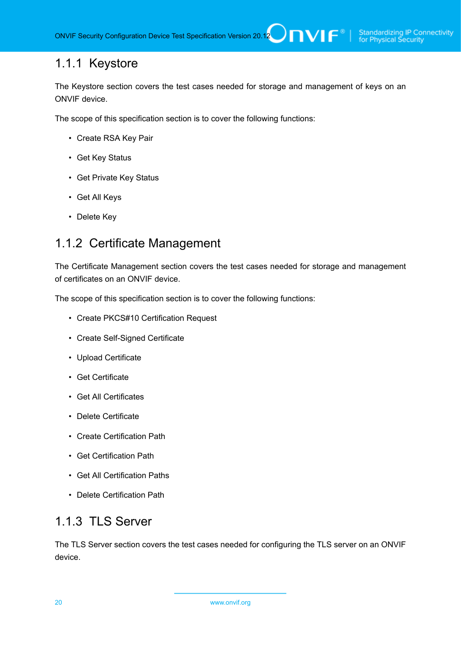### <span id="page-19-0"></span>1.1.1 Keystore

The Keystore section covers the test cases needed for storage and management of keys on an ONVIF device.

The scope of this specification section is to cover the following functions:

- Create RSA Key Pair
- Get Key Status
- Get Private Key Status
- Get All Keys
- Delete Key

# <span id="page-19-1"></span>1.1.2 Certificate Management

The Certificate Management section covers the test cases needed for storage and management of certificates on an ONVIF device.

The scope of this specification section is to cover the following functions:

- Create PKCS#10 Certification Request
- Create Self-Signed Certificate
- Upload Certificate
- Get Certificate
- Get All Certificates
- Delete Certificate
- Create Certification Path
- Get Certification Path
- Get All Certification Paths
- Delete Certification Path

## <span id="page-19-2"></span>1.1.3 TLS Server

The TLS Server section covers the test cases needed for configuring the TLS server on an ONVIF device.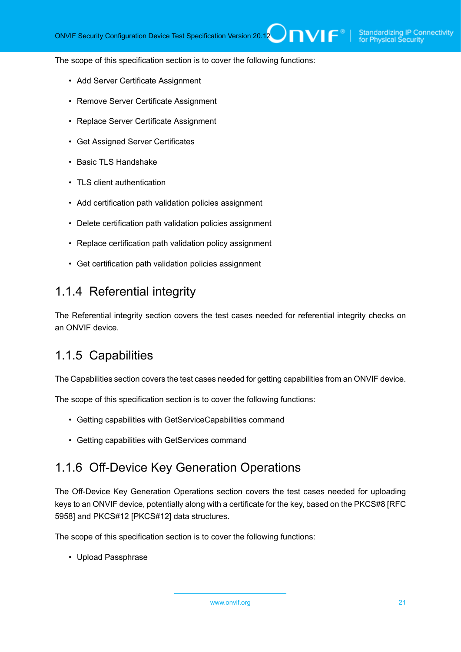The scope of this specification section is to cover the following functions:

- Add Server Certificate Assignment
- Remove Server Certificate Assignment
- Replace Server Certificate Assignment
- Get Assigned Server Certificates
- Basic TLS Handshake
- TLS client authentication
- Add certification path validation policies assignment
- Delete certification path validation policies assignment
- Replace certification path validation policy assignment
- Get certification path validation policies assignment

#### <span id="page-20-0"></span>1.1.4 Referential integrity

The Referential integrity section covers the test cases needed for referential integrity checks on an ONVIF device.

#### <span id="page-20-1"></span>1.1.5 Capabilities

The Capabilities section covers the test cases needed for getting capabilities from an ONVIF device.

The scope of this specification section is to cover the following functions:

- Getting capabilities with GetServiceCapabilities command
- Getting capabilities with GetServices command

#### <span id="page-20-2"></span>1.1.6 Off-Device Key Generation Operations

The Off-Device Key Generation Operations section covers the test cases needed for uploading keys to an ONVIF device, potentially along with a certificate for the key, based on the PKCS#8 [RFC 5958] and PKCS#12 [PKCS#12] data structures.

The scope of this specification section is to cover the following functions:

• Upload Passphrase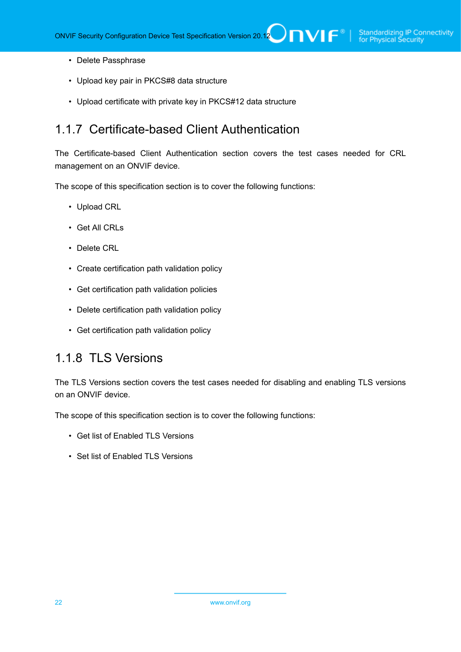- Delete Passphrase
- Upload key pair in PKCS#8 data structure
- Upload certificate with private key in PKCS#12 data structure

#### <span id="page-21-0"></span>1.1.7 Certificate-based Client Authentication

The Certificate-based Client Authentication section covers the test cases needed for CRL management on an ONVIF device.

The scope of this specification section is to cover the following functions:

- Upload CRL
- Get All CRLs
- Delete CRL
- Create certification path validation policy
- Get certification path validation policies
- Delete certification path validation policy
- Get certification path validation policy

#### <span id="page-21-1"></span>1.1.8 TLS Versions

The TLS Versions section covers the test cases needed for disabling and enabling TLS versions on an ONVIF device.

The scope of this specification section is to cover the following functions:

- Get list of Enabled TLS Versions
- Set list of Enabled TLS Versions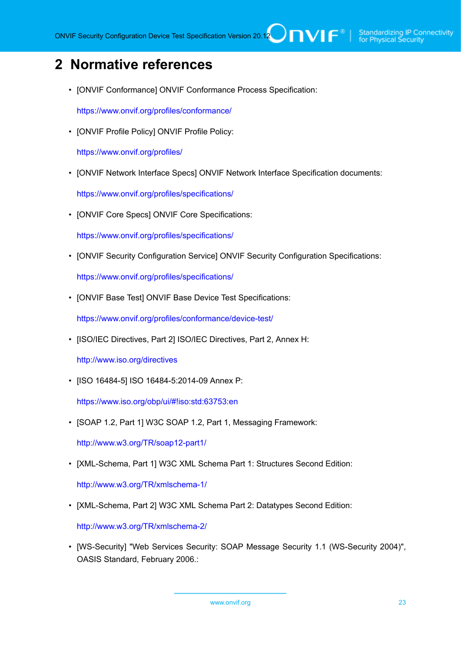# <span id="page-22-0"></span>**2 Normative references**

• [ONVIF Conformance] ONVIF Conformance Process Specification:

<https://www.onvif.org/profiles/conformance/>

• [ONVIF Profile Policy] ONVIF Profile Policy:

<https://www.onvif.org/profiles/>

• [ONVIF Network Interface Specs] ONVIF Network Interface Specification documents:

<https://www.onvif.org/profiles/specifications/>

• [ONVIF Core Specs] ONVIF Core Specifications:

<https://www.onvif.org/profiles/specifications/>

• [ONVIF Security Configuration Service] ONVIF Security Configuration Specifications:

<https://www.onvif.org/profiles/specifications/>

• [ONVIF Base Test] ONVIF Base Device Test Specifications:

<https://www.onvif.org/profiles/conformance/device-test/>

• [ISO/IEC Directives, Part 2] ISO/IEC Directives, Part 2, Annex H:

<http://www.iso.org/directives>

• [ISO 16484-5] ISO 16484-5:2014-09 Annex P:

<https://www.iso.org/obp/ui/#!iso:std:63753:en>

• [SOAP 1.2, Part 1] W3C SOAP 1.2, Part 1, Messaging Framework:

<http://www.w3.org/TR/soap12-part1/>

• [XML-Schema, Part 1] W3C XML Schema Part 1: Structures Second Edition:

<http://www.w3.org/TR/xmlschema-1/>

• [XML-Schema, Part 2] W3C XML Schema Part 2: Datatypes Second Edition:

<http://www.w3.org/TR/xmlschema-2/>

• [WS-Security] "Web Services Security: SOAP Message Security 1.1 (WS-Security 2004)", OASIS Standard, February 2006.: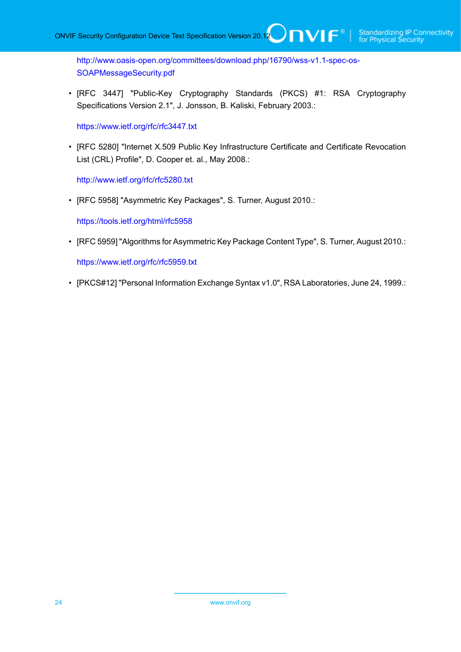[http://www.oasis-open.org/committees/download.php/16790/wss-v1.1-spec-os-](http://www.oasis-open.org/committees/download.php/16790/wss-v1.1-spec-os-SOAPMessageSecurity.pdf)[SOAPMessageSecurity.pdf](http://www.oasis-open.org/committees/download.php/16790/wss-v1.1-spec-os-SOAPMessageSecurity.pdf)

• [RFC 3447] "Public-Key Cryptography Standards (PKCS) #1: RSA Cryptography Specifications Version 2.1", J. Jonsson, B. Kaliski, February 2003.:

 $\mathsf{J}\mathsf{D}\mathsf{V}\mathsf{I}\mathsf{F}^\ast$ 

<https://www.ietf.org/rfc/rfc3447.txt>

• [RFC 5280] "Internet X.509 Public Key Infrastructure Certificate and Certificate Revocation List (CRL) Profile", D. Cooper et. al., May 2008.:

<http://www.ietf.org/rfc/rfc5280.txt>

• [RFC 5958] "Asymmetric Key Packages", S. Turner, August 2010.:

<https://tools.ietf.org/html/rfc5958>

• [RFC 5959] "Algorithms for Asymmetric Key Package Content Type", S. Turner, August 2010.:

<https://www.ietf.org/rfc/rfc5959.txt>

• [PKCS#12] "Personal Information Exchange Syntax v1.0", RSA Laboratories, June 24, 1999.: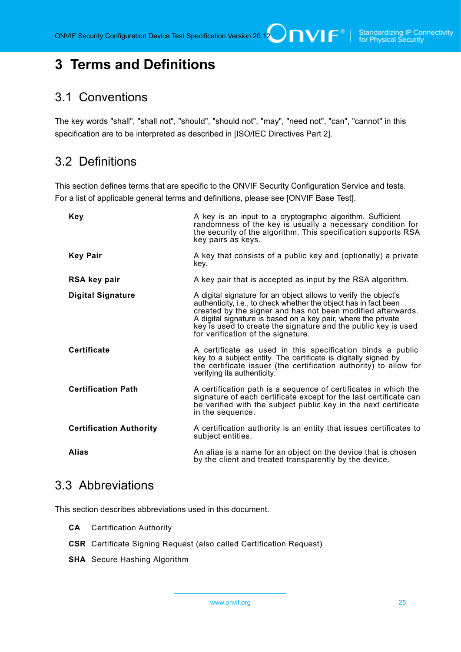# <span id="page-24-0"></span>**3 Terms and Definitions**

#### <span id="page-24-1"></span>3.1 Conventions

The key words "shall", "shall not", "should", "should not", "may", "need not", "can", "cannot" in this specification are to be interpreted as described in [ISO/IEC Directives Part 2].

### <span id="page-24-2"></span>3.2 Definitions

This section defines terms that are specific to the ONVIF Security Configuration Service and tests. For a list of applicable general terms and definitions, please see [ONVIF Base Test].

| <b>Key</b>                     | A key is an input to a cryptographic algorithm. Sufficient<br>randomness of the key is usually a necessary condition for<br>the security of the algorithm. This specification supports RSA<br>key pairs as keys.                                                                                                                                                            |
|--------------------------------|-----------------------------------------------------------------------------------------------------------------------------------------------------------------------------------------------------------------------------------------------------------------------------------------------------------------------------------------------------------------------------|
| <b>Key Pair</b>                | A key that consists of a public key and (optionally) a private<br>key.                                                                                                                                                                                                                                                                                                      |
| RSA key pair                   | A key pair that is accepted as input by the RSA algorithm.                                                                                                                                                                                                                                                                                                                  |
| <b>Digital Signature</b>       | A digital signature for an object allows to verify the object's<br>authenticity, i.e., to check whether the object has in fact been<br>created by the signer and has not been modified afterwards.<br>A digital signature is based on a key pair, where the private<br>key is used to create the signature and the public key is used<br>for verification of the signature. |
| <b>Certificate</b>             | A certificate as used in this specification binds a public<br>key to a subject entity. The certificate is digitally signed by<br>the certificate issuer (the certification authority) to allow for<br>verifying its authenticity.                                                                                                                                           |
| <b>Certification Path</b>      | A certification path is a sequence of certificates in which the<br>signature of each certificate except for the last certificate can<br>be verified with the subject public key in the next certificate<br>in the sequence.                                                                                                                                                 |
| <b>Certification Authority</b> | A certification authority is an entity that issues certificates to<br>subject entities.                                                                                                                                                                                                                                                                                     |
| <b>Alias</b>                   | An alias is a name for an object on the device that is chosen<br>by the client and treated transparently by the device.                                                                                                                                                                                                                                                     |

#### <span id="page-24-3"></span>3.3 Abbreviations

This section describes abbreviations used in this document.

- **CA** Certification Authority
- **CSR** Certificate Signing Request (also called Certification Request)
- **SHA** Secure Hashing Algorithm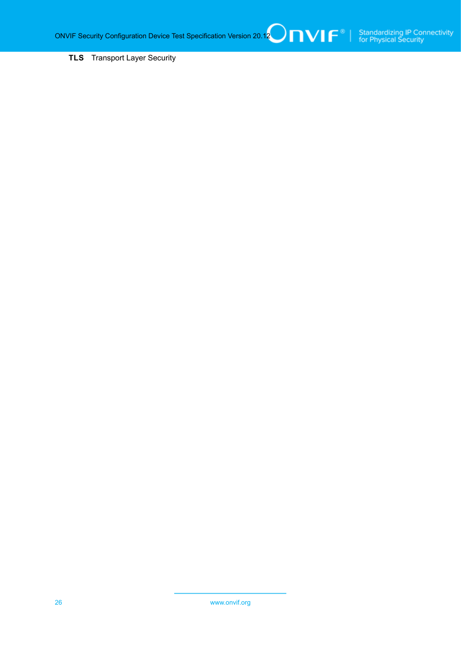**TLS** Transport Layer Security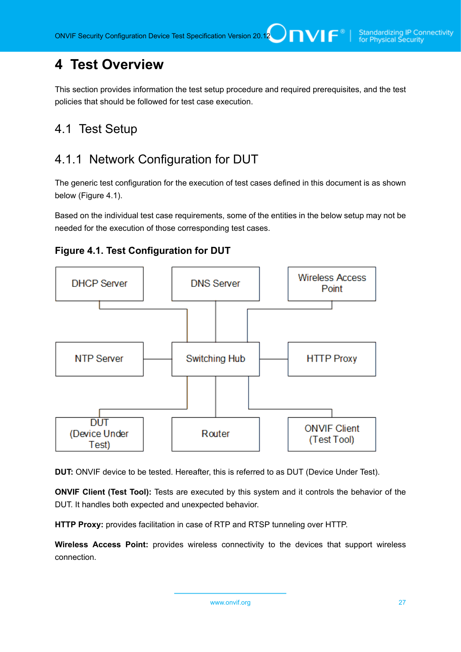# <span id="page-26-0"></span>**4 Test Overview**

This section provides information the test setup procedure and required prerequisites, and the test policies that should be followed for test case execution.

## <span id="page-26-1"></span>4.1 Test Setup

# <span id="page-26-2"></span>4.1.1 Network Configuration for DUT

The generic test configuration for the execution of test cases defined in this document is as shown below (Figure 4.1).

Based on the individual test case requirements, some of the entities in the below setup may not be needed for the execution of those corresponding test cases.





**DUT:** ONVIF device to be tested. Hereafter, this is referred to as DUT (Device Under Test).

**ONVIF Client (Test Tool):** Tests are executed by this system and it controls the behavior of the DUT. It handles both expected and unexpected behavior.

**HTTP Proxy:** provides facilitation in case of RTP and RTSP tunneling over HTTP.

**Wireless Access Point:** provides wireless connectivity to the devices that support wireless connection.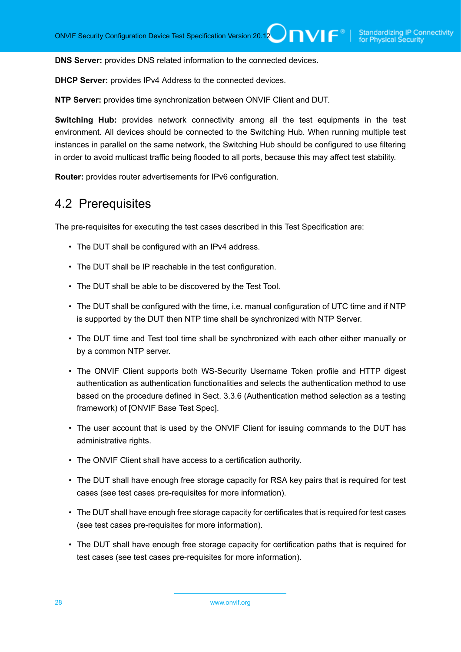**DNS Server:** provides DNS related information to the connected devices.

**DHCP Server:** provides IPv4 Address to the connected devices.

**NTP Server:** provides time synchronization between ONVIF Client and DUT.

**Switching Hub:** provides network connectivity among all the test equipments in the test environment. All devices should be connected to the Switching Hub. When running multiple test instances in parallel on the same network, the Switching Hub should be configured to use filtering in order to avoid multicast traffic being flooded to all ports, because this may affect test stability.

<span id="page-27-0"></span>**Router:** provides router advertisements for IPv6 configuration.

#### 4.2 Prerequisites

The pre-requisites for executing the test cases described in this Test Specification are:

- The DUT shall be configured with an IPv4 address.
- The DUT shall be IP reachable in the test configuration.
- The DUT shall be able to be discovered by the Test Tool.
- The DUT shall be configured with the time, i.e. manual configuration of UTC time and if NTP is supported by the DUT then NTP time shall be synchronized with NTP Server.
- The DUT time and Test tool time shall be synchronized with each other either manually or by a common NTP server.
- The ONVIF Client supports both WS-Security Username Token profile and HTTP digest authentication as authentication functionalities and selects the authentication method to use based on the procedure defined in Sect. 3.3.6 (Authentication method selection as a testing framework) of [ONVIF Base Test Spec].
- The user account that is used by the ONVIF Client for issuing commands to the DUT has administrative rights.
- The ONVIF Client shall have access to a certification authority.
- The DUT shall have enough free storage capacity for RSA key pairs that is required for test cases (see test cases pre-requisites for more information).
- The DUT shall have enough free storage capacity for certificates that is required for test cases (see test cases pre-requisites for more information).
- The DUT shall have enough free storage capacity for certification paths that is required for test cases (see test cases pre-requisites for more information).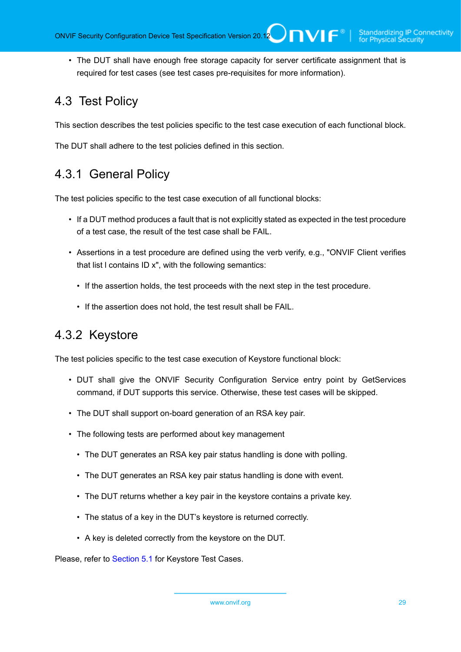• The DUT shall have enough free storage capacity for server certificate assignment that is required for test cases (see test cases pre-requisites for more information).

# <span id="page-28-0"></span>4.3 Test Policy

This section describes the test policies specific to the test case execution of each functional block.

<span id="page-28-1"></span>The DUT shall adhere to the test policies defined in this section.

# 4.3.1 General Policy

The test policies specific to the test case execution of all functional blocks:

- If a DUT method produces a fault that is not explicitly stated as expected in the test procedure of a test case, the result of the test case shall be FAIL.
- Assertions in a test procedure are defined using the verb verify, e.g., "ONVIF Client verifies that list l contains ID x", with the following semantics:
	- If the assertion holds, the test proceeds with the next step in the test procedure.
	- If the assertion does not hold, the test result shall be FAIL.

## <span id="page-28-2"></span>4.3.2 Keystore

The test policies specific to the test case execution of Keystore functional block:

- DUT shall give the ONVIF Security Configuration Service entry point by GetServices command, if DUT supports this service. Otherwise, these test cases will be skipped.
- The DUT shall support on-board generation of an RSA key pair.
- The following tests are performed about key management
	- The DUT generates an RSA key pair status handling is done with polling.
	- The DUT generates an RSA key pair status handling is done with event.
	- The DUT returns whether a key pair in the keystore contains a private key.
	- The status of a key in the DUT's keystore is returned correctly.
	- A key is deleted correctly from the keystore on the DUT.

Please, refer to [Section 5.1](#page-33-1) for Keystore Test Cases.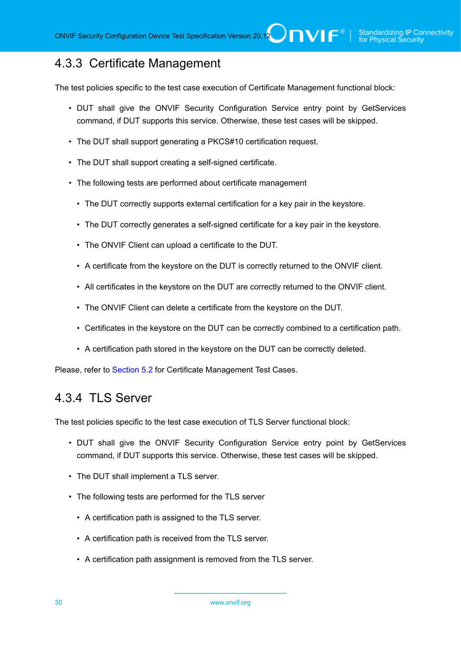## <span id="page-29-0"></span>4.3.3 Certificate Management

The test policies specific to the test case execution of Certificate Management functional block:

- DUT shall give the ONVIF Security Configuration Service entry point by GetServices command, if DUT supports this service. Otherwise, these test cases will be skipped.
- The DUT shall support generating a PKCS#10 certification request.
- The DUT shall support creating a self-signed certificate.
- The following tests are performed about certificate management
	- The DUT correctly supports external certification for a key pair in the keystore.
	- The DUT correctly generates a self-signed certificate for a key pair in the keystore.
	- The ONVIF Client can upload a certificate to the DUT.
	- A certificate from the keystore on the DUT is correctly returned to the ONVIF client.
	- All certificates in the keystore on the DUT are correctly returned to the ONVIF client.
	- The ONVIF Client can delete a certificate from the keystore on the DUT.
	- Certificates in the keystore on the DUT can be correctly combined to a certification path.
	- A certification path stored in the keystore on the DUT can be correctly deleted.

<span id="page-29-1"></span>Please, refer to [Section 5.2](#page-41-0) for Certificate Management Test Cases.

#### 4.3.4 TLS Server

The test policies specific to the test case execution of TLS Server functional block:

- DUT shall give the ONVIF Security Configuration Service entry point by GetServices command, if DUT supports this service. Otherwise, these test cases will be skipped.
- The DUT shall implement a TLS server.
- The following tests are performed for the TLS server
	- A certification path is assigned to the TLS server.
	- A certification path is received from the TLS server.
	- A certification path assignment is removed from the TLS server.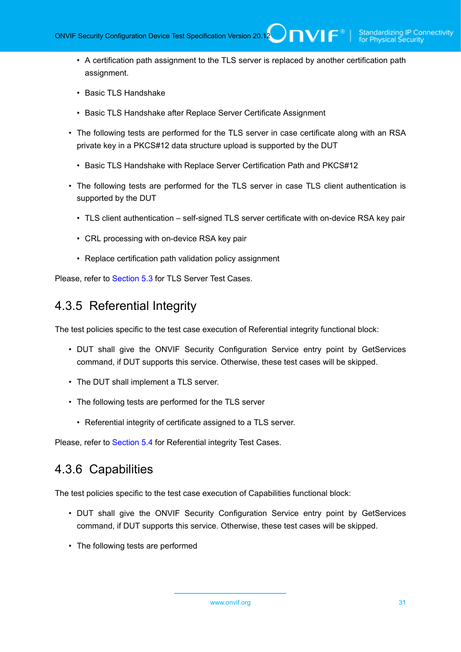- A certification path assignment to the TLS server is replaced by another certification path assignment.
- Basic TLS Handshake
- Basic TLS Handshake after Replace Server Certificate Assignment
- The following tests are performed for the TLS server in case certificate along with an RSA private key in a PKCS#12 data structure upload is supported by the DUT
	- Basic TLS Handshake with Replace Server Certification Path and PKCS#12
- The following tests are performed for the TLS server in case TLS client authentication is supported by the DUT
	- TLS client authentication self-signed TLS server certificate with on-device RSA key pair
	- CRL processing with on-device RSA key pair
	- Replace certification path validation policy assignment

<span id="page-30-0"></span>Please, refer to [Section 5.3](#page-82-0) for TLS Server Test Cases.

#### 4.3.5 Referential Integrity

The test policies specific to the test case execution of Referential integrity functional block:

- DUT shall give the ONVIF Security Configuration Service entry point by GetServices command, if DUT supports this service. Otherwise, these test cases will be skipped.
- The DUT shall implement a TLS server.
- The following tests are performed for the TLS server
	- Referential integrity of certificate assigned to a TLS server.

<span id="page-30-1"></span>Please, refer to [Section 5.4](#page-121-0) for Referential integrity Test Cases.

#### 4.3.6 Capabilities

The test policies specific to the test case execution of Capabilities functional block:

- DUT shall give the ONVIF Security Configuration Service entry point by GetServices command, if DUT supports this service. Otherwise, these test cases will be skipped.
- The following tests are performed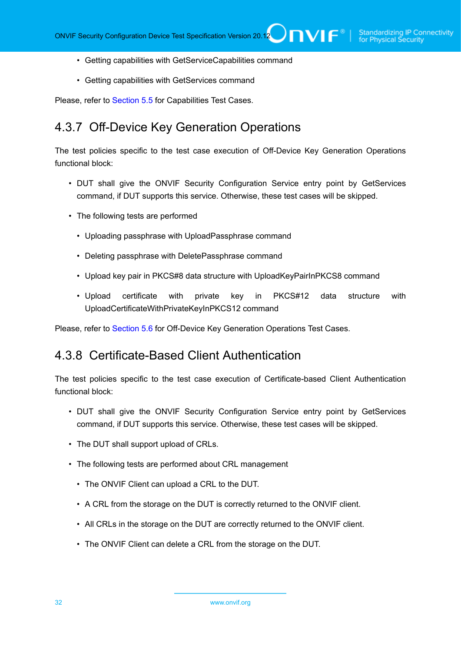- Getting capabilities with GetServiceCapabilities command
- Getting capabilities with GetServices command

<span id="page-31-0"></span>Please, refer to [Section 5.5](#page-127-0) for Capabilities Test Cases.

#### 4.3.7 Off-Device Key Generation Operations

The test policies specific to the test case execution of Off-Device Key Generation Operations functional block:

- DUT shall give the ONVIF Security Configuration Service entry point by GetServices command, if DUT supports this service. Otherwise, these test cases will be skipped.
- The following tests are performed
	- Uploading passphrase with UploadPassphrase command
	- Deleting passphrase with DeletePassphrase command
	- Upload key pair in PKCS#8 data structure with UploadKeyPairInPKCS8 command
	- Upload certificate with private key in PKCS#12 data structure with UploadCertificateWithPrivateKeyInPKCS12 command

<span id="page-31-1"></span>Please, refer to [Section 5.6](#page-134-0) for Off-Device Key Generation Operations Test Cases.

#### 4.3.8 Certificate-Based Client Authentication

The test policies specific to the test case execution of Certificate-based Client Authentication functional block:

- DUT shall give the ONVIF Security Configuration Service entry point by GetServices command, if DUT supports this service. Otherwise, these test cases will be skipped.
- The DUT shall support upload of CRLs.
- The following tests are performed about CRL management
	- The ONVIF Client can upload a CRL to the DUT.
	- A CRL from the storage on the DUT is correctly returned to the ONVIF client.
	- All CRLs in the storage on the DUT are correctly returned to the ONVIF client.
	- The ONVIF Client can delete a CRL from the storage on the DUT.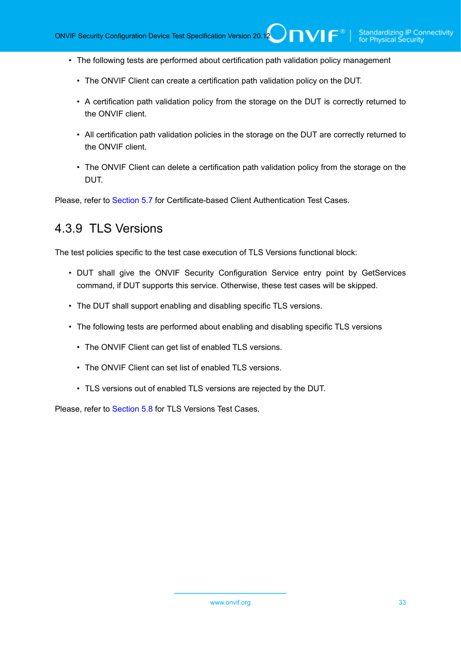- The following tests are performed about certification path validation policy management
	- The ONVIF Client can create a certification path validation policy on the DUT.
	- A certification path validation policy from the storage on the DUT is correctly returned to the ONVIF client.
	- All certification path validation policies in the storage on the DUT are correctly returned to the ONVIF client.
	- The ONVIF Client can delete a certification path validation policy from the storage on the DUT.

<span id="page-32-0"></span>Please, refer to [Section 5.7](#page-146-0) for Certificate-based Client Authentication Test Cases.

## 4.3.9 TLS Versions

The test policies specific to the test case execution of TLS Versions functional block:

- DUT shall give the ONVIF Security Configuration Service entry point by GetServices command, if DUT supports this service. Otherwise, these test cases will be skipped.
- The DUT shall support enabling and disabling specific TLS versions.
- The following tests are performed about enabling and disabling specific TLS versions
	- The ONVIF Client can get list of enabled TLS versions.
	- The ONVIF Client can set list of enabled TLS versions.
	- TLS versions out of enabled TLS versions are rejected by the DUT.

Please, refer to [Section 5.8](#page-156-0) for TLS Versions Test Cases.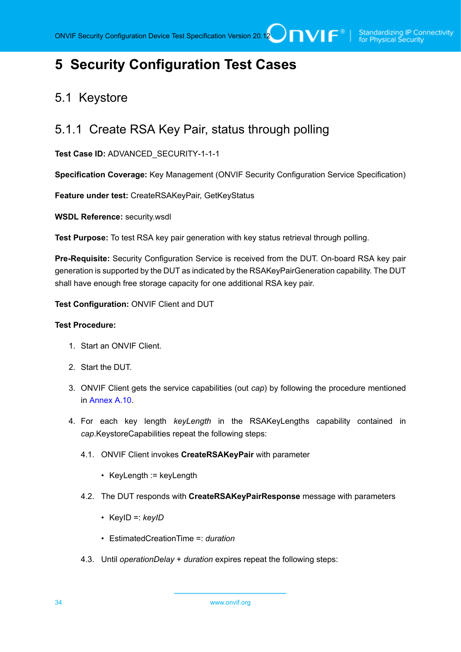# <span id="page-33-0"></span>**5 Security Configuration Test Cases**

## <span id="page-33-1"></span>5.1 Keystore

### <span id="page-33-2"></span>5.1.1 Create RSA Key Pair, status through polling

**Test Case ID:** ADVANCED\_SECURITY-1-1-1

**Specification Coverage:** Key Management (ONVIF Security Configuration Service Specification)

**Feature under test:** CreateRSAKeyPair, GetKeyStatus

**WSDL Reference:** security.wsdl

**Test Purpose:** To test RSA key pair generation with key status retrieval through polling.

**Pre-Requisite:** Security Configuration Service is received from the DUT. On-board RSA key pair generation is supported by the DUT as indicated by the RSAKeyPairGeneration capability. The DUT shall have enough free storage capacity for one additional RSA key pair.

**Test Configuration:** ONVIF Client and DUT

#### **Test Procedure:**

- 1. Start an ONVIF Client.
- 2. Start the DUT.
- 3. ONVIF Client gets the service capabilities (out *cap*) by following the procedure mentioned in [Annex A.10.](#page-168-0)
- <span id="page-33-3"></span>4. For each key length *keyLength* in the RSAKeyLengths capability contained in *cap*.KeystoreCapabilities repeat the following steps:
	- 4.1. ONVIF Client invokes **CreateRSAKeyPair** with parameter
		- KeyLength := keyLength
	- 4.2. The DUT responds with **CreateRSAKeyPairResponse** message with parameters
		- KeyID =: *keyID*
		- EstimatedCreationTime =: *duration*
	- 4.3. Until *operationDelay* + *duration* expires repeat the following steps: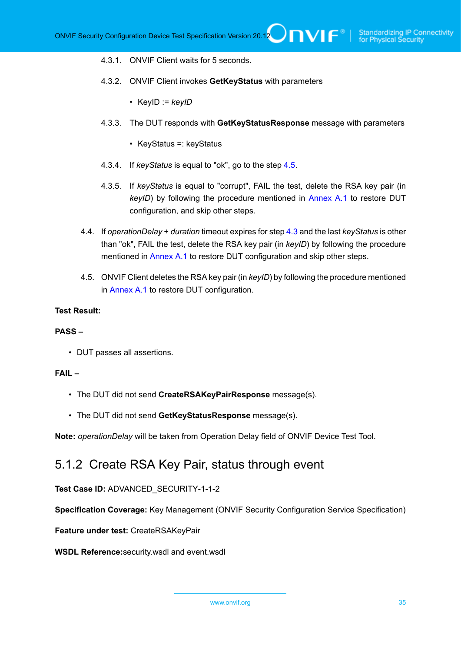- 4.3.1. ONVIF Client waits for 5 seconds.
- 4.3.2. ONVIF Client invokes **GetKeyStatus** with parameters
	- KeyID := *keyID*
- 4.3.3. The DUT responds with **GetKeyStatusResponse** message with parameters
	- KeyStatus =: keyStatus
- 4.3.4. If *keyStatus* is equal to "ok", go to the step [4.5](#page-34-1).
- 4.3.5. If *keyStatus* is equal to "corrupt", FAIL the test, delete the RSA key pair (in *keyID*) by following the procedure mentioned in [Annex A.1](#page-161-1) to restore DUT configuration, and skip other steps.
- 4.4. If *operationDelay* + *duration* timeout expires for step [4.3](#page-33-3) and the last *keyStatus* is other than "ok", FAIL the test, delete the RSA key pair (in *keyID*) by following the procedure mentioned in [Annex A.1](#page-161-1) to restore DUT configuration and skip other steps.
- <span id="page-34-1"></span>4.5. ONVIF Client deletes the RSA key pair (in *keyID*) by following the procedure mentioned in [Annex A.1](#page-161-1) to restore DUT configuration.

#### **Test Result:**

#### **PASS –**

• DUT passes all assertions.

#### **FAIL –**

- The DUT did not send **CreateRSAKeyPairResponse** message(s).
- The DUT did not send **GetKeyStatusResponse** message(s).

<span id="page-34-0"></span>**Note:** *operationDelay* will be taken from Operation Delay field of ONVIF Device Test Tool.

#### 5.1.2 Create RSA Key Pair, status through event

**Test Case ID:** ADVANCED\_SECURITY-1-1-2

**Specification Coverage:** Key Management (ONVIF Security Configuration Service Specification)

**Feature under test:** CreateRSAKeyPair

**WSDL Reference:**security.wsdl and event.wsdl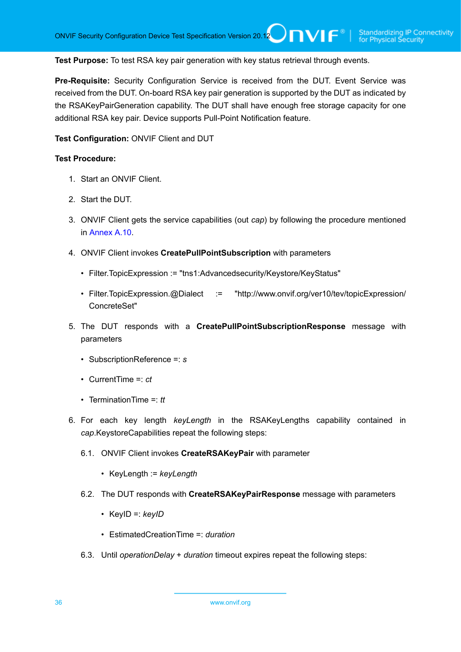**Test Purpose:** To test RSA key pair generation with key status retrieval through events.

**Pre-Requisite:** Security Configuration Service is received from the DUT. Event Service was received from the DUT. On-board RSA key pair generation is supported by the DUT as indicated by the RSAKeyPairGeneration capability. The DUT shall have enough free storage capacity for one additional RSA key pair. Device supports Pull-Point Notification feature.

**Test Configuration:** ONVIF Client and DUT

#### **Test Procedure:**

- 1. Start an ONVIF Client.
- 2. Start the DUT.
- 3. ONVIF Client gets the service capabilities (out *cap*) by following the procedure mentioned in [Annex A.10.](#page-168-0)
- 4. ONVIF Client invokes **CreatePullPointSubscription** with parameters
	- Filter.TopicExpression := "tns1:Advancedsecurity/Keystore/KeyStatus"
	- Filter.TopicExpression.@Dialect := "http://www.onvif.org/ver10/tev/topicExpression/ ConcreteSet"
- 5. The DUT responds with a **CreatePullPointSubscriptionResponse** message with parameters
	- SubscriptionReference =: *s*
	- CurrentTime =: *ct*
	- TerminationTime =: *tt*
- 6. For each key length *keyLength* in the RSAKeyLengths capability contained in *cap*.KeystoreCapabilities repeat the following steps:
	- 6.1. ONVIF Client invokes **CreateRSAKeyPair** with parameter
		- KeyLength := *keyLength*
	- 6.2. The DUT responds with **CreateRSAKeyPairResponse** message with parameters
		- KeyID =: *keyID*
		- EstimatedCreationTime =: *duration*
	- 6.3. Until *operationDelay* + *duration* timeout expires repeat the following steps: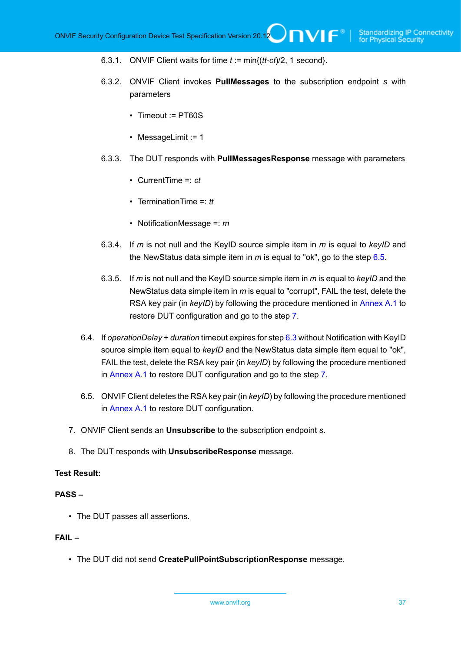- 6.3.1. ONVIF Client waits for time *t* := min{(*tt*-*ct*)/2, 1 second}.
- 6.3.2. ONVIF Client invokes **PullMessages** to the subscription endpoint *s* with parameters
	- Timeout := PT60S
	- MessageLimit := 1
- 6.3.3. The DUT responds with **PullMessagesResponse** message with parameters
	- CurrentTime =: *ct*
	- TerminationTime =: *tt*
	- NotificationMessage =: *m*
- 6.3.4. If *m* is not null and the KeyID source simple item in *m* is equal to *keyID* and the NewStatus data simple item in *m* is equal to "ok", go to the step [6.5.](#page-36-0)
- 6.3.5. If *m* is not null and the KeyID source simple item in *m* is equal to *keyID* and the NewStatus data simple item in *m* is equal to "corrupt", FAIL the test, delete the RSA key pair (in *keyID*) by following the procedure mentioned in [Annex A.1](#page-161-0) to restore DUT configuration and go to the step [7](#page-36-1).
- 6.4. If *operationDelay* + *duration* timeout expires for step [6.3](#page-35-0) without Notification with KeyID source simple item equal to *keyID* and the NewStatus data simple item equal to "ok", FAIL the test, delete the RSA key pair (in *keyID*) by following the procedure mentioned in [Annex A.1](#page-161-0) to restore DUT configuration and go to the step [7.](#page-36-1)
- <span id="page-36-0"></span>6.5. ONVIF Client deletes the RSA key pair (in *keyID*) by following the procedure mentioned in [Annex A.1](#page-161-0) to restore DUT configuration.
- <span id="page-36-1"></span>7. ONVIF Client sends an **Unsubscribe** to the subscription endpoint *s*.
- 8. The DUT responds with **UnsubscribeResponse** message.

### **PASS –**

• The DUT passes all assertions.

# **FAIL –**

• The DUT did not send **CreatePullPointSubscriptionResponse** message.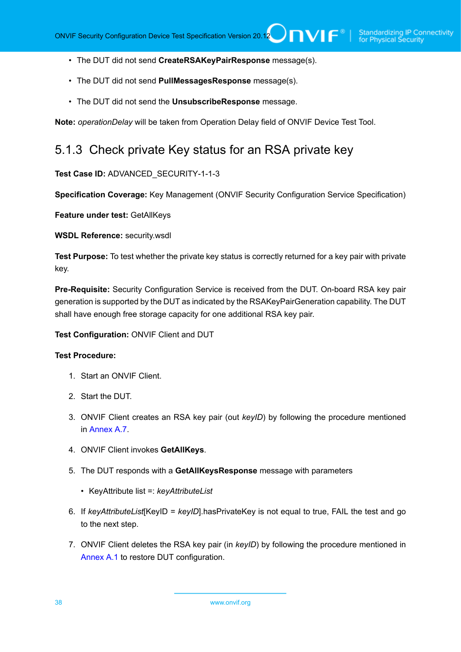- The DUT did not send **CreateRSAKeyPairResponse** message(s).
- The DUT did not send **PullMessagesResponse** message(s).
- The DUT did not send the **UnsubscribeResponse** message.

**Note:** *operationDelay* will be taken from Operation Delay field of ONVIF Device Test Tool.

# 5.1.3 Check private Key status for an RSA private key

# **Test Case ID:** ADVANCED\_SECURITY-1-1-3

**Specification Coverage:** Key Management (ONVIF Security Configuration Service Specification)

**Feature under test:** GetAllKeys

**WSDL Reference:** security.wsdl

**Test Purpose:** To test whether the private key status is correctly returned for a key pair with private key.

**Pre-Requisite:** Security Configuration Service is received from the DUT. On-board RSA key pair generation is supported by the DUT as indicated by the RSAKeyPairGeneration capability. The DUT shall have enough free storage capacity for one additional RSA key pair.

### **Test Configuration:** ONVIF Client and DUT

- 1. Start an ONVIF Client.
- 2. Start the DUT.
- 3. ONVIF Client creates an RSA key pair (out *keyID*) by following the procedure mentioned in [Annex A.7.](#page-164-0)
- 4. ONVIF Client invokes **GetAllKeys**.
- 5. The DUT responds with a **GetAllKeysResponse** message with parameters
	- KeyAttribute list =: *keyAttributeList*
- 6. If *keyAttributeList*[KeyID = *keyID*].hasPrivateKey is not equal to true, FAIL the test and go to the next step.
- 7. ONVIF Client deletes the RSA key pair (in *keyID*) by following the procedure mentioned in [Annex A.1](#page-161-0) to restore DUT configuration.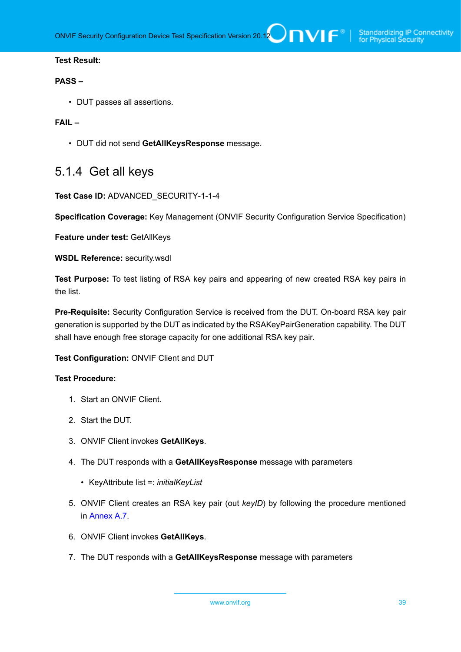#### **PASS –**

• DUT passes all assertions.

### **FAIL –**

• DUT did not send **GetAllKeysResponse** message.

# 5.1.4 Get all keys

#### **Test Case ID:** ADVANCED\_SECURITY-1-1-4

**Specification Coverage:** Key Management (ONVIF Security Configuration Service Specification)

**Feature under test:** GetAllKeys

**WSDL Reference:** security.wsdl

**Test Purpose:** To test listing of RSA key pairs and appearing of new created RSA key pairs in the list.

**Pre-Requisite:** Security Configuration Service is received from the DUT. On-board RSA key pair generation is supported by the DUT as indicated by the RSAKeyPairGeneration capability. The DUT shall have enough free storage capacity for one additional RSA key pair.

**Test Configuration:** ONVIF Client and DUT

- 1. Start an ONVIF Client.
- 2. Start the DUT.
- 3. ONVIF Client invokes **GetAllKeys**.
- 4. The DUT responds with a **GetAllKeysResponse** message with parameters
	- KeyAttribute list =: *initialKeyList*
- 5. ONVIF Client creates an RSA key pair (out *keyID*) by following the procedure mentioned in [Annex A.7.](#page-164-0)
- 6. ONVIF Client invokes **GetAllKeys**.
- 7. The DUT responds with a **GetAllKeysResponse** message with parameters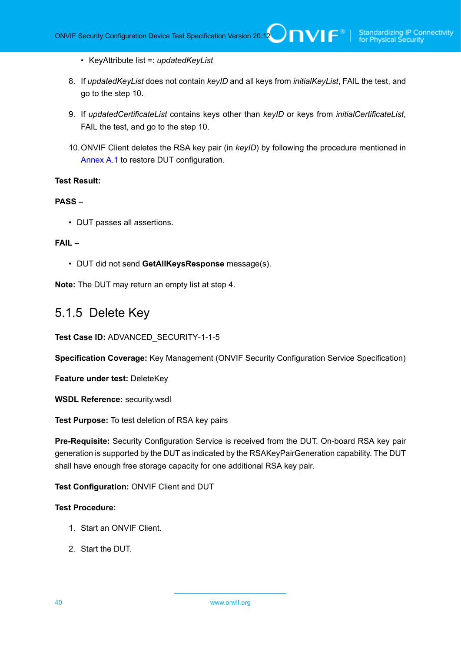- KeyAttribute list =: *updatedKeyList*
- 8. If *updatedKeyList* does not contain *keyID* and all keys from *initialKeyList*, FAIL the test, and go to the step 10.
- 9. If *updatedCertificateList* contains keys other than *keyID* or keys from *initialCertificateList*, FAIL the test, and go to the step 10.
- 10.ONVIF Client deletes the RSA key pair (in *keyID*) by following the procedure mentioned in [Annex A.1](#page-161-0) to restore DUT configuration.

# **PASS –**

• DUT passes all assertions.

#### **FAIL –**

• DUT did not send **GetAllKeysResponse** message(s).

**Note:** The DUT may return an empty list at step 4.

# 5.1.5 Delete Key

**Test Case ID:** ADVANCED\_SECURITY-1-1-5

**Specification Coverage:** Key Management (ONVIF Security Configuration Service Specification)

**Feature under test:** DeleteKey

**WSDL Reference:** security.wsdl

**Test Purpose:** To test deletion of RSA key pairs

**Pre-Requisite:** Security Configuration Service is received from the DUT. On-board RSA key pair generation is supported by the DUT as indicated by the RSAKeyPairGeneration capability. The DUT shall have enough free storage capacity for one additional RSA key pair.

**Test Configuration:** ONVIF Client and DUT

- 1. Start an ONVIF Client.
- 2. Start the DUT.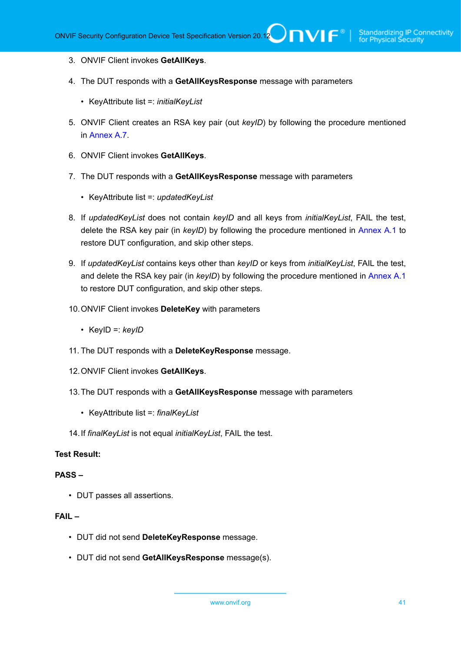- 3. ONVIF Client invokes **GetAllKeys**.
- 4. The DUT responds with a **GetAllKeysResponse** message with parameters
	- KeyAttribute list =: *initialKeyList*
- 5. ONVIF Client creates an RSA key pair (out *keyID*) by following the procedure mentioned in [Annex A.7.](#page-164-0)
- 6. ONVIF Client invokes **GetAllKeys**.
- 7. The DUT responds with a **GetAllKeysResponse** message with parameters
	- KeyAttribute list =: *updatedKeyList*
- 8. If *updatedKeyList* does not contain *keyID* and all keys from *initialKeyList*, FAIL the test, delete the RSA key pair (in *keyID*) by following the procedure mentioned in [Annex A.1](#page-161-0) to restore DUT configuration, and skip other steps.
- 9. If *updatedKeyList* contains keys other than *keyID* or keys from *initialKeyList*, FAIL the test, and delete the RSA key pair (in *keyID*) by following the procedure mentioned in [Annex A.1](#page-161-0) to restore DUT configuration, and skip other steps.
- 10.ONVIF Client invokes **DeleteKey** with parameters
	- KeyID =: *keyID*
- 11. The DUT responds with a **DeleteKeyResponse** message.
- 12.ONVIF Client invokes **GetAllKeys**.
- 13.The DUT responds with a **GetAllKeysResponse** message with parameters
	- KeyAttribute list =: *finalKeyList*
- 14.If *finalKeyList* is not equal *initialKeyList*, FAIL the test.

### **PASS –**

• DUT passes all assertions.

#### **FAIL –**

- DUT did not send **DeleteKeyResponse** message.
- DUT did not send **GetAllKeysResponse** message(s).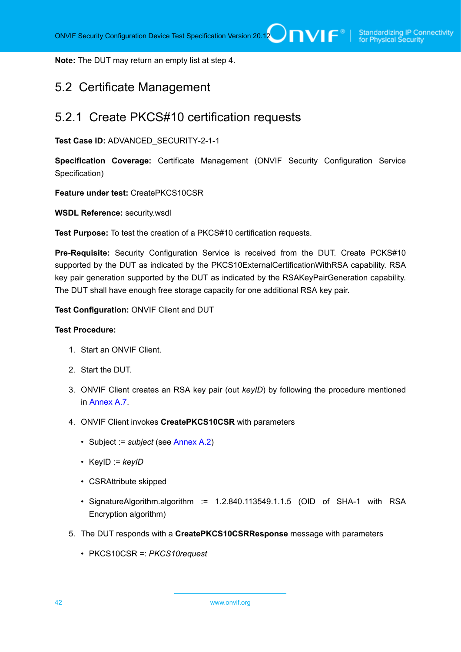**Note:** The DUT may return an empty list at step 4.

# 5.2 Certificate Management

# 5.2.1 Create PKCS#10 certification requests

**Test Case ID:** ADVANCED\_SECURITY-2-1-1

**Specification Coverage:** Certificate Management (ONVIF Security Configuration Service Specification)

**Feature under test:** CreatePKCS10CSR

**WSDL Reference:** security.wsdl

**Test Purpose:** To test the creation of a PKCS#10 certification requests.

**Pre-Requisite:** Security Configuration Service is received from the DUT. Create PCKS#10 supported by the DUT as indicated by the PKCS10ExternalCertificationWithRSA capability. RSA key pair generation supported by the DUT as indicated by the RSAKeyPairGeneration capability. The DUT shall have enough free storage capacity for one additional RSA key pair.

**Test Configuration:** ONVIF Client and DUT

#### **Test Procedure:**

- 1. Start an ONVIF Client.
- 2. Start the DUT.
- 3. ONVIF Client creates an RSA key pair (out *keyID*) by following the procedure mentioned in [Annex A.7.](#page-164-0)
- 4. ONVIF Client invokes **CreatePKCS10CSR** with parameters
	- Subject := *subject* (see [Annex A.2\)](#page-161-1)
	- KeyID := *keyID*
	- CSRAttribute skipped
	- SignatureAlgorithm.algorithm := 1.2.840.113549.1.1.5 (OID of SHA-1 with RSA Encryption algorithm)
- 5. The DUT responds with a **CreatePKCS10CSRResponse** message with parameters
	- PKCS10CSR =: *PKCS10request*

42 www.onvif.org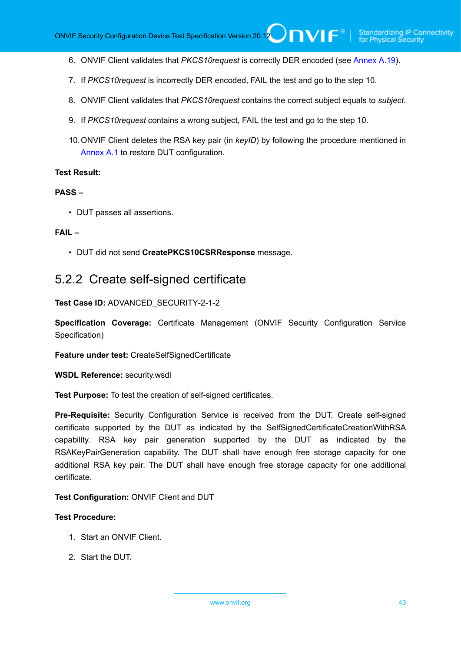- 6. ONVIF Client validates that *PKCS10request* is correctly DER encoded (see [Annex A.19\)](#page-176-0).
- 7. If *PKCS10request* is incorrectly DER encoded, FAIL the test and go to the step 10.
- 8. ONVIF Client validates that *PKCS10request* contains the correct subject equals to *subject*.
- 9. If *PKCS10request* contains a wrong subject, FAIL the test and go to the step 10.
- 10.ONVIF Client deletes the RSA key pair (in *keyID*) by following the procedure mentioned in [Annex A.1](#page-161-0) to restore DUT configuration.

#### **PASS –**

• DUT passes all assertions.

#### **FAIL –**

• DUT did not send **CreatePKCS10CSRResponse** message.

# 5.2.2 Create self-signed certificate

**Test Case ID:** ADVANCED\_SECURITY-2-1-2

**Specification Coverage:** Certificate Management (ONVIF Security Configuration Service Specification)

**Feature under test:** CreateSelfSignedCertificate

**WSDL Reference:** security.wsdl

**Test Purpose:** To test the creation of self-signed certificates.

**Pre-Requisite:** Security Configuration Service is received from the DUT. Create self-signed certificate supported by the DUT as indicated by the SelfSignedCertificateCreationWithRSA capability. RSA key pair generation supported by the DUT as indicated by the RSAKeyPairGeneration capability. The DUT shall have enough free storage capacity for one additional RSA key pair. The DUT shall have enough free storage capacity for one additional certificate.

#### **Test Configuration:** ONVIF Client and DUT

- 1. Start an ONVIF Client.
- 2. Start the DUT.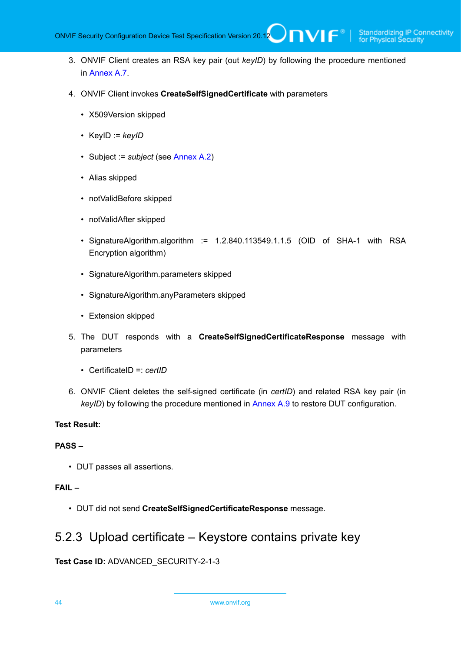TVIF®

- 3. ONVIF Client creates an RSA key pair (out *keyID*) by following the procedure mentioned in [Annex A.7.](#page-164-0)
- 4. ONVIF Client invokes **CreateSelfSignedCertificate** with parameters
	- X509Version skipped
	- KeyID := *keyID*
	- Subject := *subject* (see [Annex A.2\)](#page-161-1)
	- Alias skipped
	- notValidBefore skipped
	- notValidAfter skipped
	- SignatureAlgorithm.algorithm := 1.2.840.113549.1.1.5 (OID of SHA-1 with RSA Encryption algorithm)
	- SignatureAlgorithm.parameters skipped
	- SignatureAlgorithm.anyParameters skipped
	- Extension skipped
- 5. The DUT responds with a **CreateSelfSignedCertificateResponse** message with parameters
	- CertificateID =: *certID*
- 6. ONVIF Client deletes the self-signed certificate (in *certID*) and related RSA key pair (in *keyID*) by following the procedure mentioned in [Annex A.9](#page-167-0) to restore DUT configuration.

### **Test Result:**

### **PASS –**

• DUT passes all assertions.

# **FAIL –**

• DUT did not send **CreateSelfSignedCertificateResponse** message.

# 5.2.3 Upload certificate – Keystore contains private key

**Test Case ID:** ADVANCED\_SECURITY-2-1-3

44 www.onvif.org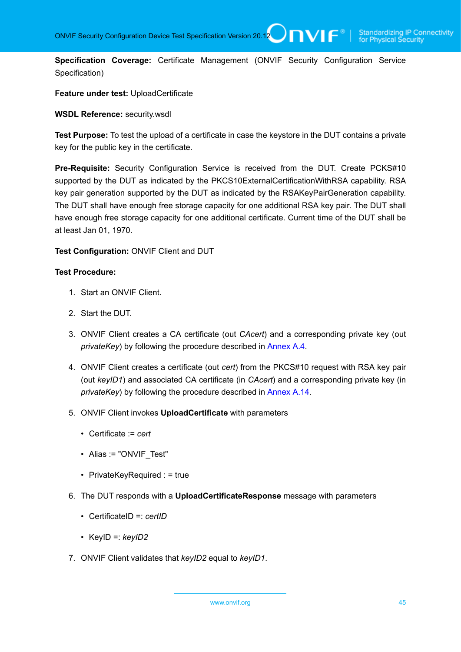**Specification Coverage:** Certificate Management (ONVIF Security Configuration Service Specification)

# **Feature under test:** UploadCertificate

#### **WSDL Reference:** security.wsdl

**Test Purpose:** To test the upload of a certificate in case the keystore in the DUT contains a private key for the public key in the certificate.

**Pre-Requisite:** Security Configuration Service is received from the DUT. Create PCKS#10 supported by the DUT as indicated by the PKCS10ExternalCertificationWithRSA capability. RSA key pair generation supported by the DUT as indicated by the RSAKeyPairGeneration capability. The DUT shall have enough free storage capacity for one additional RSA key pair. The DUT shall have enough free storage capacity for one additional certificate. Current time of the DUT shall be at least Jan 01, 1970.

### **Test Configuration:** ONVIF Client and DUT

- 1. Start an ONVIF Client.
- 2. Start the DUT.
- 3. ONVIF Client creates a CA certificate (out *CAcert*) and a corresponding private key (out *privateKey*) by following the procedure described in [Annex A.4.](#page-162-0)
- 4. ONVIF Client creates a certificate (out *cert*) from the PKCS#10 request with RSA key pair (out *keyID1*) and associated CA certificate (in *CAcert*) and a corresponding private key (in *privateKey*) by following the procedure described in [Annex A.14.](#page-171-0)
- 5. ONVIF Client invokes **UploadCertificate** with parameters
	- Certificate := *cert*
	- Alias := "ONVIF Test"
	- PrivateKeyRequired : = true
- 6. The DUT responds with a **UploadCertificateResponse** message with parameters
	- CertificateID =: *certID*
	- KeyID =: *keyID2*
- 7. ONVIF Client validates that *keyID2* equal to *keyID1*.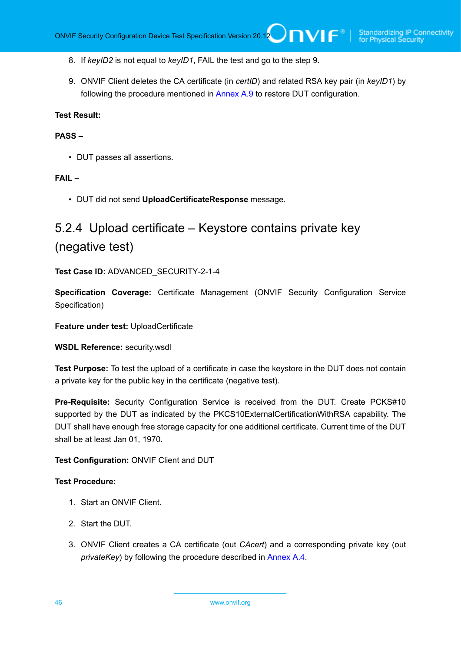- 8. If *keyID2* is not equal to *keyID1*, FAIL the test and go to the step 9.
- 9. ONVIF Client deletes the CA certificate (in *certID*) and related RSA key pair (in *keyID1*) by following the procedure mentioned in [Annex A.9](#page-167-0) to restore DUT configuration.

#### **PASS –**

• DUT passes all assertions.

#### **FAIL –**

• DUT did not send **UploadCertificateResponse** message.

# 5.2.4 Upload certificate – Keystore contains private key (negative test)

**Test Case ID:** ADVANCED\_SECURITY-2-1-4

**Specification Coverage:** Certificate Management (ONVIF Security Configuration Service Specification)

**Feature under test:** UploadCertificate

**WSDL Reference:** security.wsdl

**Test Purpose:** To test the upload of a certificate in case the keystore in the DUT does not contain a private key for the public key in the certificate (negative test).

**Pre-Requisite:** Security Configuration Service is received from the DUT. Create PCKS#10 supported by the DUT as indicated by the PKCS10ExternalCertificationWithRSA capability. The DUT shall have enough free storage capacity for one additional certificate. Current time of the DUT shall be at least Jan 01, 1970.

#### **Test Configuration:** ONVIF Client and DUT

- 1. Start an ONVIF Client.
- 2. Start the DUT.
- 3. ONVIF Client creates a CA certificate (out *CAcert*) and a corresponding private key (out *privateKey*) by following the procedure described in [Annex A.4.](#page-162-0)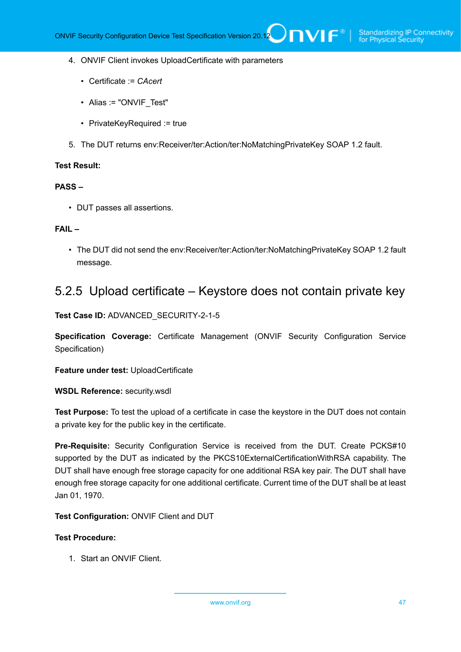- 4. ONVIF Client invokes UploadCertificate with parameters
	- Certificate := *CAcert*
	- Alias := "ONVIF Test"
	- PrivateKeyRequired := true
- 5. The DUT returns env:Receiver/ter:Action/ter:NoMatchingPrivateKey SOAP 1.2 fault.

#### **PASS –**

• DUT passes all assertions.

# **FAIL –**

• The DUT did not send the env:Receiver/ter:Action/ter:NoMatchingPrivateKey SOAP 1.2 fault message.

# 5.2.5 Upload certificate – Keystore does not contain private key

**Test Case ID:** ADVANCED\_SECURITY-2-1-5

**Specification Coverage:** Certificate Management (ONVIF Security Configuration Service Specification)

**Feature under test:** UploadCertificate

**WSDL Reference:** security.wsdl

**Test Purpose:** To test the upload of a certificate in case the keystore in the DUT does not contain a private key for the public key in the certificate.

**Pre-Requisite:** Security Configuration Service is received from the DUT. Create PCKS#10 supported by the DUT as indicated by the PKCS10ExternalCertificationWithRSA capability. The DUT shall have enough free storage capacity for one additional RSA key pair. The DUT shall have enough free storage capacity for one additional certificate. Current time of the DUT shall be at least Jan 01, 1970.

#### **Test Configuration:** ONVIF Client and DUT

### **Test Procedure:**

1. Start an ONVIF Client.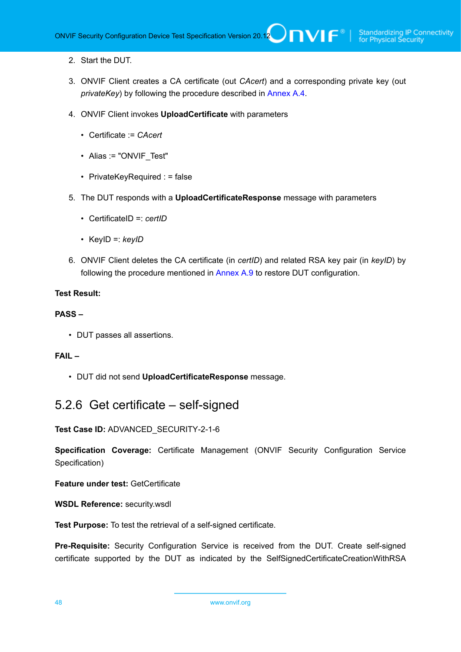- 2. Start the DUT.
- 3. ONVIF Client creates a CA certificate (out *CAcert*) and a corresponding private key (out *privateKey*) by following the procedure described in [Annex A.4.](#page-162-0)
- 4. ONVIF Client invokes **UploadCertificate** with parameters
	- Certificate := *CAcert*
	- Alias := "ONVIF Test"
	- PrivateKeyRequired : = false
- 5. The DUT responds with a **UploadCertificateResponse** message with parameters
	- CertificateID =: *certID*
	- KeyID =: *keyID*
- 6. ONVIF Client deletes the CA certificate (in *certID*) and related RSA key pair (in *keyID*) by following the procedure mentioned in [Annex A.9](#page-167-0) to restore DUT configuration.

# **PASS –**

• DUT passes all assertions.

### **FAIL –**

• DUT did not send **UploadCertificateResponse** message.

# 5.2.6 Get certificate – self-signed

**Test Case ID:** ADVANCED\_SECURITY-2-1-6

**Specification Coverage:** Certificate Management (ONVIF Security Configuration Service Specification)

**Feature under test:** GetCertificate

**WSDL Reference:** security.wsdl

**Test Purpose:** To test the retrieval of a self-signed certificate.

**Pre-Requisite:** Security Configuration Service is received from the DUT. Create self-signed certificate supported by the DUT as indicated by the SelfSignedCertificateCreationWithRSA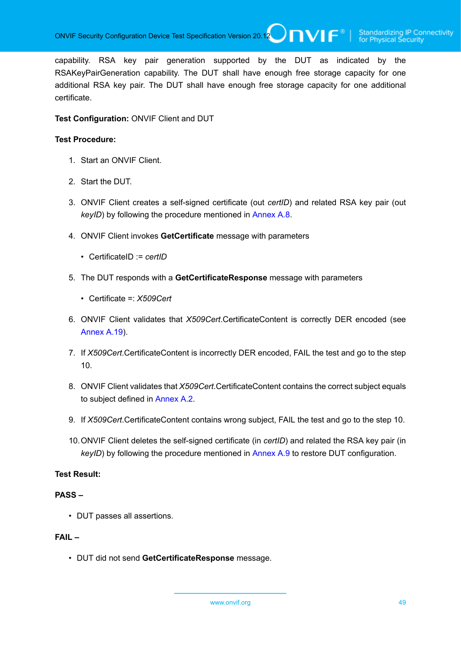capability. RSA key pair generation supported by the DUT as indicated by the RSAKeyPairGeneration capability. The DUT shall have enough free storage capacity for one additional RSA key pair. The DUT shall have enough free storage capacity for one additional certificate.

### **Test Configuration:** ONVIF Client and DUT

#### **Test Procedure:**

- 1. Start an ONVIF Client.
- 2. Start the DUT.
- 3. ONVIF Client creates a self-signed certificate (out *certID*) and related RSA key pair (out *keyID*) by following the procedure mentioned in [Annex A.8.](#page-166-0)
- 4. ONVIF Client invokes **GetCertificate** message with parameters
	- CertificateID := *certID*
- 5. The DUT responds with a **GetCertificateResponse** message with parameters
	- Certificate =: *X509Cert*
- 6. ONVIF Client validates that *X509Cert*.CertificateContent is correctly DER encoded (see [Annex A.19\)](#page-176-0).
- 7. If *X509Cert*.CertificateContent is incorrectly DER encoded, FAIL the test and go to the step 10.
- 8. ONVIF Client validates that *X509Cert*.CertificateContent contains the correct subject equals to subject defined in [Annex A.2](#page-161-1).
- 9. If *X509Cert*.CertificateContent contains wrong subject, FAIL the test and go to the step 10.
- 10.ONVIF Client deletes the self-signed certificate (in *certID*) and related the RSA key pair (in *keyID*) by following the procedure mentioned in [Annex A.9](#page-167-0) to restore DUT configuration.

# **Test Result:**

### **PASS –**

• DUT passes all assertions.

#### **FAIL –**

• DUT did not send **GetCertificateResponse** message.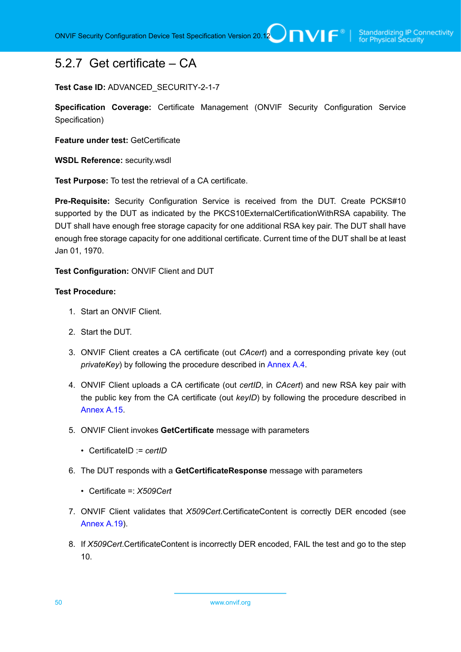# 5.2.7 Get certificate – CA

### **Test Case ID:** ADVANCED\_SECURITY-2-1-7

**Specification Coverage:** Certificate Management (ONVIF Security Configuration Service Specification)

**Feature under test:** GetCertificate

**WSDL Reference:** security.wsdl

**Test Purpose:** To test the retrieval of a CA certificate.

**Pre-Requisite:** Security Configuration Service is received from the DUT. Create PCKS#10 supported by the DUT as indicated by the PKCS10ExternalCertificationWithRSA capability. The DUT shall have enough free storage capacity for one additional RSA key pair. The DUT shall have enough free storage capacity for one additional certificate. Current time of the DUT shall be at least Jan 01, 1970.

**Test Configuration:** ONVIF Client and DUT

# **Test Procedure:**

- 1. Start an ONVIF Client.
- 2. Start the DUT.
- 3. ONVIF Client creates a CA certificate (out *CAcert*) and a corresponding private key (out *privateKey*) by following the procedure described in [Annex A.4.](#page-162-0)
- 4. ONVIF Client uploads a CA certificate (out *certID*, in *CAcert*) and new RSA key pair with the public key from the CA certificate (out *keyID*) by following the procedure described in [Annex A.15.](#page-172-0)
- 5. ONVIF Client invokes **GetCertificate** message with parameters
	- CertificateID := *certID*
- 6. The DUT responds with a **GetCertificateResponse** message with parameters
	- Certificate =: *X509Cert*
- 7. ONVIF Client validates that *X509Cert*.CertificateContent is correctly DER encoded (see [Annex A.19\)](#page-176-0).
- 8. If *X509Cert*.CertificateContent is incorrectly DER encoded, FAIL the test and go to the step 10.

50 www.onvif.org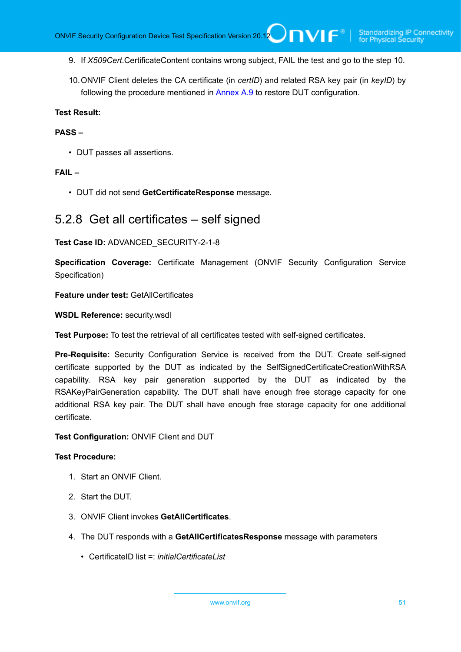- 9. If *X509Cert*.CertificateContent contains wrong subject, FAIL the test and go to the step 10.
- 10.ONVIF Client deletes the CA certificate (in *certID*) and related RSA key pair (in *keyID*) by following the procedure mentioned in [Annex A.9](#page-167-0) to restore DUT configuration.

### **PASS –**

• DUT passes all assertions.

#### **FAIL –**

• DUT did not send **GetCertificateResponse** message.

# 5.2.8 Get all certificates – self signed

#### **Test Case ID:** ADVANCED\_SECURITY-2-1-8

**Specification Coverage:** Certificate Management (ONVIF Security Configuration Service Specification)

#### **Feature under test:** GetAllCertificates

**WSDL Reference:** security.wsdl

**Test Purpose:** To test the retrieval of all certificates tested with self-signed certificates.

**Pre-Requisite:** Security Configuration Service is received from the DUT. Create self-signed certificate supported by the DUT as indicated by the SelfSignedCertificateCreationWithRSA capability. RSA key pair generation supported by the DUT as indicated by the RSAKeyPairGeneration capability. The DUT shall have enough free storage capacity for one additional RSA key pair. The DUT shall have enough free storage capacity for one additional certificate.

#### **Test Configuration:** ONVIF Client and DUT

- 1. Start an ONVIF Client.
- 2. Start the DUT.
- 3. ONVIF Client invokes **GetAllCertificates**.
- 4. The DUT responds with a **GetAllCertificatesResponse** message with parameters
	- CertificateID list =: *initialCertificateList*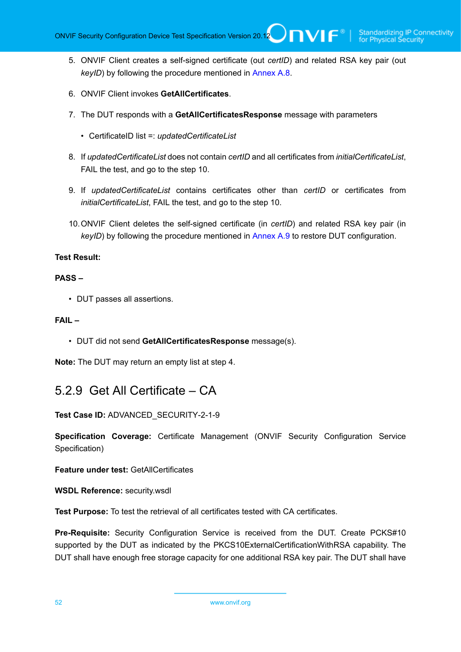- 5. ONVIF Client creates a self-signed certificate (out *certID*) and related RSA key pair (out *keyID*) by following the procedure mentioned in [Annex A.8.](#page-166-0)
- 6. ONVIF Client invokes **GetAllCertificates**.
- 7. The DUT responds with a **GetAllCertificatesResponse** message with parameters
	- CertificateID list =: *updatedCertificateList*
- 8. If *updatedCertificateList* does not contain *certID* and all certificates from *initialCertificateList*, FAIL the test, and go to the step 10.
- 9. If *updatedCertificateList* contains certificates other than *certID* or certificates from *initialCertificateList*, FAIL the test, and go to the step 10.
- 10.ONVIF Client deletes the self-signed certificate (in *certID*) and related RSA key pair (in *keyID*) by following the procedure mentioned in [Annex A.9](#page-167-0) to restore DUT configuration.

#### **PASS –**

• DUT passes all assertions.

#### **FAIL –**

• DUT did not send **GetAllCertificatesResponse** message(s).

**Note:** The DUT may return an empty list at step 4.

# 5.2.9 Get All Certificate – CA

**Test Case ID:** ADVANCED\_SECURITY-2-1-9

**Specification Coverage:** Certificate Management (ONVIF Security Configuration Service Specification)

**Feature under test:** GetAllCertificates

**WSDL Reference:** security.wsdl

**Test Purpose:** To test the retrieval of all certificates tested with CA certificates.

**Pre-Requisite:** Security Configuration Service is received from the DUT. Create PCKS#10 supported by the DUT as indicated by the PKCS10ExternalCertificationWithRSA capability. The DUT shall have enough free storage capacity for one additional RSA key pair. The DUT shall have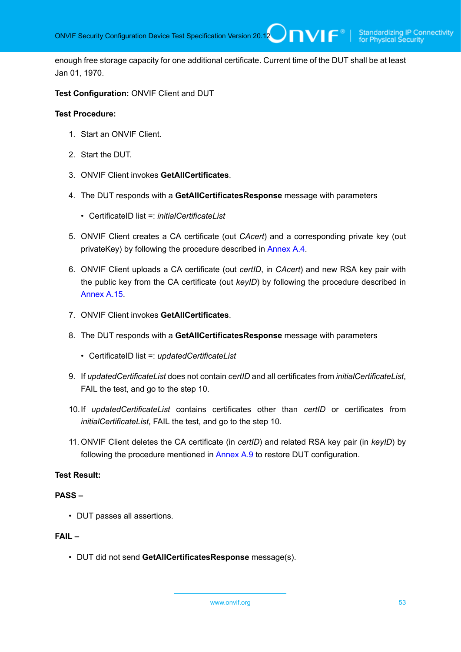enough free storage capacity for one additional certificate. Current time of the DUT shall be at least Jan 01, 1970.

#### **Test Configuration:** ONVIF Client and DUT

#### **Test Procedure:**

- 1. Start an ONVIF Client.
- 2. Start the DUT.
- 3. ONVIF Client invokes **GetAllCertificates**.
- 4. The DUT responds with a **GetAllCertificatesResponse** message with parameters
	- CertificateID list =: *initialCertificateList*
- 5. ONVIF Client creates a CA certificate (out *CAcert*) and a corresponding private key (out privateKey) by following the procedure described in [Annex A.4.](#page-162-0)
- 6. ONVIF Client uploads a CA certificate (out *certID*, in *CAcert*) and new RSA key pair with the public key from the CA certificate (out *keyID*) by following the procedure described in [Annex A.15.](#page-172-0)
- 7. ONVIF Client invokes **GetAllCertificates**.
- 8. The DUT responds with a **GetAllCertificatesResponse** message with parameters
	- CertificateID list =: *updatedCertificateList*
- 9. If *updatedCertificateList* does not contain *certID* and all certificates from *initialCertificateList*, FAIL the test, and go to the step 10.
- 10.If *updatedCertificateList* contains certificates other than *certID* or certificates from *initialCertificateList*, FAIL the test, and go to the step 10.
- 11. ONVIF Client deletes the CA certificate (in *certID*) and related RSA key pair (in *keyID*) by following the procedure mentioned in [Annex A.9](#page-167-0) to restore DUT configuration.

# **Test Result:**

### **PASS –**

• DUT passes all assertions.

#### **FAIL –**

• DUT did not send **GetAllCertificatesResponse** message(s).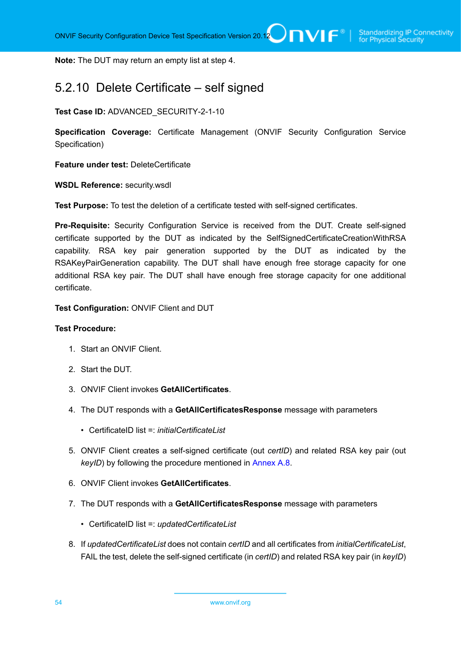**Note:** The DUT may return an empty list at step 4.

# 5.2.10 Delete Certificate – self signed

**Test Case ID:** ADVANCED\_SECURITY-2-1-10

**Specification Coverage:** Certificate Management (ONVIF Security Configuration Service Specification)

**Feature under test:** DeleteCertificate

**WSDL Reference:** security.wsdl

**Test Purpose:** To test the deletion of a certificate tested with self-signed certificates.

**Pre-Requisite:** Security Configuration Service is received from the DUT. Create self-signed certificate supported by the DUT as indicated by the SelfSignedCertificateCreationWithRSA capability. RSA key pair generation supported by the DUT as indicated by the RSAKeyPairGeneration capability. The DUT shall have enough free storage capacity for one additional RSA key pair. The DUT shall have enough free storage capacity for one additional certificate.

**Test Configuration:** ONVIF Client and DUT

- 1. Start an ONVIF Client.
- 2. Start the DUT.
- 3. ONVIF Client invokes **GetAllCertificates**.
- 4. The DUT responds with a **GetAllCertificatesResponse** message with parameters
	- CertificateID list =: *initialCertificateList*
- 5. ONVIF Client creates a self-signed certificate (out *certID*) and related RSA key pair (out *keyID*) by following the procedure mentioned in [Annex A.8.](#page-166-0)
- 6. ONVIF Client invokes **GetAllCertificates**.
- 7. The DUT responds with a **GetAllCertificatesResponse** message with parameters
	- CertificateID list =: *updatedCertificateList*
- 8. If *updatedCertificateList* does not contain *certID* and all certificates from *initialCertificateList*, FAIL the test, delete the self-signed certificate (in *certID*) and related RSA key pair (in *keyID*)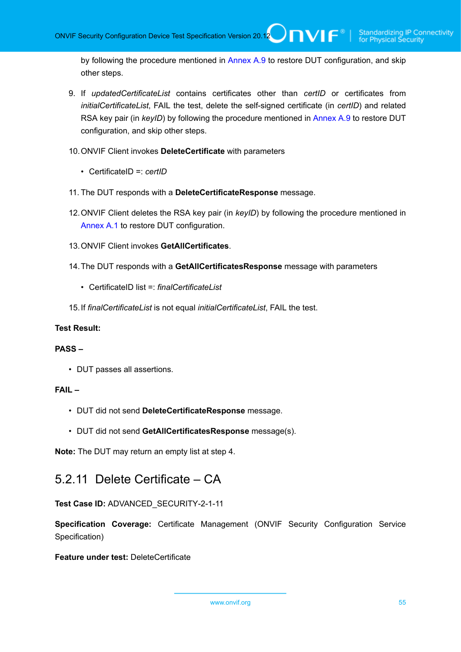by following the procedure mentioned in [Annex A.9](#page-167-0) to restore DUT configuration, and skip other steps.

- 9. If *updatedCertificateList* contains certificates other than *certID* or certificates from *initialCertificateList*, FAIL the test, delete the self-signed certificate (in *certID*) and related RSA key pair (in *keyID*) by following the procedure mentioned in [Annex A.9](#page-167-0) to restore DUT configuration, and skip other steps.
- 10.ONVIF Client invokes **DeleteCertificate** with parameters
	- CertificateID =: *certID*
- 11. The DUT responds with a **DeleteCertificateResponse** message.
- 12.ONVIF Client deletes the RSA key pair (in *keyID*) by following the procedure mentioned in [Annex A.1](#page-161-0) to restore DUT configuration.
- 13.ONVIF Client invokes **GetAllCertificates**.
- 14.The DUT responds with a **GetAllCertificatesResponse** message with parameters
	- CertificateID list =: *finalCertificateList*
- 15.If *finalCertificateList* is not equal *initialCertificateList*, FAIL the test.

### **Test Result:**

### **PASS –**

• DUT passes all assertions.

# **FAIL –**

- DUT did not send **DeleteCertificateResponse** message.
- DUT did not send **GetAllCertificatesResponse** message(s).

**Note:** The DUT may return an empty list at step 4.

# 5.2.11 Delete Certificate – CA

**Test Case ID:** ADVANCED\_SECURITY-2-1-11

**Specification Coverage:** Certificate Management (ONVIF Security Configuration Service Specification)

**Feature under test:** DeleteCertificate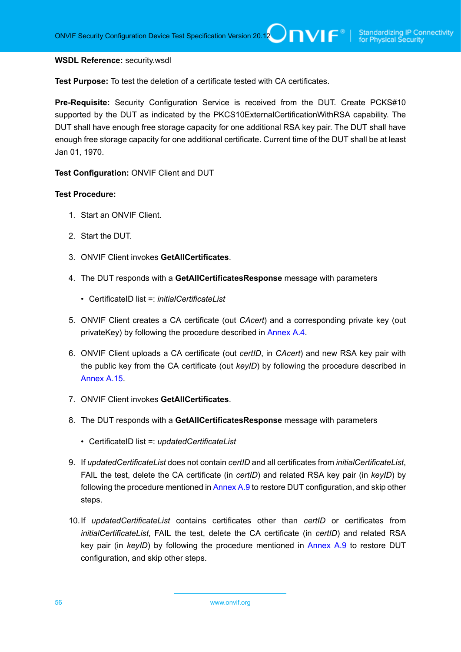#### **WSDL Reference:** security.wsdl

**Test Purpose:** To test the deletion of a certificate tested with CA certificates.

**Pre-Requisite:** Security Configuration Service is received from the DUT. Create PCKS#10 supported by the DUT as indicated by the PKCS10ExternalCertificationWithRSA capability. The DUT shall have enough free storage capacity for one additional RSA key pair. The DUT shall have enough free storage capacity for one additional certificate. Current time of the DUT shall be at least Jan 01, 1970.

**Test Configuration:** ONVIF Client and DUT

- 1. Start an ONVIF Client.
- 2. Start the DUT.
- 3. ONVIF Client invokes **GetAllCertificates**.
- 4. The DUT responds with a **GetAllCertificatesResponse** message with parameters
	- CertificateID list =: *initialCertificateList*
- 5. ONVIF Client creates a CA certificate (out *CAcert*) and a corresponding private key (out privateKey) by following the procedure described in [Annex A.4.](#page-162-0)
- 6. ONVIF Client uploads a CA certificate (out *certID*, in *CAcert*) and new RSA key pair with the public key from the CA certificate (out *keyID*) by following the procedure described in [Annex A.15.](#page-172-0)
- 7. ONVIF Client invokes **GetAllCertificates**.
- 8. The DUT responds with a **GetAllCertificatesResponse** message with parameters
	- CertificateID list =: *updatedCertificateList*
- 9. If *updatedCertificateList* does not contain *certID* and all certificates from *initialCertificateList*, FAIL the test, delete the CA certificate (in *certID*) and related RSA key pair (in *keyID*) by following the procedure mentioned in [Annex A.9](#page-167-0) to restore DUT configuration, and skip other steps.
- 10.If *updatedCertificateList* contains certificates other than *certID* or certificates from *initialCertificateList*, FAIL the test, delete the CA certificate (in *certID*) and related RSA key pair (in *keyID*) by following the procedure mentioned in [Annex A.9](#page-167-0) to restore DUT configuration, and skip other steps.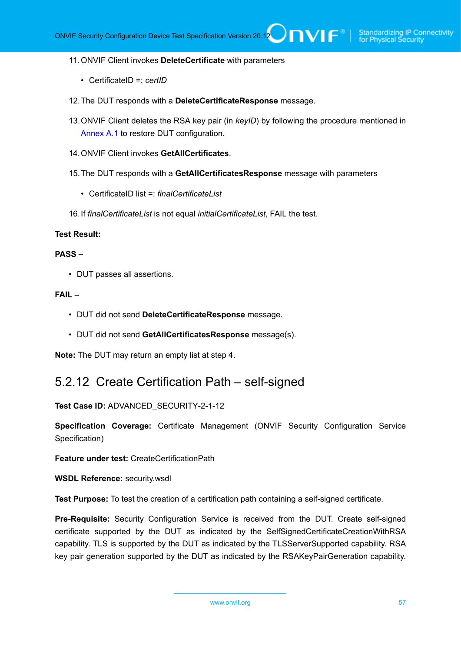#### 11. ONVIF Client invokes **DeleteCertificate** with parameters

- CertificateID =: *certID*
- 12.The DUT responds with a **DeleteCertificateResponse** message.
- 13.ONVIF Client deletes the RSA key pair (in *keyID*) by following the procedure mentioned in [Annex A.1](#page-161-0) to restore DUT configuration.
- 14.ONVIF Client invokes **GetAllCertificates**.
- 15.The DUT responds with a **GetAllCertificatesResponse** message with parameters
	- CertificateID list =: *finalCertificateList*
- 16.If *finalCertificateList* is not equal *initialCertificateList*, FAIL the test.

#### **Test Result:**

### **PASS –**

• DUT passes all assertions.

#### **FAIL –**

- DUT did not send **DeleteCertificateResponse** message.
- DUT did not send **GetAllCertificatesResponse** message(s).

**Note:** The DUT may return an empty list at step 4.

# 5.2.12 Create Certification Path – self-signed

**Test Case ID:** ADVANCED\_SECURITY-2-1-12

**Specification Coverage:** Certificate Management (ONVIF Security Configuration Service Specification)

**Feature under test:** CreateCertificationPath

**WSDL Reference:** security.wsdl

**Test Purpose:** To test the creation of a certification path containing a self-signed certificate.

**Pre-Requisite:** Security Configuration Service is received from the DUT. Create self-signed certificate supported by the DUT as indicated by the SelfSignedCertificateCreationWithRSA capability. TLS is supported by the DUT as indicated by the TLSServerSupported capability. RSA key pair generation supported by the DUT as indicated by the RSAKeyPairGeneration capability.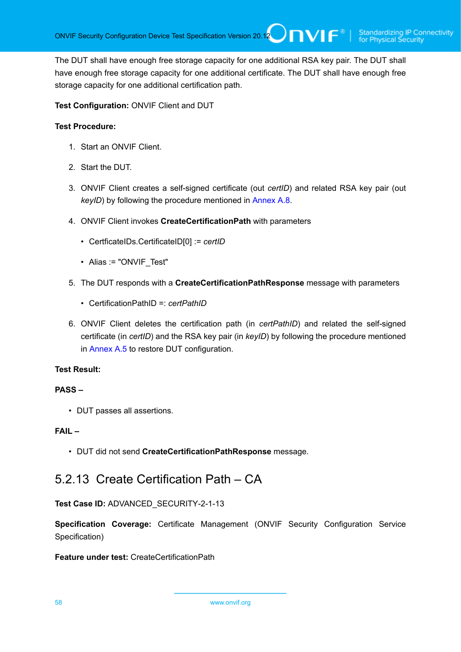The DUT shall have enough free storage capacity for one additional RSA key pair. The DUT shall have enough free storage capacity for one additional certificate. The DUT shall have enough free storage capacity for one additional certification path.

**Test Configuration:** ONVIF Client and DUT

# **Test Procedure:**

- 1. Start an ONVIF Client.
- 2. Start the DUT.
- 3. ONVIF Client creates a self-signed certificate (out *certID*) and related RSA key pair (out *keyID*) by following the procedure mentioned in [Annex A.8.](#page-166-0)
- 4. ONVIF Client invokes **CreateCertificationPath** with parameters
	- CertficateIDs.CertificateID[0] := *certID*
	- Alias := "ONVIF Test"
- 5. The DUT responds with a **CreateCertificationPathResponse** message with parameters
	- CertificationPathID =: *certPathID*
- 6. ONVIF Client deletes the certification path (in *certPathID*) and related the self-signed certificate (in *certID*) and the RSA key pair (in *keyID*) by following the procedure mentioned in [Annex A.5](#page-163-0) to restore DUT configuration.

### **Test Result:**

### **PASS –**

• DUT passes all assertions.

# **FAIL –**

• DUT did not send **CreateCertificationPathResponse** message.

# 5.2.13 Create Certification Path – CA

**Test Case ID:** ADVANCED\_SECURITY-2-1-13

**Specification Coverage:** Certificate Management (ONVIF Security Configuration Service Specification)

**Feature under test:** CreateCertificationPath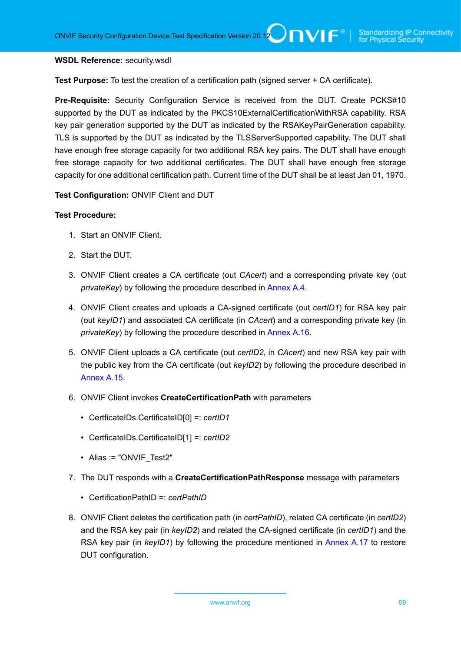#### **WSDL Reference:** security.wsdl

**Test Purpose:** To test the creation of a certification path (signed server + CA certificate).

**Pre-Requisite:** Security Configuration Service is received from the DUT. Create PCKS#10 supported by the DUT as indicated by the PKCS10ExternalCertificationWithRSA capability. RSA key pair generation supported by the DUT as indicated by the RSAKeyPairGeneration capability. TLS is supported by the DUT as indicated by the TLSServerSupported capability. The DUT shall have enough free storage capacity for two additional RSA key pairs. The DUT shall have enough free storage capacity for two additional certificates. The DUT shall have enough free storage capacity for one additional certification path. Current time of the DUT shall be at least Jan 01, 1970.

**Test Configuration:** ONVIF Client and DUT

- 1. Start an ONVIF Client.
- 2. Start the DUT.
- 3. ONVIF Client creates a CA certificate (out *CAcert*) and a corresponding private key (out *privateKey*) by following the procedure described in [Annex A.4.](#page-162-0)
- 4. ONVIF Client creates and uploads a CA-signed certificate (out *certID1*) for RSA key pair (out *keyID1*) and associated CA certificate (in *CAcert*) and a corresponding private key (in *privateKey*) by following the procedure described in [Annex A.16.](#page-173-0)
- 5. ONVIF Client uploads a CA certificate (out *certID2*, in *CAcert*) and new RSA key pair with the public key from the CA certificate (out *keyID2*) by following the procedure described in [Annex A.15.](#page-172-0)
- 6. ONVIF Client invokes **CreateCertificationPath** with parameters
	- CertficateIDs.CertificateID[0] =: *certID1*
	- CertficateIDs.CertificateID[1] =: *certID2*
	- Alias := "ONVIF Test2"
- 7. The DUT responds with a **CreateCertificationPathResponse** message with parameters
	- CertificationPathID =: *certPathID*
- 8. ONVIF Client deletes the certification path (in *certPathID*), related CA certificate (in *certID2*) and the RSA key pair (in *keyID2*) and related the CA-signed certificate (in *certID1*) and the RSA key pair (in *keyID1*) by following the procedure mentioned in [Annex A.17](#page-174-0) to restore DUT configuration.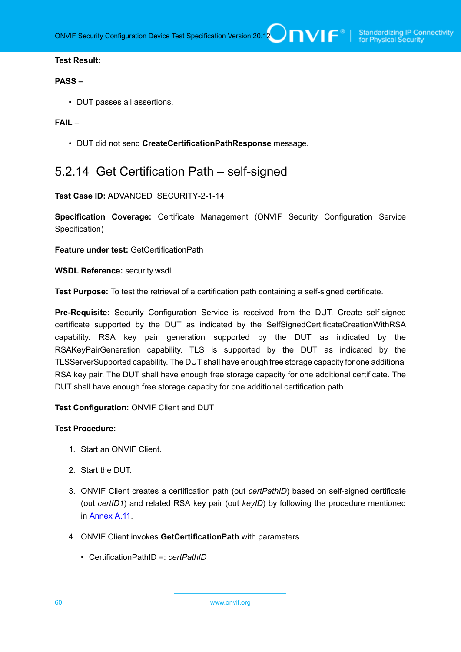#### **PASS –**

• DUT passes all assertions.

### **FAIL –**

• DUT did not send **CreateCertificationPathResponse** message.

# 5.2.14 Get Certification Path – self-signed

#### **Test Case ID:** ADVANCED\_SECURITY-2-1-14

**Specification Coverage:** Certificate Management (ONVIF Security Configuration Service Specification)

**Feature under test:** GetCertificationPath

**WSDL Reference:** security.wsdl

**Test Purpose:** To test the retrieval of a certification path containing a self-signed certificate.

**Pre-Requisite:** Security Configuration Service is received from the DUT. Create self-signed certificate supported by the DUT as indicated by the SelfSignedCertificateCreationWithRSA capability. RSA key pair generation supported by the DUT as indicated by the RSAKeyPairGeneration capability. TLS is supported by the DUT as indicated by the TLSServerSupported capability. The DUT shall have enough free storage capacity for one additional RSA key pair. The DUT shall have enough free storage capacity for one additional certificate. The DUT shall have enough free storage capacity for one additional certification path.

**Test Configuration:** ONVIF Client and DUT

- 1. Start an ONVIF Client.
- 2. Start the DUT.
- 3. ONVIF Client creates a certification path (out *certPathID*) based on self-signed certificate (out *certID1*) and related RSA key pair (out *keyID*) by following the procedure mentioned in [Annex](#page-168-0) A.11.
- 4. ONVIF Client invokes **GetCertificationPath** with parameters
	- CertificationPathID =: *certPathID*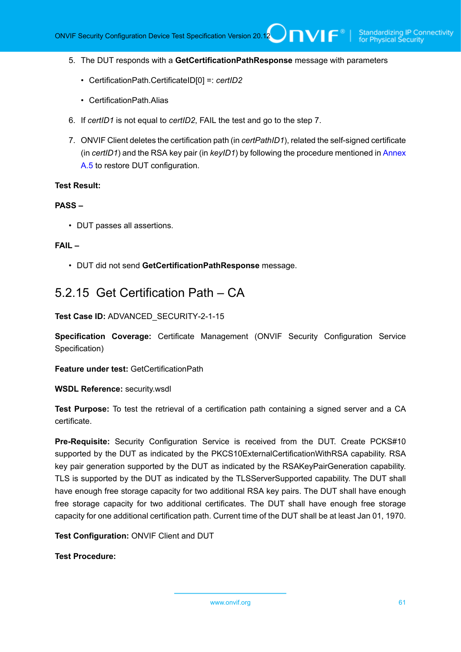- 5. The DUT responds with a **GetCertificationPathResponse** message with parameters
	- CertificationPath.CertificateID[0] =: *certID2*
	- CertificationPath.Alias
- 6. If *certID1* is not equal to *certID2*, FAIL the test and go to the step 7.
- 7. ONVIF Client deletes the certification path (in *certPathID1*), related the self-signed certificate (in *certID1*) and the RSA key pair (in *keyID1*) by following the procedure mentioned in [Annex](#page-163-0) [A.5](#page-163-0) to restore DUT configuration.

#### **PASS –**

• DUT passes all assertions.

#### **FAIL –**

• DUT did not send **GetCertificationPathResponse** message.

# 5.2.15 Get Certification Path – CA

**Test Case ID:** ADVANCED\_SECURITY-2-1-15

**Specification Coverage:** Certificate Management (ONVIF Security Configuration Service Specification)

**Feature under test:** GetCertificationPath

**WSDL Reference:** security.wsdl

**Test Purpose:** To test the retrieval of a certification path containing a signed server and a CA certificate.

**Pre-Requisite:** Security Configuration Service is received from the DUT. Create PCKS#10 supported by the DUT as indicated by the PKCS10ExternalCertificationWithRSA capability. RSA key pair generation supported by the DUT as indicated by the RSAKeyPairGeneration capability. TLS is supported by the DUT as indicated by the TLSServerSupported capability. The DUT shall have enough free storage capacity for two additional RSA key pairs. The DUT shall have enough free storage capacity for two additional certificates. The DUT shall have enough free storage capacity for one additional certification path. Current time of the DUT shall be at least Jan 01, 1970.

**Test Configuration:** ONVIF Client and DUT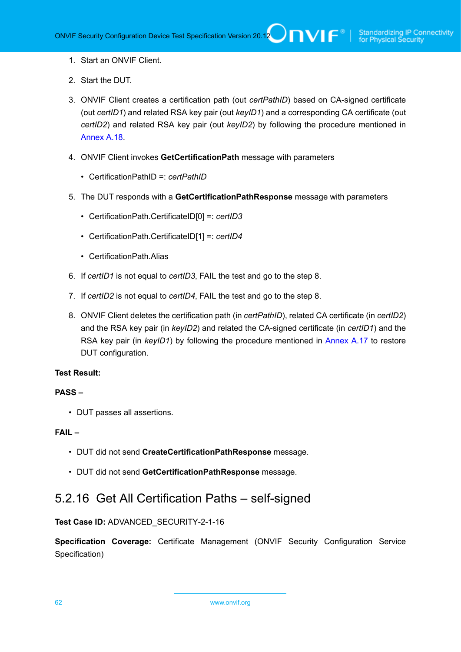- 1. Start an ONVIF Client.
- 2. Start the DUT.
- 3. ONVIF Client creates a certification path (out *certPathID*) based on CA-signed certificate (out *certID1*) and related RSA key pair (out *keyID1*) and a corresponding CA certificate (out *certID2*) and related RSA key pair (out *keyID2*) by following the procedure mentioned in [Annex A.18.](#page-175-0)
- 4. ONVIF Client invokes **GetCertificationPath** message with parameters
	- CertificationPathID =: *certPathID*
- 5. The DUT responds with a **GetCertificationPathResponse** message with parameters
	- CertificationPath.CertificateID[0] =: *certID3*
	- CertificationPath.CertificateID[1] =: *certID4*
	- CertificationPath.Alias
- 6. If *certID1* is not equal to *certID3*, FAIL the test and go to the step 8.
- 7. If *certID2* is not equal to *certID4*, FAIL the test and go to the step 8.
- 8. ONVIF Client deletes the certification path (in *certPathID*), related CA certificate (in *certID2*) and the RSA key pair (in *keyID2*) and related the CA-signed certificate (in *certID1*) and the RSA key pair (in *keyID1*) by following the procedure mentioned in [Annex A.17](#page-174-0) to restore DUT configuration.

### **PASS –**

• DUT passes all assertions.

### **FAIL –**

- DUT did not send **CreateCertificationPathResponse** message.
- DUT did not send **GetCertificationPathResponse** message.

# 5.2.16 Get All Certification Paths – self-signed

# **Test Case ID:** ADVANCED\_SECURITY-2-1-16

**Specification Coverage:** Certificate Management (ONVIF Security Configuration Service Specification)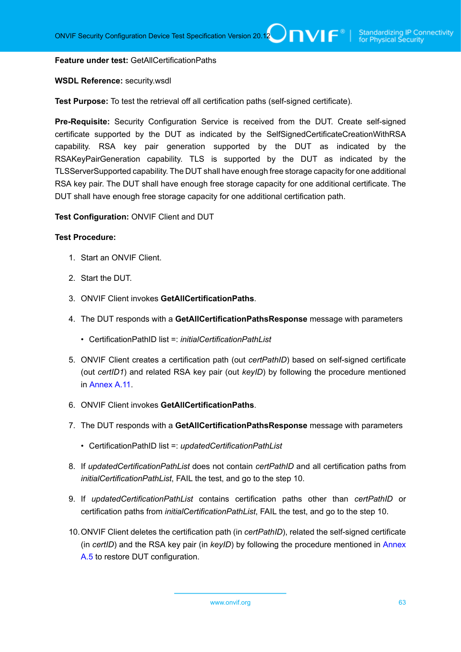#### **Feature under test:** GetAllCertificationPaths

#### **WSDL Reference:** security.wsdl

**Test Purpose:** To test the retrieval off all certification paths (self-signed certificate).

**Pre-Requisite:** Security Configuration Service is received from the DUT. Create self-signed certificate supported by the DUT as indicated by the SelfSignedCertificateCreationWithRSA capability. RSA key pair generation supported by the DUT as indicated by the RSAKeyPairGeneration capability. TLS is supported by the DUT as indicated by the TLSServerSupported capability. The DUT shall have enough free storage capacity for one additional RSA key pair. The DUT shall have enough free storage capacity for one additional certificate. The DUT shall have enough free storage capacity for one additional certification path.

#### **Test Configuration:** ONVIF Client and DUT

- 1. Start an ONVIF Client.
- 2. Start the DUT.
- 3. ONVIF Client invokes **GetAllCertificationPaths**.
- 4. The DUT responds with a **GetAllCertificationPathsResponse** message with parameters
	- CertificationPathID list =: *initialCertificationPathList*
- 5. ONVIF Client creates a certification path (out *certPathID*) based on self-signed certificate (out *certID1*) and related RSA key pair (out *keyID*) by following the procedure mentioned in [Annex](#page-168-0) A.11.
- 6. ONVIF Client invokes **GetAllCertificationPaths**.
- 7. The DUT responds with a **GetAllCertificationPathsResponse** message with parameters
	- CertificationPathID list =: *updatedCertificationPathList*
- 8. If *updatedCertificationPathList* does not contain *certPathID* and all certification paths from *initialCertificationPathList*, FAIL the test, and go to the step 10.
- 9. If *updatedCertificationPathList* contains certification paths other than *certPathID* or certification paths from *initialCertificationPathList*, FAIL the test, and go to the step 10.
- 10.ONVIF Client deletes the certification path (in *certPathID*), related the self-signed certificate (in *certID*) and the RSA key pair (in *keyID*) by following the procedure mentioned in [Annex](#page-163-0) [A.5](#page-163-0) to restore DUT configuration.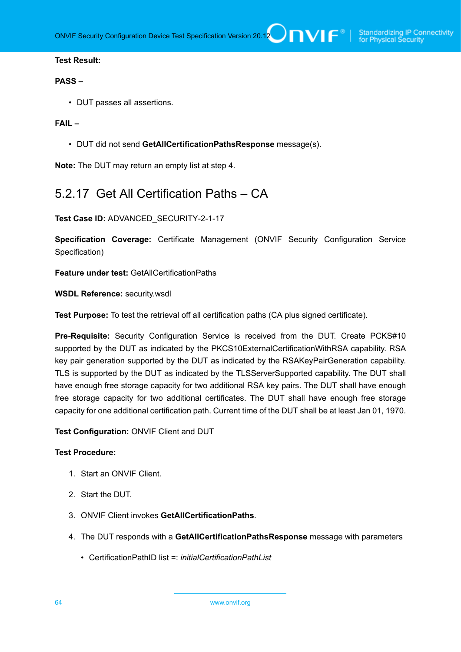### **PASS –**

• DUT passes all assertions.

### **FAIL –**

• DUT did not send **GetAllCertificationPathsResponse** message(s).

**Note:** The DUT may return an empty list at step 4.

# 5.2.17 Get All Certification Paths – CA

**Test Case ID:** ADVANCED\_SECURITY-2-1-17

**Specification Coverage:** Certificate Management (ONVIF Security Configuration Service Specification)

**Feature under test:** GetAllCertificationPaths

**WSDL Reference:** security.wsdl

**Test Purpose:** To test the retrieval off all certification paths (CA plus signed certificate).

**Pre-Requisite:** Security Configuration Service is received from the DUT. Create PCKS#10 supported by the DUT as indicated by the PKCS10ExternalCertificationWithRSA capability. RSA key pair generation supported by the DUT as indicated by the RSAKeyPairGeneration capability. TLS is supported by the DUT as indicated by the TLSServerSupported capability. The DUT shall have enough free storage capacity for two additional RSA key pairs. The DUT shall have enough free storage capacity for two additional certificates. The DUT shall have enough free storage capacity for one additional certification path. Current time of the DUT shall be at least Jan 01, 1970.

**Test Configuration:** ONVIF Client and DUT

- 1. Start an ONVIF Client.
- 2. Start the DUT.
- 3. ONVIF Client invokes **GetAllCertificationPaths**.
- 4. The DUT responds with a **GetAllCertificationPathsResponse** message with parameters
	- CertificationPathID list =: *initialCertificationPathList*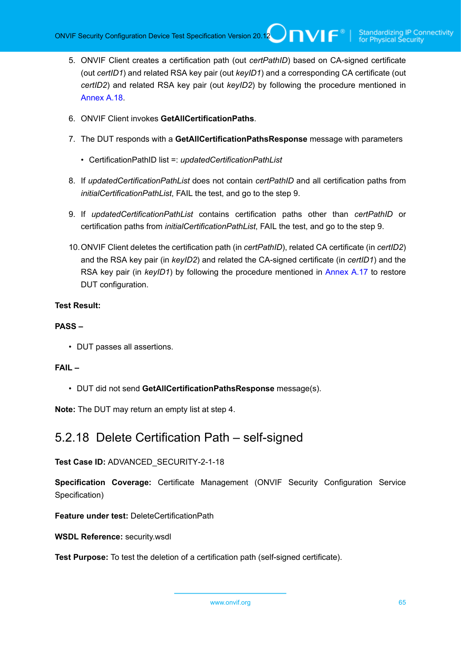- 5. ONVIF Client creates a certification path (out *certPathID*) based on CA-signed certificate (out *certID1*) and related RSA key pair (out *keyID1*) and a corresponding CA certificate (out *certID2*) and related RSA key pair (out *keyID2*) by following the procedure mentioned in [Annex A.18.](#page-175-0)
- 6. ONVIF Client invokes **GetAllCertificationPaths**.
- 7. The DUT responds with a **GetAllCertificationPathsResponse** message with parameters
	- CertificationPathID list =: *updatedCertificationPathList*
- 8. If *updatedCertificationPathList* does not contain *certPathID* and all certification paths from *initialCertificationPathList*, FAIL the test, and go to the step 9.
- 9. If *updatedCertificationPathList* contains certification paths other than *certPathID* or certification paths from *initialCertificationPathList*, FAIL the test, and go to the step 9.
- 10.ONVIF Client deletes the certification path (in *certPathID*), related CA certificate (in *certID2*) and the RSA key pair (in *keyID2*) and related the CA-signed certificate (in *certID1*) and the RSA key pair (in *keyID1*) by following the procedure mentioned in [Annex A.17](#page-174-0) to restore DUT configuration.

### **PASS –**

• DUT passes all assertions.

### **FAIL –**

• DUT did not send **GetAllCertificationPathsResponse** message(s).

**Note:** The DUT may return an empty list at step 4.

# 5.2.18 Delete Certification Path – self-signed

# **Test Case ID:** ADVANCED\_SECURITY-2-1-18

**Specification Coverage:** Certificate Management (ONVIF Security Configuration Service Specification)

**Feature under test:** DeleteCertificationPath

**WSDL Reference:** security.wsdl

**Test Purpose:** To test the deletion of a certification path (self-signed certificate).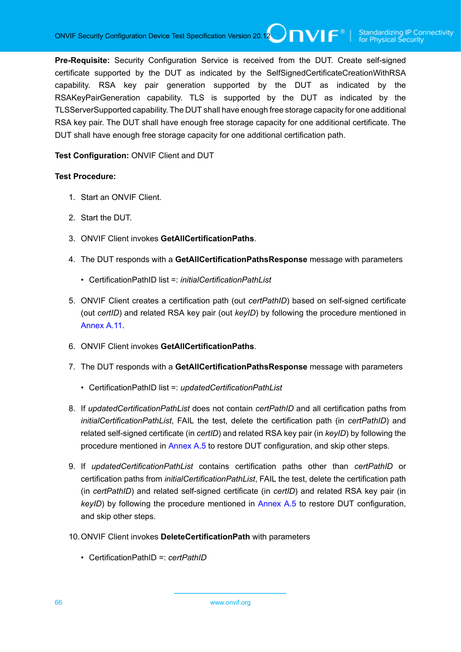**Pre-Requisite:** Security Configuration Service is received from the DUT. Create self-signed certificate supported by the DUT as indicated by the SelfSignedCertificateCreationWithRSA capability. RSA key pair generation supported by the DUT as indicated by the RSAKeyPairGeneration capability. TLS is supported by the DUT as indicated by the TLSServerSupported capability. The DUT shall have enough free storage capacity for one additional RSA key pair. The DUT shall have enough free storage capacity for one additional certificate. The DUT shall have enough free storage capacity for one additional certification path.

**Test Configuration:** ONVIF Client and DUT

- 1. Start an ONVIF Client.
- 2. Start the DUT.
- 3. ONVIF Client invokes **GetAllCertificationPaths**.
- 4. The DUT responds with a **GetAllCertificationPathsResponse** message with parameters
	- CertificationPathID list =: *initialCertificationPathList*
- 5. ONVIF Client creates a certification path (out *certPathID*) based on self-signed certificate (out *certID*) and related RSA key pair (out *keyID*) by following the procedure mentioned in [Annex](#page-168-0) A.11.
- 6. ONVIF Client invokes **GetAllCertificationPaths**.
- 7. The DUT responds with a **GetAllCertificationPathsResponse** message with parameters
	- CertificationPathID list =: *updatedCertificationPathList*
- 8. If *updatedCertificationPathList* does not contain *certPathID* and all certification paths from *initialCertificationPathList*, FAIL the test, delete the certification path (in *certPathID*) and related self-signed certificate (in *certID*) and related RSA key pair (in *keyID*) by following the procedure mentioned in [Annex A.5](#page-163-0) to restore DUT configuration, and skip other steps.
- 9. If *updatedCertificationPathList* contains certification paths other than *certPathID* or certification paths from *initialCertificationPathList*, FAIL the test, delete the certification path (in *certPathID*) and related self-signed certificate (in *certID*) and related RSA key pair (in *keyID*) by following the procedure mentioned in [Annex A.5](#page-163-0) to restore DUT configuration, and skip other steps.
- 10.ONVIF Client invokes **DeleteCertificationPath** with parameters
	- CertificationPathID =: *certPathID*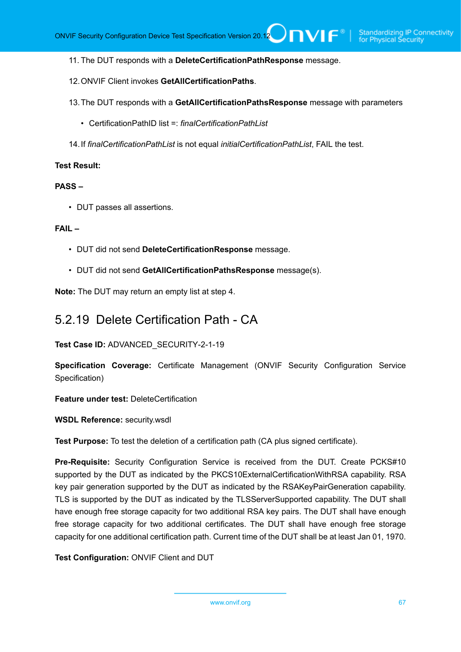- 11. The DUT responds with a **DeleteCertificationPathResponse** message.
- 12.ONVIF Client invokes **GetAllCertificationPaths**.
- 13.The DUT responds with a **GetAllCertificationPathsResponse** message with parameters
	- CertificationPathID list =: *finalCertificationPathList*
- 14.If *finalCertificationPathList* is not equal *initialCertificationPathList*, FAIL the test.

#### **PASS –**

• DUT passes all assertions.

#### **FAIL –**

- DUT did not send **DeleteCertificationResponse** message.
- DUT did not send **GetAllCertificationPathsResponse** message(s).

**Note:** The DUT may return an empty list at step 4.

# 5.2.19 Delete Certification Path - CA

**Test Case ID:** ADVANCED\_SECURITY-2-1-19

**Specification Coverage:** Certificate Management (ONVIF Security Configuration Service Specification)

**Feature under test:** DeleteCertification

**WSDL Reference:** security.wsdl

**Test Purpose:** To test the deletion of a certification path (CA plus signed certificate).

**Pre-Requisite:** Security Configuration Service is received from the DUT. Create PCKS#10 supported by the DUT as indicated by the PKCS10ExternalCertificationWithRSA capability. RSA key pair generation supported by the DUT as indicated by the RSAKeyPairGeneration capability. TLS is supported by the DUT as indicated by the TLSServerSupported capability. The DUT shall have enough free storage capacity for two additional RSA key pairs. The DUT shall have enough free storage capacity for two additional certificates. The DUT shall have enough free storage capacity for one additional certification path. Current time of the DUT shall be at least Jan 01, 1970.

**Test Configuration:** ONVIF Client and DUT

www.onvif.org 67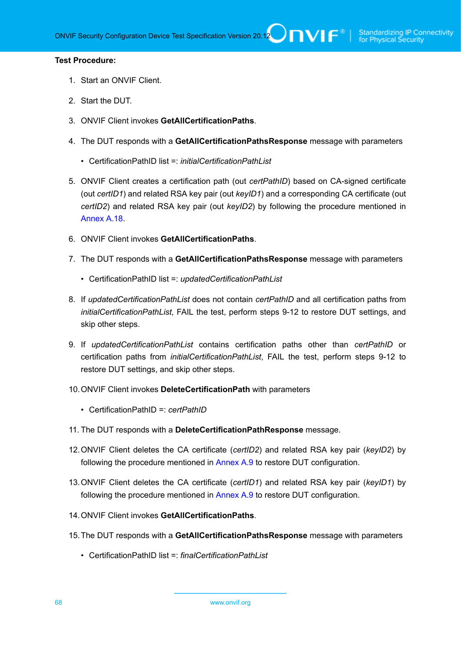- 1. Start an ONVIF Client.
- 2. Start the DUT.
- 3. ONVIF Client invokes **GetAllCertificationPaths**.
- 4. The DUT responds with a **GetAllCertificationPathsResponse** message with parameters
	- CertificationPathID list =: *initialCertificationPathList*
- 5. ONVIF Client creates a certification path (out *certPathID*) based on CA-signed certificate (out *certID1*) and related RSA key pair (out *keyID1*) and a corresponding CA certificate (out *certID2*) and related RSA key pair (out *keyID2*) by following the procedure mentioned in [Annex A.18.](#page-175-0)
- 6. ONVIF Client invokes **GetAllCertificationPaths**.
- 7. The DUT responds with a **GetAllCertificationPathsResponse** message with parameters
	- CertificationPathID list =: *updatedCertificationPathList*
- 8. If *updatedCertificationPathList* does not contain *certPathID* and all certification paths from *initialCertificationPathList*, FAIL the test, perform steps 9-12 to restore DUT settings, and skip other steps.
- 9. If *updatedCertificationPathList* contains certification paths other than *certPathID* or certification paths from *initialCertificationPathList*, FAIL the test, perform steps 9-12 to restore DUT settings, and skip other steps.
- 10.ONVIF Client invokes **DeleteCertificationPath** with parameters
	- CertificationPathID =: *certPathID*
- 11. The DUT responds with a **DeleteCertificationPathResponse** message.
- 12.ONVIF Client deletes the CA certificate (*certID2*) and related RSA key pair (*keyID2*) by following the procedure mentioned in [Annex A.9](#page-167-0) to restore DUT configuration.
- 13.ONVIF Client deletes the CA certificate (*certID1*) and related RSA key pair (*keyID1*) by following the procedure mentioned in [Annex A.9](#page-167-0) to restore DUT configuration.
- 14.ONVIF Client invokes **GetAllCertificationPaths**.
- 15.The DUT responds with a **GetAllCertificationPathsResponse** message with parameters
	- CertificationPathID list =: *finalCertificationPathList*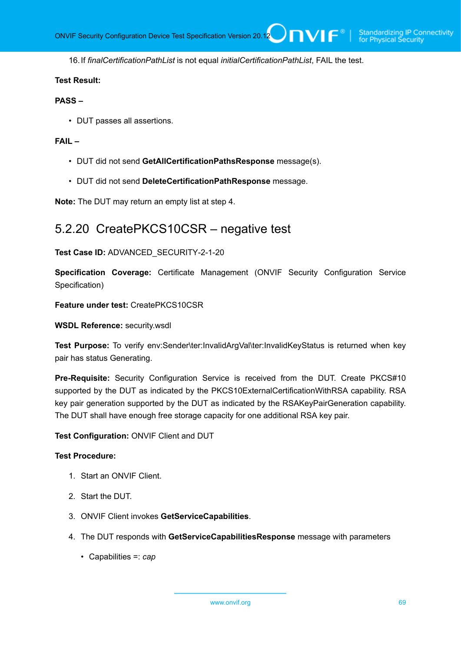16.If *finalCertificationPathList* is not equal *initialCertificationPathList*, FAIL the test.

#### **Test Result:**

#### **PASS –**

• DUT passes all assertions.

### **FAIL –**

- DUT did not send **GetAllCertificationPathsResponse** message(s).
- DUT did not send **DeleteCertificationPathResponse** message.

**Note:** The DUT may return an empty list at step 4.

# 5.2.20 CreatePKCS10CSR – negative test

## **Test Case ID:** ADVANCED\_SECURITY-2-1-20

**Specification Coverage:** Certificate Management (ONVIF Security Configuration Service Specification)

**Feature under test:** CreatePKCS10CSR

**WSDL Reference:** security.wsdl

**Test Purpose:** To verify env:Sender\ter:InvalidArgVal\ter:InvalidKeyStatus is returned when key pair has status Generating.

**Pre-Requisite:** Security Configuration Service is received from the DUT. Create PKCS#10 supported by the DUT as indicated by the PKCS10ExternalCertificationWithRSA capability. RSA key pair generation supported by the DUT as indicated by the RSAKeyPairGeneration capability. The DUT shall have enough free storage capacity for one additional RSA key pair.

**Test Configuration:** ONVIF Client and DUT

- 1. Start an ONVIF Client.
- 2. Start the DUT.
- 3. ONVIF Client invokes **GetServiceCapabilities**.
- 4. The DUT responds with **GetServiceCapabilitiesResponse** message with parameters
	- Capabilities =: *cap*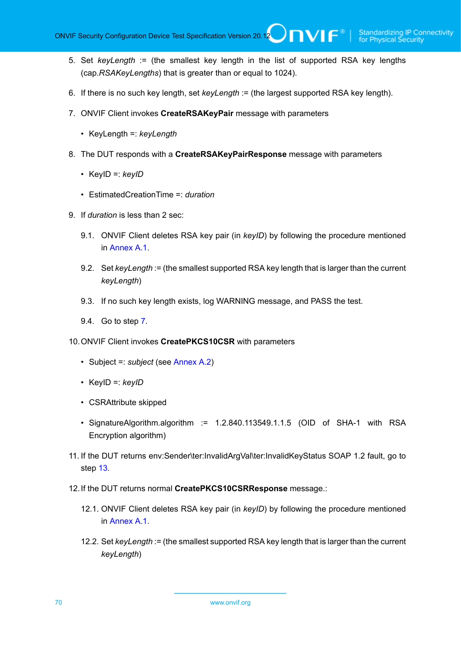- 5. Set *keyLength* := (the smallest key length in the list of supported RSA key lengths (cap.*RSAKeyLengths*) that is greater than or equal to 1024).
- 6. If there is no such key length, set *keyLength* := (the largest supported RSA key length).
- <span id="page-69-0"></span>7. ONVIF Client invokes **CreateRSAKeyPair** message with parameters
	- KeyLength =: *keyLength*
- 8. The DUT responds with a **CreateRSAKeyPairResponse** message with parameters
	- KeyID =: *keyID*
	- EstimatedCreationTime =: *duration*
- 9. If *duration* is less than 2 sec:
	- 9.1. ONVIF Client deletes RSA key pair (in *keyID*) by following the procedure mentioned in [Annex A.1](#page-161-0).
	- 9.2. Set *keyLength* := (the smallest supported RSA key length that is larger than the current *keyLength*)
	- 9.3. If no such key length exists, log WARNING message, and PASS the test.
	- 9.4. Go to step [7.](#page-69-0)
- 10.ONVIF Client invokes **CreatePKCS10CSR** with parameters
	- Subject =: *subject* (see [Annex A.2\)](#page-161-1)
	- KeyID =: *keyID*
	- CSRAttribute skipped
	- SignatureAlgorithm.algorithm := 1.2.840.113549.1.1.5 (OID of SHA-1 with RSA Encryption algorithm)
- 11. If the DUT returns env:Sender\ter:InvalidArgVal\ter:InvalidKeyStatus SOAP 1.2 fault, go to step [13.](#page-70-0)
- 12.If the DUT returns normal **CreatePKCS10CSRResponse** message.:
	- 12.1. ONVIF Client deletes RSA key pair (in *keyID*) by following the procedure mentioned in [Annex A.1](#page-161-0).
	- 12.2. Set *keyLength* := (the smallest supported RSA key length that is larger than the current *keyLength*)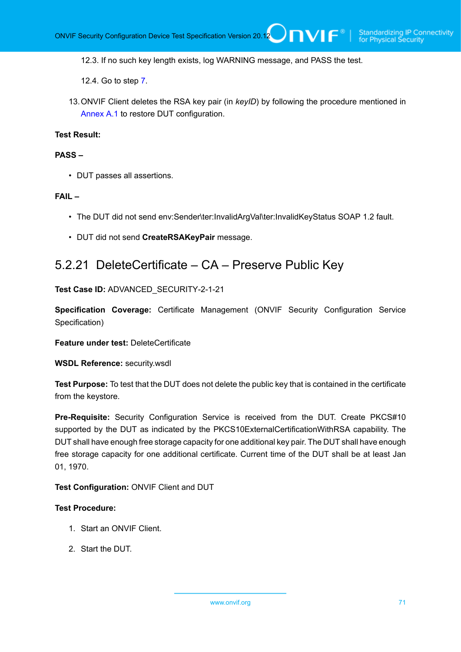12.3. If no such key length exists, log WARNING message, and PASS the test.

12.4. Go to step [7.](#page-69-0)

<span id="page-70-0"></span>13.ONVIF Client deletes the RSA key pair (in *keyID*) by following the procedure mentioned in [Annex A.1](#page-161-0) to restore DUT configuration.

### **Test Result:**

#### **PASS –**

• DUT passes all assertions.

#### **FAIL –**

- The DUT did not send env:Sender\ter:InvalidArgVal\ter:InvalidKeyStatus SOAP 1.2 fault.
- DUT did not send **CreateRSAKeyPair** message.

# 5.2.21 DeleteCertificate – CA – Preserve Public Key

#### **Test Case ID:** ADVANCED\_SECURITY-2-1-21

**Specification Coverage:** Certificate Management (ONVIF Security Configuration Service Specification)

**Feature under test:** DeleteCertificate

**WSDL Reference:** security.wsdl

**Test Purpose:** To test that the DUT does not delete the public key that is contained in the certificate from the keystore.

**Pre-Requisite:** Security Configuration Service is received from the DUT. Create PKCS#10 supported by the DUT as indicated by the PKCS10ExternalCertificationWithRSA capability. The DUT shall have enough free storage capacity for one additional key pair. The DUT shall have enough free storage capacity for one additional certificate. Current time of the DUT shall be at least Jan 01, 1970.

#### **Test Configuration:** ONVIF Client and DUT

- 1. Start an ONVIF Client.
- 2. Start the DUT.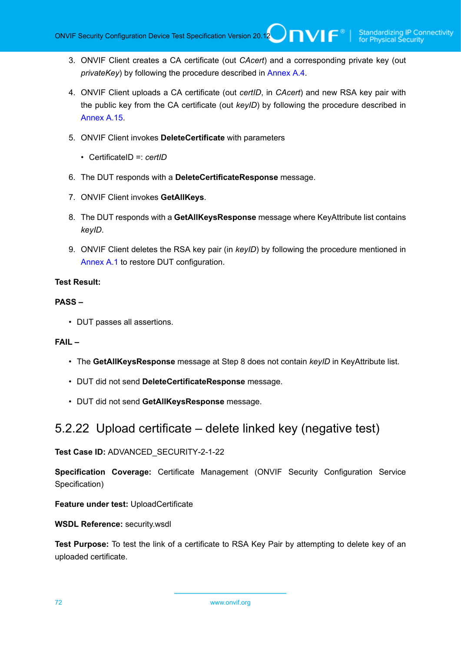- 3. ONVIF Client creates a CA certificate (out *CAcert*) and a corresponding private key (out *privateKey*) by following the procedure described in [Annex A.4.](#page-162-0)
- 4. ONVIF Client uploads a CA certificate (out *certID*, in *CAcert*) and new RSA key pair with the public key from the CA certificate (out *keyID*) by following the procedure described in [Annex A.15.](#page-172-0)
- 5. ONVIF Client invokes **DeleteCertificate** with parameters
	- CertificateID =: *certID*
- 6. The DUT responds with a **DeleteCertificateResponse** message.
- 7. ONVIF Client invokes **GetAllKeys**.
- 8. The DUT responds with a **GetAllKeysResponse** message where KeyAttribute list contains *keyID*.
- 9. ONVIF Client deletes the RSA key pair (in *keyID*) by following the procedure mentioned in [Annex A.1](#page-161-0) to restore DUT configuration.

#### **PASS –**

• DUT passes all assertions.

### **FAIL –**

- The **GetAllKeysResponse** message at Step 8 does not contain *keyID* in KeyAttribute list.
- DUT did not send **DeleteCertificateResponse** message.
- DUT did not send **GetAllKeysResponse** message.

# 5.2.22 Upload certificate – delete linked key (negative test)

**Test Case ID:** ADVANCED\_SECURITY-2-1-22

**Specification Coverage:** Certificate Management (ONVIF Security Configuration Service Specification)

**Feature under test:** UploadCertificate

**WSDL Reference:** security.wsdl

**Test Purpose:** To test the link of a certificate to RSA Key Pair by attempting to delete key of an uploaded certificate.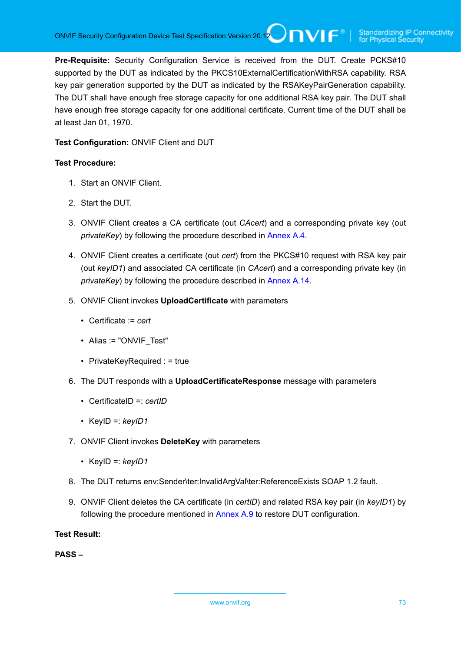**Pre-Requisite:** Security Configuration Service is received from the DUT. Create PCKS#10 supported by the DUT as indicated by the PKCS10ExternalCertificationWithRSA capability. RSA key pair generation supported by the DUT as indicated by the RSAKeyPairGeneration capability. The DUT shall have enough free storage capacity for one additional RSA key pair. The DUT shall have enough free storage capacity for one additional certificate. Current time of the DUT shall be at least Jan 01, 1970.

#### **Test Configuration:** ONVIF Client and DUT

#### **Test Procedure:**

- 1. Start an ONVIF Client.
- 2. Start the DUT.
- 3. ONVIF Client creates a CA certificate (out *CAcert*) and a corresponding private key (out *privateKey*) by following the procedure described in [Annex A.4.](#page-162-0)
- 4. ONVIF Client creates a certificate (out *cert*) from the PKCS#10 request with RSA key pair (out *keyID1*) and associated CA certificate (in *CAcert*) and a corresponding private key (in *privateKey*) by following the procedure described in [Annex A.14.](#page-171-0)
- 5. ONVIF Client invokes **UploadCertificate** with parameters
	- Certificate := *cert*
	- Alias := "ONVIF Test"
	- PrivateKeyRequired : = true
- 6. The DUT responds with a **UploadCertificateResponse** message with parameters
	- CertificateID =: *certID*
	- KeyID =: *keyID1*
- 7. ONVIF Client invokes **DeleteKey** with parameters
	- KeyID =: *keyID1*
- 8. The DUT returns env:Sender\ter:InvalidArgVal\ter:ReferenceExists SOAP 1.2 fault.
- 9. ONVIF Client deletes the CA certificate (in *certID*) and related RSA key pair (in *keyID1*) by following the procedure mentioned in [Annex A.9](#page-167-0) to restore DUT configuration.

**Test Result:**

**PASS –**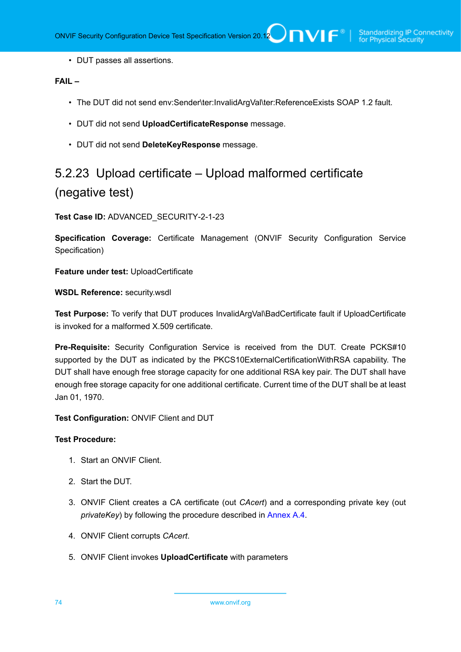• DUT passes all assertions.

#### **FAIL –**

- The DUT did not send env:Sender\ter:InvalidArgVal\ter:ReferenceExists SOAP 1.2 fault.
- DUT did not send **UploadCertificateResponse** message.
- DUT did not send **DeleteKeyResponse** message.

# 5.2.23 Upload certificate – Upload malformed certificate (negative test)

**Test Case ID:** ADVANCED\_SECURITY-2-1-23

**Specification Coverage:** Certificate Management (ONVIF Security Configuration Service Specification)

**Feature under test:** UploadCertificate

**WSDL Reference:** security.wsdl

**Test Purpose:** To verify that DUT produces InvalidArgVal\BadCertificate fault if UploadCertificate is invoked for a malformed X.509 certificate.

**Pre-Requisite:** Security Configuration Service is received from the DUT. Create PCKS#10 supported by the DUT as indicated by the PKCS10ExternalCertificationWithRSA capability. The DUT shall have enough free storage capacity for one additional RSA key pair. The DUT shall have enough free storage capacity for one additional certificate. Current time of the DUT shall be at least Jan 01, 1970.

**Test Configuration:** ONVIF Client and DUT

- 1. Start an ONVIF Client.
- 2. Start the DUT.
- 3. ONVIF Client creates a CA certificate (out *CAcert*) and a corresponding private key (out *privateKey*) by following the procedure described in [Annex A.4.](#page-162-0)
- 4. ONVIF Client corrupts *CAcert*.
- 5. ONVIF Client invokes **UploadCertificate** with parameters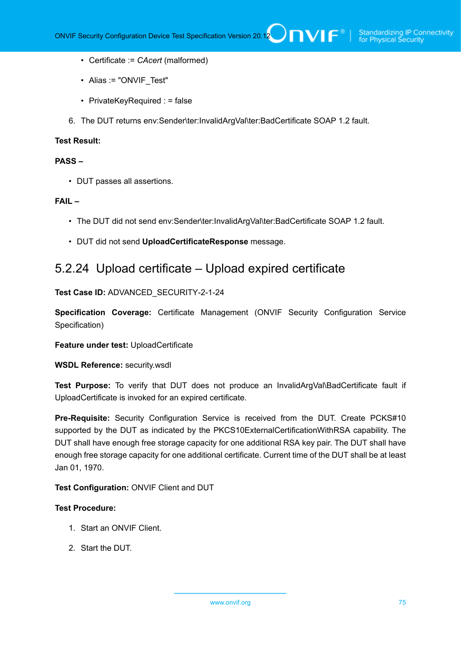- Certificate := *CAcert* (malformed)
- Alias := "ONVIF Test"
- PrivateKeyRequired : = false
- 6. The DUT returns env:Sender\ter:InvalidArgVal\ter:BadCertificate SOAP 1.2 fault.

#### **Test Result:**

#### **PASS –**

• DUT passes all assertions.

#### **FAIL –**

- The DUT did not send env:Sender\ter:InvalidArgVal\ter:BadCertificate SOAP 1.2 fault.
- DUT did not send **UploadCertificateResponse** message.

## 5.2.24 Upload certificate – Upload expired certificate

#### **Test Case ID:** ADVANCED\_SECURITY-2-1-24

**Specification Coverage:** Certificate Management (ONVIF Security Configuration Service Specification)

#### **Feature under test:** UploadCertificate

#### **WSDL Reference:** security.wsdl

**Test Purpose:** To verify that DUT does not produce an InvalidArgVal\BadCertificate fault if UploadCertificate is invoked for an expired certificate.

**Pre-Requisite:** Security Configuration Service is received from the DUT. Create PCKS#10 supported by the DUT as indicated by the PKCS10ExternalCertificationWithRSA capability. The DUT shall have enough free storage capacity for one additional RSA key pair. The DUT shall have enough free storage capacity for one additional certificate. Current time of the DUT shall be at least Jan 01, 1970.

#### **Test Configuration:** ONVIF Client and DUT

- 1. Start an ONVIF Client.
- 2. Start the DUT.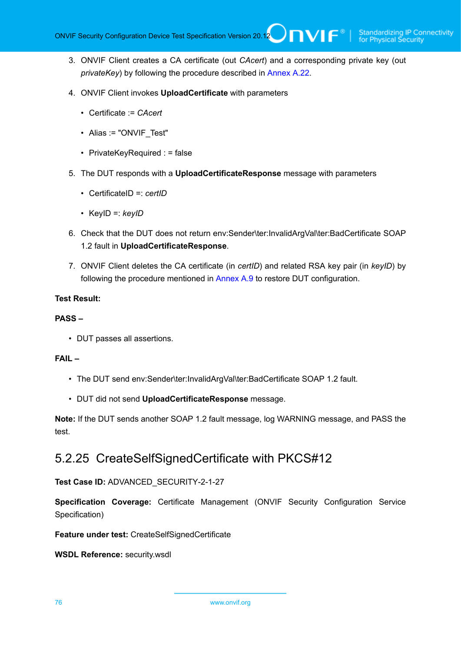- 3. ONVIF Client creates a CA certificate (out *CAcert*) and a corresponding private key (out *privateKey*) by following the procedure described in [Annex A.22.](#page-180-0)
- 4. ONVIF Client invokes **UploadCertificate** with parameters
	- Certificate := *CAcert*
	- Alias := "ONVIF Test"
	- PrivateKeyRequired : = false
- 5. The DUT responds with a **UploadCertificateResponse** message with parameters
	- CertificateID =: *certID*
	- KeyID =: *keyID*
- 6. Check that the DUT does not return env:Sender\ter:InvalidArgVal\ter:BadCertificate SOAP 1.2 fault in **UploadCertificateResponse**.
- 7. ONVIF Client deletes the CA certificate (in *certID*) and related RSA key pair (in *keyID*) by following the procedure mentioned in [Annex A.9](#page-167-0) to restore DUT configuration.

#### **Test Result:**

#### **PASS –**

• DUT passes all assertions.

#### **FAIL –**

- The DUT send env:Sender\ter:InvalidArgVal\ter:BadCertificate SOAP 1.2 fault.
- DUT did not send **UploadCertificateResponse** message.

**Note:** If the DUT sends another SOAP 1.2 fault message, log WARNING message, and PASS the test.

## 5.2.25 CreateSelfSignedCertificate with PKCS#12

#### **Test Case ID:** ADVANCED\_SECURITY-2-1-27

**Specification Coverage:** Certificate Management (ONVIF Security Configuration Service Specification)

**Feature under test:** CreateSelfSignedCertificate

**WSDL Reference:** security.wsdl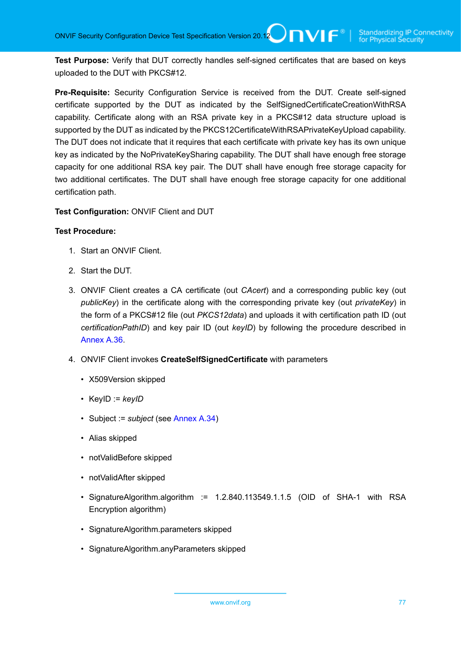**Test Purpose:** Verify that DUT correctly handles self-signed certificates that are based on keys uploaded to the DUT with PKCS#12.

**Pre-Requisite:** Security Configuration Service is received from the DUT. Create self-signed certificate supported by the DUT as indicated by the SelfSignedCertificateCreationWithRSA capability. Certificate along with an RSA private key in a PKCS#12 data structure upload is supported by the DUT as indicated by the PKCS12CertificateWithRSAPrivateKeyUpload capability. The DUT does not indicate that it requires that each certificate with private key has its own unique key as indicated by the NoPrivateKeySharing capability. The DUT shall have enough free storage capacity for one additional RSA key pair. The DUT shall have enough free storage capacity for two additional certificates. The DUT shall have enough free storage capacity for one additional certification path.

**Test Configuration:** ONVIF Client and DUT

- 1. Start an ONVIF Client.
- 2. Start the DUT.
- 3. ONVIF Client creates a CA certificate (out *CAcert*) and a corresponding public key (out *publicKey*) in the certificate along with the corresponding private key (out *privateKey*) in the form of a PKCS#12 file (out *PKCS12data*) and uploads it with certification path ID (out *certificationPathID*) and key pair ID (out *keyID*) by following the procedure described in [Annex A.36.](#page-191-0)
- 4. ONVIF Client invokes **CreateSelfSignedCertificate** with parameters
	- X509Version skipped
	- KeyID := *keyID*
	- Subject := *subject* (see [Annex A.34\)](#page-188-0)
	- Alias skipped
	- notValidBefore skipped
	- notValidAfter skipped
	- SignatureAlgorithm.algorithm := 1.2.840.113549.1.1.5 (OID of SHA-1 with RSA Encryption algorithm)
	- SignatureAlgorithm.parameters skipped
	- SignatureAlgorithm.anyParameters skipped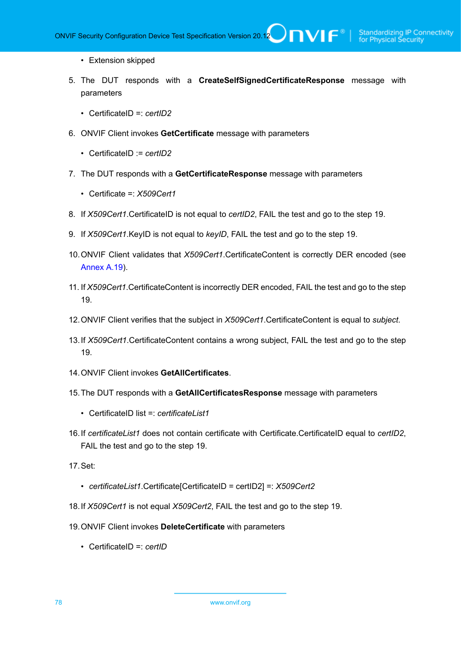- Extension skipped
- 5. The DUT responds with a **CreateSelfSignedCertificateResponse** message with parameters
	- CertificateID =: *certID2*
- 6. ONVIF Client invokes **GetCertificate** message with parameters
	- CertificateID := *certID2*
- 7. The DUT responds with a **GetCertificateResponse** message with parameters
	- Certificate =: *X509Cert1*
- 8. If *X509Cert1*.CertificateID is not equal to *certID2*, FAIL the test and go to the step 19.
- 9. If *X509Cert1*.KeyID is not equal to *keyID*, FAIL the test and go to the step 19.
- 10.ONVIF Client validates that *X509Cert1*.CertificateContent is correctly DER encoded (see [Annex A.19\)](#page-176-0).
- 11. If *X509Cert1*.CertificateContent is incorrectly DER encoded, FAIL the test and go to the step 19.
- 12.ONVIF Client verifies that the subject in *X509Cert1*.CertificateContent is equal to *subject*.
- 13.If *X509Cert1*.CertificateContent contains a wrong subject, FAIL the test and go to the step 19.
- 14.ONVIF Client invokes **GetAllCertificates**.
- 15.The DUT responds with a **GetAllCertificatesResponse** message with parameters
	- CertificateID list =: *certificateList1*
- 16.If *certificateList1* does not contain certificate with Certificate.CertificateID equal to *certID2*, FAIL the test and go to the step 19.
- 17.Set:
	- *certificateList1*.Certificate[CertificateID = certID2] =: *X509Cert2*
- 18.If *X509Cert1* is not equal *X509Cert2*, FAIL the test and go to the step 19.
- 19.ONVIF Client invokes **DeleteCertificate** with parameters
	- CertificateID =: *certID*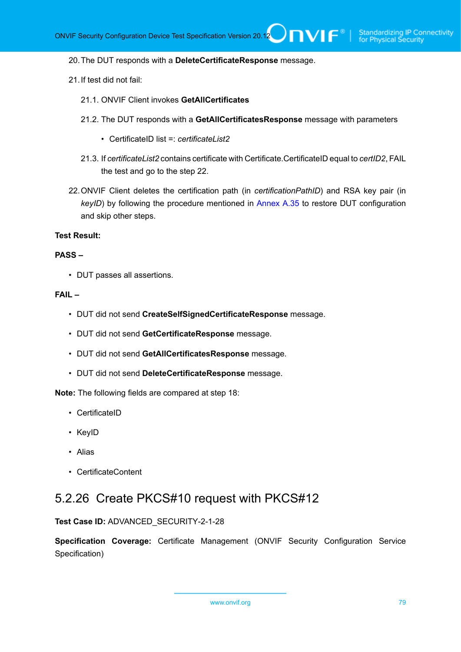#### 20.The DUT responds with a **DeleteCertificateResponse** message.

- 21.If test did not fail:
	- 21.1. ONVIF Client invokes **GetAllCertificates**
	- 21.2. The DUT responds with a **GetAllCertificatesResponse** message with parameters
		- CertificateID list =: *certificateList2*
	- 21.3. If *certificateList2* contains certificate with Certificate.CertificateID equal to *certID2*, FAIL the test and go to the step 22.
- 22.ONVIF Client deletes the certification path (in *certificationPathID*) and RSA key pair (in *keyID*) by following the procedure mentioned in [Annex A.35](#page-189-0) to restore DUT configuration and skip other steps.

#### **Test Result:**

#### **PASS –**

• DUT passes all assertions.

#### **FAIL –**

- DUT did not send **CreateSelfSignedCertificateResponse** message.
- DUT did not send **GetCertificateResponse** message.
- DUT did not send **GetAllCertificatesResponse** message.
- DUT did not send **DeleteCertificateResponse** message.

**Note:** The following fields are compared at step 18:

- CertificateID
- KeyID
- Alias
- CertificateContent

## 5.2.26 Create PKCS#10 request with PKCS#12

**Test Case ID:** ADVANCED\_SECURITY-2-1-28

**Specification Coverage:** Certificate Management (ONVIF Security Configuration Service Specification)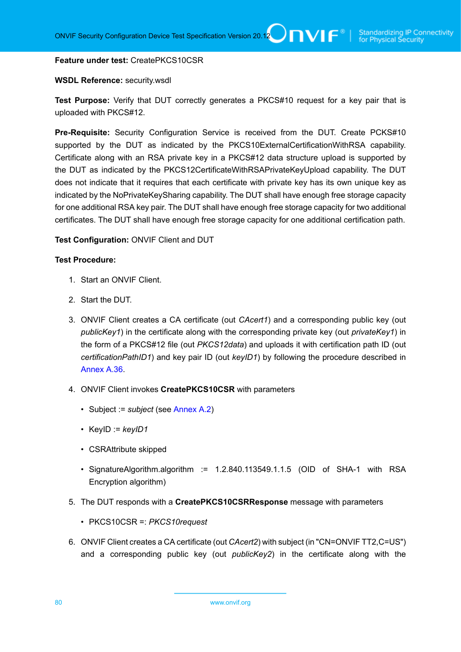#### **Feature under test:** CreatePKCS10CSR

#### **WSDL Reference:** security.wsdl

**Test Purpose:** Verify that DUT correctly generates a PKCS#10 request for a key pair that is uploaded with PKCS#12.

**Pre-Requisite:** Security Configuration Service is received from the DUT. Create PCKS#10 supported by the DUT as indicated by the PKCS10ExternalCertificationWithRSA capability. Certificate along with an RSA private key in a PKCS#12 data structure upload is supported by the DUT as indicated by the PKCS12CertificateWithRSAPrivateKeyUpload capability. The DUT does not indicate that it requires that each certificate with private key has its own unique key as indicated by the NoPrivateKeySharing capability. The DUT shall have enough free storage capacity for one additional RSA key pair. The DUT shall have enough free storage capacity for two additional certificates. The DUT shall have enough free storage capacity for one additional certification path.

#### **Test Configuration:** ONVIF Client and DUT

- 1. Start an ONVIF Client.
- 2. Start the DUT.
- 3. ONVIF Client creates a CA certificate (out *CAcert1*) and a corresponding public key (out *publicKey1*) in the certificate along with the corresponding private key (out *privateKey1*) in the form of a PKCS#12 file (out *PKCS12data*) and uploads it with certification path ID (out *certificationPathID1*) and key pair ID (out *keyID1*) by following the procedure described in [Annex A.36.](#page-191-0)
- 4. ONVIF Client invokes **CreatePKCS10CSR** with parameters
	- Subject := *subject* (see [Annex A.2\)](#page-161-0)
	- KeyID := *keyID1*
	- CSRAttribute skipped
	- SignatureAlgorithm.algorithm := 1.2.840.113549.1.1.5 (OID of SHA-1 with RSA Encryption algorithm)
- 5. The DUT responds with a **CreatePKCS10CSRResponse** message with parameters
	- PKCS10CSR =: *PKCS10request*
- 6. ONVIF Client creates a CA certificate (out *CAcert2*) with subject (in "CN=ONVIF TT2,C=US") and a corresponding public key (out *publicKey2*) in the certificate along with the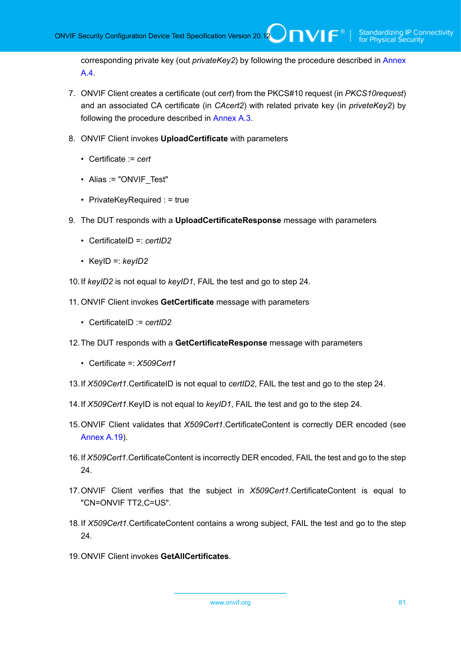corresponding private key (out *privateKey2*) by following the procedure described in [Annex](#page-162-0) [A.4](#page-162-0).

- 7. ONVIF Client creates a certificate (out *cert*) from the PKCS#10 request (in *PKCS10request*) and an associated CA certificate (in *CAcert2*) with related private key (in *priveteKey2*) by following the procedure described in [Annex A.3.](#page-161-1)
- 8. ONVIF Client invokes **UploadCertificate** with parameters
	- Certificate := *cert*
	- Alias := "ONVIF Test"
	- PrivateKeyRequired : = true
- 9. The DUT responds with a **UploadCertificateResponse** message with parameters
	- CertificateID =: *certID2*
	- KeyID =: *keyID2*
- 10.If *keyID2* is not equal to *keyID1*, FAIL the test and go to step 24.
- 11. ONVIF Client invokes **GetCertificate** message with parameters
	- CertificateID := *certID2*
- 12.The DUT responds with a **GetCertificateResponse** message with parameters
	- Certificate =: *X509Cert1*
- 13.If *X509Cert1*.CertificateID is not equal to *certID2*, FAIL the test and go to the step 24.
- 14.If *X509Cert1*.KeyID is not equal to *keyID1*, FAIL the test and go to the step 24.
- 15.ONVIF Client validates that *X509Cert1*.CertificateContent is correctly DER encoded (see [Annex A.19\)](#page-176-0).
- 16.If *X509Cert1*.CertificateContent is incorrectly DER encoded, FAIL the test and go to the step 24.
- 17.ONVIF Client verifies that the subject in *X509Cert1*.CertificateContent is equal to "CN=ONVIF TT2,C=US".
- 18.If *X509Cert1*.CertificateContent contains a wrong subject, FAIL the test and go to the step 24.
- 19.ONVIF Client invokes **GetAllCertificates**.

www.onvif.org 81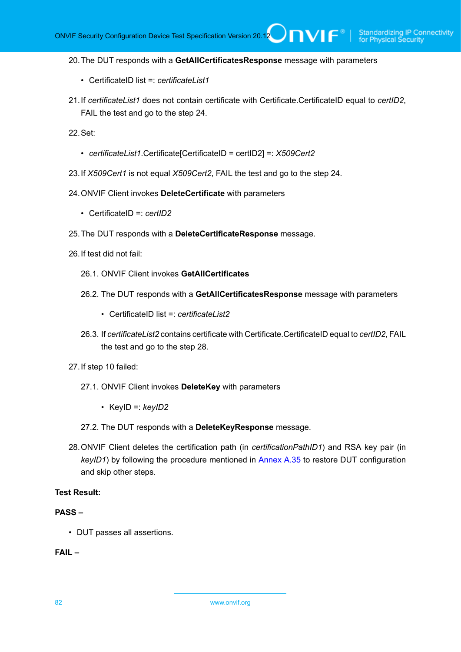#### 20.The DUT responds with a **GetAllCertificatesResponse** message with parameters

- CertificateID list =: *certificateList1*
- 21.If *certificateList1* does not contain certificate with Certificate.CertificateID equal to *certID2*, FAIL the test and go to the step 24.

22.Set:

- *certificateList1*.Certificate[CertificateID = certID2] =: *X509Cert2*
- 23.If *X509Cert1* is not equal *X509Cert2*, FAIL the test and go to the step 24.
- 24.ONVIF Client invokes **DeleteCertificate** with parameters
	- CertificateID =: *certID2*
- 25.The DUT responds with a **DeleteCertificateResponse** message.
- 26.If test did not fail:
	- 26.1. ONVIF Client invokes **GetAllCertificates**
	- 26.2. The DUT responds with a **GetAllCertificatesResponse** message with parameters
		- CertificateID list =: *certificateList2*
	- 26.3. If *certificateList2* contains certificate with Certificate.CertificateID equal to *certID2*, FAIL the test and go to the step 28.
- 27.If step 10 failed:
	- 27.1. ONVIF Client invokes **DeleteKey** with parameters
		- KeyID =: *keyID2*
	- 27.2. The DUT responds with a **DeleteKeyResponse** message.
- 28.ONVIF Client deletes the certification path (in *certificationPathID1*) and RSA key pair (in *keyID1*) by following the procedure mentioned in [Annex A.35](#page-189-0) to restore DUT configuration and skip other steps.

#### **Test Result:**

#### **PASS –**

• DUT passes all assertions.

#### **FAIL –**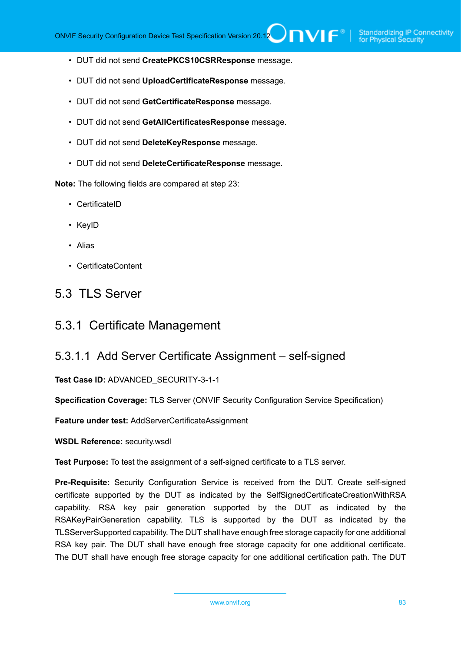- DUT did not send **CreatePKCS10CSRResponse** message.
- DUT did not send **UploadCertificateResponse** message.
- DUT did not send **GetCertificateResponse** message.
- DUT did not send **GetAllCertificatesResponse** message.
- DUT did not send **DeleteKeyResponse** message.
- DUT did not send **DeleteCertificateResponse** message.

**Note:** The following fields are compared at step 23:

- CertificateID
- KeyID
- Alias
- CertificateContent

## 5.3 TLS Server

### 5.3.1 Certificate Management

### 5.3.1.1 Add Server Certificate Assignment – self-signed

**Test Case ID:** ADVANCED\_SECURITY-3-1-1

**Specification Coverage:** TLS Server (ONVIF Security Configuration Service Specification)

**Feature under test:** AddServerCertificateAssignment

**WSDL Reference:** security.wsdl

**Test Purpose:** To test the assignment of a self-signed certificate to a TLS server.

**Pre-Requisite:** Security Configuration Service is received from the DUT. Create self-signed certificate supported by the DUT as indicated by the SelfSignedCertificateCreationWithRSA capability. RSA key pair generation supported by the DUT as indicated by the RSAKeyPairGeneration capability. TLS is supported by the DUT as indicated by the TLSServerSupported capability. The DUT shall have enough free storage capacity for one additional RSA key pair. The DUT shall have enough free storage capacity for one additional certificate. The DUT shall have enough free storage capacity for one additional certification path. The DUT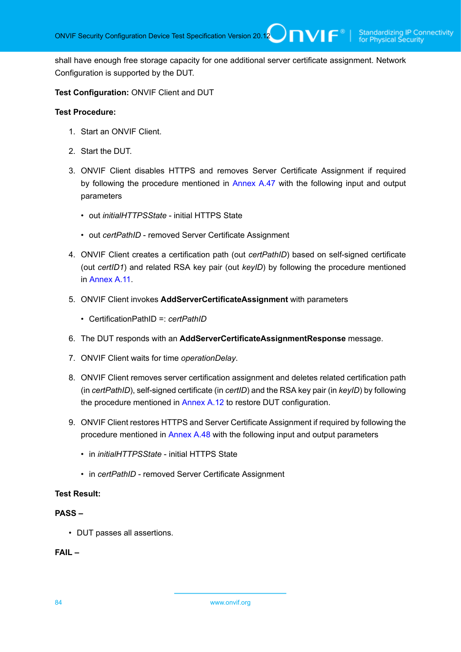shall have enough free storage capacity for one additional server certificate assignment. Network Configuration is supported by the DUT.

**Test Configuration:** ONVIF Client and DUT

#### **Test Procedure:**

- 1. Start an ONVIF Client.
- 2. Start the DUT.
- 3. ONVIF Client disables HTTPS and removes Server Certificate Assignment if required by following the procedure mentioned in [Annex A.47](#page-201-0) with the following input and output parameters
	- out *initialHTTPSState* initial HTTPS State
	- out *certPathID* removed Server Certificate Assignment
- 4. ONVIF Client creates a certification path (out *certPathID*) based on self-signed certificate (out *certID1*) and related RSA key pair (out *keyID*) by following the procedure mentioned in [Annex](#page-168-0) A.11.
- 5. ONVIF Client invokes **AddServerCertificateAssignment** with parameters
	- CertificationPathID =: *certPathID*
- 6. The DUT responds with an **AddServerCertificateAssignmentResponse** message.
- 7. ONVIF Client waits for time *operationDelay*.
- 8. ONVIF Client removes server certification assignment and deletes related certification path (in *certPathID*), self-signed certificate (in *certID*) and the RSA key pair (in *keyID*) by following the procedure mentioned in [Annex A.12](#page-169-0) to restore DUT configuration.
- 9. ONVIF Client restores HTTPS and Server Certificate Assignment if required by following the procedure mentioned in [Annex A.48](#page-202-0) with the following input and output parameters
	- in *initialHTTPSState* initial HTTPS State
	- in *certPathID* removed Server Certificate Assignment

#### **Test Result:**

#### **PASS –**

• DUT passes all assertions.

#### **FAIL –**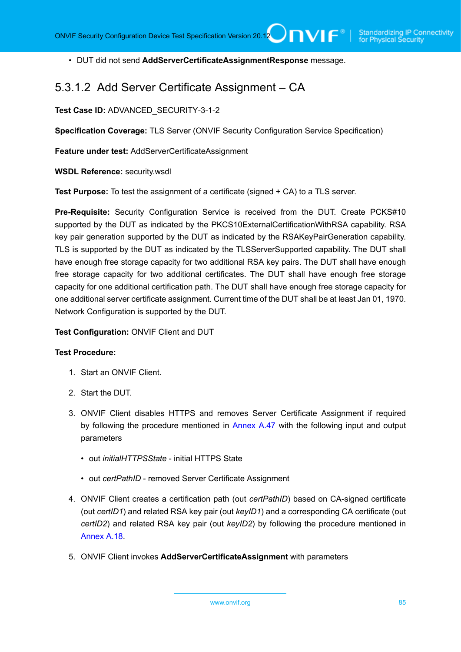• DUT did not send **AddServerCertificateAssignmentResponse** message.

## 5.3.1.2 Add Server Certificate Assignment – CA

**Test Case ID:** ADVANCED\_SECURITY-3-1-2

**Specification Coverage:** TLS Server (ONVIF Security Configuration Service Specification)

**Feature under test:** AddServerCertificateAssignment

**WSDL Reference:** security.wsdl

**Test Purpose:** To test the assignment of a certificate (signed + CA) to a TLS server.

**Pre-Requisite:** Security Configuration Service is received from the DUT. Create PCKS#10 supported by the DUT as indicated by the PKCS10ExternalCertificationWithRSA capability. RSA key pair generation supported by the DUT as indicated by the RSAKeyPairGeneration capability. TLS is supported by the DUT as indicated by the TLSServerSupported capability. The DUT shall have enough free storage capacity for two additional RSA key pairs. The DUT shall have enough free storage capacity for two additional certificates. The DUT shall have enough free storage capacity for one additional certification path. The DUT shall have enough free storage capacity for one additional server certificate assignment. Current time of the DUT shall be at least Jan 01, 1970. Network Configuration is supported by the DUT.

**Test Configuration:** ONVIF Client and DUT

- 1. Start an ONVIF Client.
- 2. Start the DUT.
- 3. ONVIF Client disables HTTPS and removes Server Certificate Assignment if required by following the procedure mentioned in [Annex A.47](#page-201-0) with the following input and output parameters
	- out *initialHTTPSState* initial HTTPS State
	- out *certPathID* removed Server Certificate Assignment
- 4. ONVIF Client creates a certification path (out *certPathID*) based on CA-signed certificate (out *certID1*) and related RSA key pair (out *keyID1*) and a corresponding CA certificate (out *certID2*) and related RSA key pair (out *keyID2*) by following the procedure mentioned in [Annex A.18.](#page-175-0)
- 5. ONVIF Client invokes **AddServerCertificateAssignment** with parameters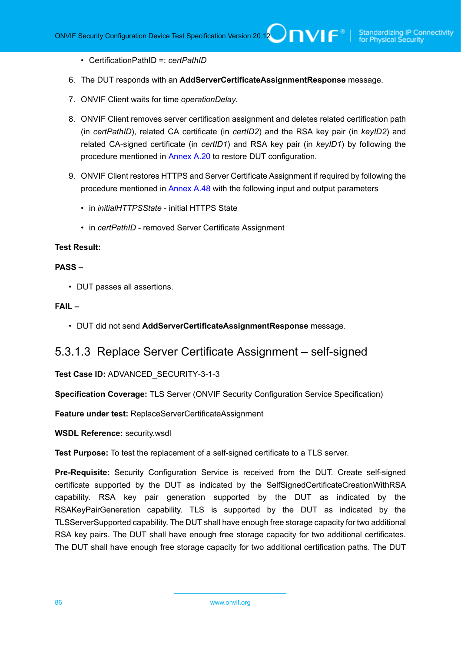• CertificationPathID =: *certPathID*

- 6. The DUT responds with an **AddServerCertificateAssignmentResponse** message.
- 7. ONVIF Client waits for time *operationDelay*.
- 8. ONVIF Client removes server certification assignment and deletes related certification path (in *certPathID*), related CA certificate (in *certID2*) and the RSA key pair (in *keyID2*) and related CA-signed certificate (in *certID1*) and RSA key pair (in *keyID1*) by following the procedure mentioned in [Annex A.20](#page-177-0) to restore DUT configuration.
- 9. ONVIF Client restores HTTPS and Server Certificate Assignment if required by following the procedure mentioned in [Annex A.48](#page-202-0) with the following input and output parameters
	- in *initialHTTPSState* initial HTTPS State
	- in *certPathID* removed Server Certificate Assignment

#### **Test Result:**

#### **PASS –**

• DUT passes all assertions.

#### **FAIL –**

• DUT did not send **AddServerCertificateAssignmentResponse** message.

### 5.3.1.3 Replace Server Certificate Assignment – self-signed

**Test Case ID:** ADVANCED\_SECURITY-3-1-3

**Specification Coverage:** TLS Server (ONVIF Security Configuration Service Specification)

**Feature under test:** ReplaceServerCertificateAssignment

**WSDL Reference:** security.wsdl

**Test Purpose:** To test the replacement of a self-signed certificate to a TLS server.

**Pre-Requisite:** Security Configuration Service is received from the DUT. Create self-signed certificate supported by the DUT as indicated by the SelfSignedCertificateCreationWithRSA capability. RSA key pair generation supported by the DUT as indicated by the RSAKeyPairGeneration capability. TLS is supported by the DUT as indicated by the TLSServerSupported capability. The DUT shall have enough free storage capacity for two additional RSA key pairs. The DUT shall have enough free storage capacity for two additional certificates. The DUT shall have enough free storage capacity for two additional certification paths. The DUT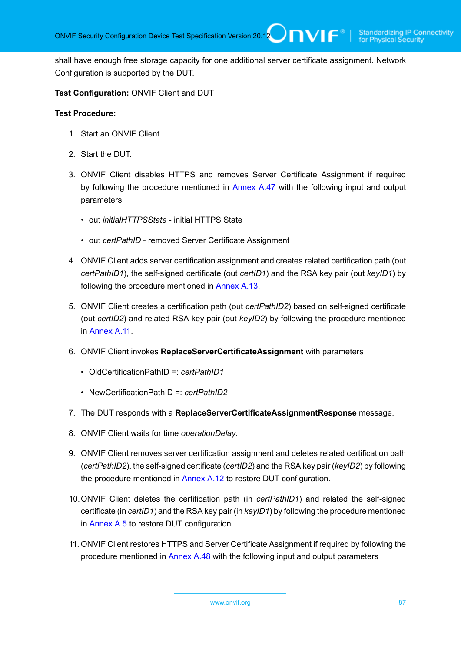shall have enough free storage capacity for one additional server certificate assignment. Network Configuration is supported by the DUT.

#### **Test Configuration:** ONVIF Client and DUT

- 1. Start an ONVIF Client.
- 2. Start the DUT.
- 3. ONVIF Client disables HTTPS and removes Server Certificate Assignment if required by following the procedure mentioned in [Annex A.47](#page-201-0) with the following input and output parameters
	- out *initialHTTPSState* initial HTTPS State
	- out *certPathID* removed Server Certificate Assignment
- 4. ONVIF Client adds server certification assignment and creates related certification path (out *certPathID1*), the self-signed certificate (out *certID1*) and the RSA key pair (out *keyID1*) by following the procedure mentioned in [Annex A.13](#page-170-0).
- 5. ONVIF Client creates a certification path (out *certPathID2*) based on self-signed certificate (out *certID2*) and related RSA key pair (out *keyID2*) by following the procedure mentioned in [Annex](#page-168-0) A.11.
- 6. ONVIF Client invokes **ReplaceServerCertificateAssignment** with parameters
	- OldCertificationPathID =: *certPathID1*
	- NewCertificationPathID =: *certPathID2*
- 7. The DUT responds with a **ReplaceServerCertificateAssignmentResponse** message.
- 8. ONVIF Client waits for time *operationDelay*.
- 9. ONVIF Client removes server certification assignment and deletes related certification path (*certPathID2*), the self-signed certificate (*certID2*) and the RSA key pair (*keyID2*) by following the procedure mentioned in [Annex A.12](#page-169-0) to restore DUT configuration.
- 10.ONVIF Client deletes the certification path (in *certPathID1*) and related the self-signed certificate (in *certID1*) and the RSA key pair (in *keyID1*) by following the procedure mentioned in [Annex A.5](#page-163-0) to restore DUT configuration.
- 11. ONVIF Client restores HTTPS and Server Certificate Assignment if required by following the procedure mentioned in [Annex A.48](#page-202-0) with the following input and output parameters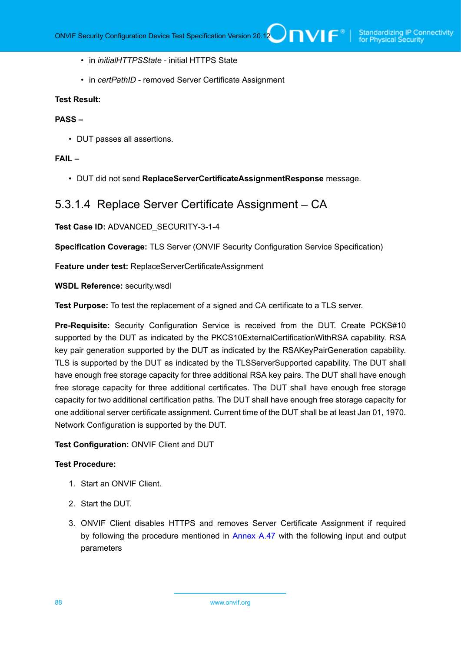- in *initialHTTPSState* initial HTTPS State
- in *certPathID* removed Server Certificate Assignment

#### **Test Result:**

#### **PASS –**

• DUT passes all assertions.

#### **FAIL –**

• DUT did not send **ReplaceServerCertificateAssignmentResponse** message.

## 5.3.1.4 Replace Server Certificate Assignment – CA

#### **Test Case ID:** ADVANCED\_SECURITY-3-1-4

**Specification Coverage:** TLS Server (ONVIF Security Configuration Service Specification)

**Feature under test:** ReplaceServerCertificateAssignment

**WSDL Reference:** security.wsdl

**Test Purpose:** To test the replacement of a signed and CA certificate to a TLS server.

**Pre-Requisite:** Security Configuration Service is received from the DUT. Create PCKS#10 supported by the DUT as indicated by the PKCS10ExternalCertificationWithRSA capability. RSA key pair generation supported by the DUT as indicated by the RSAKeyPairGeneration capability. TLS is supported by the DUT as indicated by the TLSServerSupported capability. The DUT shall have enough free storage capacity for three additional RSA key pairs. The DUT shall have enough free storage capacity for three additional certificates. The DUT shall have enough free storage capacity for two additional certification paths. The DUT shall have enough free storage capacity for one additional server certificate assignment. Current time of the DUT shall be at least Jan 01, 1970. Network Configuration is supported by the DUT.

#### **Test Configuration:** ONVIF Client and DUT

- 1. Start an ONVIF Client.
- 2. Start the DUT.
- 3. ONVIF Client disables HTTPS and removes Server Certificate Assignment if required by following the procedure mentioned in [Annex A.47](#page-201-0) with the following input and output parameters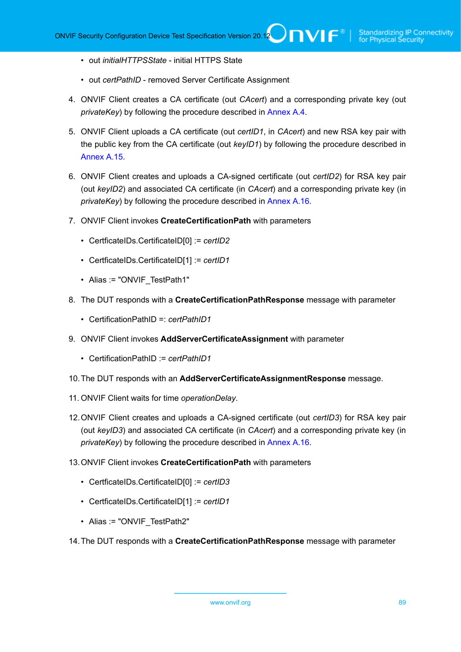- out *initialHTTPSState* initial HTTPS State
- out *certPathID* removed Server Certificate Assignment
- 4. ONVIF Client creates a CA certificate (out *CAcert*) and a corresponding private key (out *privateKey*) by following the procedure described in [Annex A.4.](#page-162-0)
- 5. ONVIF Client uploads a CA certificate (out *certID1*, in *CAcert*) and new RSA key pair with the public key from the CA certificate (out *keyID1*) by following the procedure described in [Annex A.15.](#page-172-0)
- 6. ONVIF Client creates and uploads a CA-signed certificate (out *certID2*) for RSA key pair (out *keyID2*) and associated CA certificate (in *CAcert*) and a corresponding private key (in *privateKey*) by following the procedure described in [Annex A.16.](#page-173-0)
- 7. ONVIF Client invokes **CreateCertificationPath** with parameters
	- CertficateIDs.CertificateID[0] := *certID2*
	- CertficateIDs.CertificateID[1] := *certID1*
	- Alias := "ONVIF TestPath1"
- 8. The DUT responds with a **CreateCertificationPathResponse** message with parameter
	- CertificationPathID =: *certPathID1*
- 9. ONVIF Client invokes **AddServerCertificateAssignment** with parameter
	- CertificationPathID := *certPathID1*
- 10.The DUT responds with an **AddServerCertificateAssignmentResponse** message.
- 11. ONVIF Client waits for time *operationDelay*.
- 12.ONVIF Client creates and uploads a CA-signed certificate (out *certID3*) for RSA key pair (out *keyID3*) and associated CA certificate (in *CAcert*) and a corresponding private key (in *privateKey*) by following the procedure described in [Annex A.16.](#page-173-0)
- 13.ONVIF Client invokes **CreateCertificationPath** with parameters
	- CertficateIDs.CertificateID[0] := *certID3*
	- CertficateIDs.CertificateID[1] := *certID1*
	- Alias := "ONVIF\_TestPath2"
- 14.The DUT responds with a **CreateCertificationPathResponse** message with parameter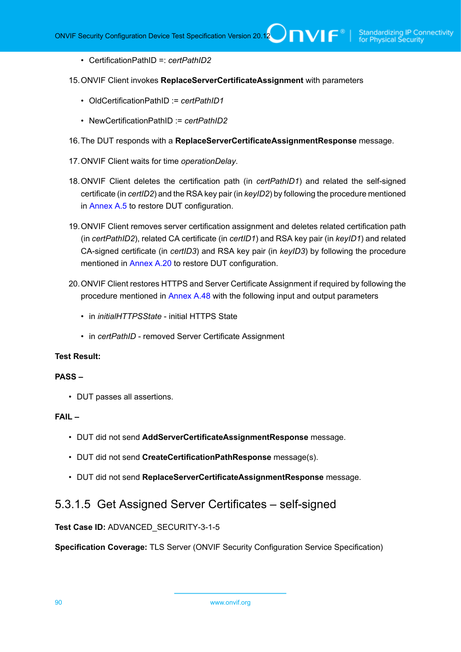- CertificationPathID =: *certPathID2*
- 15.ONVIF Client invokes **ReplaceServerCertificateAssignment** with parameters
	- OldCertificationPathID := *certPathID1*
	- NewCertificationPathID := *certPathID2*
- 16.The DUT responds with a **ReplaceServerCertificateAssignmentResponse** message.
- 17.ONVIF Client waits for time *operationDelay*.
- 18.ONVIF Client deletes the certification path (in *certPathID1*) and related the self-signed certificate (in *certID2*) and the RSA key pair (in *keyID2*) by following the procedure mentioned in [Annex A.5](#page-163-0) to restore DUT configuration.
- 19.ONVIF Client removes server certification assignment and deletes related certification path (in *certPathID2*), related CA certificate (in *certID1*) and RSA key pair (in *keyID1*) and related CA-signed certificate (in *certID3*) and RSA key pair (in *keyID3*) by following the procedure mentioned in [Annex A.20](#page-177-0) to restore DUT configuration.
- 20.ONVIF Client restores HTTPS and Server Certificate Assignment if required by following the procedure mentioned in [Annex A.48](#page-202-0) with the following input and output parameters
	- in *initialHTTPSState* initial HTTPS State
	- in *certPathID* removed Server Certificate Assignment

#### **Test Result:**

#### **PASS –**

• DUT passes all assertions.

#### **FAIL –**

- DUT did not send **AddServerCertificateAssignmentResponse** message.
- DUT did not send **CreateCertificationPathResponse** message(s).
- DUT did not send **ReplaceServerCertificateAssignmentResponse** message.

### 5.3.1.5 Get Assigned Server Certificates – self-signed

#### **Test Case ID:** ADVANCED\_SECURITY-3-1-5

**Specification Coverage:** TLS Server (ONVIF Security Configuration Service Specification)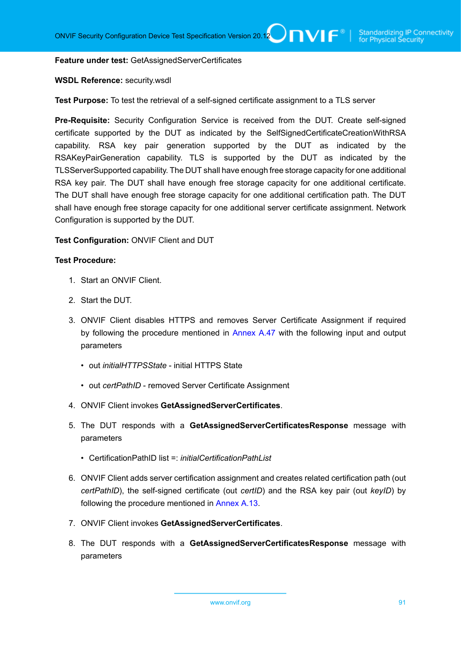**Feature under test:** GetAssignedServerCertificates

#### **WSDL Reference:** security.wsdl

**Test Purpose:** To test the retrieval of a self-signed certificate assignment to a TLS server

**Pre-Requisite:** Security Configuration Service is received from the DUT. Create self-signed certificate supported by the DUT as indicated by the SelfSignedCertificateCreationWithRSA capability. RSA key pair generation supported by the DUT as indicated by the RSAKeyPairGeneration capability. TLS is supported by the DUT as indicated by the TLSServerSupported capability. The DUT shall have enough free storage capacity for one additional RSA key pair. The DUT shall have enough free storage capacity for one additional certificate. The DUT shall have enough free storage capacity for one additional certification path. The DUT shall have enough free storage capacity for one additional server certificate assignment. Network Configuration is supported by the DUT.

#### **Test Configuration:** ONVIF Client and DUT

- 1. Start an ONVIF Client.
- 2. Start the DUT.
- 3. ONVIF Client disables HTTPS and removes Server Certificate Assignment if required by following the procedure mentioned in [Annex A.47](#page-201-0) with the following input and output parameters
	- out *initialHTTPSState* initial HTTPS State
	- out *certPathID* removed Server Certificate Assignment
- 4. ONVIF Client invokes **GetAssignedServerCertificates**.
- <span id="page-90-0"></span>5. The DUT responds with a **GetAssignedServerCertificatesResponse** message with parameters
	- CertificationPathID list =: *initialCertificationPathList*
- 6. ONVIF Client adds server certification assignment and creates related certification path (out *certPathID*), the self-signed certificate (out *certID*) and the RSA key pair (out *keyID*) by following the procedure mentioned in [Annex A.13](#page-170-0).
- 7. ONVIF Client invokes **GetAssignedServerCertificates**.
- 8. The DUT responds with a **GetAssignedServerCertificatesResponse** message with parameters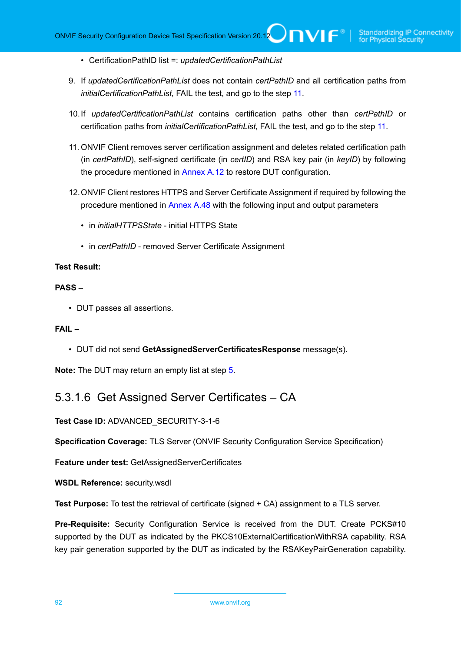• CertificationPathID list =: *updatedCertificationPathList*

- 9. If *updatedCertificationPathList* does not contain *certPathID* and all certification paths from *initialCertificationPathList*, FAIL the test, and go to the step [11.](#page-91-0)
- 10.If *updatedCertificationPathList* contains certification paths other than *certPathID* or certification paths from *initialCertificationPathList*, FAIL the test, and go to the step [11](#page-91-0).
- <span id="page-91-0"></span>11. ONVIF Client removes server certification assignment and deletes related certification path (in *certPathID*), self-signed certificate (in *certID*) and RSA key pair (in *keyID*) by following the procedure mentioned in [Annex A.12](#page-169-0) to restore DUT configuration.
- 12.ONVIF Client restores HTTPS and Server Certificate Assignment if required by following the procedure mentioned in [Annex A.48](#page-202-0) with the following input and output parameters
	- in *initialHTTPSState* initial HTTPS State
	- in *certPathID* removed Server Certificate Assignment

#### **Test Result:**

#### **PASS –**

• DUT passes all assertions.

#### **FAIL –**

• DUT did not send **GetAssignedServerCertificatesResponse** message(s).

**Note:** The DUT may return an empty list at step [5](#page-90-0).

## 5.3.1.6 Get Assigned Server Certificates – CA

**Test Case ID:** ADVANCED\_SECURITY-3-1-6

**Specification Coverage:** TLS Server (ONVIF Security Configuration Service Specification)

**Feature under test:** GetAssignedServerCertificates

**WSDL Reference:** security.wsdl

**Test Purpose:** To test the retrieval of certificate (signed + CA) assignment to a TLS server.

**Pre-Requisite:** Security Configuration Service is received from the DUT. Create PCKS#10 supported by the DUT as indicated by the PKCS10ExternalCertificationWithRSA capability. RSA key pair generation supported by the DUT as indicated by the RSAKeyPairGeneration capability.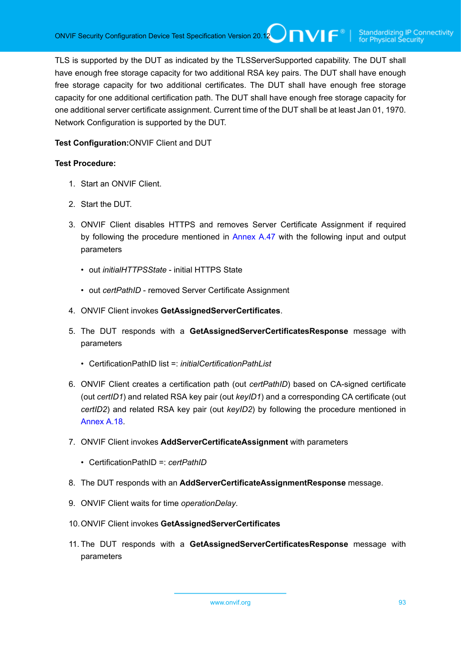TLS is supported by the DUT as indicated by the TLSServerSupported capability. The DUT shall have enough free storage capacity for two additional RSA key pairs. The DUT shall have enough free storage capacity for two additional certificates. The DUT shall have enough free storage capacity for one additional certification path. The DUT shall have enough free storage capacity for one additional server certificate assignment. Current time of the DUT shall be at least Jan 01, 1970. Network Configuration is supported by the DUT.

**Test Configuration:**ONVIF Client and DUT

- 1. Start an ONVIF Client.
- 2. Start the DUT.
- 3. ONVIF Client disables HTTPS and removes Server Certificate Assignment if required by following the procedure mentioned in [Annex A.47](#page-201-0) with the following input and output parameters
	- out *initialHTTPSState* initial HTTPS State
	- out *certPathID* removed Server Certificate Assignment
- 4. ONVIF Client invokes **GetAssignedServerCertificates**.
- <span id="page-92-0"></span>5. The DUT responds with a **GetAssignedServerCertificatesResponse** message with parameters
	- CertificationPathID list =: *initialCertificationPathList*
- 6. ONVIF Client creates a certification path (out *certPathID*) based on CA-signed certificate (out *certID1*) and related RSA key pair (out *keyID1*) and a corresponding CA certificate (out *certID2*) and related RSA key pair (out *keyID2*) by following the procedure mentioned in [Annex A.18.](#page-175-0)
- 7. ONVIF Client invokes **AddServerCertificateAssignment** with parameters
	- CertificationPathID =: *certPathID*
- 8. The DUT responds with an **AddServerCertificateAssignmentResponse** message.
- 9. ONVIF Client waits for time *operationDelay*.
- 10.ONVIF Client invokes **GetAssignedServerCertificates**
- 11. The DUT responds with a **GetAssignedServerCertificatesResponse** message with parameters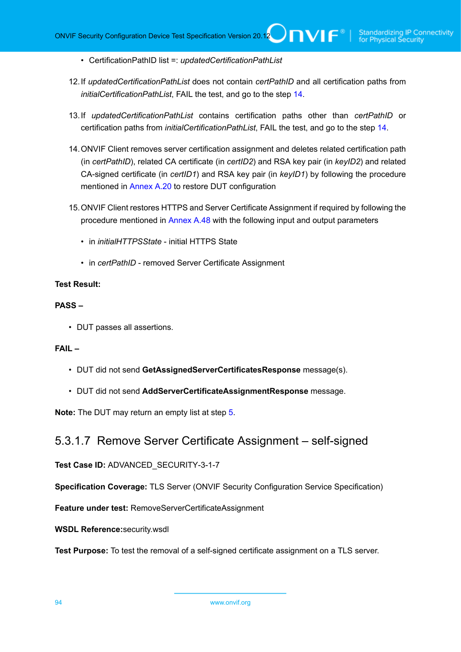- CertificationPathID list =: *updatedCertificationPathList*
- 12.If *updatedCertificationPathList* does not contain *certPathID* and all certification paths from *initialCertificationPathList*, FAIL the test, and go to the step [14.](#page-93-0)
- 13.If *updatedCertificationPathList* contains certification paths other than *certPathID* or certification paths from *initialCertificationPathList*, FAIL the test, and go to the step [14](#page-93-0).
- <span id="page-93-0"></span>14.ONVIF Client removes server certification assignment and deletes related certification path (in *certPathID*), related CA certificate (in *certID2*) and RSA key pair (in *keyID2*) and related CA-signed certificate (in *certID1*) and RSA key pair (in *keyID1*) by following the procedure mentioned in [Annex A.20](#page-177-0) to restore DUT configuration
- 15.ONVIF Client restores HTTPS and Server Certificate Assignment if required by following the procedure mentioned in [Annex A.48](#page-202-0) with the following input and output parameters
	- in *initialHTTPSState* initial HTTPS State
	- in *certPathID* removed Server Certificate Assignment

#### **Test Result:**

#### **PASS –**

• DUT passes all assertions.

#### **FAIL –**

- DUT did not send **GetAssignedServerCertificatesResponse** message(s).
- DUT did not send **AddServerCertificateAssignmentResponse** message.

**Note:** The DUT may return an empty list at step [5](#page-92-0).

## 5.3.1.7 Remove Server Certificate Assignment – self-signed

**Test Case ID:** ADVANCED\_SECURITY-3-1-7

**Specification Coverage:** TLS Server (ONVIF Security Configuration Service Specification)

**Feature under test:** RemoveServerCertificateAssignment

**WSDL Reference:**security.wsdl

**Test Purpose:** To test the removal of a self-signed certificate assignment on a TLS server.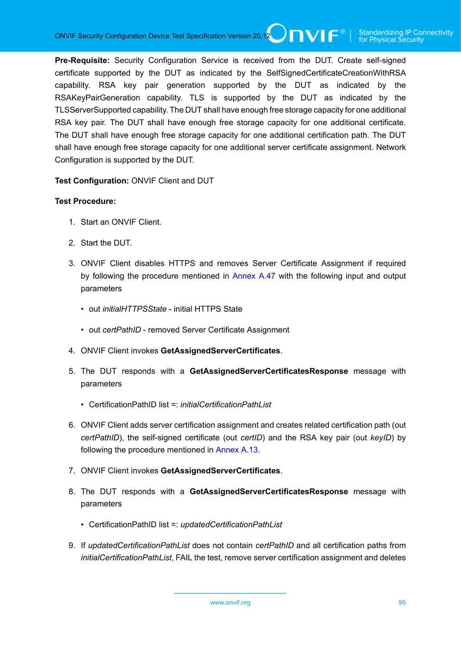**Pre-Requisite:** Security Configuration Service is received from the DUT. Create self-signed certificate supported by the DUT as indicated by the SelfSignedCertificateCreationWithRSA capability. RSA key pair generation supported by the DUT as indicated by the RSAKeyPairGeneration capability. TLS is supported by the DUT as indicated by the TLSServerSupported capability. The DUT shall have enough free storage capacity for one additional RSA key pair. The DUT shall have enough free storage capacity for one additional certificate. The DUT shall have enough free storage capacity for one additional certification path. The DUT shall have enough free storage capacity for one additional server certificate assignment. Network Configuration is supported by the DUT.

**Test Configuration:** ONVIF Client and DUT

- 1. Start an ONVIF Client.
- 2. Start the DUT.
- 3. ONVIF Client disables HTTPS and removes Server Certificate Assignment if required by following the procedure mentioned in [Annex A.47](#page-201-0) with the following input and output parameters
	- out *initialHTTPSState* initial HTTPS State
	- out *certPathID* removed Server Certificate Assignment
- 4. ONVIF Client invokes **GetAssignedServerCertificates**.
- <span id="page-94-0"></span>5. The DUT responds with a **GetAssignedServerCertificatesResponse** message with parameters
	- CertificationPathID list =: *initialCertificationPathList*
- 6. ONVIF Client adds server certification assignment and creates related certification path (out *certPathID*), the self-signed certificate (out *certID*) and the RSA key pair (out *keyID*) by following the procedure mentioned in [Annex A.13](#page-170-0).
- 7. ONVIF Client invokes **GetAssignedServerCertificates**.
- 8. The DUT responds with a **GetAssignedServerCertificatesResponse** message with parameters
	- CertificationPathID list =: *updatedCertificationPathList*
- 9. If *updatedCertificationPathList* does not contain *certPathID* and all certification paths from *initialCertificationPathList*, FAIL the test, remove server certification assignment and deletes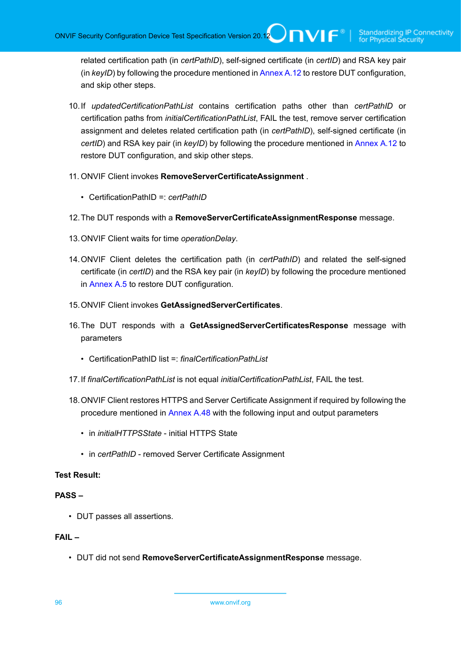related certification path (in *certPathID*), self-signed certificate (in *certID*) and RSA key pair (in *keyID*) by following the procedure mentioned in [Annex A.12](#page-169-0) to restore DUT configuration, and skip other steps.

- 10.If *updatedCertificationPathList* contains certification paths other than *certPathID* or certification paths from *initialCertificationPathList*, FAIL the test, remove server certification assignment and deletes related certification path (in *certPathID*), self-signed certificate (in *certID*) and RSA key pair (in *keyID*) by following the procedure mentioned in [Annex A.12](#page-169-0) to restore DUT configuration, and skip other steps.
- 11. ONVIF Client invokes **RemoveServerCertificateAssignment** .
	- CertificationPathID =: *certPathID*
- 12.The DUT responds with a **RemoveServerCertificateAssignmentResponse** message.
- 13.ONVIF Client waits for time *operationDelay*.
- 14.ONVIF Client deletes the certification path (in *certPathID*) and related the self-signed certificate (in *certID*) and the RSA key pair (in *keyID*) by following the procedure mentioned in [Annex A.5](#page-163-0) to restore DUT configuration.
- 15.ONVIF Client invokes **GetAssignedServerCertificates**.
- 16.The DUT responds with a **GetAssignedServerCertificatesResponse** message with parameters
	- CertificationPathID list =: *finalCertificationPathList*
- 17.If *finalCertificationPathList* is not equal *initialCertificationPathList*, FAIL the test.
- 18.ONVIF Client restores HTTPS and Server Certificate Assignment if required by following the procedure mentioned in [Annex A.48](#page-202-0) with the following input and output parameters
	- in *initialHTTPSState* initial HTTPS State
	- in *certPathID* removed Server Certificate Assignment

#### **Test Result:**

#### **PASS –**

• DUT passes all assertions.

#### **FAIL –**

• DUT did not send **RemoveServerCertificateAssignmentResponse** message.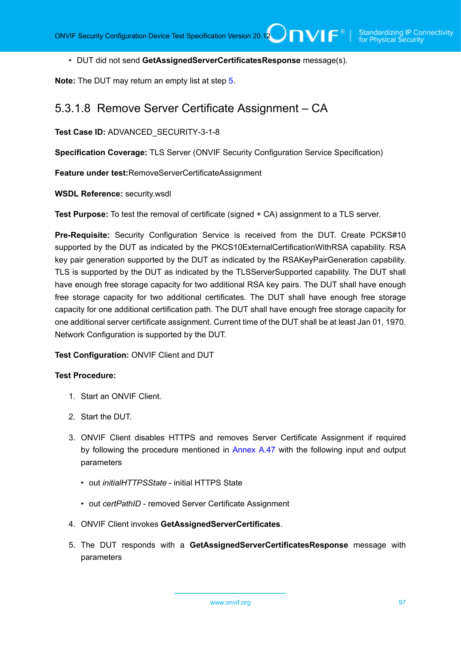• DUT did not send **GetAssignedServerCertificatesResponse** message(s).

**Note:** The DUT may return an empty list at step [5](#page-94-0).

### 5.3.1.8 Remove Server Certificate Assignment – CA

**Test Case ID:** ADVANCED\_SECURITY-3-1-8

**Specification Coverage:** TLS Server (ONVIF Security Configuration Service Specification)

**Feature under test:**RemoveServerCertificateAssignment

**WSDL Reference:** security.wsdl

**Test Purpose:** To test the removal of certificate (signed + CA) assignment to a TLS server.

**Pre-Requisite:** Security Configuration Service is received from the DUT. Create PCKS#10 supported by the DUT as indicated by the PKCS10ExternalCertificationWithRSA capability. RSA key pair generation supported by the DUT as indicated by the RSAKeyPairGeneration capability. TLS is supported by the DUT as indicated by the TLSServerSupported capability. The DUT shall have enough free storage capacity for two additional RSA key pairs. The DUT shall have enough free storage capacity for two additional certificates. The DUT shall have enough free storage capacity for one additional certification path. The DUT shall have enough free storage capacity for one additional server certificate assignment. Current time of the DUT shall be at least Jan 01, 1970. Network Configuration is supported by the DUT.

#### **Test Configuration:** ONVIF Client and DUT

- 1. Start an ONVIF Client.
- 2. Start the DUT.
- 3. ONVIF Client disables HTTPS and removes Server Certificate Assignment if required by following the procedure mentioned in [Annex A.47](#page-201-0) with the following input and output parameters
	- out *initialHTTPSState* initial HTTPS State
	- out *certPathID* removed Server Certificate Assignment
- 4. ONVIF Client invokes **GetAssignedServerCertificates**.
- <span id="page-96-0"></span>5. The DUT responds with a **GetAssignedServerCertificatesResponse** message with parameters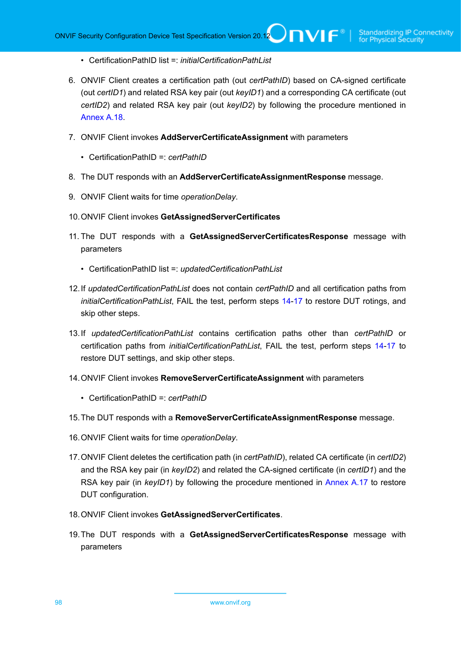- CertificationPathID list =: *initialCertificationPathList*
- 6. ONVIF Client creates a certification path (out *certPathID*) based on CA-signed certificate (out *certID1*) and related RSA key pair (out *keyID1*) and a corresponding CA certificate (out *certID2*) and related RSA key pair (out *keyID2*) by following the procedure mentioned in [Annex A.18.](#page-175-0)
- 7. ONVIF Client invokes **AddServerCertificateAssignment** with parameters
	- CertificationPathID =: *certPathID*
- 8. The DUT responds with an **AddServerCertificateAssignmentResponse** message.
- 9. ONVIF Client waits for time *operationDelay*.
- 10.ONVIF Client invokes **GetAssignedServerCertificates**
- 11. The DUT responds with a **GetAssignedServerCertificatesResponse** message with parameters
	- CertificationPathID list =: *updatedCertificationPathList*
- 12.If *updatedCertificationPathList* does not contain *certPathID* and all certification paths from *initialCertificationPathList*, FAIL the test, perform steps [14](#page-97-0)[-17](#page-97-1) to restore DUT rotings, and skip other steps.
- 13.If *updatedCertificationPathList* contains certification paths other than *certPathID* or certification paths from *initialCertificationPathList*, FAIL the test, perform steps [14](#page-97-0)[-17](#page-97-1) to restore DUT settings, and skip other steps.
- <span id="page-97-0"></span>14.ONVIF Client invokes **RemoveServerCertificateAssignment** with parameters
	- CertificationPathID =: *certPathID*
- 15.The DUT responds with a **RemoveServerCertificateAssignmentResponse** message.
- 16.ONVIF Client waits for time *operationDelay*.
- <span id="page-97-1"></span>17.ONVIF Client deletes the certification path (in *certPathID*), related CA certificate (in *certID2*) and the RSA key pair (in *keyID2*) and related the CA-signed certificate (in *certID1*) and the RSA key pair (in *keyID1*) by following the procedure mentioned in [Annex A.17](#page-174-0) to restore DUT configuration.
- 18.ONVIF Client invokes **GetAssignedServerCertificates**.
- 19.The DUT responds with a **GetAssignedServerCertificatesResponse** message with parameters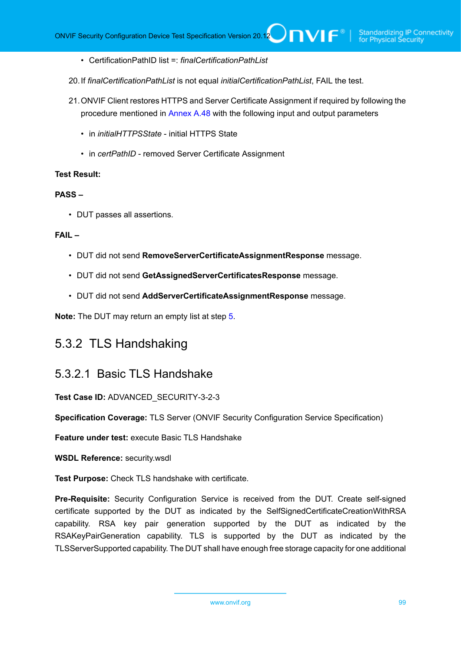- CertificationPathID list =: *finalCertificationPathList*
- 20.If *finalCertificationPathList* is not equal *initialCertificationPathList*, FAIL the test.
- 21.ONVIF Client restores HTTPS and Server Certificate Assignment if required by following the procedure mentioned in [Annex A.48](#page-202-0) with the following input and output parameters
	- in *initialHTTPSState* initial HTTPS State
	- in *certPathID* removed Server Certificate Assignment

#### **Test Result:**

#### **PASS –**

• DUT passes all assertions.

#### **FAIL –**

- DUT did not send **RemoveServerCertificateAssignmentResponse** message.
- DUT did not send **GetAssignedServerCertificatesResponse** message.
- DUT did not send **AddServerCertificateAssignmentResponse** message.

**Note:** The DUT may return an empty list at step [5](#page-96-0).

## 5.3.2 TLS Handshaking

### 5.3.2.1 Basic TLS Handshake

**Test Case ID:** ADVANCED\_SECURITY-3-2-3

**Specification Coverage:** TLS Server (ONVIF Security Configuration Service Specification)

**Feature under test:** execute Basic TLS Handshake

**WSDL Reference:** security.wsdl

**Test Purpose:** Check TLS handshake with certificate.

**Pre-Requisite:** Security Configuration Service is received from the DUT. Create self-signed certificate supported by the DUT as indicated by the SelfSignedCertificateCreationWithRSA capability. RSA key pair generation supported by the DUT as indicated by the RSAKeyPairGeneration capability. TLS is supported by the DUT as indicated by the TLSServerSupported capability. The DUT shall have enough free storage capacity for one additional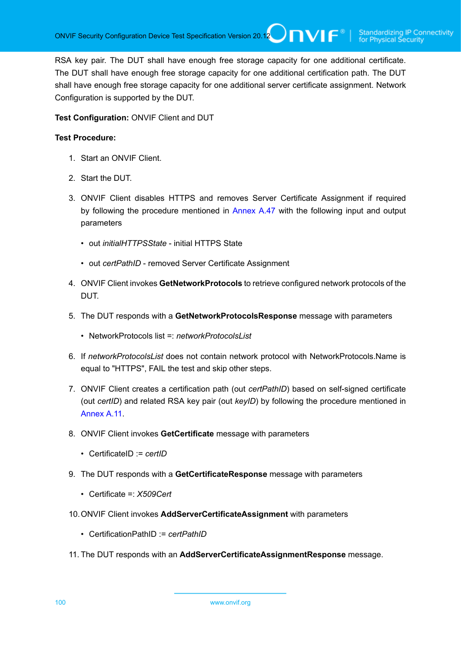RSA key pair. The DUT shall have enough free storage capacity for one additional certificate. The DUT shall have enough free storage capacity for one additional certification path. The DUT shall have enough free storage capacity for one additional server certificate assignment. Network Configuration is supported by the DUT.

#### **Test Configuration:** ONVIF Client and DUT

- 1. Start an ONVIF Client.
- 2. Start the DUT.
- 3. ONVIF Client disables HTTPS and removes Server Certificate Assignment if required by following the procedure mentioned in [Annex A.47](#page-201-0) with the following input and output parameters
	- out *initialHTTPSState* initial HTTPS State
	- out *certPathID* removed Server Certificate Assignment
- 4. ONVIF Client invokes **GetNetworkProtocols** to retrieve configured network protocols of the DUT.
- 5. The DUT responds with a **GetNetworkProtocolsResponse** message with parameters
	- NetworkProtocols list =: *networkProtocolsList*
- 6. If *networkProtocolsList* does not contain network protocol with NetworkProtocols.Name is equal to "HTTPS", FAIL the test and skip other steps.
- 7. ONVIF Client creates a certification path (out *certPathID*) based on self-signed certificate (out *certID*) and related RSA key pair (out *keyID*) by following the procedure mentioned in [Annex](#page-168-0) A.11.
- 8. ONVIF Client invokes **GetCertificate** message with parameters
	- CertificateID := *certID*
- 9. The DUT responds with a **GetCertificateResponse** message with parameters
	- Certificate =: *X509Cert*
- 10.ONVIF Client invokes **AddServerCertificateAssignment** with parameters
	- CertificationPathID := *certPathID*
- 11. The DUT responds with an **AddServerCertificateAssignmentResponse** message.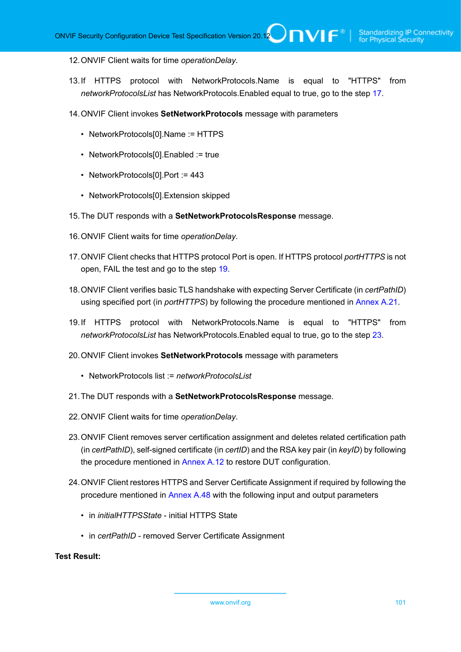#### 12.ONVIF Client waits for time *operationDelay*.

- 13.If HTTPS protocol with NetworkProtocols.Name is equal to "HTTPS" from *networkProtocolsList* has NetworkProtocols.Enabled equal to true, go to the step [17.](#page-100-0)
- 14.ONVIF Client invokes **SetNetworkProtocols** message with parameters
	- NetworkProtocols[0].Name := HTTPS
	- NetworkProtocols[0]. Enabled := true
	- NetworkProtocols[0].Port := 443
	- NetworkProtocols[0].Extension skipped
- 15.The DUT responds with a **SetNetworkProtocolsResponse** message.
- 16.ONVIF Client waits for time *operationDelay*.
- <span id="page-100-0"></span>17.ONVIF Client checks that HTTPS protocol Port is open. If HTTPS protocol *portHTTPS* is not open, FAIL the test and go to the step [19.](#page-100-1)
- <span id="page-100-3"></span>18.ONVIF Client verifies basic TLS handshake with expecting Server Certificate (in *certPathID*) using specified port (in *portHTTPS*) by following the procedure mentioned in [Annex A.21.](#page-178-0)
- <span id="page-100-1"></span>19.If HTTPS protocol with NetworkProtocols.Name is equal to "HTTPS" from *networkProtocolsList* has NetworkProtocols.Enabled equal to true, go to the step [23.](#page-100-2)
- 20.ONVIF Client invokes **SetNetworkProtocols** message with parameters
	- NetworkProtocols list := *networkProtocolsList*
- 21.The DUT responds with a **SetNetworkProtocolsResponse** message.
- 22.ONVIF Client waits for time *operationDelay*.
- <span id="page-100-2"></span>23.ONVIF Client removes server certification assignment and deletes related certification path (in *certPathID*), self-signed certificate (in *certID*) and the RSA key pair (in *keyID*) by following the procedure mentioned in [Annex A.12](#page-169-0) to restore DUT configuration.
- 24.ONVIF Client restores HTTPS and Server Certificate Assignment if required by following the procedure mentioned in [Annex A.48](#page-202-0) with the following input and output parameters
	- in *initialHTTPSState* initial HTTPS State
	- in *certPathID* removed Server Certificate Assignment

**Test Result:**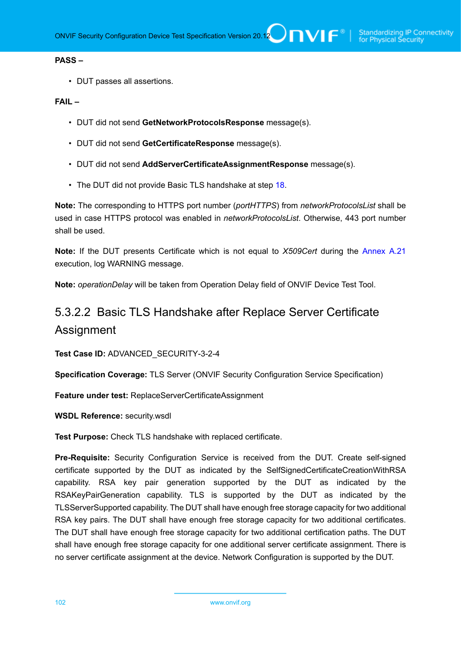#### **PASS –**

• DUT passes all assertions.

#### **FAIL –**

- DUT did not send **GetNetworkProtocolsResponse** message(s).
- DUT did not send **GetCertificateResponse** message(s).
- DUT did not send **AddServerCertificateAssignmentResponse** message(s).
- The DUT did not provide Basic TLS handshake at step [18](#page-100-3).

**Note:** The corresponding to HTTPS port number (*portHTTPS*) from *networkProtocolsList* shall be used in case HTTPS protocol was enabled in *networkProtocolsList*. Otherwise, 443 port number shall be used.

**Note:** If the DUT presents Certificate which is not equal to *X509Cert* during the [Annex A.21](#page-178-0) execution, log WARNING message.

**Note:** *operationDelay* will be taken from Operation Delay field of ONVIF Device Test Tool.

# 5.3.2.2 Basic TLS Handshake after Replace Server Certificate Assignment

**Test Case ID:** ADVANCED\_SECURITY-3-2-4

**Specification Coverage:** TLS Server (ONVIF Security Configuration Service Specification)

**Feature under test:** ReplaceServerCertificateAssignment

**WSDL Reference:** security.wsdl

**Test Purpose:** Check TLS handshake with replaced certificate.

**Pre-Requisite:** Security Configuration Service is received from the DUT. Create self-signed certificate supported by the DUT as indicated by the SelfSignedCertificateCreationWithRSA capability. RSA key pair generation supported by the DUT as indicated by the RSAKeyPairGeneration capability. TLS is supported by the DUT as indicated by the TLSServerSupported capability. The DUT shall have enough free storage capacity for two additional RSA key pairs. The DUT shall have enough free storage capacity for two additional certificates. The DUT shall have enough free storage capacity for two additional certification paths. The DUT shall have enough free storage capacity for one additional server certificate assignment. There is no server certificate assignment at the device. Network Configuration is supported by the DUT.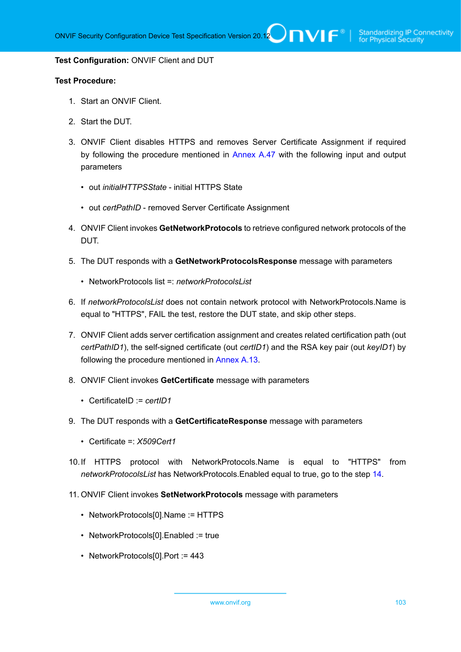#### **Test Configuration:** ONVIF Client and DUT

- 1. Start an ONVIF Client.
- 2. Start the DUT.
- 3. ONVIF Client disables HTTPS and removes Server Certificate Assignment if required by following the procedure mentioned in [Annex A.47](#page-201-0) with the following input and output parameters
	- out *initialHTTPSState* initial HTTPS State
	- out *certPathID* removed Server Certificate Assignment
- 4. ONVIF Client invokes **GetNetworkProtocols** to retrieve configured network protocols of the DUT.
- <span id="page-102-0"></span>5. The DUT responds with a **GetNetworkProtocolsResponse** message with parameters
	- NetworkProtocols list =: *networkProtocolsList*
- 6. If *networkProtocolsList* does not contain network protocol with NetworkProtocols.Name is equal to "HTTPS", FAIL the test, restore the DUT state, and skip other steps.
- 7. ONVIF Client adds server certification assignment and creates related certification path (out *certPathID1*), the self-signed certificate (out *certID1*) and the RSA key pair (out *keyID1*) by following the procedure mentioned in [Annex A.13](#page-170-0).
- 8. ONVIF Client invokes **GetCertificate** message with parameters
	- CertificateID := *certID1*
- 9. The DUT responds with a **GetCertificateResponse** message with parameters
	- Certificate =: *X509Cert1*
- 10.If HTTPS protocol with NetworkProtocols.Name is equal to "HTTPS" from *networkProtocolsList* has NetworkProtocols.Enabled equal to true, go to the step [14.](#page-103-0)
- 11. ONVIF Client invokes **SetNetworkProtocols** message with parameters
	- NetworkProtocols[0].Name := HTTPS
	- NetworkProtocols[0].Enabled := true
	- NetworkProtocols[0].Port := 443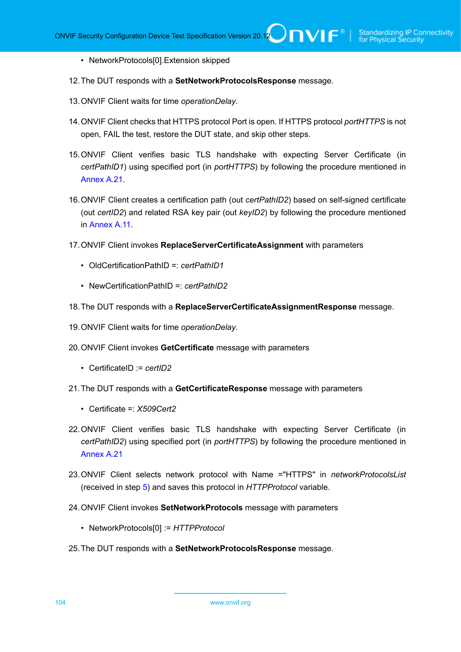- NetworkProtocols[0].Extension skipped
- 12.The DUT responds with a **SetNetworkProtocolsResponse** message.
- 13.ONVIF Client waits for time *operationDelay*.
- <span id="page-103-0"></span>14.ONVIF Client checks that HTTPS protocol Port is open. If HTTPS protocol *portHTTPS* is not open, FAIL the test, restore the DUT state, and skip other steps.
- <span id="page-103-1"></span>15.ONVIF Client verifies basic TLS handshake with expecting Server Certificate (in *certPathID1*) using specified port (in *portHTTPS*) by following the procedure mentioned in [Annex A.21.](#page-178-0)
- 16.ONVIF Client creates a certification path (out *certPathID2*) based on self-signed certificate (out *certID2*) and related RSA key pair (out *keyID2*) by following the procedure mentioned in [Annex](#page-168-0) A.11.
- 17.ONVIF Client invokes **ReplaceServerCertificateAssignment** with parameters
	- OldCertificationPathID =: *certPathID1*
	- NewCertificationPathID =: *certPathID2*
- 18.The DUT responds with a **ReplaceServerCertificateAssignmentResponse** message.
- 19.ONVIF Client waits for time *operationDelay*.
- 20.ONVIF Client invokes **GetCertificate** message with parameters
	- CertificateID := *certID2*
- 21.The DUT responds with a **GetCertificateResponse** message with parameters
	- Certificate =: *X509Cert2*
- <span id="page-103-2"></span>22.ONVIF Client verifies basic TLS handshake with expecting Server Certificate (in *certPathID2*) using specified port (in *portHTTPS*) by following the procedure mentioned in [Annex A.21](#page-178-0)
- 23.ONVIF Client selects network protocol with Name ="HTTPS" in *networkProtocolsList* (received in step [5](#page-102-0)) and saves this protocol in *HTTPProtocol* variable.
- 24.ONVIF Client invokes **SetNetworkProtocols** message with parameters
	- NetworkProtocols[0] := *HTTPProtocol*
- 25.The DUT responds with a **SetNetworkProtocolsResponse** message.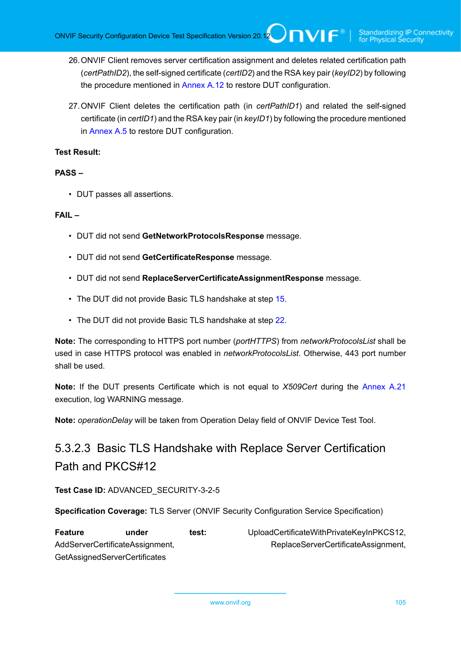ONVIF Security Configuration Device Test Specification Version 20.12 **DIVIF**<sup>®</sup>

- 26.ONVIF Client removes server certification assignment and deletes related certification path (*certPathID2*), the self-signed certificate (*certID2*) and the RSA key pair (*keyID2*) by following the procedure mentioned in [Annex A.12](#page-169-0) to restore DUT configuration.
- 27.ONVIF Client deletes the certification path (in *certPathID1*) and related the self-signed certificate (in *certID1*) and the RSA key pair (in *keyID1*) by following the procedure mentioned in [Annex A.5](#page-163-0) to restore DUT configuration.

#### **Test Result:**

#### **PASS –**

• DUT passes all assertions.

#### **FAIL –**

- DUT did not send **GetNetworkProtocolsResponse** message.
- DUT did not send **GetCertificateResponse** message.
- DUT did not send **ReplaceServerCertificateAssignmentResponse** message.
- The DUT did not provide Basic TLS handshake at step [15](#page-103-1).
- The DUT did not provide Basic TLS handshake at step [22](#page-103-2).

**Note:** The corresponding to HTTPS port number (*portHTTPS*) from *networkProtocolsList* shall be used in case HTTPS protocol was enabled in *networkProtocolsList*. Otherwise, 443 port number shall be used.

**Note:** If the DUT presents Certificate which is not equal to *X509Cert* during the [Annex A.21](#page-178-0) execution, log WARNING message.

**Note:** *operationDelay* will be taken from Operation Delay field of ONVIF Device Test Tool.

# 5.3.2.3 Basic TLS Handshake with Replace Server Certification Path and PKCS#12

**Test Case ID:** ADVANCED\_SECURITY-3-2-5

**Specification Coverage:** TLS Server (ONVIF Security Configuration Service Specification)

| <b>Feature</b>                  | under                                | test: | UploadCertificateWithPrivateKeyInPKCS12, |
|---------------------------------|--------------------------------------|-------|------------------------------------------|
| AddServerCertificateAssignment, |                                      |       | ReplaceServerCertificateAssignment,      |
|                                 | <b>GetAssignedServerCertificates</b> |       |                                          |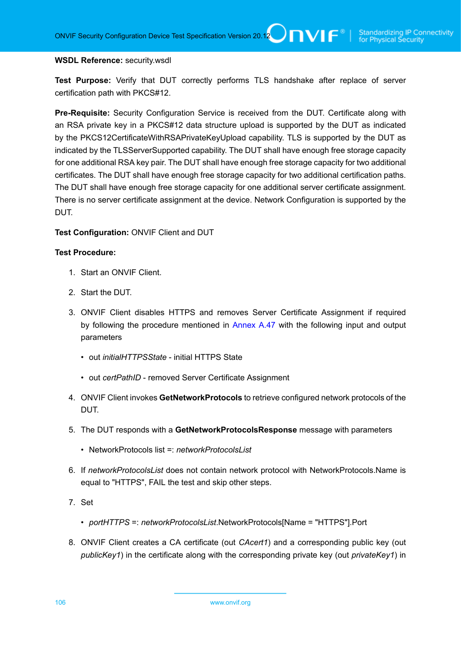#### **WSDL Reference:** security.wsdl

**Test Purpose:** Verify that DUT correctly performs TLS handshake after replace of server certification path with PKCS#12.

**Pre-Requisite:** Security Configuration Service is received from the DUT. Certificate along with an RSA private key in a PKCS#12 data structure upload is supported by the DUT as indicated by the PKCS12CertificateWithRSAPrivateKeyUpload capability. TLS is supported by the DUT as indicated by the TLSServerSupported capability. The DUT shall have enough free storage capacity for one additional RSA key pair. The DUT shall have enough free storage capacity for two additional certificates. The DUT shall have enough free storage capacity for two additional certification paths. The DUT shall have enough free storage capacity for one additional server certificate assignment. There is no server certificate assignment at the device. Network Configuration is supported by the DUT.

#### **Test Configuration:** ONVIF Client and DUT

- 1. Start an ONVIF Client.
- 2. Start the DUT.
- 3. ONVIF Client disables HTTPS and removes Server Certificate Assignment if required by following the procedure mentioned in [Annex A.47](#page-201-0) with the following input and output parameters
	- out *initialHTTPSState* initial HTTPS State
	- out *certPathID* removed Server Certificate Assignment
- 4. ONVIF Client invokes **GetNetworkProtocols** to retrieve configured network protocols of the DUT.
- 5. The DUT responds with a **GetNetworkProtocolsResponse** message with parameters
	- NetworkProtocols list =: *networkProtocolsList*
- 6. If *networkProtocolsList* does not contain network protocol with NetworkProtocols.Name is equal to "HTTPS", FAIL the test and skip other steps.
- 7. Set
	- *portHTTPS* =: *networkProtocolsList*.NetworkProtocols[Name = "HTTPS"].Port
- 8. ONVIF Client creates a CA certificate (out *CAcert1*) and a corresponding public key (out *publicKey1*) in the certificate along with the corresponding private key (out *privateKey1*) in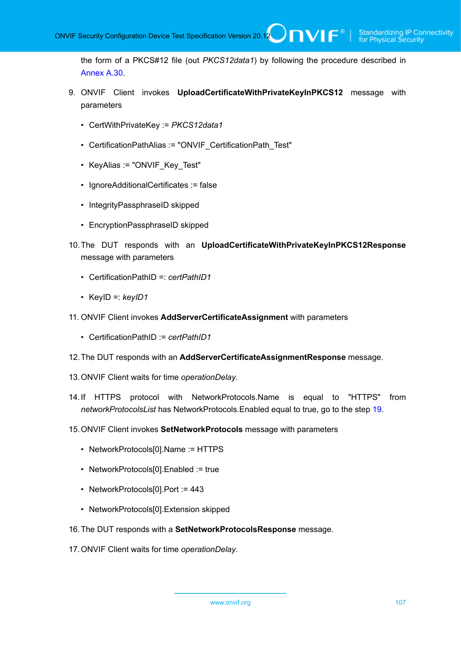the form of a PKCS#12 file (out *PKCS12data1*) by following the procedure described in [Annex A.30.](#page-184-0)

- 9. ONVIF Client invokes **UploadCertificateWithPrivateKeyInPKCS12** message with parameters
	- CertWithPrivateKey := *PKCS12data1*
	- CertificationPathAlias := "ONVIF CertificationPath Test"
	- KeyAlias := "ONVIF Key Test"
	- IgnoreAdditionalCertificates := false
	- IntegrityPassphraseID skipped
	- EncryptionPassphraseID skipped
- 10.The DUT responds with an **UploadCertificateWithPrivateKeyInPKCS12Response** message with parameters
	- CertificationPathID =: *certPathID1*
	- KeyID =: *keyID1*
- 11. ONVIF Client invokes **AddServerCertificateAssignment** with parameters
	- CertificationPathID := *certPathID1*
- 12.The DUT responds with an **AddServerCertificateAssignmentResponse** message.
- 13.ONVIF Client waits for time *operationDelay*.
- 14.If HTTPS protocol with NetworkProtocols.Name is equal to "HTTPS" from *networkProtocolsList* has NetworkProtocols.Enabled equal to true, go to the step [19.](#page-107-0)
- 15.ONVIF Client invokes **SetNetworkProtocols** message with parameters
	- NetworkProtocols[0].Name := HTTPS
	- NetworkProtocols[0]. Enabled := true
	- NetworkProtocols[0].Port := 443
	- NetworkProtocols[0].Extension skipped
- 16.The DUT responds with a **SetNetworkProtocolsResponse** message.
- 17.ONVIF Client waits for time *operationDelay*.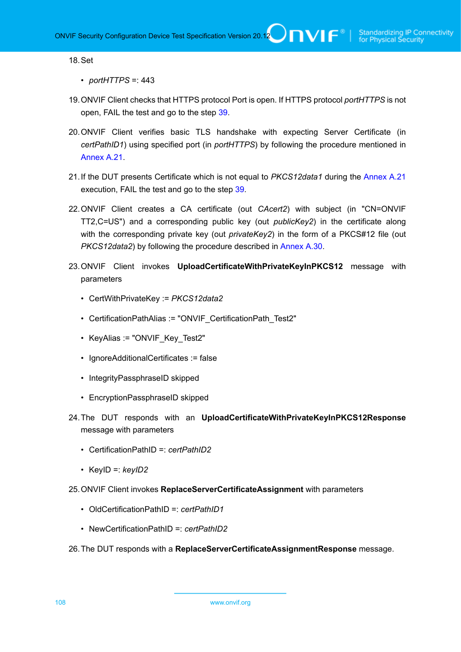#### 18.Set

- *portHTTPS* =: 443
- <span id="page-107-0"></span>19.ONVIF Client checks that HTTPS protocol Port is open. If HTTPS protocol *portHTTPS* is not open, FAIL the test and go to the step [39.](#page-108-0)
- 20.ONVIF Client verifies basic TLS handshake with expecting Server Certificate (in *certPathID1*) using specified port (in *portHTTPS*) by following the procedure mentioned in [Annex A.21.](#page-178-0)
- 21.If the DUT presents Certificate which is not equal to *PKCS12data1* during the [Annex A.21](#page-178-0) execution, FAIL the test and go to the step [39.](#page-108-0)
- 22.ONVIF Client creates a CA certificate (out *CAcert2*) with subject (in "CN=ONVIF TT2,C=US") and a corresponding public key (out *publicKey2*) in the certificate along with the corresponding private key (out *privateKey2*) in the form of a PKCS#12 file (out *PKCS12data2*) by following the procedure described in [Annex A.30.](#page-184-0)
- 23.ONVIF Client invokes **UploadCertificateWithPrivateKeyInPKCS12** message with parameters
	- CertWithPrivateKey := *PKCS12data2*
	- CertificationPathAlias := "ONVIF\_CertificationPath\_Test2"
	- KeyAlias := "ONVIF Key Test2"
	- IgnoreAdditionalCertificates := false
	- IntegrityPassphraseID skipped
	- EncryptionPassphraseID skipped
- 24.The DUT responds with an **UploadCertificateWithPrivateKeyInPKCS12Response** message with parameters
	- CertificationPathID =: *certPathID2*
	- KeyID =: *keyID2*
- 25.ONVIF Client invokes **ReplaceServerCertificateAssignment** with parameters
	- OldCertificationPathID =: *certPathID1*
	- NewCertificationPathID =: *certPathID2*
- 26.The DUT responds with a **ReplaceServerCertificateAssignmentResponse** message.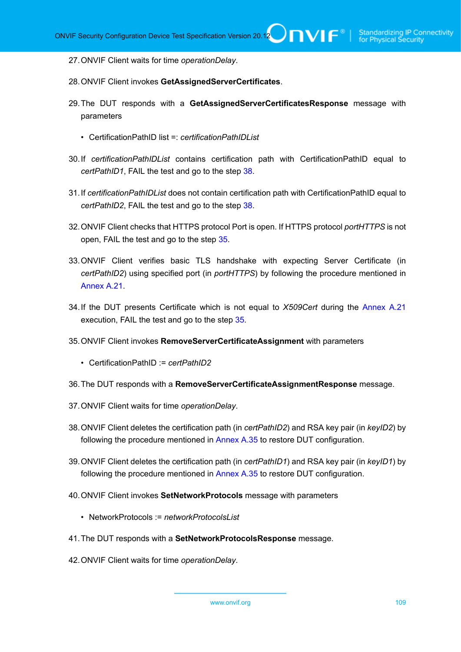- 27.ONVIF Client waits for time *operationDelay*.
- 28.ONVIF Client invokes **GetAssignedServerCertificates**.
- 29.The DUT responds with a **GetAssignedServerCertificatesResponse** message with parameters
	- CertificationPathID list =: *certificationPathIDList*
- 30.If *certificationPathIDList* contains certification path with CertificationPathID equal to *certPathID1*, FAIL the test and go to the step [38](#page-108-0).
- 31.If *certificationPathIDList* does not contain certification path with CertificationPathID equal to *certPathID2*, FAIL the test and go to the step [38](#page-108-0).
- 32.ONVIF Client checks that HTTPS protocol Port is open. If HTTPS protocol *portHTTPS* is not open, FAIL the test and go to the step [35.](#page-108-1)
- <span id="page-108-2"></span>33.ONVIF Client verifies basic TLS handshake with expecting Server Certificate (in *certPathID2*) using specified port (in *portHTTPS*) by following the procedure mentioned in [Annex A.21.](#page-178-0)
- 34.If the DUT presents Certificate which is not equal to *X509Cert* during the [Annex A.21](#page-178-0) execution, FAIL the test and go to the step [35.](#page-108-1)
- <span id="page-108-1"></span>35.ONVIF Client invokes **RemoveServerCertificateAssignment** with parameters
	- CertificationPathID := *certPathID2*
- 36.The DUT responds with a **RemoveServerCertificateAssignmentResponse** message.
- 37.ONVIF Client waits for time *operationDelay*.
- <span id="page-108-0"></span>38.ONVIF Client deletes the certification path (in *certPathID2*) and RSA key pair (in *keyID2*) by following the procedure mentioned in [Annex A.35](#page-189-0) to restore DUT configuration.
- 39.ONVIF Client deletes the certification path (in *certPathID1*) and RSA key pair (in *keyID1*) by following the procedure mentioned in [Annex A.35](#page-189-0) to restore DUT configuration.
- 40.ONVIF Client invokes **SetNetworkProtocols** message with parameters
	- NetworkProtocols := *networkProtocolsList*
- 41.The DUT responds with a **SetNetworkProtocolsResponse** message.
- 42.ONVIF Client waits for time *operationDelay*.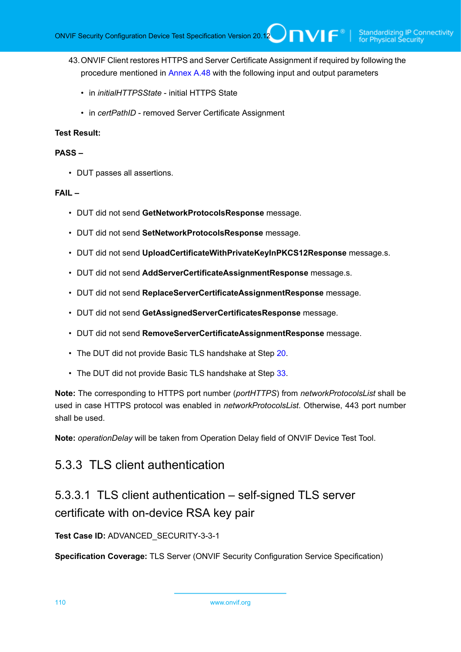- 43.ONVIF Client restores HTTPS and Server Certificate Assignment if required by following the procedure mentioned in [Annex A.48](#page-202-0) with the following input and output parameters
	- in *initialHTTPSState* initial HTTPS State
	- in *certPathID* removed Server Certificate Assignment

#### **PASS –**

• DUT passes all assertions.

#### **FAIL –**

- DUT did not send **GetNetworkProtocolsResponse** message.
- DUT did not send **SetNetworkProtocolsResponse** message.
- DUT did not send **UploadCertificateWithPrivateKeyInPKCS12Response** message.s.
- DUT did not send **AddServerCertificateAssignmentResponse** message.s.
- DUT did not send **ReplaceServerCertificateAssignmentResponse** message.
- DUT did not send **GetAssignedServerCertificatesResponse** message.
- DUT did not send **RemoveServerCertificateAssignmentResponse** message.
- The DUT did not provide Basic TLS handshake at Step [20](#page-107-0).
- The DUT did not provide Basic TLS handshake at Step [33](#page-108-2).

**Note:** The corresponding to HTTPS port number (*portHTTPS*) from *networkProtocolsList* shall be used in case HTTPS protocol was enabled in *networkProtocolsList*. Otherwise, 443 port number shall be used.

**Note:** *operationDelay* will be taken from Operation Delay field of ONVIF Device Test Tool.

# 5.3.3 TLS client authentication

# 5.3.3.1 TLS client authentication – self-signed TLS server certificate with on-device RSA key pair

### **Test Case ID:** ADVANCED\_SECURITY-3-3-1

**Specification Coverage:** TLS Server (ONVIF Security Configuration Service Specification)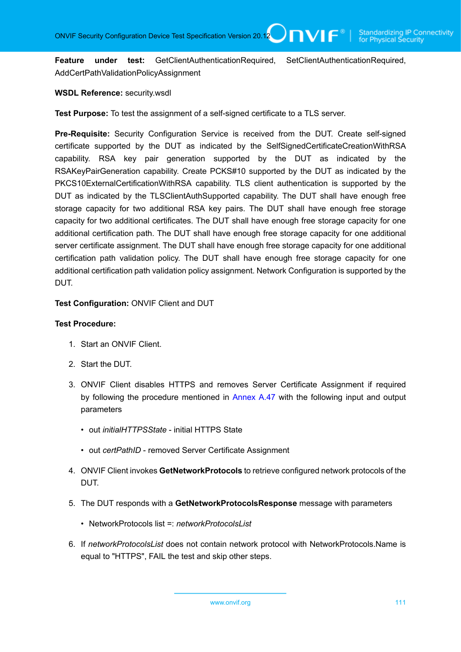**Feature under test:** GetClientAuthenticationRequired, SetClientAuthenticationRequired, AddCertPathValidationPolicyAssignment

**WSDL Reference:** security.wsdl

**Test Purpose:** To test the assignment of a self-signed certificate to a TLS server.

**Pre-Requisite:** Security Configuration Service is received from the DUT. Create self-signed certificate supported by the DUT as indicated by the SelfSignedCertificateCreationWithRSA capability. RSA key pair generation supported by the DUT as indicated by the RSAKeyPairGeneration capability. Create PCKS#10 supported by the DUT as indicated by the PKCS10ExternalCertificationWithRSA capability. TLS client authentication is supported by the DUT as indicated by the TLSClientAuthSupported capability. The DUT shall have enough free storage capacity for two additional RSA key pairs. The DUT shall have enough free storage capacity for two additional certificates. The DUT shall have enough free storage capacity for one additional certification path. The DUT shall have enough free storage capacity for one additional server certificate assignment. The DUT shall have enough free storage capacity for one additional certification path validation policy. The DUT shall have enough free storage capacity for one additional certification path validation policy assignment. Network Configuration is supported by the DUT.

**Test Configuration:** ONVIF Client and DUT

- 1. Start an ONVIF Client.
- 2. Start the DUT.
- 3. ONVIF Client disables HTTPS and removes Server Certificate Assignment if required by following the procedure mentioned in [Annex A.47](#page-201-0) with the following input and output parameters
	- out *initialHTTPSState* initial HTTPS State
	- out *certPathID* removed Server Certificate Assignment
- 4. ONVIF Client invokes **GetNetworkProtocols** to retrieve configured network protocols of the DUT.
- 5. The DUT responds with a **GetNetworkProtocolsResponse** message with parameters
	- NetworkProtocols list =: *networkProtocolsList*
- 6. If *networkProtocolsList* does not contain network protocol with NetworkProtocols.Name is equal to "HTTPS", FAIL the test and skip other steps.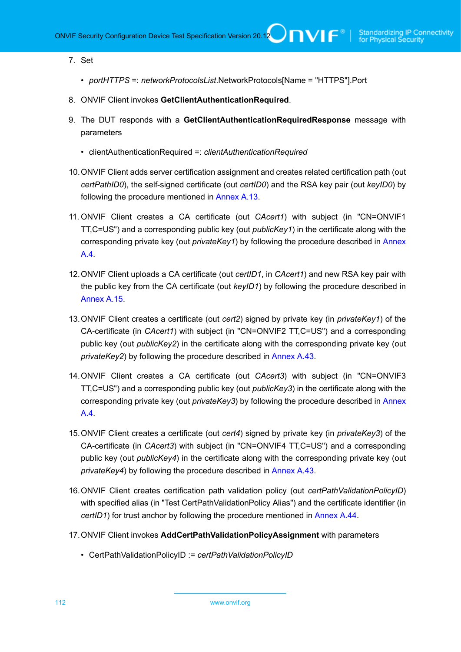### 7. Set

- *portHTTPS* =: *networkProtocolsList*.NetworkProtocols[Name = "HTTPS"].Port
- 8. ONVIF Client invokes **GetClientAuthenticationRequired**.
- 9. The DUT responds with a **GetClientAuthenticationRequiredResponse** message with parameters
	- clientAuthenticationRequired =: *clientAuthenticationRequired*
- 10.ONVIF Client adds server certification assignment and creates related certification path (out *certPathID0*), the self-signed certificate (out *certID0*) and the RSA key pair (out *keyID0*) by following the procedure mentioned in [Annex A.13](#page-170-0).
- 11. ONVIF Client creates a CA certificate (out *CAcert1*) with subject (in "CN=ONVIF1 TT,C=US") and a corresponding public key (out *publicKey1*) in the certificate along with the corresponding private key (out *privateKey1*) by following the procedure described in [Annex](#page-162-0) [A.4](#page-162-0).
- 12.ONVIF Client uploads a CA certificate (out *certID1*, in *CAcert1*) and new RSA key pair with the public key from the CA certificate (out *keyID1*) by following the procedure described in [Annex A.15.](#page-172-0)
- 13.ONVIF Client creates a certificate (out *cert2*) signed by private key (in *privateKey1*) of the CA-certificate (in *CAcert1*) with subject (in "CN=ONVIF2 TT,C=US") and a corresponding public key (out *publicKey2*) in the certificate along with the corresponding private key (out *privateKey2*) by following the procedure described in [Annex A.43](#page-197-0).
- 14.ONVIF Client creates a CA certificate (out *CAcert3*) with subject (in "CN=ONVIF3 TT,C=US") and a corresponding public key (out *publicKey3*) in the certificate along with the corresponding private key (out *privateKey3*) by following the procedure described in [Annex](#page-162-0) [A.4](#page-162-0).
- 15.ONVIF Client creates a certificate (out *cert4*) signed by private key (in *privateKey3*) of the CA-certificate (in *CAcert3*) with subject (in "CN=ONVIF4 TT,C=US") and a corresponding public key (out *publicKey4*) in the certificate along with the corresponding private key (out *privateKey4*) by following the procedure described in [Annex A.43](#page-197-0).
- 16.ONVIF Client creates certification path validation policy (out *certPathValidationPolicyID*) with specified alias (in "Test CertPathValidationPolicy Alias") and the certificate identifier (in *certID1*) for trust anchor by following the procedure mentioned in [Annex A.44.](#page-198-0)
- 17.ONVIF Client invokes **AddCertPathValidationPolicyAssignment** with parameters
	- CertPathValidationPolicyID := *certPathValidationPolicyID*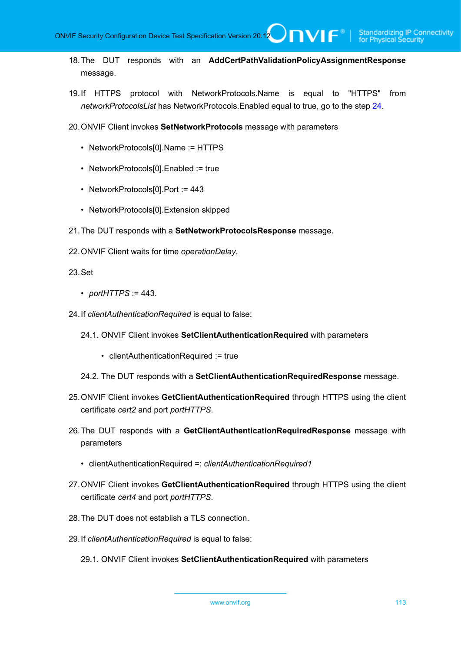- 18.The DUT responds with an **AddCertPathValidationPolicyAssignmentResponse** message.
- 19.If HTTPS protocol with NetworkProtocols.Name is equal to "HTTPS" from *networkProtocolsList* has NetworkProtocols.Enabled equal to true, go to the step [24.](#page-112-0)
- 20.ONVIF Client invokes **SetNetworkProtocols** message with parameters
	- NetworkProtocols[0].Name := HTTPS
	- NetworkProtocols[0].Enabled := true
	- NetworkProtocols[0].Port := 443
	- NetworkProtocols[0].Extension skipped
- 21.The DUT responds with a **SetNetworkProtocolsResponse** message.
- 22.ONVIF Client waits for time *operationDelay*.
- 23.Set
	- *portHTTPS* := 443.
- <span id="page-112-0"></span>24.If *clientAuthenticationRequired* is equal to false:
	- 24.1. ONVIF Client invokes **SetClientAuthenticationRequired** with parameters
		- clientAuthenticationRequired := true
	- 24.2. The DUT responds with a **SetClientAuthenticationRequiredResponse** message.
- 25.ONVIF Client invokes **GetClientAuthenticationRequired** through HTTPS using the client certificate *cert2* and port *portHTTPS*.
- 26.The DUT responds with a **GetClientAuthenticationRequiredResponse** message with parameters
	- clientAuthenticationRequired =: *clientAuthenticationRequired1*
- 27.ONVIF Client invokes **GetClientAuthenticationRequired** through HTTPS using the client certificate *cert4* and port *portHTTPS*.
- <span id="page-112-1"></span>28.The DUT does not establish a TLS connection.
- 29.If *clientAuthenticationRequired* is equal to false:
	- 29.1. ONVIF Client invokes **SetClientAuthenticationRequired** with parameters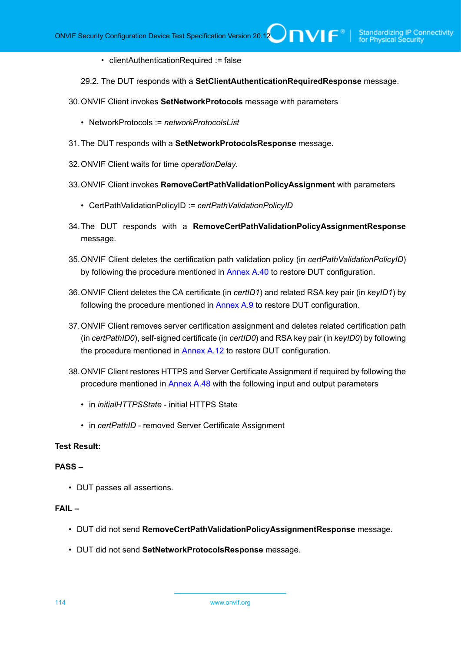• clientAuthenticationRequired := false

29.2. The DUT responds with a **SetClientAuthenticationRequiredResponse** message.

- 30.ONVIF Client invokes **SetNetworkProtocols** message with parameters
	- NetworkProtocols := *networkProtocolsList*
- 31.The DUT responds with a **SetNetworkProtocolsResponse** message.
- 32.ONVIF Client waits for time *operationDelay*.
- 33.ONVIF Client invokes **RemoveCertPathValidationPolicyAssignment** with parameters
	- CertPathValidationPolicyID := *certPathValidationPolicyID*
- 34.The DUT responds with a **RemoveCertPathValidationPolicyAssignmentResponse** message.
- 35.ONVIF Client deletes the certification path validation policy (in *certPathValidationPolicyID*) by following the procedure mentioned in [Annex A.40](#page-194-0) to restore DUT configuration.
- 36.ONVIF Client deletes the CA certificate (in *certID1*) and related RSA key pair (in *keyID1*) by following the procedure mentioned in [Annex A.9](#page-167-0) to restore DUT configuration.
- 37.ONVIF Client removes server certification assignment and deletes related certification path (in *certPathID0*), self-signed certificate (in *certID0*) and RSA key pair (in *keyID0*) by following the procedure mentioned in [Annex A.12](#page-169-0) to restore DUT configuration.
- 38.ONVIF Client restores HTTPS and Server Certificate Assignment if required by following the procedure mentioned in [Annex A.48](#page-202-0) with the following input and output parameters
	- in *initialHTTPSState* initial HTTPS State
	- in *certPathID* removed Server Certificate Assignment

# **Test Result:**

#### **PASS –**

• DUT passes all assertions.

#### **FAIL –**

- DUT did not send **RemoveCertPathValidationPolicyAssignmentResponse** message.
- DUT did not send **SetNetworkProtocolsResponse** message.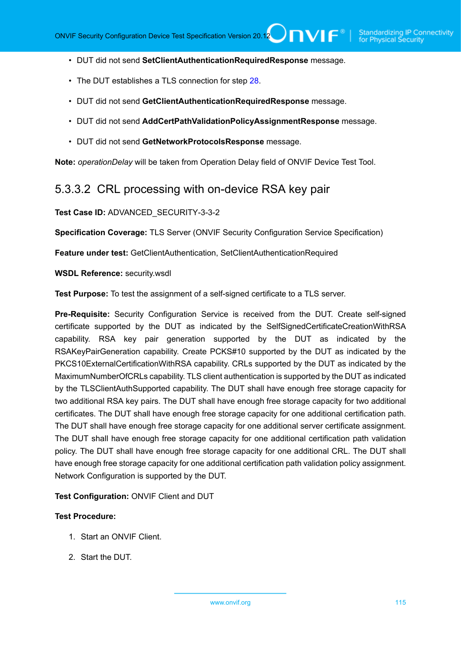- DUT did not send **SetClientAuthenticationRequiredResponse** message.
- The DUT establishes a TLS connection for step [28](#page-112-1).
- DUT did not send **GetClientAuthenticationRequiredResponse** message.
- DUT did not send **AddCertPathValidationPolicyAssignmentResponse** message.
- DUT did not send **GetNetworkProtocolsResponse** message.

**Note:** *operationDelay* will be taken from Operation Delay field of ONVIF Device Test Tool.

# 5.3.3.2 CRL processing with on-device RSA key pair

**Test Case ID:** ADVANCED\_SECURITY-3-3-2

**Specification Coverage:** TLS Server (ONVIF Security Configuration Service Specification)

**Feature under test:** GetClientAuthentication, SetClientAuthenticationRequired

#### **WSDL Reference:** security.wsdl

**Test Purpose:** To test the assignment of a self-signed certificate to a TLS server.

**Pre-Requisite:** Security Configuration Service is received from the DUT. Create self-signed certificate supported by the DUT as indicated by the SelfSignedCertificateCreationWithRSA capability. RSA key pair generation supported by the DUT as indicated by the RSAKeyPairGeneration capability. Create PCKS#10 supported by the DUT as indicated by the PKCS10ExternalCertificationWithRSA capability. CRLs supported by the DUT as indicated by the MaximumNumberOfCRLs capability. TLS client authentication is supported by the DUT as indicated by the TLSClientAuthSupported capability. The DUT shall have enough free storage capacity for two additional RSA key pairs. The DUT shall have enough free storage capacity for two additional certificates. The DUT shall have enough free storage capacity for one additional certification path. The DUT shall have enough free storage capacity for one additional server certificate assignment. The DUT shall have enough free storage capacity for one additional certification path validation policy. The DUT shall have enough free storage capacity for one additional CRL. The DUT shall have enough free storage capacity for one additional certification path validation policy assignment. Network Configuration is supported by the DUT.

**Test Configuration:** ONVIF Client and DUT

- 1. Start an ONVIF Client.
- 2. Start the DUT.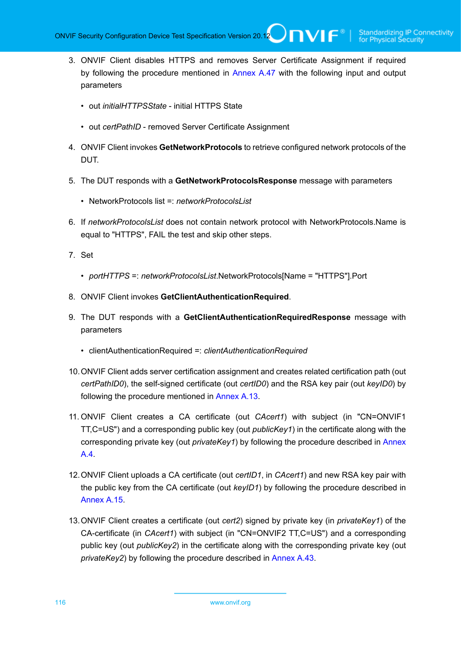- 3. ONVIF Client disables HTTPS and removes Server Certificate Assignment if required by following the procedure mentioned in [Annex A.47](#page-201-0) with the following input and output parameters
	- out *initialHTTPSState* initial HTTPS State
	- out *certPathID* removed Server Certificate Assignment
- 4. ONVIF Client invokes **GetNetworkProtocols** to retrieve configured network protocols of the DUT.
- 5. The DUT responds with a **GetNetworkProtocolsResponse** message with parameters
	- NetworkProtocols list =: *networkProtocolsList*
- 6. If *networkProtocolsList* does not contain network protocol with NetworkProtocols.Name is equal to "HTTPS", FAIL the test and skip other steps.
- 7. Set
	- *portHTTPS* =: *networkProtocolsList*.NetworkProtocols[Name = "HTTPS"].Port
- 8. ONVIF Client invokes **GetClientAuthenticationRequired**.
- 9. The DUT responds with a **GetClientAuthenticationRequiredResponse** message with parameters
	- clientAuthenticationRequired =: *clientAuthenticationRequired*
- 10.ONVIF Client adds server certification assignment and creates related certification path (out *certPathID0*), the self-signed certificate (out *certID0*) and the RSA key pair (out *keyID0*) by following the procedure mentioned in [Annex A.13](#page-170-0).
- 11. ONVIF Client creates a CA certificate (out *CAcert1*) with subject (in "CN=ONVIF1 TT,C=US") and a corresponding public key (out *publicKey1*) in the certificate along with the corresponding private key (out *privateKey1*) by following the procedure described in [Annex](#page-162-0) [A.4](#page-162-0).
- 12.ONVIF Client uploads a CA certificate (out *certID1*, in *CAcert1*) and new RSA key pair with the public key from the CA certificate (out *keyID1*) by following the procedure described in [Annex A.15.](#page-172-0)
- 13.ONVIF Client creates a certificate (out *cert2*) signed by private key (in *privateKey1*) of the CA-certificate (in *CAcert1*) with subject (in "CN=ONVIF2 TT,C=US") and a corresponding public key (out *publicKey2*) in the certificate along with the corresponding private key (out *privateKey2*) by following the procedure described in [Annex A.43](#page-197-0).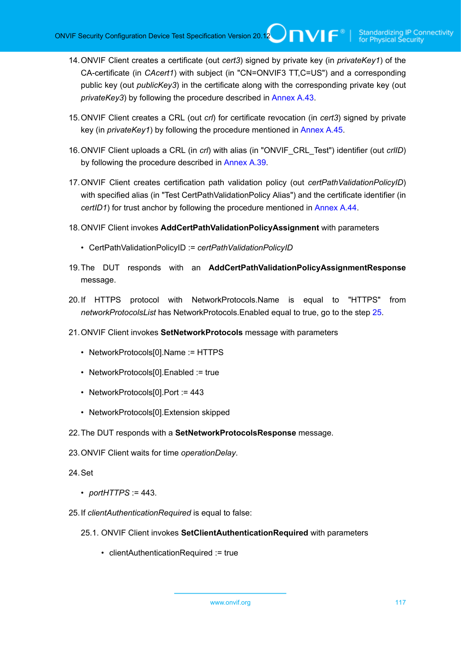- 14.ONVIF Client creates a certificate (out *cert3*) signed by private key (in *privateKey1*) of the CA-certificate (in *CAcert1*) with subject (in "CN=ONVIF3 TT,C=US") and a corresponding public key (out *publicKey3*) in the certificate along with the corresponding private key (out *privateKey3*) by following the procedure described in [Annex A.43](#page-197-0).
- 15.ONVIF Client creates a CRL (out *crl*) for certificate revocation (in *cert3*) signed by private key (in *privateKey1*) by following the procedure mentioned in [Annex A.45.](#page-199-0)
- 16.ONVIF Client uploads a CRL (in *crl*) with alias (in "ONVIF\_CRL\_Test") identifier (out *crlID*) by following the procedure described in [Annex A.39.](#page-193-0)
- 17.ONVIF Client creates certification path validation policy (out *certPathValidationPolicyID*) with specified alias (in "Test CertPathValidationPolicy Alias") and the certificate identifier (in *certID1*) for trust anchor by following the procedure mentioned in [Annex A.44.](#page-198-0)
- 18.ONVIF Client invokes **AddCertPathValidationPolicyAssignment** with parameters
	- CertPathValidationPolicyID := *certPathValidationPolicyID*
- 19.The DUT responds with an **AddCertPathValidationPolicyAssignmentResponse** message.
- 20.If HTTPS protocol with NetworkProtocols.Name is equal to "HTTPS" from *networkProtocolsList* has NetworkProtocols.Enabled equal to true, go to the step [25.](#page-116-0)
- 21.ONVIF Client invokes **SetNetworkProtocols** message with parameters
	- NetworkProtocols[0].Name := HTTPS
	- NetworkProtocols[0].Enabled := true
	- NetworkProtocols[0].Port := 443
	- NetworkProtocols[0].Extension skipped
- 22.The DUT responds with a **SetNetworkProtocolsResponse** message.
- 23.ONVIF Client waits for time *operationDelay*.
- 24.Set
	- *portHTTPS* := 443.
- <span id="page-116-0"></span>25.If *clientAuthenticationRequired* is equal to false:
	- 25.1. ONVIF Client invokes **SetClientAuthenticationRequired** with parameters
		- clientAuthenticationRequired := true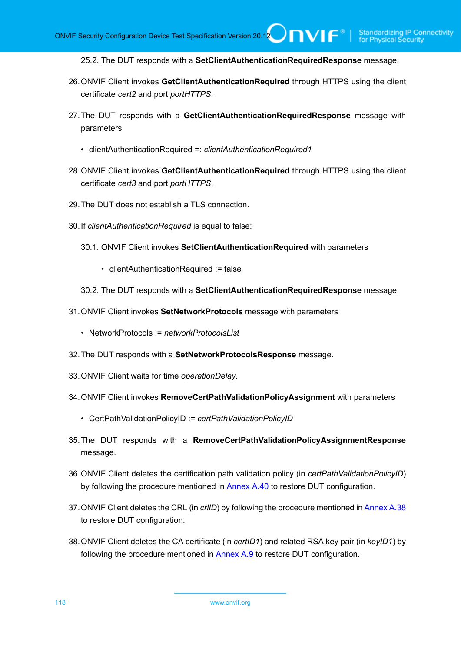25.2. The DUT responds with a **SetClientAuthenticationRequiredResponse** message.

- 26.ONVIF Client invokes **GetClientAuthenticationRequired** through HTTPS using the client certificate *cert2* and port *portHTTPS*.
- 27.The DUT responds with a **GetClientAuthenticationRequiredResponse** message with parameters
	- clientAuthenticationRequired =: *clientAuthenticationRequired1*
- 28.ONVIF Client invokes **GetClientAuthenticationRequired** through HTTPS using the client certificate *cert3* and port *portHTTPS*.
- <span id="page-117-0"></span>29.The DUT does not establish a TLS connection.
- 30.If *clientAuthenticationRequired* is equal to false:
	- 30.1. ONVIF Client invokes **SetClientAuthenticationRequired** with parameters
		- clientAuthenticationRequired := false
	- 30.2. The DUT responds with a **SetClientAuthenticationRequiredResponse** message.
- 31.ONVIF Client invokes **SetNetworkProtocols** message with parameters
	- NetworkProtocols := *networkProtocolsList*
- 32.The DUT responds with a **SetNetworkProtocolsResponse** message.
- 33.ONVIF Client waits for time *operationDelay*.
- 34.ONVIF Client invokes **RemoveCertPathValidationPolicyAssignment** with parameters
	- CertPathValidationPolicyID := *certPathValidationPolicyID*
- 35.The DUT responds with a **RemoveCertPathValidationPolicyAssignmentResponse** message.
- 36.ONVIF Client deletes the certification path validation policy (in *certPathValidationPolicyID*) by following the procedure mentioned in [Annex A.40](#page-194-0) to restore DUT configuration.
- 37.ONVIF Client deletes the CRL (in *crlID*) by following the procedure mentioned in [Annex A.38](#page-193-1) to restore DUT configuration.
- 38.ONVIF Client deletes the CA certificate (in *certID1*) and related RSA key pair (in *keyID1*) by following the procedure mentioned in [Annex A.9](#page-167-0) to restore DUT configuration.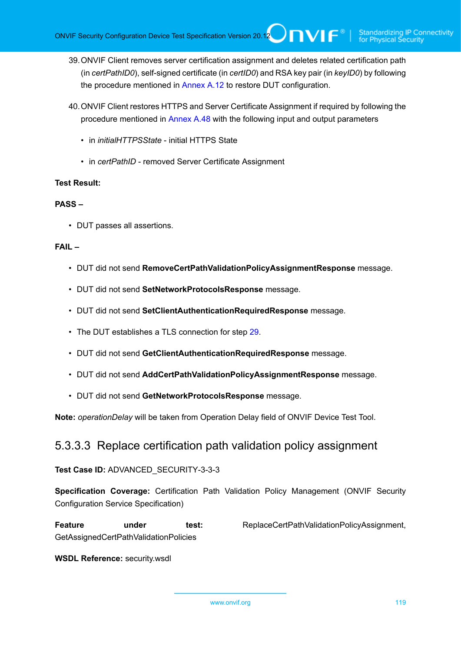- 39.ONVIF Client removes server certification assignment and deletes related certification path (in *certPathID0*), self-signed certificate (in *certID0*) and RSA key pair (in *keyID0*) by following the procedure mentioned in [Annex A.12](#page-169-0) to restore DUT configuration.
- 40.ONVIF Client restores HTTPS and Server Certificate Assignment if required by following the procedure mentioned in [Annex A.48](#page-202-0) with the following input and output parameters
	- in *initialHTTPSState* initial HTTPS State
	- in *certPathID* removed Server Certificate Assignment

# **PASS –**

• DUT passes all assertions.

# **FAIL –**

- DUT did not send **RemoveCertPathValidationPolicyAssignmentResponse** message.
- DUT did not send **SetNetworkProtocolsResponse** message.
- DUT did not send **SetClientAuthenticationRequiredResponse** message.
- The DUT establishes a TLS connection for step [29](#page-117-0).
- DUT did not send **GetClientAuthenticationRequiredResponse** message.
- DUT did not send **AddCertPathValidationPolicyAssignmentResponse** message.
- DUT did not send **GetNetworkProtocolsResponse** message.

**Note:** *operationDelay* will be taken from Operation Delay field of ONVIF Device Test Tool.

# 5.3.3.3 Replace certification path validation policy assignment

### **Test Case ID:** ADVANCED\_SECURITY-3-3-3

**Specification Coverage:** Certification Path Validation Policy Management (ONVIF Security Configuration Service Specification)

Feature under test: ReplaceCertPathValidationPolicyAssignment, GetAssignedCertPathValidationPolicies

### **WSDL Reference:** security.wsdl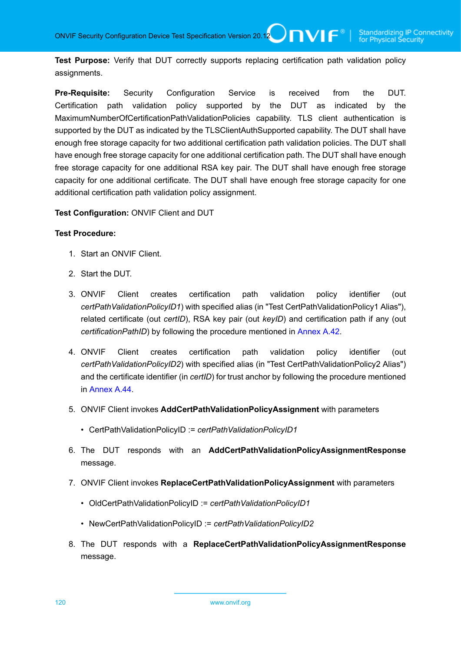**Test Purpose:** Verify that DUT correctly supports replacing certification path validation policy assignments.

**Pre-Requisite:** Security Configuration Service is received from the DUT. Certification path validation policy supported by the DUT as indicated by the MaximumNumberOfCertificationPathValidationPolicies capability. TLS client authentication is supported by the DUT as indicated by the TLSClientAuthSupported capability. The DUT shall have enough free storage capacity for two additional certification path validation policies. The DUT shall have enough free storage capacity for one additional certification path. The DUT shall have enough free storage capacity for one additional RSA key pair. The DUT shall have enough free storage capacity for one additional certificate. The DUT shall have enough free storage capacity for one additional certification path validation policy assignment.

**Test Configuration:** ONVIF Client and DUT

### **Test Procedure:**

- 1. Start an ONVIF Client.
- 2. Start the DUT.
- 3. ONVIF Client creates certification path validation policy identifier (out *certPathValidationPolicyID1*) with specified alias (in "Test CertPathValidationPolicy1 Alias"), related certificate (out *certID*), RSA key pair (out *keyID*) and certification path if any (out *certificationPathID*) by following the procedure mentioned in [Annex A.42.](#page-197-1)
- 4. ONVIF Client creates certification path validation policy identifier (out *certPathValidationPolicyID2*) with specified alias (in "Test CertPathValidationPolicy2 Alias") and the certificate identifier (in *certID*) for trust anchor by following the procedure mentioned in [Annex A.44.](#page-198-0)
- 5. ONVIF Client invokes **AddCertPathValidationPolicyAssignment** with parameters
	- CertPathValidationPolicyID := *certPathValidationPolicyID1*
- 6. The DUT responds with an **AddCertPathValidationPolicyAssignmentResponse** message.
- 7. ONVIF Client invokes **ReplaceCertPathValidationPolicyAssignment** with parameters
	- OldCertPathValidationPolicyID := *certPathValidationPolicyID1*
	- NewCertPathValidationPolicyID := *certPathValidationPolicyID2*
- 8. The DUT responds with a **ReplaceCertPathValidationPolicyAssignmentResponse** message.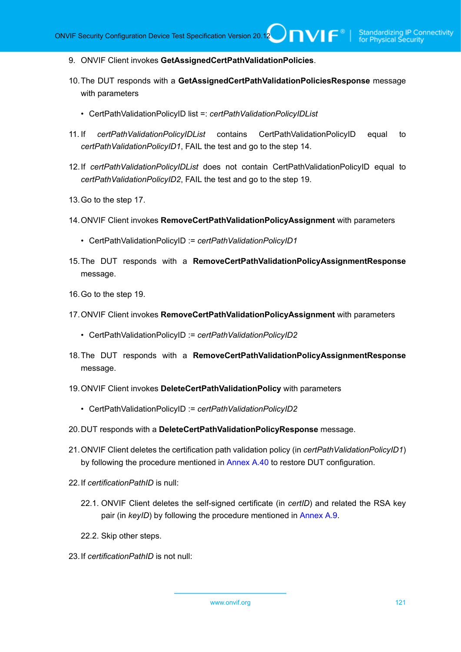- 9. ONVIF Client invokes **GetAssignedCertPathValidationPolicies**.
- 10.The DUT responds with a **GetAssignedCertPathValidationPoliciesResponse** message with parameters
	- CertPathValidationPolicyID list =: *certPathValidationPolicyIDList*
- 11. If *certPathValidationPolicyIDList* contains CertPathValidationPolicyID equal to *certPathValidationPolicyID1*, FAIL the test and go to the step 14.
- 12.If *certPathValidationPolicyIDList* does not contain CertPathValidationPolicyID equal to *certPathValidationPolicyID2*, FAIL the test and go to the step 19.
- 13.Go to the step 17.
- 14.ONVIF Client invokes **RemoveCertPathValidationPolicyAssignment** with parameters
	- CertPathValidationPolicyID := *certPathValidationPolicyID1*
- 15.The DUT responds with a **RemoveCertPathValidationPolicyAssignmentResponse** message.
- 16.Go to the step 19.
- 17.ONVIF Client invokes **RemoveCertPathValidationPolicyAssignment** with parameters
	- CertPathValidationPolicyID := *certPathValidationPolicyID2*
- 18.The DUT responds with a **RemoveCertPathValidationPolicyAssignmentResponse** message.
- 19.ONVIF Client invokes **DeleteCertPathValidationPolicy** with parameters
	- CertPathValidationPolicyID := *certPathValidationPolicyID2*
- 20.DUT responds with a **DeleteCertPathValidationPolicyResponse** message.
- 21.ONVIF Client deletes the certification path validation policy (in *certPathValidationPolicyID1*) by following the procedure mentioned in [Annex A.40](#page-194-0) to restore DUT configuration.
- 22.If *certificationPathID* is null:
	- 22.1. ONVIF Client deletes the self-signed certificate (in *certID*) and related the RSA key pair (in *keyID*) by following the procedure mentioned in [Annex A.9.](#page-167-0)
	- 22.2. Skip other steps.
- 23.If *certificationPathID* is not null: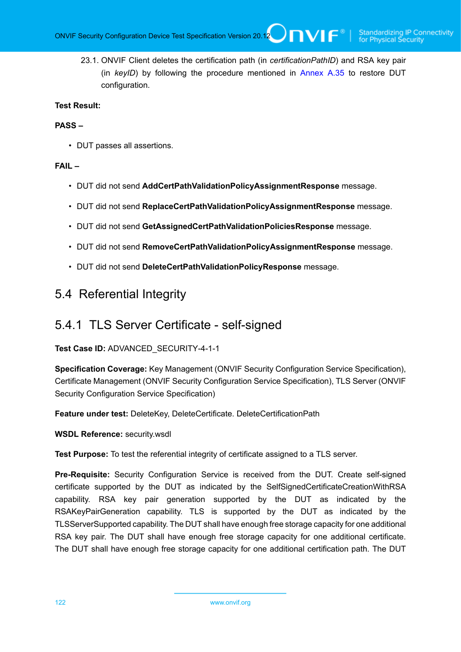23.1. ONVIF Client deletes the certification path (in *certificationPathID*) and RSA key pair (in *keyID*) by following the procedure mentioned in [Annex A.35](#page-189-0) to restore DUT configuration.

# **Test Result:**

# **PASS –**

• DUT passes all assertions.

# **FAIL –**

- DUT did not send **AddCertPathValidationPolicyAssignmentResponse** message.
- DUT did not send **ReplaceCertPathValidationPolicyAssignmentResponse** message.
- DUT did not send **GetAssignedCertPathValidationPoliciesResponse** message.
- DUT did not send **RemoveCertPathValidationPolicyAssignmentResponse** message.
- DUT did not send **DeleteCertPathValidationPolicyResponse** message.

# 5.4 Referential Integrity

# 5.4.1 TLS Server Certificate - self-signed

### **Test Case ID:** ADVANCED\_SECURITY-4-1-1

**Specification Coverage:** Key Management (ONVIF Security Configuration Service Specification), Certificate Management (ONVIF Security Configuration Service Specification), TLS Server (ONVIF Security Configuration Service Specification)

**Feature under test:** DeleteKey, DeleteCertificate. DeleteCertificationPath

**WSDL Reference:** security.wsdl

**Test Purpose:** To test the referential integrity of certificate assigned to a TLS server.

**Pre-Requisite:** Security Configuration Service is received from the DUT. Create self-signed certificate supported by the DUT as indicated by the SelfSignedCertificateCreationWithRSA capability. RSA key pair generation supported by the DUT as indicated by the RSAKeyPairGeneration capability. TLS is supported by the DUT as indicated by the TLSServerSupported capability. The DUT shall have enough free storage capacity for one additional RSA key pair. The DUT shall have enough free storage capacity for one additional certificate. The DUT shall have enough free storage capacity for one additional certification path. The DUT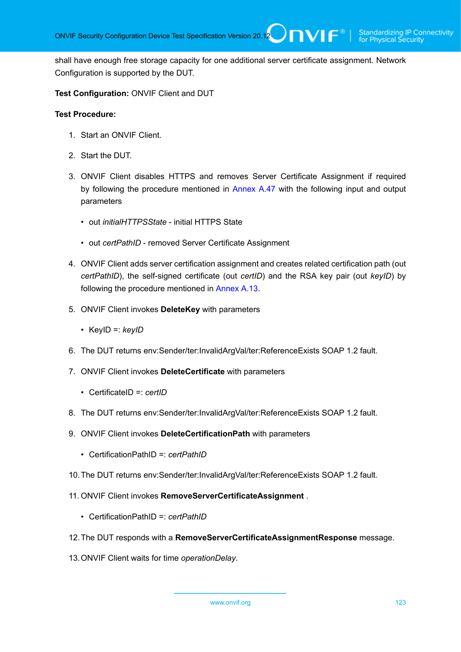shall have enough free storage capacity for one additional server certificate assignment. Network Configuration is supported by the DUT.

**Test Configuration:** ONVIF Client and DUT

- 1. Start an ONVIF Client.
- 2. Start the DUT.
- 3. ONVIF Client disables HTTPS and removes Server Certificate Assignment if required by following the procedure mentioned in [Annex A.47](#page-201-0) with the following input and output parameters
	- out *initialHTTPSState* initial HTTPS State
	- out *certPathID* removed Server Certificate Assignment
- 4. ONVIF Client adds server certification assignment and creates related certification path (out *certPathID*), the self-signed certificate (out *certID*) and the RSA key pair (out *keyID*) by following the procedure mentioned in [Annex A.13](#page-170-0).
- 5. ONVIF Client invokes **DeleteKey** with parameters
	- KeyID =: *keyID*
- 6. The DUT returns env:Sender/ter:InvalidArgVal/ter:ReferenceExists SOAP 1.2 fault.
- 7. ONVIF Client invokes **DeleteCertificate** with parameters
	- CertificateID =: *certID*
- 8. The DUT returns env:Sender/ter:InvalidArgVal/ter:ReferenceExists SOAP 1.2 fault.
- 9. ONVIF Client invokes **DeleteCertificationPath** with parameters
	- CertificationPathID =: *certPathID*
- 10.The DUT returns env:Sender/ter:InvalidArgVal/ter:ReferenceExists SOAP 1.2 fault.
- 11. ONVIF Client invokes **RemoveServerCertificateAssignment** .
	- CertificationPathID =: *certPathID*
- 12.The DUT responds with a **RemoveServerCertificateAssignmentResponse** message.
- 13.ONVIF Client waits for time *operationDelay*.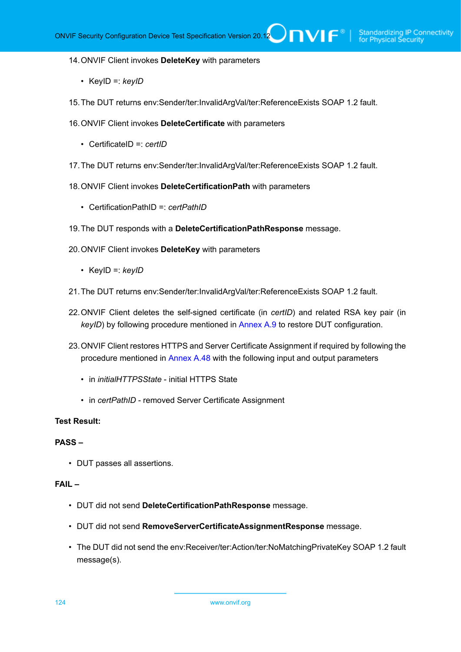#### 14.ONVIF Client invokes **DeleteKey** with parameters

- KeyID =: *keyID*
- 15.The DUT returns env:Sender/ter:InvalidArgVal/ter:ReferenceExists SOAP 1.2 fault.
- 16.ONVIF Client invokes **DeleteCertificate** with parameters
	- CertificateID =: *certID*
- 17.The DUT returns env:Sender/ter:InvalidArgVal/ter:ReferenceExists SOAP 1.2 fault.
- 18.ONVIF Client invokes **DeleteCertificationPath** with parameters
	- CertificationPathID =: *certPathID*
- 19.The DUT responds with a **DeleteCertificationPathResponse** message.
- 20.ONVIF Client invokes **DeleteKey** with parameters
	- KeyID =: *keyID*
- 21.The DUT returns env:Sender/ter:InvalidArgVal/ter:ReferenceExists SOAP 1.2 fault.
- 22.ONVIF Client deletes the self-signed certificate (in *certID*) and related RSA key pair (in *keyID*) by following procedure mentioned in [Annex A.9](#page-167-0) to restore DUT configuration.
- 23.ONVIF Client restores HTTPS and Server Certificate Assignment if required by following the procedure mentioned in [Annex A.48](#page-202-0) with the following input and output parameters
	- in *initialHTTPSState* initial HTTPS State
	- in *certPathID* removed Server Certificate Assignment

#### **Test Result:**

#### **PASS –**

• DUT passes all assertions.

#### **FAIL –**

- DUT did not send **DeleteCertificationPathResponse** message.
- DUT did not send **RemoveServerCertificateAssignmentResponse** message.
- The DUT did not send the env:Receiver/ter:Action/ter:NoMatchingPrivateKey SOAP 1.2 fault message(s).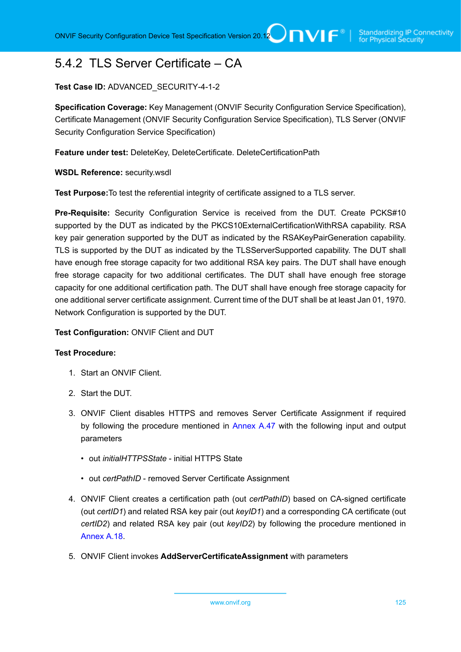# 5.4.2 TLS Server Certificate – CA

# **Test Case ID:** ADVANCED\_SECURITY-4-1-2

**Specification Coverage:** Key Management (ONVIF Security Configuration Service Specification), Certificate Management (ONVIF Security Configuration Service Specification), TLS Server (ONVIF Security Configuration Service Specification)

**Feature under test:** DeleteKey, DeleteCertificate. DeleteCertificationPath

**WSDL Reference:** security.wsdl

**Test Purpose:**To test the referential integrity of certificate assigned to a TLS server.

**Pre-Requisite:** Security Configuration Service is received from the DUT. Create PCKS#10 supported by the DUT as indicated by the PKCS10ExternalCertificationWithRSA capability. RSA key pair generation supported by the DUT as indicated by the RSAKeyPairGeneration capability. TLS is supported by the DUT as indicated by the TLSServerSupported capability. The DUT shall have enough free storage capacity for two additional RSA key pairs. The DUT shall have enough free storage capacity for two additional certificates. The DUT shall have enough free storage capacity for one additional certification path. The DUT shall have enough free storage capacity for one additional server certificate assignment. Current time of the DUT shall be at least Jan 01, 1970. Network Configuration is supported by the DUT.

### **Test Configuration:** ONVIF Client and DUT

- 1. Start an ONVIF Client.
- 2. Start the DUT.
- 3. ONVIF Client disables HTTPS and removes Server Certificate Assignment if required by following the procedure mentioned in [Annex A.47](#page-201-0) with the following input and output parameters
	- out *initialHTTPSState* initial HTTPS State
	- out *certPathID* removed Server Certificate Assignment
- 4. ONVIF Client creates a certification path (out *certPathID*) based on CA-signed certificate (out *certID1*) and related RSA key pair (out *keyID1*) and a corresponding CA certificate (out *certID2*) and related RSA key pair (out *keyID2*) by following the procedure mentioned in [Annex A.18.](#page-175-0)
- 5. ONVIF Client invokes **AddServerCertificateAssignment** with parameters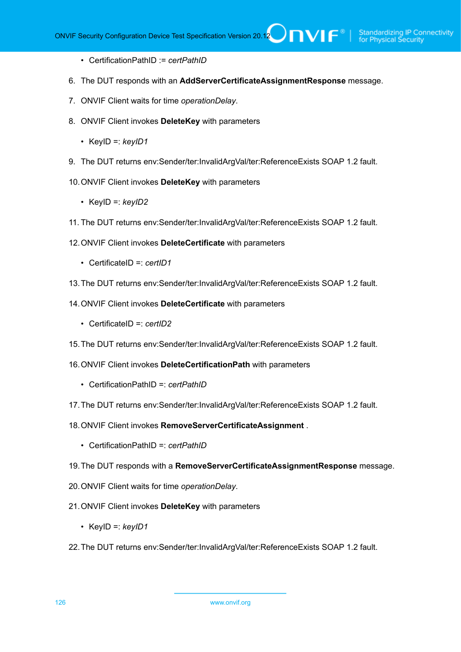- CertificationPathID := *certPathID*
- 6. The DUT responds with an **AddServerCertificateAssignmentResponse** message.
- 7. ONVIF Client waits for time *operationDelay*.
- 8. ONVIF Client invokes **DeleteKey** with parameters
	- KeyID =: *keyID1*
- 9. The DUT returns env:Sender/ter:InvalidArgVal/ter:ReferenceExists SOAP 1.2 fault.
- 10.ONVIF Client invokes **DeleteKey** with parameters
	- KeyID =: *keyID2*
- 11. The DUT returns env:Sender/ter:InvalidArgVal/ter:ReferenceExists SOAP 1.2 fault.
- 12.ONVIF Client invokes **DeleteCertificate** with parameters
	- CertificateID =: *certID1*
- 13.The DUT returns env:Sender/ter:InvalidArgVal/ter:ReferenceExists SOAP 1.2 fault.
- 14.ONVIF Client invokes **DeleteCertificate** with parameters
	- CertificateID =: *certID2*
- 15.The DUT returns env:Sender/ter:InvalidArgVal/ter:ReferenceExists SOAP 1.2 fault.
- 16.ONVIF Client invokes **DeleteCertificationPath** with parameters
	- CertificationPathID =: *certPathID*
- 17.The DUT returns env:Sender/ter:InvalidArgVal/ter:ReferenceExists SOAP 1.2 fault.
- 18.ONVIF Client invokes **RemoveServerCertificateAssignment** .
	- CertificationPathID =: *certPathID*
- 19.The DUT responds with a **RemoveServerCertificateAssignmentResponse** message.
- 20.ONVIF Client waits for time *operationDelay*.
- 21.ONVIF Client invokes **DeleteKey** with parameters
	- KeyID =: *keyID1*
- 22.The DUT returns env:Sender/ter:InvalidArgVal/ter:ReferenceExists SOAP 1.2 fault.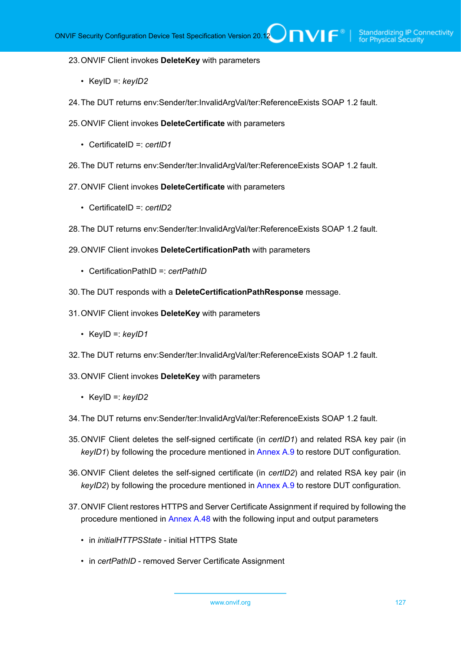#### 23.ONVIF Client invokes **DeleteKey** with parameters

- KeyID =: *keyID2*
- 24.The DUT returns env:Sender/ter:InvalidArgVal/ter:ReferenceExists SOAP 1.2 fault.
- 25.ONVIF Client invokes **DeleteCertificate** with parameters
	- CertificateID =: *certID1*
- 26.The DUT returns env:Sender/ter:InvalidArgVal/ter:ReferenceExists SOAP 1.2 fault.
- 27.ONVIF Client invokes **DeleteCertificate** with parameters
	- CertificateID =: *certID2*
- 28.The DUT returns env:Sender/ter:InvalidArgVal/ter:ReferenceExists SOAP 1.2 fault.
- 29.ONVIF Client invokes **DeleteCertificationPath** with parameters
	- CertificationPathID =: *certPathID*
- 30.The DUT responds with a **DeleteCertificationPathResponse** message.
- 31.ONVIF Client invokes **DeleteKey** with parameters
	- KeyID =: *keyID1*
- 32.The DUT returns env:Sender/ter:InvalidArgVal/ter:ReferenceExists SOAP 1.2 fault.
- 33.ONVIF Client invokes **DeleteKey** with parameters
	- KeyID =: *keyID2*
- 34.The DUT returns env:Sender/ter:InvalidArgVal/ter:ReferenceExists SOAP 1.2 fault.
- 35.ONVIF Client deletes the self-signed certificate (in *certID1*) and related RSA key pair (in *keyID1*) by following the procedure mentioned in [Annex A.9](#page-167-0) to restore DUT configuration.
- 36.ONVIF Client deletes the self-signed certificate (in *certID2*) and related RSA key pair (in *keyID2*) by following the procedure mentioned in [Annex A.9](#page-167-0) to restore DUT configuration.
- 37.ONVIF Client restores HTTPS and Server Certificate Assignment if required by following the procedure mentioned in [Annex A.48](#page-202-0) with the following input and output parameters
	- in *initialHTTPSState* initial HTTPS State
	- in *certPathID* removed Server Certificate Assignment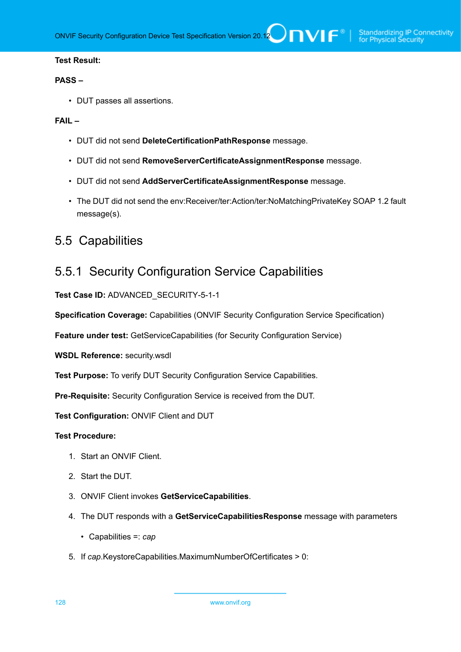### **PASS –**

• DUT passes all assertions.

# **FAIL –**

- DUT did not send **DeleteCertificationPathResponse** message.
- DUT did not send **RemoveServerCertificateAssignmentResponse** message.
- DUT did not send **AddServerCertificateAssignmentResponse** message.
- The DUT did not send the env:Receiver/ter:Action/ter:NoMatchingPrivateKey SOAP 1.2 fault message(s).

# 5.5 Capabilities

# 5.5.1 Security Configuration Service Capabilities

**Test Case ID:** ADVANCED\_SECURITY-5-1-1

**Specification Coverage:** Capabilities (ONVIF Security Configuration Service Specification)

**Feature under test:** GetServiceCapabilities (for Security Configuration Service)

**WSDL Reference:** security.wsdl

**Test Purpose:** To verify DUT Security Configuration Service Capabilities.

**Pre-Requisite:** Security Configuration Service is received from the DUT.

**Test Configuration:** ONVIF Client and DUT

- 1. Start an ONVIF Client.
- 2. Start the DUT.
- 3. ONVIF Client invokes **GetServiceCapabilities**.
- 4. The DUT responds with a **GetServiceCapabilitiesResponse** message with parameters
	- Capabilities =: *cap*
- 5. If *cap*.KeystoreCapabilities.MaximumNumberOfCertificates > 0: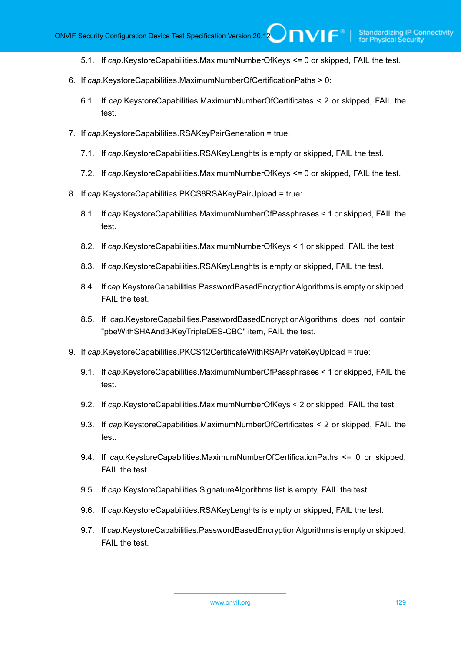- 5.1. If *cap*.KeystoreCapabilities.MaximumNumberOfKeys <= 0 or skipped, FAIL the test.
- 6. If *cap*.KeystoreCapabilities.MaximumNumberOfCertificationPaths > 0:
	- 6.1. If *cap*.KeystoreCapabilities.MaximumNumberOfCertificates < 2 or skipped, FAIL the test.
- 7. If *cap*.KeystoreCapabilities.RSAKeyPairGeneration = true:
	- 7.1. If *cap*.KeystoreCapabilities.RSAKeyLenghts is empty or skipped, FAIL the test.
	- 7.2. If *cap*.KeystoreCapabilities.MaximumNumberOfKeys <= 0 or skipped, FAIL the test.
- 8. If *cap*.KeystoreCapabilities.PKCS8RSAKeyPairUpload = true:
	- 8.1. If *cap*.KeystoreCapabilities.MaximumNumberOfPassphrases < 1 or skipped, FAIL the test.
	- 8.2. If *cap*.KeystoreCapabilities.MaximumNumberOfKeys < 1 or skipped, FAIL the test.
	- 8.3. If *cap*.KeystoreCapabilities.RSAKeyLenghts is empty or skipped, FAIL the test.
	- 8.4. If *cap*.KeystoreCapabilities.PasswordBasedEncryptionAlgorithms is empty or skipped, FAIL the test.
	- 8.5. If *cap*.KeystoreCapabilities.PasswordBasedEncryptionAlgorithms does not contain "pbeWithSHAAnd3-KeyTripleDES-CBC" item, FAIL the test.
- 9. If *cap*.KeystoreCapabilities.PKCS12CertificateWithRSAPrivateKeyUpload = true:
	- 9.1. If *cap*.KeystoreCapabilities.MaximumNumberOfPassphrases < 1 or skipped, FAIL the test.
	- 9.2. If *cap*.KeystoreCapabilities.MaximumNumberOfKeys < 2 or skipped, FAIL the test.
	- 9.3. If *cap*.KeystoreCapabilities.MaximumNumberOfCertificates < 2 or skipped, FAIL the test.
	- 9.4. If *cap*.KeystoreCapabilities.MaximumNumberOfCertificationPaths <= 0 or skipped, FAIL the test.
	- 9.5. If *cap*.KeystoreCapabilities.SignatureAlgorithms list is empty, FAIL the test.
	- 9.6. If *cap*.KeystoreCapabilities.RSAKeyLenghts is empty or skipped, FAIL the test.
	- 9.7. If *cap*.KeystoreCapabilities.PasswordBasedEncryptionAlgorithms is empty or skipped, FAIL the test.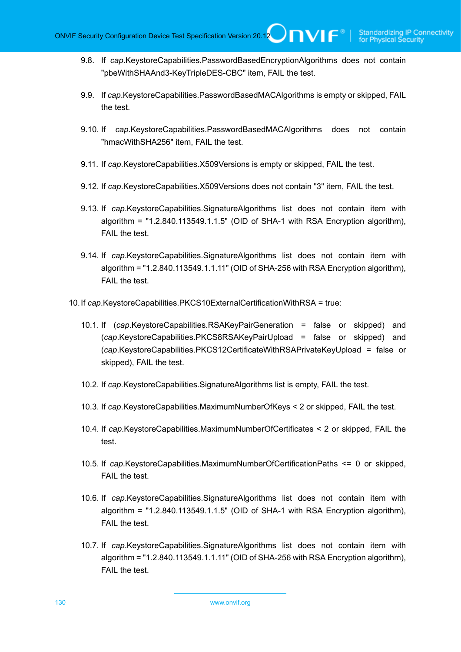- 9.8. If *cap*.KeystoreCapabilities.PasswordBasedEncryptionAlgorithms does not contain "pbeWithSHAAnd3-KeyTripleDES-CBC" item, FAIL the test.
- 9.9. If *cap*.KeystoreCapabilities.PasswordBasedMACAlgorithms is empty or skipped, FAIL the test.
- 9.10. If *cap*.KeystoreCapabilities.PasswordBasedMACAlgorithms does not contain "hmacWithSHA256" item, FAIL the test.
- 9.11. If *cap*.KeystoreCapabilities.X509Versions is empty or skipped, FAIL the test.
- 9.12. If *cap*.KeystoreCapabilities.X509Versions does not contain "3" item, FAIL the test.
- 9.13. If *cap*.KeystoreCapabilities.SignatureAlgorithms list does not contain item with algorithm = "1.2.840.113549.1.1.5" (OID of SHA-1 with RSA Encryption algorithm), FAIL the test.
- 9.14. If *cap*.KeystoreCapabilities.SignatureAlgorithms list does not contain item with algorithm = "1.2.840.113549.1.1.11" (OID of SHA-256 with RSA Encryption algorithm), FAIL the test.
- 10.If *cap*.KeystoreCapabilities.PKCS10ExternalCertificationWithRSA = true:
	- 10.1. If (*cap*.KeystoreCapabilities.RSAKeyPairGeneration = false or skipped) and (*cap*.KeystoreCapabilities.PKCS8RSAKeyPairUpload = false or skipped) and (*cap*.KeystoreCapabilities.PKCS12CertificateWithRSAPrivateKeyUpload = false or skipped), FAIL the test.
	- 10.2. If *cap*.KeystoreCapabilities.SignatureAlgorithms list is empty, FAIL the test.
	- 10.3. If *cap*.KeystoreCapabilities.MaximumNumberOfKeys < 2 or skipped, FAIL the test.
	- 10.4. If *cap*.KeystoreCapabilities.MaximumNumberOfCertificates < 2 or skipped, FAIL the test.
	- 10.5. If *cap*.KeystoreCapabilities.MaximumNumberOfCertificationPaths <= 0 or skipped, FAIL the test.
	- 10.6. If *cap*.KeystoreCapabilities.SignatureAlgorithms list does not contain item with algorithm = "1.2.840.113549.1.1.5" (OID of SHA-1 with RSA Encryption algorithm), FAIL the test.
	- 10.7. If *cap*.KeystoreCapabilities.SignatureAlgorithms list does not contain item with algorithm = "1.2.840.113549.1.1.11" (OID of SHA-256 with RSA Encryption algorithm), FAIL the test.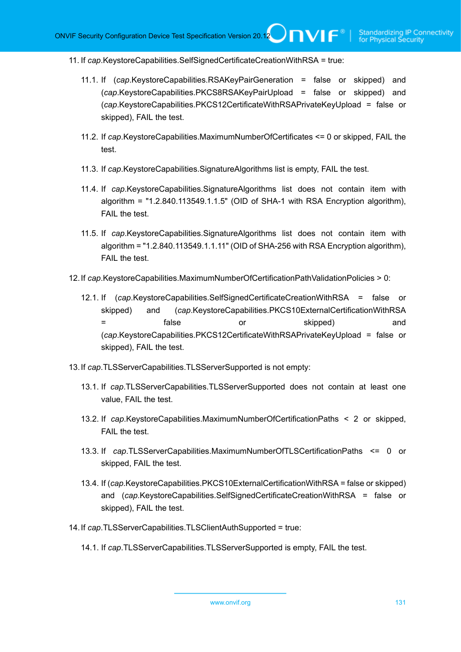- 11. If *cap*.KeystoreCapabilities.SelfSignedCertificateCreationWithRSA = true:
	- 11.1. If (*cap*.KeystoreCapabilities.RSAKeyPairGeneration = false or skipped) and (*cap*.KeystoreCapabilities.PKCS8RSAKeyPairUpload = false or skipped) and (*cap*.KeystoreCapabilities.PKCS12CertificateWithRSAPrivateKeyUpload = false or skipped), FAIL the test.
	- 11.2. If *cap*.KeystoreCapabilities.MaximumNumberOfCertificates <= 0 or skipped, FAIL the test.
	- 11.3. If *cap*.KeystoreCapabilities.SignatureAlgorithms list is empty, FAIL the test.
	- 11.4. If *cap*.KeystoreCapabilities.SignatureAlgorithms list does not contain item with algorithm = "1.2.840.113549.1.1.5" (OID of SHA-1 with RSA Encryption algorithm), FAIL the test.
	- 11.5. If *cap*.KeystoreCapabilities.SignatureAlgorithms list does not contain item with algorithm = "1.2.840.113549.1.1.11" (OID of SHA-256 with RSA Encryption algorithm), FAIL the test.
- 12.If *cap*.KeystoreCapabilities.MaximumNumberOfCertificationPathValidationPolicies > 0:
	- 12.1. If (*cap*.KeystoreCapabilities.SelfSignedCertificateCreationWithRSA = false or skipped) and (*cap*.KeystoreCapabilities.PKCS10ExternalCertificationWithRSA = false or skipped) and (*cap*.KeystoreCapabilities.PKCS12CertificateWithRSAPrivateKeyUpload = false or skipped), FAIL the test.
- 13.If *cap*.TLSServerCapabilities.TLSServerSupported is not empty:
	- 13.1. If *cap*.TLSServerCapabilities.TLSServerSupported does not contain at least one value, FAIL the test.
	- 13.2. If *cap*.KeystoreCapabilities.MaximumNumberOfCertificationPaths < 2 or skipped, FAIL the test.
	- 13.3. If *cap*.TLSServerCapabilities.MaximumNumberOfTLSCertificationPaths <= 0 or skipped, FAIL the test.
	- 13.4. If (*cap*.KeystoreCapabilities.PKCS10ExternalCertificationWithRSA = false or skipped) and (*cap*.KeystoreCapabilities.SelfSignedCertificateCreationWithRSA = false or skipped), FAIL the test.
- 14.If *cap*.TLSServerCapabilities.TLSClientAuthSupported = true:
	- 14.1. If *cap*.TLSServerCapabilities.TLSServerSupported is empty, FAIL the test.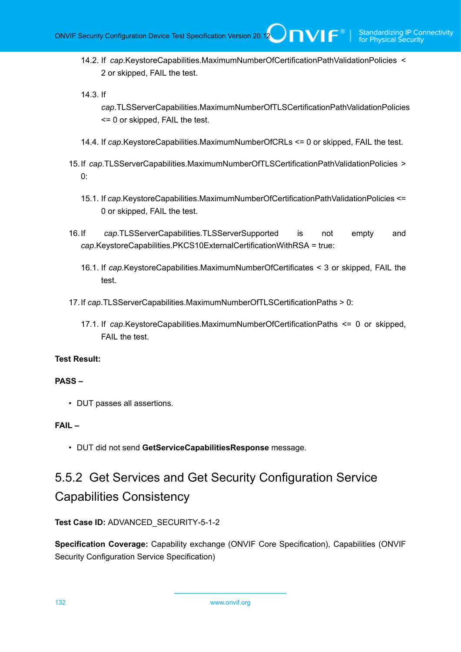14.2. If *cap*.KeystoreCapabilities.MaximumNumberOfCertificationPathValidationPolicies < 2 or skipped, FAIL the test.

14.3. If

*cap*.TLSServerCapabilities.MaximumNumberOfTLSCertificationPathValidationPolicies <= 0 or skipped, FAIL the test.

- 14.4. If *cap*.KeystoreCapabilities.MaximumNumberOfCRLs <= 0 or skipped, FAIL the test.
- 15.If *cap*.TLSServerCapabilities.MaximumNumberOfTLSCertificationPathValidationPolicies >  $0^{\circ}$ 
	- 15.1. If *cap*.KeystoreCapabilities.MaximumNumberOfCertificationPathValidationPolicies <= 0 or skipped, FAIL the test.
- 16.If *cap*.TLSServerCapabilities.TLSServerSupported is not empty and *cap*.KeystoreCapabilities.PKCS10ExternalCertificationWithRSA = true:
	- 16.1. If *cap*.KeystoreCapabilities.MaximumNumberOfCertificates < 3 or skipped, FAIL the test.
- 17.If *cap*.TLSServerCapabilities.MaximumNumberOfTLSCertificationPaths > 0:
	- 17.1. If *cap*.KeystoreCapabilities.MaximumNumberOfCertificationPaths <= 0 or skipped, FAIL the test.

### **Test Result:**

#### **PASS –**

• DUT passes all assertions.

### **FAIL –**

• DUT did not send **GetServiceCapabilitiesResponse** message.

# 5.5.2 Get Services and Get Security Configuration Service Capabilities Consistency

# **Test Case ID:** ADVANCED\_SECURITY-5-1-2

**Specification Coverage:** Capability exchange (ONVIF Core Specification), Capabilities (ONVIF Security Configuration Service Specification)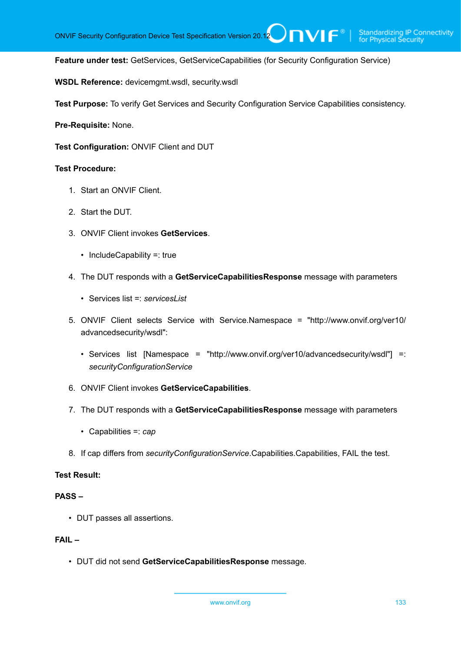**Feature under test:** GetServices, GetServiceCapabilities (for Security Configuration Service)

 $\bigcup$ NIF $^\circ$ 

**WSDL Reference:** devicemgmt.wsdl, security.wsdl

**Test Purpose:** To verify Get Services and Security Configuration Service Capabilities consistency.

**Pre-Requisite:** None.

**Test Configuration:** ONVIF Client and DUT

#### **Test Procedure:**

- 1. Start an ONVIF Client.
- 2. Start the DUT.
- 3. ONVIF Client invokes **GetServices**.
	- IncludeCapability =: true
- 4. The DUT responds with a **GetServiceCapabilitiesResponse** message with parameters
	- Services list =: *servicesList*
- 5. ONVIF Client selects Service with Service.Namespace = "http://www.onvif.org/ver10/ advancedsecurity/wsdl":
	- Services list [Namespace = "http://www.onvif.org/ver10/advancedsecurity/wsdl"] =: *securityConfigurationService*
- 6. ONVIF Client invokes **GetServiceCapabilities**.
- 7. The DUT responds with a **GetServiceCapabilitiesResponse** message with parameters
	- Capabilities =: *cap*
- 8. If cap differs from *securityConfigurationService*.Capabilities.Capabilities, FAIL the test.

### **Test Result:**

#### **PASS –**

• DUT passes all assertions.

### **FAIL –**

• DUT did not send **GetServiceCapabilitiesResponse** message.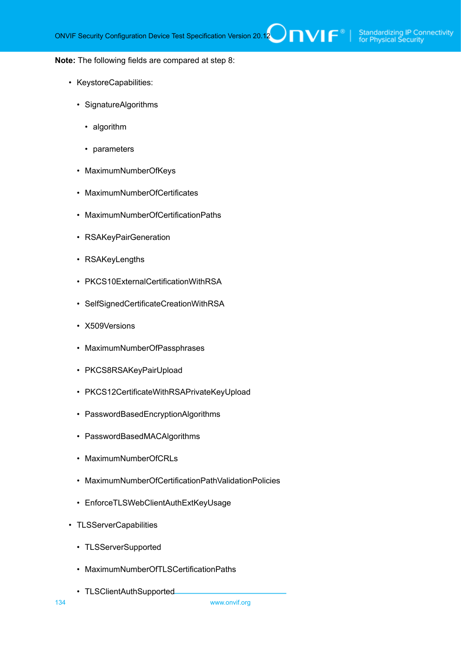#### **Note:** The following fields are compared at step 8:

- KeystoreCapabilities:
	- SignatureAlgorithms
		- algorithm
		- parameters
	- MaximumNumberOfKeys
	- MaximumNumberOfCertificates
	- MaximumNumberOfCertificationPaths
	- RSAKeyPairGeneration
	- RSAKeyLengths
	- PKCS10ExternalCertificationWithRSA
	- SelfSignedCertificateCreationWithRSA
	- X509Versions
	- MaximumNumberOfPassphrases
	- PKCS8RSAKeyPairUpload
	- PKCS12CertificateWithRSAPrivateKeyUpload
	- PasswordBasedEncryptionAlgorithms
	- PasswordBasedMACAlgorithms
	- MaximumNumberOfCRLs
	- MaximumNumberOfCertificationPathValidationPolicies
	- EnforceTLSWebClientAuthExtKeyUsage
- TLSServerCapabilities
	- TLSServerSupported
	- MaximumNumberOfTLSCertificationPaths
	- TLSClientAuthSupported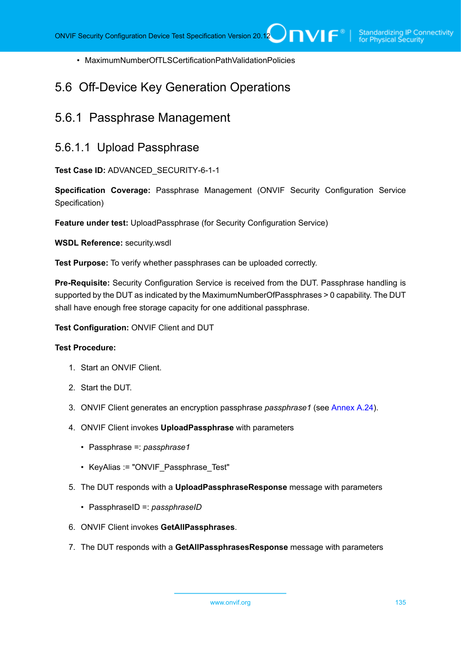• MaximumNumberOfTLSCertificationPathValidationPolicies

# 5.6 Off-Device Key Generation Operations

# 5.6.1 Passphrase Management

# 5.6.1.1 Upload Passphrase

**Test Case ID:** ADVANCED\_SECURITY-6-1-1

**Specification Coverage:** Passphrase Management (ONVIF Security Configuration Service Specification)

**Feature under test:** UploadPassphrase (for Security Configuration Service)

**WSDL Reference:** security.wsdl

**Test Purpose:** To verify whether passphrases can be uploaded correctly.

**Pre-Requisite:** Security Configuration Service is received from the DUT. Passphrase handling is supported by the DUT as indicated by the MaximumNumberOfPassphrases > 0 capability. The DUT shall have enough free storage capacity for one additional passphrase.

**Test Configuration:** ONVIF Client and DUT

- 1. Start an ONVIF Client.
- 2. Start the DUT.
- 3. ONVIF Client generates an encryption passphrase *passphrase1* (see [Annex A.24](#page-181-0)).
- 4. ONVIF Client invokes **UploadPassphrase** with parameters
	- Passphrase =: *passphrase1*
	- KeyAlias := "ONVIF Passphrase Test"
- 5. The DUT responds with a **UploadPassphraseResponse** message with parameters
	- PassphraseID =: *passphraseID*
- 6. ONVIF Client invokes **GetAllPassphrases**.
- 7. The DUT responds with a **GetAllPassphrasesResponse** message with parameters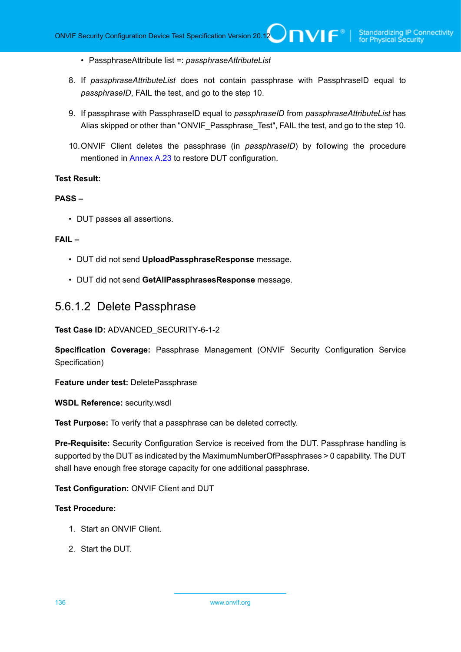- PassphraseAttribute list =: *passphraseAttributeList*
- 8. If *passphraseAttributeList* does not contain passphrase with PassphraseID equal to *passphraseID*, FAIL the test, and go to the step 10.
- 9. If passphrase with PassphraseID equal to *passphraseID* from *passphraseAttributeList* has Alias skipped or other than "ONVIF\_Passphrase\_Test", FAIL the test, and go to the step 10.
- 10.ONVIF Client deletes the passphrase (in *passphraseID*) by following the procedure mentioned in [Annex A.23](#page-180-0) to restore DUT configuration.

#### **PASS –**

• DUT passes all assertions.

#### **FAIL –**

- DUT did not send **UploadPassphraseResponse** message.
- DUT did not send **GetAllPassphrasesResponse** message.

# 5.6.1.2 Delete Passphrase

**Test Case ID:** ADVANCED\_SECURITY-6-1-2

**Specification Coverage:** Passphrase Management (ONVIF Security Configuration Service Specification)

**Feature under test:** DeletePassphrase

**WSDL Reference:** security.wsdl

**Test Purpose:** To verify that a passphrase can be deleted correctly.

**Pre-Requisite:** Security Configuration Service is received from the DUT. Passphrase handling is supported by the DUT as indicated by the MaximumNumberOfPassphrases > 0 capability. The DUT shall have enough free storage capacity for one additional passphrase.

# **Test Configuration:** ONVIF Client and DUT

- 1. Start an ONVIF Client.
- 2. Start the DUT.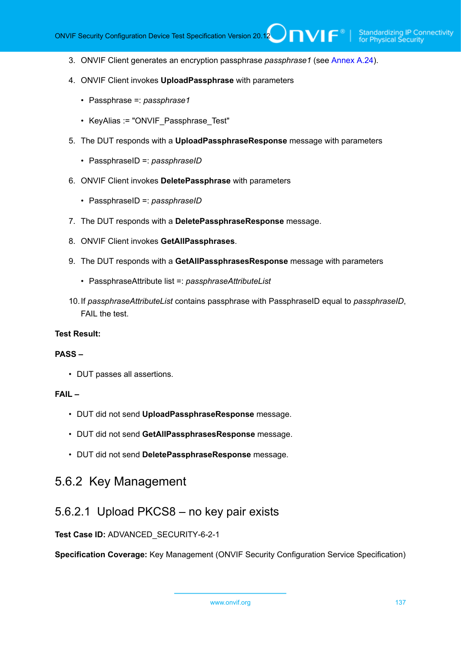- 3. ONVIF Client generates an encryption passphrase *passphrase1* (see [Annex A.24](#page-181-0)).
- 4. ONVIF Client invokes **UploadPassphrase** with parameters
	- Passphrase =: *passphrase1*
	- KeyAlias := "ONVIF\_Passphrase\_Test"
- 5. The DUT responds with a **UploadPassphraseResponse** message with parameters
	- PassphraseID =: *passphraseID*
- 6. ONVIF Client invokes **DeletePassphrase** with parameters
	- PassphraseID =: *passphraseID*
- 7. The DUT responds with a **DeletePassphraseResponse** message.
- 8. ONVIF Client invokes **GetAllPassphrases**.
- 9. The DUT responds with a **GetAllPassphrasesResponse** message with parameters
	- PassphraseAttribute list =: *passphraseAttributeList*
- 10.If *passphraseAttributeList* contains passphrase with PassphraseID equal to *passphraseID*, FAIL the test.

#### **PASS –**

• DUT passes all assertions.

# **FAIL –**

- DUT did not send **UploadPassphraseResponse** message.
- DUT did not send **GetAllPassphrasesResponse** message.
- DUT did not send **DeletePassphraseResponse** message.

# 5.6.2 Key Management

# 5.6.2.1 Upload PKCS8 – no key pair exists

**Test Case ID:** ADVANCED\_SECURITY-6-2-1

**Specification Coverage:** Key Management (ONVIF Security Configuration Service Specification)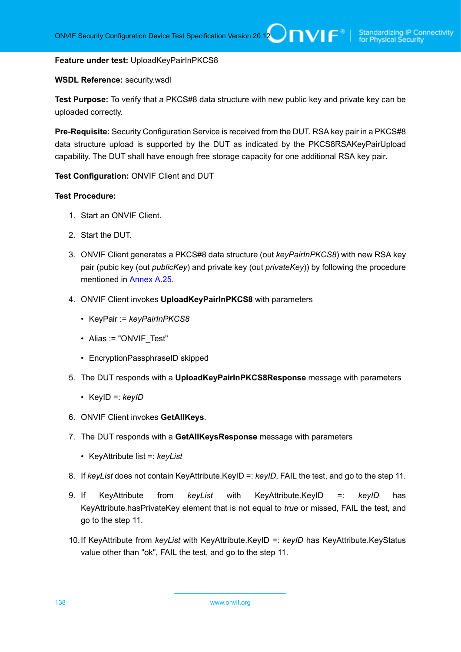#### **Feature under test:** UploadKeyPairInPKCS8

#### **WSDL Reference:** security.wsdl

**Test Purpose:** To verify that a PKCS#8 data structure with new public key and private key can be uploaded correctly.

**Pre-Requisite:** Security Configuration Service is received from the DUT. RSA key pair in a PKCS#8 data structure upload is supported by the DUT as indicated by the PKCS8RSAKeyPairUpload capability. The DUT shall have enough free storage capacity for one additional RSA key pair.

**Test Configuration:** ONVIF Client and DUT

- 1. Start an ONVIF Client.
- 2. Start the DUT.
- 3. ONVIF Client generates a PKCS#8 data structure (out *keyPairInPKCS8*) with new RSA key pair (pubic key (out *publicKey*) and private key (out *privateKey*)) by following the procedure mentioned in [Annex A.25.](#page-181-1)
- 4. ONVIF Client invokes **UploadKeyPairInPKCS8** with parameters
	- KeyPair := *keyPairInPKCS8*
	- Alias := "ONVIF Test"
	- EncryptionPassphraseID skipped
- 5. The DUT responds with a **UploadKeyPairInPKCS8Response** message with parameters
	- KeyID =: *keyID*
- 6. ONVIF Client invokes **GetAllKeys**.
- 7. The DUT responds with a **GetAllKeysResponse** message with parameters
	- KeyAttribute list =: *keyList*
- 8. If *keyList* does not contain KeyAttribute.KeyID =: *keyID*, FAIL the test, and go to the step 11.
- 9. If KeyAttribute from *keyList* with KeyAttribute.KeyID =: *keyID* has KeyAttribute.hasPrivateKey element that is not equal to *true* or missed, FAIL the test, and go to the step 11.
- 10.If KeyAttribute from *keyList* with KeyAttribute.KeyID =: *keyID* has KeyAttribute.KeyStatus value other than "ok", FAIL the test, and go to the step 11.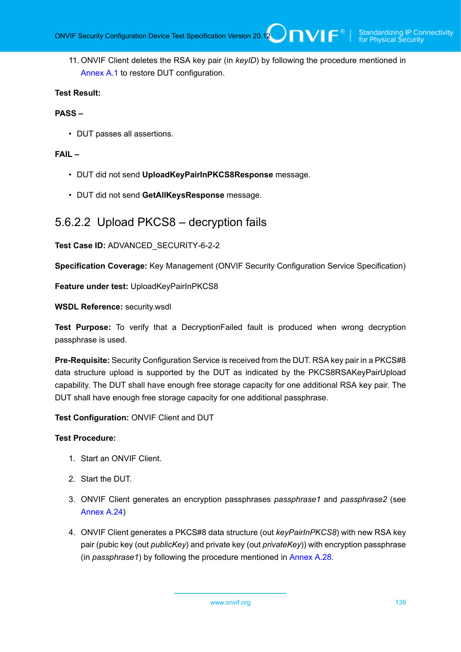11. ONVIF Client deletes the RSA key pair (in *keyID*) by following the procedure mentioned in [Annex A.1](#page-161-0) to restore DUT configuration.

### **Test Result:**

#### **PASS –**

• DUT passes all assertions.

#### **FAIL –**

- DUT did not send **UploadKeyPairInPKCS8Response** message.
- DUT did not send **GetAllKeysResponse** message.

# 5.6.2.2 Upload PKCS8 – decryption fails

# **Test Case ID:** ADVANCED\_SECURITY-6-2-2

**Specification Coverage:** Key Management (ONVIF Security Configuration Service Specification)

**Feature under test:** UploadKeyPairInPKCS8

**WSDL Reference:** security.wsdl

**Test Purpose:** To verify that a DecryptionFailed fault is produced when wrong decryption passphrase is used.

**Pre-Requisite:** Security Configuration Service is received from the DUT. RSA key pair in a PKCS#8 data structure upload is supported by the DUT as indicated by the PKCS8RSAKeyPairUpload capability. The DUT shall have enough free storage capacity for one additional RSA key pair. The DUT shall have enough free storage capacity for one additional passphrase.

**Test Configuration:** ONVIF Client and DUT

- 1. Start an ONVIF Client.
- 2. Start the DUT.
- 3. ONVIF Client generates an encryption passphrases *passphrase1* and *passphrase2* (see [Annex A.24\)](#page-181-0)
- 4. ONVIF Client generates a PKCS#8 data structure (out *keyPairInPKCS8*) with new RSA key pair (pubic key (out *publicKey*) and private key (out *privateKey*)) with encryption passphrase (in *passphrase1*) by following the procedure mentioned in [Annex A.28](#page-183-0).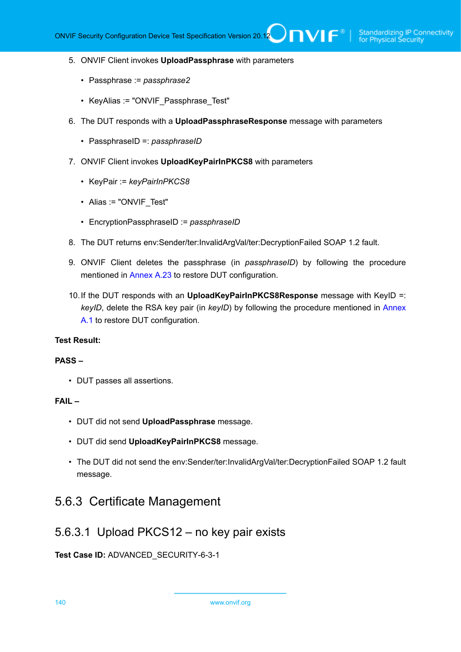- 5. ONVIF Client invokes **UploadPassphrase** with parameters
	- Passphrase := *passphrase2*
	- KeyAlias := "ONVIF\_Passphrase\_Test"
- 6. The DUT responds with a **UploadPassphraseResponse** message with parameters
	- PassphraseID =: *passphraseID*
- 7. ONVIF Client invokes **UploadKeyPairInPKCS8** with parameters
	- KeyPair := *keyPairInPKCS8*
	- Alias := "ONVIF Test"
	- EncryptionPassphraseID := *passphraseID*
- 8. The DUT returns env:Sender/ter:InvalidArgVal/ter:DecryptionFailed SOAP 1.2 fault.
- 9. ONVIF Client deletes the passphrase (in *passphraseID*) by following the procedure mentioned in [Annex A.23](#page-180-0) to restore DUT configuration.
- 10.If the DUT responds with an **UploadKeyPairInPKCS8Response** message with KeyID =: *keyID*, delete the RSA key pair (in *keyID*) by following the procedure mentioned in [Annex](#page-161-0) [A.1](#page-161-0) to restore DUT configuration.

### **PASS –**

• DUT passes all assertions.

#### **FAIL –**

- DUT did not send **UploadPassphrase** message.
- DUT did send **UploadKeyPairInPKCS8** message.
- The DUT did not send the env:Sender/ter:InvalidArgVal/ter:DecryptionFailed SOAP 1.2 fault message.

# 5.6.3 Certificate Management

# 5.6.3.1 Upload PKCS12 – no key pair exists

# **Test Case ID:** ADVANCED\_SECURITY-6-3-1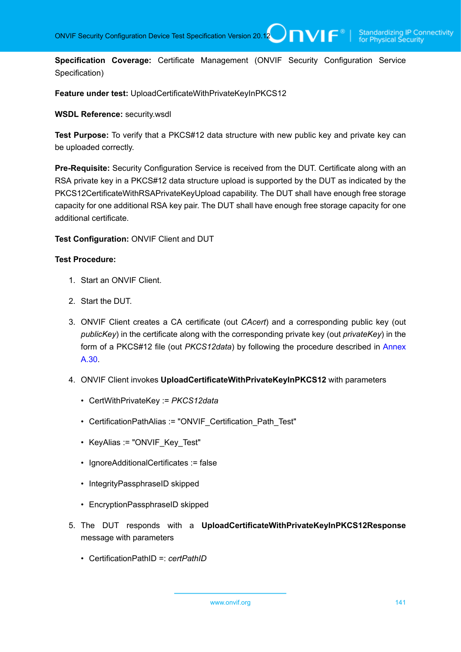**Specification Coverage:** Certificate Management (ONVIF Security Configuration Service Specification)

**Feature under test:** UploadCertificateWithPrivateKeyInPKCS12

#### **WSDL Reference:** security.wsdl

**Test Purpose:** To verify that a PKCS#12 data structure with new public key and private key can be uploaded correctly.

**Pre-Requisite:** Security Configuration Service is received from the DUT. Certificate along with an RSA private key in a PKCS#12 data structure upload is supported by the DUT as indicated by the PKCS12CertificateWithRSAPrivateKeyUpload capability. The DUT shall have enough free storage capacity for one additional RSA key pair. The DUT shall have enough free storage capacity for one additional certificate.

**Test Configuration:** ONVIF Client and DUT

#### **Test Procedure:**

- 1. Start an ONVIF Client.
- 2. Start the DUT.
- 3. ONVIF Client creates a CA certificate (out *CAcert*) and a corresponding public key (out *publicKey*) in the certificate along with the corresponding private key (out *privateKey*) in the form of a PKCS#12 file (out *PKCS12data*) by following the procedure described in [Annex](#page-184-0) [A.30](#page-184-0).
- 4. ONVIF Client invokes **UploadCertificateWithPrivateKeyInPKCS12** with parameters
	- CertWithPrivateKey := *PKCS12data*
	- CertificationPathAlias := "ONVIF Certification Path Test"
	- KeyAlias := "ONVIF\_Key\_Test"
	- IgnoreAdditionalCertificates := false
	- IntegrityPassphraseID skipped
	- EncryptionPassphraseID skipped
- 5. The DUT responds with a **UploadCertificateWithPrivateKeyInPKCS12Response** message with parameters
	- CertificationPathID =: *certPathID*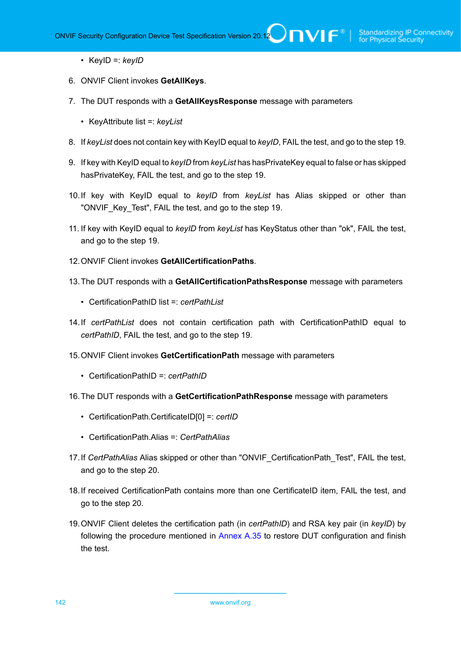- KeyID =: *keyID*
- 6. ONVIF Client invokes **GetAllKeys**.
- 7. The DUT responds with a **GetAllKeysResponse** message with parameters
	- KeyAttribute list =: *keyList*
- 8. If *keyList* does not contain key with KeyID equal to *keyID*, FAIL the test, and go to the step 19.
- 9. If key with KeyID equal to *keyID* from *keyList* has hasPrivateKey equal to false or has skipped hasPrivateKey, FAIL the test, and go to the step 19.
- 10.If key with KeyID equal to *keyID* from *keyList* has Alias skipped or other than "ONVIF Key Test", FAIL the test, and go to the step 19.
- 11. If key with KeyID equal to *keyID* from *keyList* has KeyStatus other than "ok", FAIL the test, and go to the step 19.
- 12.ONVIF Client invokes **GetAllCertificationPaths**.
- 13.The DUT responds with a **GetAllCertificationPathsResponse** message with parameters
	- CertificationPathID list =: *certPathList*
- 14.If *certPathList* does not contain certification path with CertificationPathID equal to *certPathID*, FAIL the test, and go to the step 19.
- 15.ONVIF Client invokes **GetCertificationPath** message with parameters
	- CertificationPathID =: *certPathID*
- 16.The DUT responds with a **GetCertificationPathResponse** message with parameters
	- CertificationPath.CertificateID[0] =: *certID*
	- CertificationPath.Alias =: *CertPathAlias*
- 17.If *CertPathAlias* Alias skipped or other than "ONVIF\_CertificationPath\_Test", FAIL the test, and go to the step 20.
- 18.If received CertificationPath contains more than one CertificateID item, FAIL the test, and go to the step 20.
- 19.ONVIF Client deletes the certification path (in *certPathID*) and RSA key pair (in *keyID*) by following the procedure mentioned in [Annex A.35](#page-189-0) to restore DUT configuration and finish the test.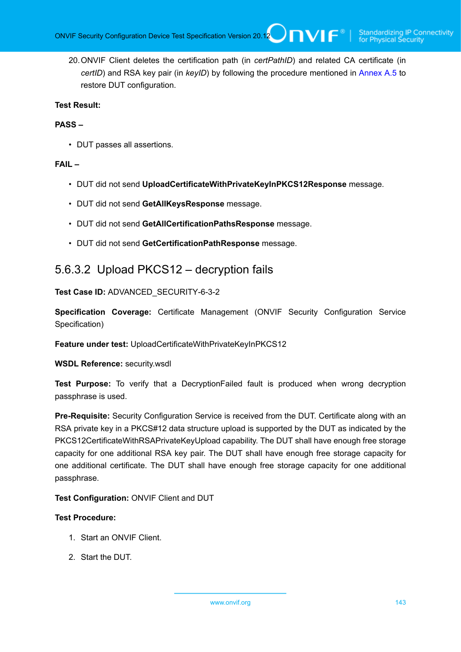20.ONVIF Client deletes the certification path (in *certPathID*) and related CA certificate (in *certID*) and RSA key pair (in *keyID*) by following the procedure mentioned in [Annex A.5](#page-163-0) to restore DUT configuration.

### **Test Result:**

### **PASS –**

• DUT passes all assertions.

### **FAIL –**

- DUT did not send **UploadCertificateWithPrivateKeyInPKCS12Response** message.
- DUT did not send **GetAllKeysResponse** message.
- DUT did not send **GetAllCertificationPathsResponse** message.
- DUT did not send **GetCertificationPathResponse** message.

# 5.6.3.2 Upload PKCS12 – decryption fails

### **Test Case ID:** ADVANCED\_SECURITY-6-3-2

**Specification Coverage:** Certificate Management (ONVIF Security Configuration Service Specification)

**Feature under test:** UploadCertificateWithPrivateKeyInPKCS12

**WSDL Reference:** security.wsdl

**Test Purpose:** To verify that a DecryptionFailed fault is produced when wrong decryption passphrase is used.

**Pre-Requisite:** Security Configuration Service is received from the DUT. Certificate along with an RSA private key in a PKCS#12 data structure upload is supported by the DUT as indicated by the PKCS12CertificateWithRSAPrivateKeyUpload capability. The DUT shall have enough free storage capacity for one additional RSA key pair. The DUT shall have enough free storage capacity for one additional certificate. The DUT shall have enough free storage capacity for one additional passphrase.

**Test Configuration:** ONVIF Client and DUT

- 1. Start an ONVIF Client.
- 2. Start the DUT.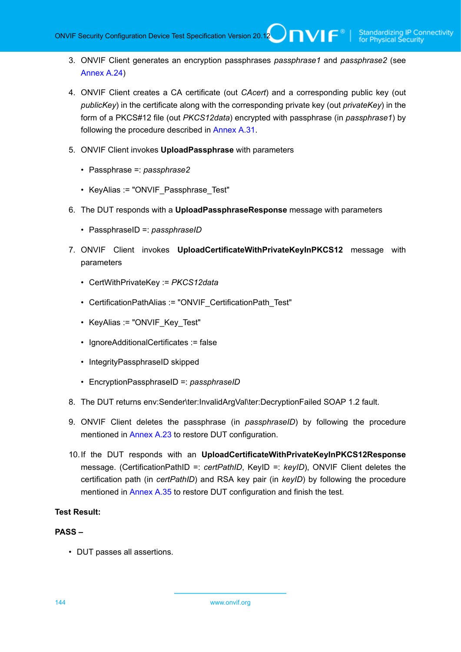- 3. ONVIF Client generates an encryption passphrases *passphrase1* and *passphrase2* (see [Annex A.24\)](#page-181-0)
- 4. ONVIF Client creates a CA certificate (out *CAcert*) and a corresponding public key (out *publicKey*) in the certificate along with the corresponding private key (out *privateKey*) in the form of a PKCS#12 file (out *PKCS12data*) encrypted with passphrase (in *passphrase1*) by following the procedure described in [Annex A.31.](#page-185-0)
- 5. ONVIF Client invokes **UploadPassphrase** with parameters
	- Passphrase =: *passphrase2*
	- KeyAlias := "ONVIF\_Passphrase\_Test"
- 6. The DUT responds with a **UploadPassphraseResponse** message with parameters
	- PassphraseID =: *passphraseID*
- 7. ONVIF Client invokes **UploadCertificateWithPrivateKeyInPKCS12** message with parameters
	- CertWithPrivateKey := *PKCS12data*
	- CertificationPathAlias := "ONVIF\_CertificationPath\_Test"
	- KeyAlias := "ONVIF Key Test"
	- IgnoreAdditionalCertificates := false
	- IntegrityPassphraseID skipped
	- EncryptionPassphraseID =: *passphraseID*
- 8. The DUT returns env:Sender\ter:InvalidArgVal\ter:DecryptionFailed SOAP 1.2 fault.
- 9. ONVIF Client deletes the passphrase (in *passphraseID*) by following the procedure mentioned in [Annex A.23](#page-180-0) to restore DUT configuration.
- 10.If the DUT responds with an **UploadCertificateWithPrivateKeyInPKCS12Response** message. (CertificationPathID =: *certPathID*, KeyID =: *keyID*), ONVIF Client deletes the certification path (in *certPathID*) and RSA key pair (in *keyID*) by following the procedure mentioned in [Annex A.35](#page-189-0) to restore DUT configuration and finish the test.

### **PASS –**

• DUT passes all assertions.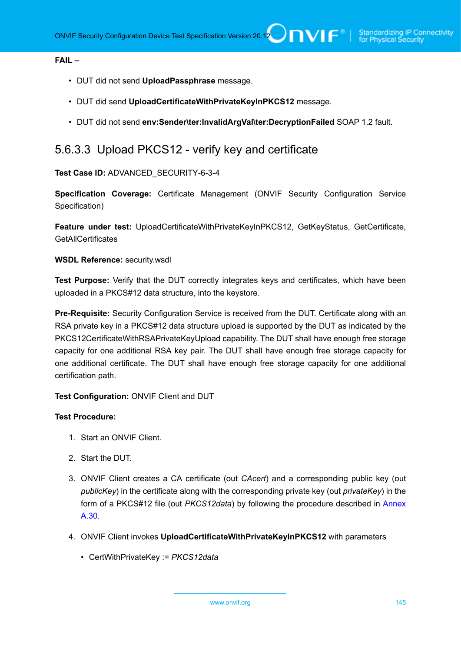### **FAIL –**

- DUT did not send **UploadPassphrase** message.
- DUT did send **UploadCertificateWithPrivateKeyInPKCS12** message.
- DUT did not send **env:Sender\ter:InvalidArgVal\ter:DecryptionFailed** SOAP 1.2 fault.

## 5.6.3.3 Upload PKCS12 - verify key and certificate

**Test Case ID:** ADVANCED\_SECURITY-6-3-4

**Specification Coverage:** Certificate Management (ONVIF Security Configuration Service Specification)

**Feature under test:** UploadCertificateWithPrivateKeyInPKCS12, GetKeyStatus, GetCertificate, **GetAIICertificates** 

### **WSDL Reference:** security.wsdl

**Test Purpose:** Verify that the DUT correctly integrates keys and certificates, which have been uploaded in a PKCS#12 data structure, into the keystore.

**Pre-Requisite:** Security Configuration Service is received from the DUT. Certificate along with an RSA private key in a PKCS#12 data structure upload is supported by the DUT as indicated by the PKCS12CertificateWithRSAPrivateKeyUpload capability. The DUT shall have enough free storage capacity for one additional RSA key pair. The DUT shall have enough free storage capacity for one additional certificate. The DUT shall have enough free storage capacity for one additional certification path.

## **Test Configuration:** ONVIF Client and DUT

#### **Test Procedure:**

- 1. Start an ONVIF Client.
- 2. Start the DUT.
- 3. ONVIF Client creates a CA certificate (out *CAcert*) and a corresponding public key (out *publicKey*) in the certificate along with the corresponding private key (out *privateKey*) in the form of a PKCS#12 file (out *PKCS12data*) by following the procedure described in [Annex](#page-184-0) [A.30](#page-184-0).
- 4. ONVIF Client invokes **UploadCertificateWithPrivateKeyInPKCS12** with parameters
	- CertWithPrivateKey := *PKCS12data*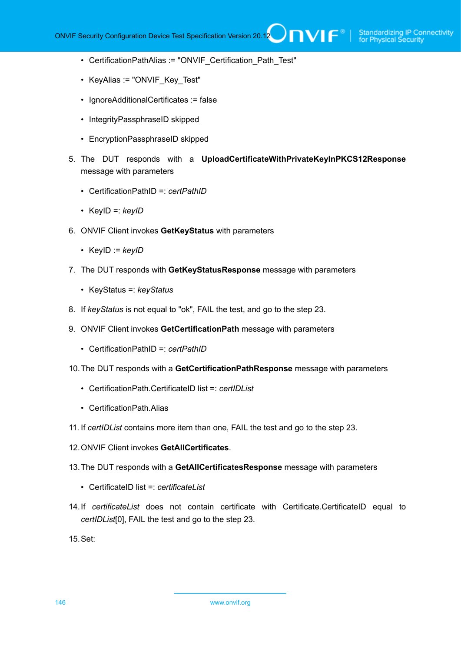- CertificationPathAlias := "ONVIF Certification Path Test"
- KeyAlias := "ONVIF\_Key\_Test"
- IgnoreAdditionalCertificates := false
- IntegrityPassphraseID skipped
- EncryptionPassphraseID skipped
- 5. The DUT responds with a **UploadCertificateWithPrivateKeyInPKCS12Response** message with parameters
	- CertificationPathID =: *certPathID*
	- KeyID =: *keyID*
- 6. ONVIF Client invokes **GetKeyStatus** with parameters
	- KeyID := *keyID*
- 7. The DUT responds with **GetKeyStatusResponse** message with parameters
	- KeyStatus =: *keyStatus*
- 8. If *keyStatus* is not equal to "ok", FAIL the test, and go to the step 23.
- 9. ONVIF Client invokes **GetCertificationPath** message with parameters
	- CertificationPathID =: *certPathID*
- 10.The DUT responds with a **GetCertificationPathResponse** message with parameters
	- CertificationPath.CertificateID list =: *certIDList*
	- CertificationPath.Alias
- 11. If *certIDList* contains more item than one, FAIL the test and go to the step 23.
- 12.ONVIF Client invokes **GetAllCertificates**.
- 13.The DUT responds with a **GetAllCertificatesResponse** message with parameters
	- CertificateID list =: *certificateList*
- 14.If *certificateList* does not contain certificate with Certificate.CertificateID equal to *certIDList*[0], FAIL the test and go to the step 23.

15.Set: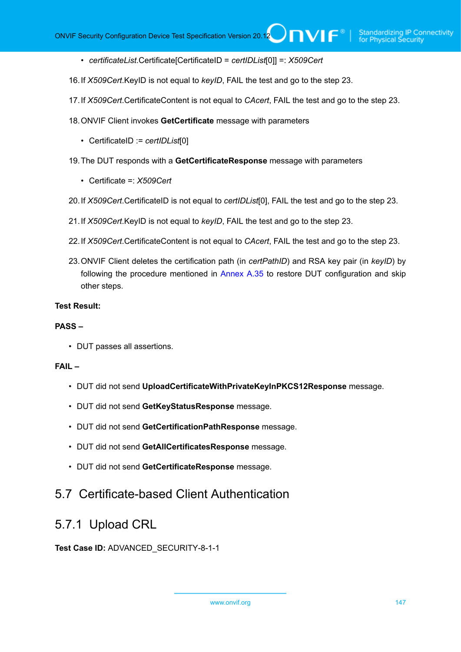- *certificateList*.Certificate[CertificateID = *certIDList*[0]] =: *X509Cert*
- 16.If *X509Cert*.KeyID is not equal to *keyID*, FAIL the test and go to the step 23.
- 17.If *X509Cert*.CertificateContent is not equal to *CAcert*, FAIL the test and go to the step 23.
- 18.ONVIF Client invokes **GetCertificate** message with parameters
	- CertificateID := *certIDList*[0]
- 19.The DUT responds with a **GetCertificateResponse** message with parameters
	- Certificate =: *X509Cert*
- 20.If *X509Cert*.CertificateID is not equal to *certIDList*[0], FAIL the test and go to the step 23.
- 21.If *X509Cert*.KeyID is not equal to *keyID*, FAIL the test and go to the step 23.
- 22.If *X509Cert*.CertificateContent is not equal to *CAcert*, FAIL the test and go to the step 23.
- 23.ONVIF Client deletes the certification path (in *certPathID*) and RSA key pair (in *keyID*) by following the procedure mentioned in [Annex A.35](#page-189-0) to restore DUT configuration and skip other steps.

#### **Test Result:**

#### **PASS –**

• DUT passes all assertions.

## **FAIL –**

- DUT did not send **UploadCertificateWithPrivateKeyInPKCS12Response** message.
- DUT did not send **GetKeyStatusResponse** message.
- DUT did not send **GetCertificationPathResponse** message.
- DUT did not send **GetAllCertificatesResponse** message.
- DUT did not send **GetCertificateResponse** message.

## 5.7 Certificate-based Client Authentication

## 5.7.1 Upload CRL

**Test Case ID:** ADVANCED\_SECURITY-8-1-1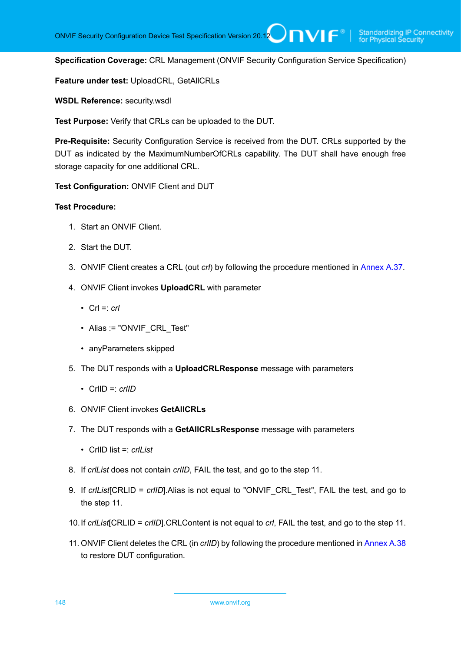**Specification Coverage:** CRL Management (ONVIF Security Configuration Service Specification)

**Feature under test:** UploadCRL, GetAllCRLs

**WSDL Reference:** security.wsdl

**Test Purpose:** Verify that CRLs can be uploaded to the DUT.

**Pre-Requisite:** Security Configuration Service is received from the DUT. CRLs supported by the DUT as indicated by the MaximumNumberOfCRLs capability. The DUT shall have enough free storage capacity for one additional CRL.

**Test Configuration:** ONVIF Client and DUT

- 1. Start an ONVIF Client.
- 2. Start the DUT.
- 3. ONVIF Client creates a CRL (out *crl*) by following the procedure mentioned in [Annex A.37](#page-192-0).
- 4. ONVIF Client invokes **UploadCRL** with parameter
	- Crl =: *crl*
	- Alias := "ONVIF CRL Test"
	- anyParameters skipped
- 5. The DUT responds with a **UploadCRLResponse** message with parameters
	- CrlID =: *crlID*
- 6. ONVIF Client invokes **GetAllCRLs**
- 7. The DUT responds with a **GetAllCRLsResponse** message with parameters
	- CrlID list =: *crlList*
- 8. If *crlList* does not contain *crlID*, FAIL the test, and go to the step 11.
- 9. If *crlList*[CRLID = *crlID*].Alias is not equal to "ONVIF\_CRL\_Test", FAIL the test, and go to the step 11.
- 10.If *crlList*[CRLID = *crlID*].CRLContent is not equal to *crl*, FAIL the test, and go to the step 11.
- 11. ONVIF Client deletes the CRL (in *crlID*) by following the procedure mentioned in [Annex A.38](#page-193-0) to restore DUT configuration.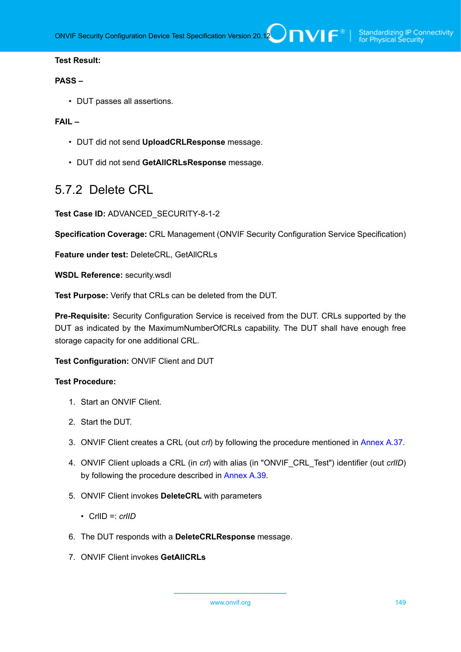### **Test Result:**

#### **PASS –**

• DUT passes all assertions.

## **FAIL –**

- DUT did not send **UploadCRLResponse** message.
- DUT did not send **GetAllCRLsResponse** message.

## 5.7.2 Delete CRL

**Test Case ID:** ADVANCED\_SECURITY-8-1-2

**Specification Coverage:** CRL Management (ONVIF Security Configuration Service Specification)

**Feature under test:** DeleteCRL, GetAllCRLs

**WSDL Reference:** security.wsdl

**Test Purpose:** Verify that CRLs can be deleted from the DUT.

**Pre-Requisite:** Security Configuration Service is received from the DUT. CRLs supported by the DUT as indicated by the MaximumNumberOfCRLs capability. The DUT shall have enough free storage capacity for one additional CRL.

**Test Configuration:** ONVIF Client and DUT

- 1. Start an ONVIF Client.
- 2. Start the DUT.
- 3. ONVIF Client creates a CRL (out *crl*) by following the procedure mentioned in [Annex A.37](#page-192-0).
- 4. ONVIF Client uploads a CRL (in *crl*) with alias (in "ONVIF\_CRL\_Test") identifier (out *crlID*) by following the procedure described in [Annex A.39.](#page-193-1)
- 5. ONVIF Client invokes **DeleteCRL** with parameters
	- CrlID =: *crlID*
- 6. The DUT responds with a **DeleteCRLResponse** message.
- 7. ONVIF Client invokes **GetAllCRLs**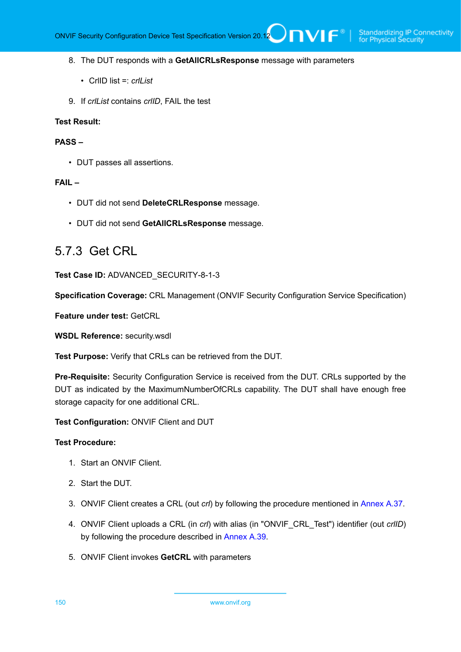#### 8. The DUT responds with a **GetAllCRLsResponse** message with parameters

- CrlID list =: *crlList*
- 9. If *crlList* contains *crlID*, FAIL the test

#### **Test Result:**

#### **PASS –**

• DUT passes all assertions.

## **FAIL –**

- DUT did not send **DeleteCRLResponse** message.
- DUT did not send **GetAllCRLsResponse** message.

## 5.7.3 Get CRL

**Test Case ID:** ADVANCED\_SECURITY-8-1-3

**Specification Coverage:** CRL Management (ONVIF Security Configuration Service Specification)

**Feature under test:** GetCRL

**WSDL Reference:** security.wsdl

**Test Purpose:** Verify that CRLs can be retrieved from the DUT.

**Pre-Requisite:** Security Configuration Service is received from the DUT. CRLs supported by the DUT as indicated by the MaximumNumberOfCRLs capability. The DUT shall have enough free storage capacity for one additional CRL.

**Test Configuration:** ONVIF Client and DUT

- 1. Start an ONVIF Client.
- 2. Start the DUT.
- 3. ONVIF Client creates a CRL (out *crl*) by following the procedure mentioned in [Annex A.37](#page-192-0).
- 4. ONVIF Client uploads a CRL (in *crl*) with alias (in "ONVIF\_CRL\_Test") identifier (out *crlID*) by following the procedure described in [Annex A.39.](#page-193-1)
- 5. ONVIF Client invokes **GetCRL** with parameters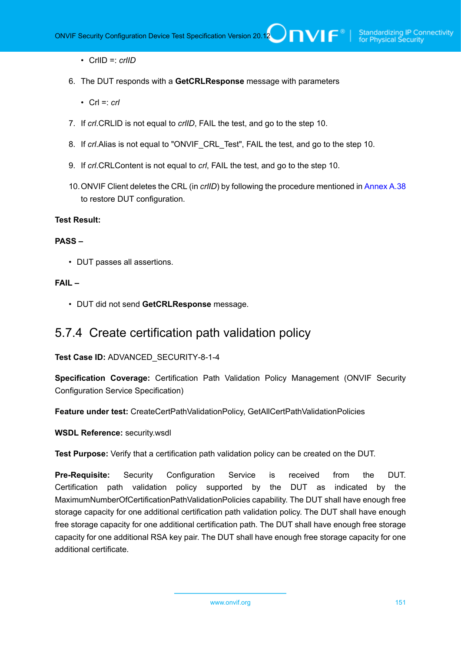- CrlID =: *crlID*
- 6. The DUT responds with a **GetCRLResponse** message with parameters
	- Crl =: *crl*
- 7. If *crl*.CRLID is not equal to *crlID*, FAIL the test, and go to the step 10.
- 8. If *crl*.Alias is not equal to "ONVIF\_CRL\_Test", FAIL the test, and go to the step 10.
- 9. If *crl*.CRLContent is not equal to *crl*, FAIL the test, and go to the step 10.
- 10.ONVIF Client deletes the CRL (in *crlID*) by following the procedure mentioned in [Annex A.38](#page-193-0) to restore DUT configuration.

## **Test Result:**

#### **PASS –**

• DUT passes all assertions.

## **FAIL –**

• DUT did not send **GetCRLResponse** message.

## 5.7.4 Create certification path validation policy

**Test Case ID:** ADVANCED\_SECURITY-8-1-4

**Specification Coverage:** Certification Path Validation Policy Management (ONVIF Security Configuration Service Specification)

**Feature under test:** CreateCertPathValidationPolicy, GetAllCertPathValidationPolicies

**WSDL Reference:** security.wsdl

**Test Purpose:** Verify that a certification path validation policy can be created on the DUT.

**Pre-Requisite:** Security Configuration Service is received from the DUT. Certification path validation policy supported by the DUT as indicated by the MaximumNumberOfCertificationPathValidationPolicies capability. The DUT shall have enough free storage capacity for one additional certification path validation policy. The DUT shall have enough free storage capacity for one additional certification path. The DUT shall have enough free storage capacity for one additional RSA key pair. The DUT shall have enough free storage capacity for one additional certificate.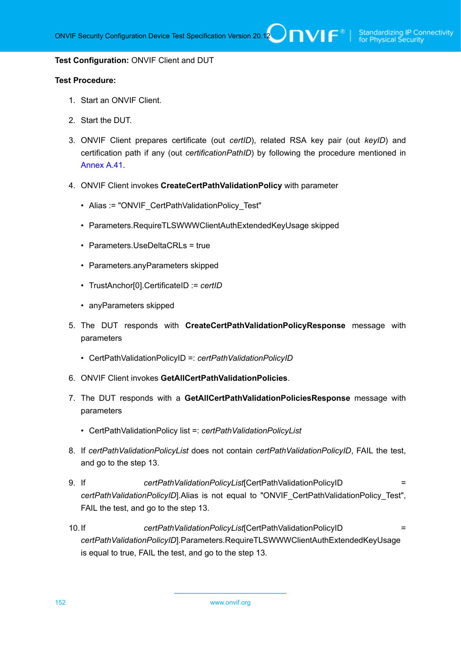#### **Test Configuration:** ONVIF Client and DUT

- 1. Start an ONVIF Client.
- 2. Start the DUT.
- 3. ONVIF Client prepares certificate (out *certID*), related RSA key pair (out *keyID*) and certification path if any (out *certificationPathID*) by following the procedure mentioned in [Annex A.41.](#page-195-0)
- 4. ONVIF Client invokes **CreateCertPathValidationPolicy** with parameter
	- Alias := "ONVIF\_CertPathValidationPolicy\_Test"
	- Parameters.RequireTLSWWWClientAuthExtendedKeyUsage skipped
	- Parameters.UseDeltaCRLs = true
	- Parameters.anyParameters skipped
	- TrustAnchor[0].CertificateID := *certID*
	- anyParameters skipped
- 5. The DUT responds with **CreateCertPathValidationPolicyResponse** message with parameters
	- CertPathValidationPolicyID =: *certPathValidationPolicyID*
- 6. ONVIF Client invokes **GetAllCertPathValidationPolicies**.
- 7. The DUT responds with a **GetAllCertPathValidationPoliciesResponse** message with parameters
	- CertPathValidationPolicy list =: *certPathValidationPolicyList*
- 8. If *certPathValidationPolicyList* does not contain *certPathValidationPolicyID*, FAIL the test, and go to the step 13.
- 9. If *certPathValidationPolicyList*[CertPathValidationPolicyID = *certPathValidationPolicyID*].Alias is not equal to "ONVIF\_CertPathValidationPolicy\_Test", FAIL the test, and go to the step 13.
- 10.If *certPathValidationPolicyList*[CertPathValidationPolicyID = *certPathValidationPolicyID*].Parameters.RequireTLSWWWClientAuthExtendedKeyUsage is equal to true, FAIL the test, and go to the step 13.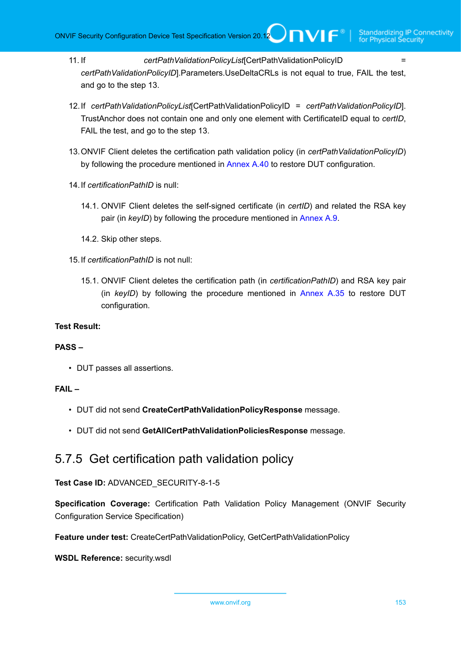- 11. If *certPathValidationPolicyList*[CertPathValidationPolicyID = *certPathValidationPolicyID*].Parameters.UseDeltaCRLs is not equal to true, FAIL the test, and go to the step 13.
- 12.If *certPathValidationPolicyList*[CertPathValidationPolicyID = *certPathValidationPolicyID*]. TrustAnchor does not contain one and only one element with CertificateID equal to *certID*, FAIL the test, and go to the step 13.
- 13.ONVIF Client deletes the certification path validation policy (in *certPathValidationPolicyID*) by following the procedure mentioned in [Annex A.40](#page-194-0) to restore DUT configuration.
- 14.If *certificationPathID* is null:
	- 14.1. ONVIF Client deletes the self-signed certificate (in *certID*) and related the RSA key pair (in *keyID*) by following the procedure mentioned in [Annex A.9.](#page-167-0)
	- 14.2. Skip other steps.
- 15.If *certificationPathID* is not null:
	- 15.1. ONVIF Client deletes the certification path (in *certificationPathID*) and RSA key pair (in *keyID*) by following the procedure mentioned in [Annex A.35](#page-189-0) to restore DUT configuration.

## **Test Result:**

## **PASS –**

• DUT passes all assertions.

## **FAIL –**

- DUT did not send **CreateCertPathValidationPolicyResponse** message.
- DUT did not send **GetAllCertPathValidationPoliciesResponse** message.

## 5.7.5 Get certification path validation policy

## **Test Case ID:** ADVANCED\_SECURITY-8-1-5

**Specification Coverage:** Certification Path Validation Policy Management (ONVIF Security Configuration Service Specification)

**Feature under test:** CreateCertPathValidationPolicy, GetCertPathValidationPolicy

**WSDL Reference:** security.wsdl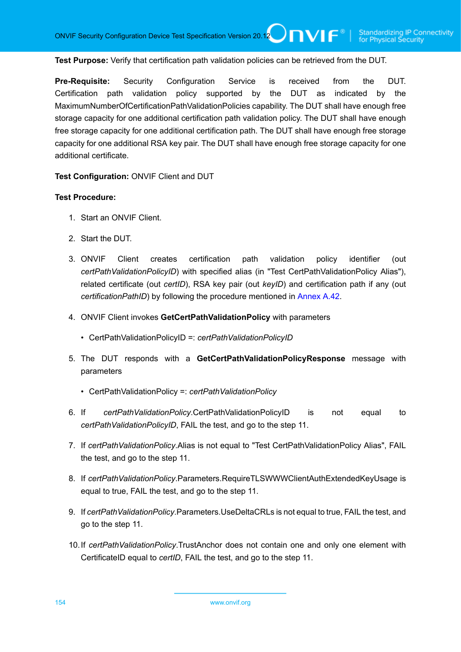**Test Purpose:** Verify that certification path validation policies can be retrieved from the DUT.

**Pre-Requisite:** Security Configuration Service is received from the DUT. Certification path validation policy supported by the DUT as indicated by the MaximumNumberOfCertificationPathValidationPolicies capability. The DUT shall have enough free storage capacity for one additional certification path validation policy. The DUT shall have enough free storage capacity for one additional certification path. The DUT shall have enough free storage capacity for one additional RSA key pair. The DUT shall have enough free storage capacity for one additional certificate.

**Test Configuration:** ONVIF Client and DUT

- 1. Start an ONVIF Client.
- 2. Start the DUT.
- 3. ONVIF Client creates certification path validation policy identifier (out *certPathValidationPolicyID*) with specified alias (in "Test CertPathValidationPolicy Alias"), related certificate (out *certID*), RSA key pair (out *keyID*) and certification path if any (out *certificationPathID*) by following the procedure mentioned in [Annex A.42.](#page-197-0)
- 4. ONVIF Client invokes **GetCertPathValidationPolicy** with parameters
	- CertPathValidationPolicyID =: *certPathValidationPolicyID*
- 5. The DUT responds with a **GetCertPathValidationPolicyResponse** message with parameters
	- CertPathValidationPolicy =: *certPathValidationPolicy*
- 6. If *certPathValidationPolicy*.CertPathValidationPolicyID is not equal to *certPathValidationPolicyID*, FAIL the test, and go to the step 11.
- 7. If *certPathValidationPolicy*.Alias is not equal to "Test CertPathValidationPolicy Alias", FAIL the test, and go to the step 11.
- 8. If *certPathValidationPolicy*.Parameters.RequireTLSWWWClientAuthExtendedKeyUsage is equal to true, FAIL the test, and go to the step 11.
- 9. If *certPathValidationPolicy*.Parameters.UseDeltaCRLs is not equal to true, FAIL the test, and go to the step 11.
- 10.If *certPathValidationPolicy*.TrustAnchor does not contain one and only one element with CertificateID equal to *certID*, FAIL the test, and go to the step 11.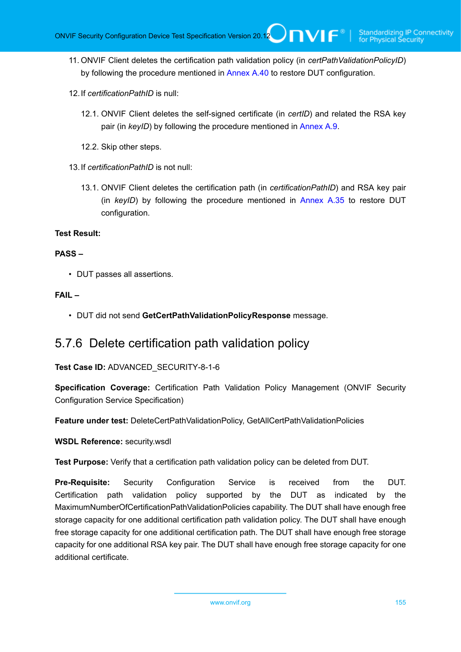- 11. ONVIF Client deletes the certification path validation policy (in *certPathValidationPolicyID*) by following the procedure mentioned in [Annex A.40](#page-194-0) to restore DUT configuration.
- 12.If *certificationPathID* is null:
	- 12.1. ONVIF Client deletes the self-signed certificate (in *certID*) and related the RSA key pair (in *keyID*) by following the procedure mentioned in [Annex A.9.](#page-167-0)
	- 12.2. Skip other steps.
- 13.If *certificationPathID* is not null:
	- 13.1. ONVIF Client deletes the certification path (in *certificationPathID*) and RSA key pair (in *keyID*) by following the procedure mentioned in [Annex A.35](#page-189-0) to restore DUT configuration.

### **Test Result:**

## **PASS –**

• DUT passes all assertions.

## **FAIL –**

• DUT did not send **GetCertPathValidationPolicyResponse** message.

## 5.7.6 Delete certification path validation policy

## **Test Case ID:** ADVANCED\_SECURITY-8-1-6

**Specification Coverage:** Certification Path Validation Policy Management (ONVIF Security Configuration Service Specification)

**Feature under test:** DeleteCertPathValidationPolicy, GetAllCertPathValidationPolicies

**WSDL Reference:** security.wsdl

**Test Purpose:** Verify that a certification path validation policy can be deleted from DUT.

**Pre-Requisite:** Security Configuration Service is received from the DUT. Certification path validation policy supported by the DUT as indicated by the MaximumNumberOfCertificationPathValidationPolicies capability. The DUT shall have enough free storage capacity for one additional certification path validation policy. The DUT shall have enough free storage capacity for one additional certification path. The DUT shall have enough free storage capacity for one additional RSA key pair. The DUT shall have enough free storage capacity for one additional certificate.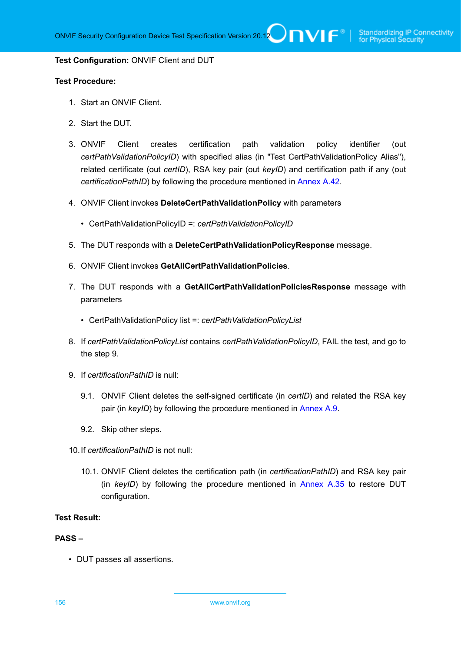#### **Test Configuration:** ONVIF Client and DUT

#### **Test Procedure:**

- 1. Start an ONVIF Client.
- 2. Start the DUT.
- 3. ONVIF Client creates certification path validation policy identifier (out *certPathValidationPolicyID*) with specified alias (in "Test CertPathValidationPolicy Alias"), related certificate (out *certID*), RSA key pair (out *keyID*) and certification path if any (out *certificationPathID*) by following the procedure mentioned in [Annex A.42.](#page-197-0)
- 4. ONVIF Client invokes **DeleteCertPathValidationPolicy** with parameters
	- CertPathValidationPolicyID =: *certPathValidationPolicyID*
- 5. The DUT responds with a **DeleteCertPathValidationPolicyResponse** message.
- 6. ONVIF Client invokes **GetAllCertPathValidationPolicies**.
- 7. The DUT responds with a **GetAllCertPathValidationPoliciesResponse** message with parameters
	- CertPathValidationPolicy list =: *certPathValidationPolicyList*
- 8. If *certPathValidationPolicyList* contains *certPathValidationPolicyID*, FAIL the test, and go to the step 9.
- 9. If *certificationPathID* is null:
	- 9.1. ONVIF Client deletes the self-signed certificate (in *certID*) and related the RSA key pair (in *keyID*) by following the procedure mentioned in [Annex A.9.](#page-167-0)
	- 9.2. Skip other steps.
- 10.If *certificationPathID* is not null:
	- 10.1. ONVIF Client deletes the certification path (in *certificationPathID*) and RSA key pair (in *keyID*) by following the procedure mentioned in [Annex A.35](#page-189-0) to restore DUT configuration.

#### **Test Result:**

#### **PASS –**

• DUT passes all assertions.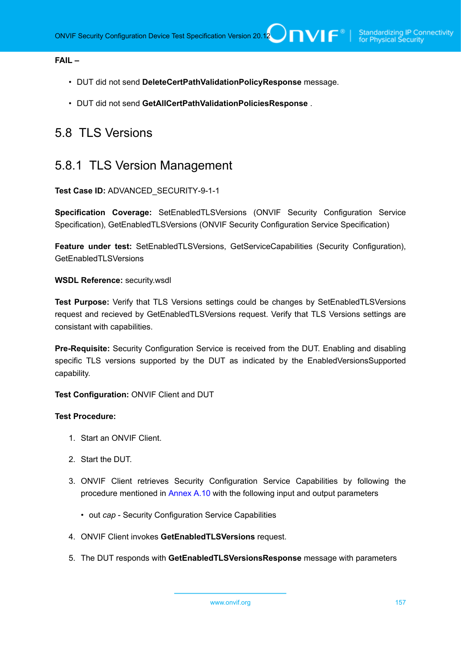## **FAIL –**

- DUT did not send **DeleteCertPathValidationPolicyResponse** message.
- DUT did not send **GetAllCertPathValidationPoliciesResponse** .

## 5.8 TLS Versions

# 5.8.1 TLS Version Management

## **Test Case ID:** ADVANCED\_SECURITY-9-1-1

**Specification Coverage:** SetEnabledTLSVersions (ONVIF Security Configuration Service Specification), GetEnabledTLSVersions (ONVIF Security Configuration Service Specification)

**Feature under test:** SetEnabledTLSVersions, GetServiceCapabilities (Security Configuration), GetEnabledTLSVersions

#### **WSDL Reference:** security.wsdl

**Test Purpose:** Verify that TLS Versions settings could be changes by SetEnabledTLSVersions request and recieved by GetEnabledTLSVersions request. Verify that TLS Versions settings are consistant with capabilities.

**Pre-Requisite:** Security Configuration Service is received from the DUT. Enabling and disabling specific TLS versions supported by the DUT as indicated by the EnabledVersionsSupported capability.

**Test Configuration:** ONVIF Client and DUT

- 1. Start an ONVIF Client.
- 2. Start the DUT.
- 3. ONVIF Client retrieves Security Configuration Service Capabilities by following the procedure mentioned in [Annex A.10](#page-168-0) with the following input and output parameters
	- out *cap* Security Configuration Service Capabilities
- 4. ONVIF Client invokes **GetEnabledTLSVersions** request.
- 5. The DUT responds with **GetEnabledTLSVersionsResponse** message with parameters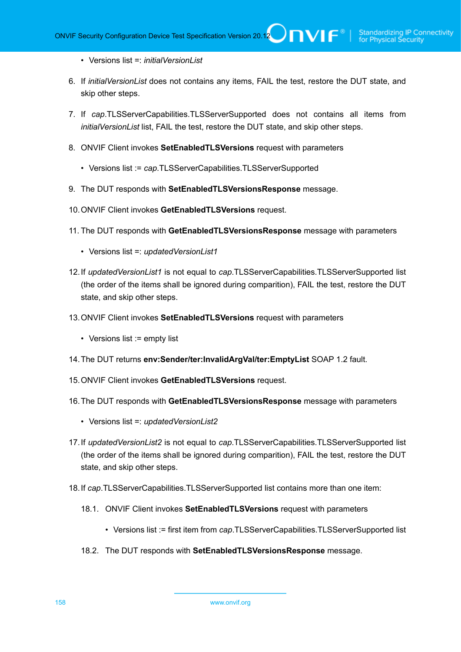- Versions list =: *initialVersionList*
- 6. If *initialVersionList* does not contains any items, FAIL the test, restore the DUT state, and skip other steps.
- 7. If *cap*.TLSServerCapabilities.TLSServerSupported does not contains all items from *initialVersionList* list, FAIL the test, restore the DUT state, and skip other steps.
- 8. ONVIF Client invokes **SetEnabledTLSVersions** request with parameters
	- Versions list := *cap*.TLSServerCapabilities.TLSServerSupported
- <span id="page-157-0"></span>9. The DUT responds with **SetEnabledTLSVersionsResponse** message.
- 10.ONVIF Client invokes **GetEnabledTLSVersions** request.
- 11. The DUT responds with **GetEnabledTLSVersionsResponse** message with parameters
	- Versions list =: *updatedVersionList1*
- 12.If *updatedVersionList1* is not equal to *cap*.TLSServerCapabilities.TLSServerSupported list (the order of the items shall be ignored during comparition), FAIL the test, restore the DUT state, and skip other steps.
- 13.ONVIF Client invokes **SetEnabledTLSVersions** request with parameters
	- Versions list := empty list
- <span id="page-157-2"></span>14.The DUT returns **env:Sender/ter:InvalidArgVal/ter:EmptyList** SOAP 1.2 fault.
- 15.ONVIF Client invokes **GetEnabledTLSVersions** request.
- 16.The DUT responds with **GetEnabledTLSVersionsResponse** message with parameters
	- Versions list =: *updatedVersionList2*
- 17.If *updatedVersionList2* is not equal to *cap*.TLSServerCapabilities.TLSServerSupported list (the order of the items shall be ignored during comparition), FAIL the test, restore the DUT state, and skip other steps.
- <span id="page-157-1"></span>18.If *cap*.TLSServerCapabilities.TLSServerSupported list contains more than one item:
	- 18.1. ONVIF Client invokes **SetEnabledTLSVersions** request with parameters
		- Versions list := first item from *cap*.TLSServerCapabilities.TLSServerSupported list
	- 18.2. The DUT responds with **SetEnabledTLSVersionsResponse** message.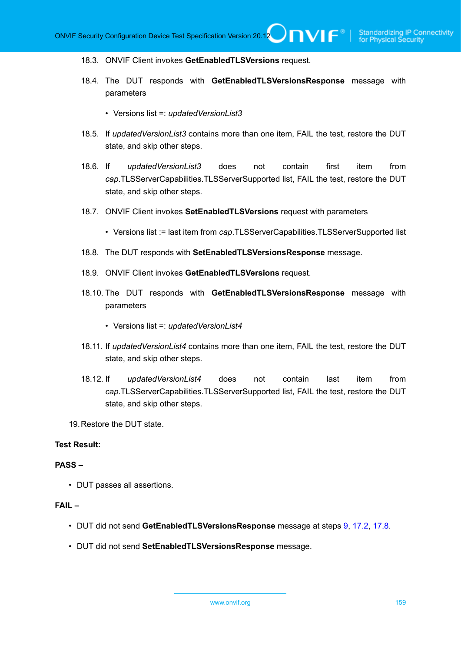#### 18.3. ONVIF Client invokes **GetEnabledTLSVersions** request.

- 18.4. The DUT responds with **GetEnabledTLSVersionsResponse** message with parameters
	- Versions list =: *updatedVersionList3*
- 18.5. If *updatedVersionList3* contains more than one item, FAIL the test, restore the DUT state, and skip other steps.
- 18.6. If *updatedVersionList3* does not contain first item from *cap*.TLSServerCapabilities.TLSServerSupported list, FAIL the test, restore the DUT state, and skip other steps.
- 18.7. ONVIF Client invokes **SetEnabledTLSVersions** request with parameters
	- Versions list := last item from *cap*.TLSServerCapabilities.TLSServerSupported list
- <span id="page-158-0"></span>18.8. The DUT responds with **SetEnabledTLSVersionsResponse** message.
- 18.9. ONVIF Client invokes **GetEnabledTLSVersions** request.
- 18.10. The DUT responds with **GetEnabledTLSVersionsResponse** message with parameters
	- Versions list =: *updatedVersionList4*
- 18.11. If *updatedVersionList4* contains more than one item, FAIL the test, restore the DUT state, and skip other steps.
- 18.12. If *updatedVersionList4* does not contain last item from *cap*.TLSServerCapabilities.TLSServerSupported list, FAIL the test, restore the DUT state, and skip other steps.
- 19.Restore the DUT state.

### **Test Result:**

#### **PASS –**

• DUT passes all assertions.

## **FAIL –**

- DUT did not send **GetEnabledTLSVersionsResponse** message at steps [9,](#page-157-0) [17.2,](#page-157-1) [17.8](#page-158-0).
- DUT did not send **SetEnabledTLSVersionsResponse** message.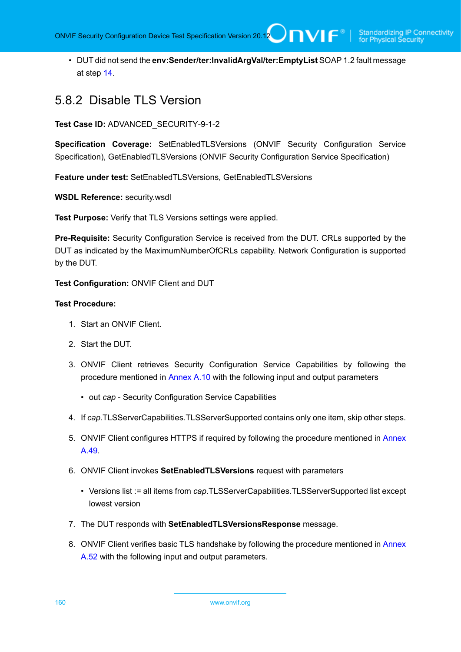• DUT did not send the **env:Sender/ter:InvalidArgVal/ter:EmptyList** SOAP 1.2 fault message at step [14](#page-157-2).

## 5.8.2 Disable TLS Version

**Test Case ID:** ADVANCED\_SECURITY-9-1-2

**Specification Coverage:** SetEnabledTLSVersions (ONVIF Security Configuration Service Specification), GetEnabledTLSVersions (ONVIF Security Configuration Service Specification)

**Feature under test:** SetEnabledTLSVersions, GetEnabledTLSVersions

**WSDL Reference:** security.wsdl

**Test Purpose:** Verify that TLS Versions settings were applied.

**Pre-Requisite:** Security Configuration Service is received from the DUT. CRLs supported by the DUT as indicated by the MaximumNumberOfCRLs capability. Network Configuration is supported by the DUT.

**Test Configuration:** ONVIF Client and DUT

- 1. Start an ONVIF Client.
- 2. Start the DUT.
- 3. ONVIF Client retrieves Security Configuration Service Capabilities by following the procedure mentioned in [Annex A.10](#page-168-0) with the following input and output parameters
	- out *cap* Security Configuration Service Capabilities
- 4. If *cap*.TLSServerCapabilities.TLSServerSupported contains only one item, skip other steps.
- 5. ONVIF Client configures HTTPS if required by following the procedure mentioned in [Annex](#page-203-0) [A.49](#page-203-0).
- 6. ONVIF Client invokes **SetEnabledTLSVersions** request with parameters
	- Versions list := all items from *cap*.TLSServerCapabilities.TLSServerSupported list except lowest version
- 7. The DUT responds with **SetEnabledTLSVersionsResponse** message.
- 8. ONVIF Client verifies basic TLS handshake by following the procedure mentioned in [Annex](#page-208-0) [A.52](#page-208-0) with the following input and output parameters.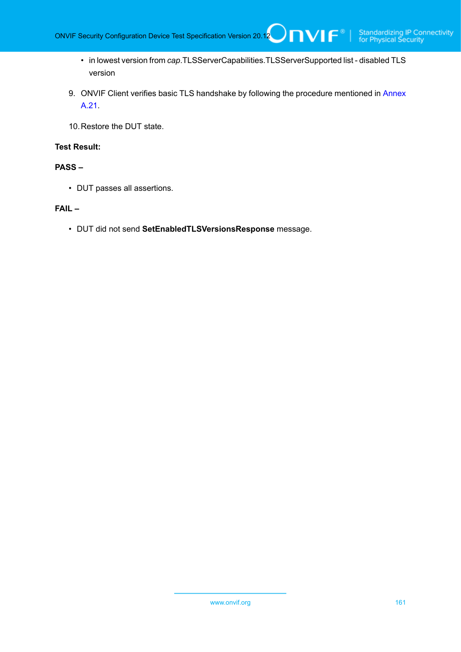• in lowest version from *cap*.TLSServerCapabilities.TLSServerSupported list - disabled TLS version

 $\mathsf{Dnvir}^*$  i

- 9. ONVIF Client verifies basic TLS handshake by following the procedure mentioned in [Annex](#page-178-0) [A.21](#page-178-0).
- 10.Restore the DUT state.

## **Test Result:**

## **PASS –**

• DUT passes all assertions.

## **FAIL –**

• DUT did not send **SetEnabledTLSVersionsResponse** message.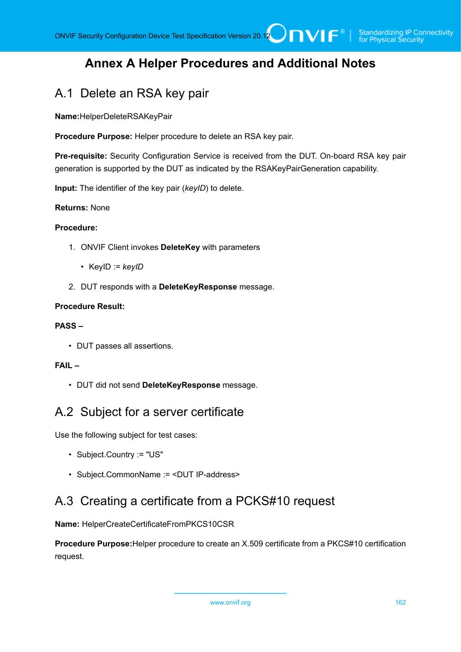## **Annex A Helper Procedures and Additional Notes**

## <span id="page-161-0"></span>A.1 Delete an RSA key pair

**Name:**HelperDeleteRSAKeyPair

**Procedure Purpose:** Helper procedure to delete an RSA key pair.

**Pre-requisite:** Security Configuration Service is received from the DUT. On-board RSA key pair generation is supported by the DUT as indicated by the RSAKeyPairGeneration capability.

**Input:** The identifier of the key pair (*keyID*) to delete.

## **Returns:** None

## **Procedure:**

- 1. ONVIF Client invokes **DeleteKey** with parameters
	- KeyID := *keyID*
- 2. DUT responds with a **DeleteKeyResponse** message.

#### **Procedure Result:**

## **PASS –**

• DUT passes all assertions.

## **FAIL –**

• DUT did not send **DeleteKeyResponse** message.

## <span id="page-161-1"></span>A.2 Subject for a server certificate

Use the following subject for test cases:

- Subject.Country := "US"
- Subject.CommonName := <DUT IP-address>

## <span id="page-161-2"></span>A.3 Creating a certificate from a PCKS#10 request

**Name:** HelperCreateCertificateFromPKCS10CSR

**Procedure Purpose:**Helper procedure to create an X.509 certificate from a PKCS#10 certification request.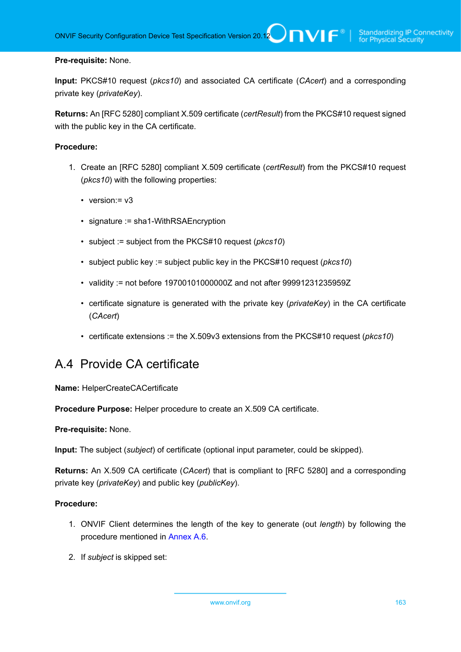## **Pre-requisite:** None.

**Input:** PKCS#10 request (*pkcs10*) and associated CA certificate (*CAcert*) and a corresponding private key (*privateKey*).

**Returns:** An [RFC 5280] compliant X.509 certificate (*certResult*) from the PKCS#10 request signed with the public key in the CA certificate.

## **Procedure:**

- 1. Create an [RFC 5280] compliant X.509 certificate (*certResult*) from the PKCS#10 request (*pkcs10*) with the following properties:
	- version:  $= v3$
	- signature := sha1-WithRSAEncryption
	- subject := subject from the PKCS#10 request (*pkcs10*)
	- subject public key := subject public key in the PKCS#10 request (*pkcs10*)
	- validity := not before 19700101000000Z and not after 99991231235959Z
	- certificate signature is generated with the private key (*privateKey*) in the CA certificate (*CAcert*)
	- certificate extensions := the X.509v3 extensions from the PKCS#10 request (*pkcs10*)

## <span id="page-162-0"></span>A.4 Provide CA certificate

## **Name:** HelperCreateCACertificate

**Procedure Purpose:** Helper procedure to create an X.509 CA certificate.

## **Pre-requisite:** None.

**Input:** The subject (*subject*) of certificate (optional input parameter, could be skipped).

**Returns:** An X.509 CA certificate (*CAcert*) that is compliant to [RFC 5280] and a corresponding private key (*privateKey*) and public key (*publicKey*).

## **Procedure:**

- 1. ONVIF Client determines the length of the key to generate (out *length*) by following the procedure mentioned in [Annex A.6](#page-164-0).
- 2. If *subject* is skipped set: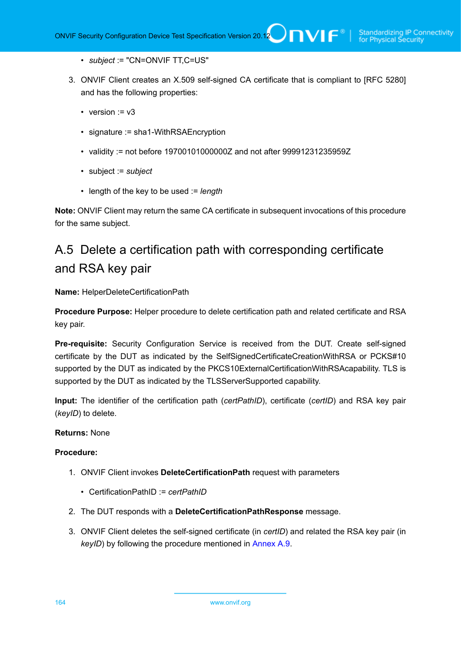- *subject* := "CN=ONVIF TT,C=US"
- 3. ONVIF Client creates an X.509 self-signed CA certificate that is compliant to [RFC 5280] and has the following properties:
	- version  $= v3$
	- signature := sha1-WithRSAEncryption
	- validity := not before 19700101000000Z and not after 99991231235959Z
	- subject := *subject*
	- length of the key to be used := *length*

**Note:** ONVIF Client may return the same CA certificate in subsequent invocations of this procedure for the same subject.

# <span id="page-163-0"></span>A.5 Delete a certification path with corresponding certificate and RSA key pair

**Name:** HelperDeleteCertificationPath

**Procedure Purpose:** Helper procedure to delete certification path and related certificate and RSA key pair.

**Pre-requisite:** Security Configuration Service is received from the DUT. Create self-signed certificate by the DUT as indicated by the SelfSignedCertificateCreationWithRSA or PCKS#10 supported by the DUT as indicated by the PKCS10ExternalCertificationWithRSAcapability. TLS is supported by the DUT as indicated by the TLSServerSupported capability.

**Input:** The identifier of the certification path (*certPathID*), certificate (*certID*) and RSA key pair (*keyID*) to delete.

### **Returns:** None

## **Procedure:**

- 1. ONVIF Client invokes **DeleteCertificationPath** request with parameters
	- CertificationPathID := *certPathID*
- 2. The DUT responds with a **DeleteCertificationPathResponse** message.
- 3. ONVIF Client deletes the self-signed certificate (in *certID*) and related the RSA key pair (in *keyID*) by following the procedure mentioned in [Annex A.9.](#page-167-0)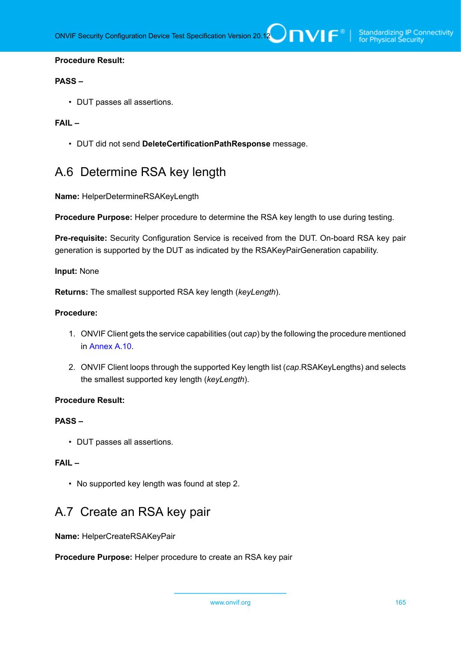## **PASS –**

• DUT passes all assertions.

## **FAIL –**

• DUT did not send **DeleteCertificationPathResponse** message.

## <span id="page-164-0"></span>A.6 Determine RSA key length

**Name:** HelperDetermineRSAKeyLength

**Procedure Purpose:** Helper procedure to determine the RSA key length to use during testing.

**Pre-requisite:** Security Configuration Service is received from the DUT. On-board RSA key pair generation is supported by the DUT as indicated by the RSAKeyPairGeneration capability.

#### **Input:** None

**Returns:** The smallest supported RSA key length (*keyLength*).

#### **Procedure:**

- 1. ONVIF Client gets the service capabilities (out *cap*) by the following the procedure mentioned in [Annex A.10.](#page-168-0)
- 2. ONVIF Client loops through the supported Key length list (*cap*.RSAKeyLengths) and selects the smallest supported key length (*keyLength*).

### **Procedure Result:**

## **PASS –**

• DUT passes all assertions.

## **FAIL –**

• No supported key length was found at step 2.

## <span id="page-164-1"></span>A.7 Create an RSA key pair

**Name:** HelperCreateRSAKeyPair

**Procedure Purpose:** Helper procedure to create an RSA key pair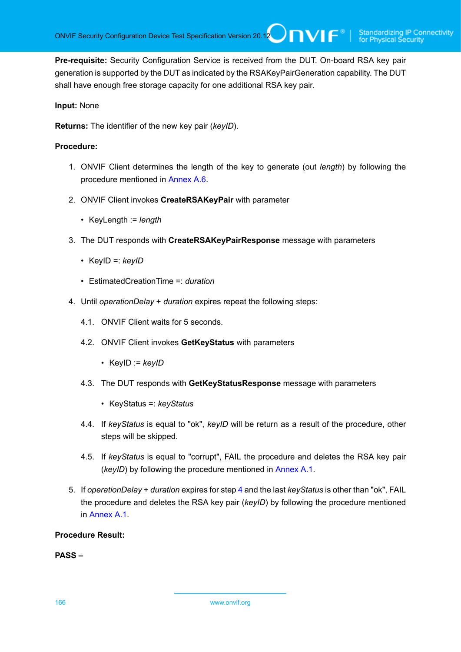**Pre-requisite:** Security Configuration Service is received from the DUT. On-board RSA key pair generation is supported by the DUT as indicated by the RSAKeyPairGeneration capability. The DUT shall have enough free storage capacity for one additional RSA key pair.

## **Input:** None

**Returns:** The identifier of the new key pair (*keyID*).

## **Procedure:**

- 1. ONVIF Client determines the length of the key to generate (out *length*) by following the procedure mentioned in [Annex A.6](#page-164-0).
- 2. ONVIF Client invokes **CreateRSAKeyPair** with parameter
	- KeyLength := *length*
- 3. The DUT responds with **CreateRSAKeyPairResponse** message with parameters
	- KeyID =: *keyID*
	- EstimatedCreationTime =: *duration*
- <span id="page-165-0"></span>4. Until *operationDelay* + *duration* expires repeat the following steps:
	- 4.1. ONVIF Client waits for 5 seconds.
	- 4.2. ONVIF Client invokes **GetKeyStatus** with parameters
		- KeyID := *keyID*
	- 4.3. The DUT responds with **GetKeyStatusResponse** message with parameters
		- KeyStatus =: *keyStatus*
	- 4.4. If *keyStatus* is equal to "ok", *keyID* will be return as a result of the procedure, other steps will be skipped.
	- 4.5. If *keyStatus* is equal to "corrupt", FAIL the procedure and deletes the RSA key pair (*keyID*) by following the procedure mentioned in [Annex A.1](#page-161-0).
- 5. If *operationDelay* + *duration* expires for step [4](#page-165-0) and the last *keyStatus* is other than "ok", FAIL the procedure and deletes the RSA key pair (*keyID*) by following the procedure mentioned in [Annex A.1.](#page-161-0)

## **Procedure Result:**

**PASS –**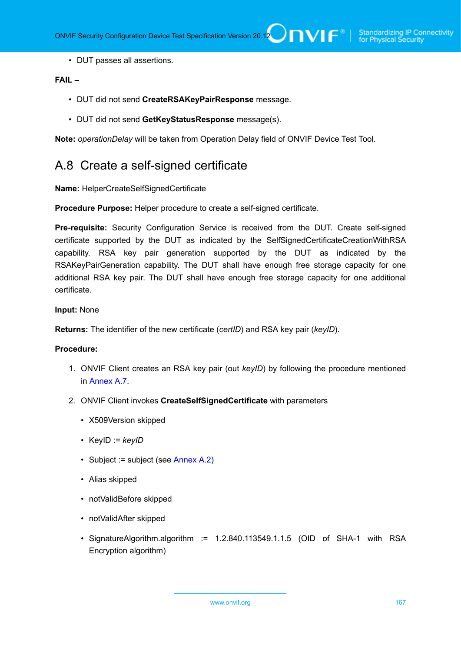• DUT passes all assertions.

## **FAIL –**

- DUT did not send **CreateRSAKeyPairResponse** message.
- DUT did not send **GetKeyStatusResponse** message(s).

<span id="page-166-0"></span>**Note:** *operationDelay* will be taken from Operation Delay field of ONVIF Device Test Tool.

## A.8 Create a self-signed certificate

**Name:** HelperCreateSelfSignedCertificate

**Procedure Purpose:** Helper procedure to create a self-signed certificate.

**Pre-requisite:** Security Configuration Service is received from the DUT. Create self-signed certificate supported by the DUT as indicated by the SelfSignedCertificateCreationWithRSA capability. RSA key pair generation supported by the DUT as indicated by the RSAKeyPairGeneration capability. The DUT shall have enough free storage capacity for one additional RSA key pair. The DUT shall have enough free storage capacity for one additional certificate.

#### **Input:** None

**Returns:** The identifier of the new certificate (*certID*) and RSA key pair (*keyID*).

#### **Procedure:**

- 1. ONVIF Client creates an RSA key pair (out *keyID*) by following the procedure mentioned in [Annex A.7.](#page-164-1)
- 2. ONVIF Client invokes **CreateSelfSignedCertificate** with parameters
	- X509Version skipped
	- KeyID := *keyID*
	- Subject := subject (see [Annex A.2\)](#page-161-1)
	- Alias skipped
	- notValidBefore skipped
	- notValidAfter skipped
	- SignatureAlgorithm.algorithm := 1.2.840.113549.1.1.5 (OID of SHA-1 with RSA Encryption algorithm)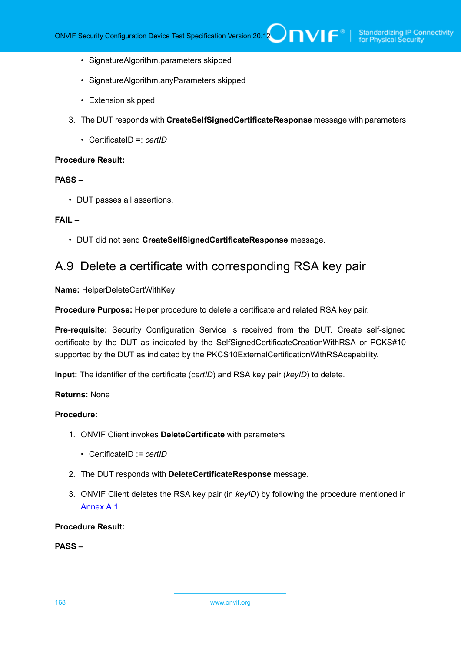- SignatureAlgorithm.parameters skipped
- SignatureAlgorithm.anyParameters skipped
- Extension skipped
- 3. The DUT responds with **CreateSelfSignedCertificateResponse** message with parameters
	- CertificateID =: *certID*

## **PASS –**

• DUT passes all assertions.

### **FAIL –**

• DUT did not send **CreateSelfSignedCertificateResponse** message.

## <span id="page-167-0"></span>A.9 Delete a certificate with corresponding RSA key pair

**Name:** HelperDeleteCertWithKey

**Procedure Purpose:** Helper procedure to delete a certificate and related RSA key pair.

**Pre-requisite:** Security Configuration Service is received from the DUT. Create self-signed certificate by the DUT as indicated by the SelfSignedCertificateCreationWithRSA or PCKS#10 supported by the DUT as indicated by the PKCS10ExternalCertificationWithRSAcapability.

**Input:** The identifier of the certificate (*certID*) and RSA key pair (*keyID*) to delete.

### **Returns:** None

### **Procedure:**

- 1. ONVIF Client invokes **DeleteCertificate** with parameters
	- CertificateID := *certID*
- 2. The DUT responds with **DeleteCertificateResponse** message.
- 3. ONVIF Client deletes the RSA key pair (in *keyID*) by following the procedure mentioned in [Annex A.1.](#page-161-0)

## **Procedure Result:**

## **PASS –**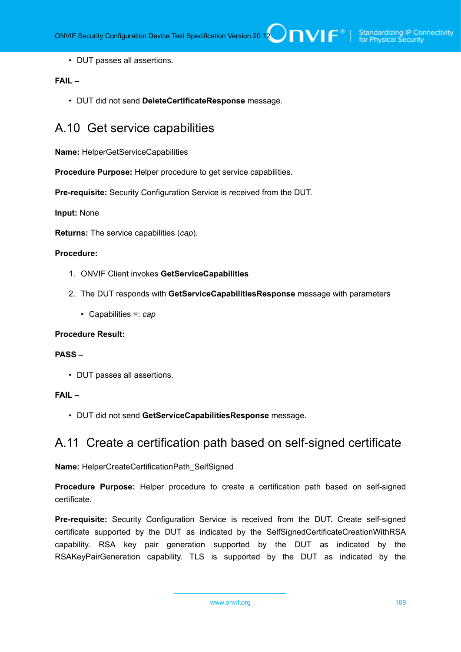• DUT passes all assertions.

## **FAIL –**

• DUT did not send **DeleteCertificateResponse** message.

## <span id="page-168-0"></span>A.10 Get service capabilities

**Name:** HelperGetServiceCapabilities

**Procedure Purpose:** Helper procedure to get service capabilities.

**Pre-requisite:** Security Configuration Service is received from the DUT.

**Input:** None

**Returns:** The service capabilities (*cap*).

## **Procedure:**

- 1. ONVIF Client invokes **GetServiceCapabilities**
- 2. The DUT responds with **GetServiceCapabilitiesResponse** message with parameters
	- Capabilities =: *cap*

## **Procedure Result:**

## **PASS –**

• DUT passes all assertions.

## **FAIL –**

• DUT did not send **GetServiceCapabilitiesResponse** message.

## <span id="page-168-1"></span>A.11 Create a certification path based on self-signed certificate

**Name:** HelperCreateCertificationPath\_SelfSigned

**Procedure Purpose:** Helper procedure to create a certification path based on self-signed certificate.

**Pre-requisite:** Security Configuration Service is received from the DUT. Create self-signed certificate supported by the DUT as indicated by the SelfSignedCertificateCreationWithRSA capability. RSA key pair generation supported by the DUT as indicated by the RSAKeyPairGeneration capability. TLS is supported by the DUT as indicated by the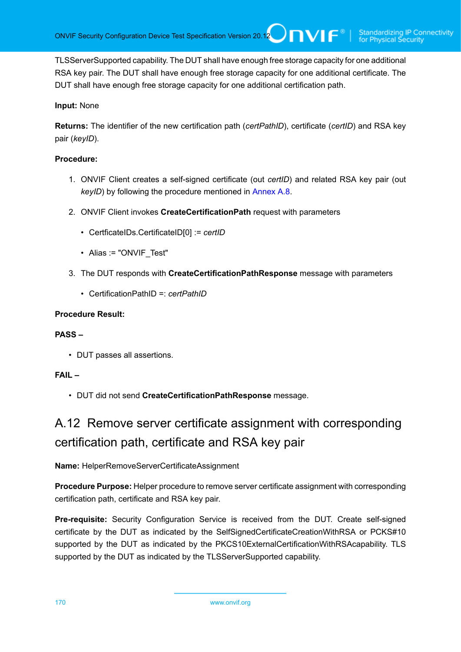TLSServerSupported capability. The DUT shall have enough free storage capacity for one additional RSA key pair. The DUT shall have enough free storage capacity for one additional certificate. The DUT shall have enough free storage capacity for one additional certification path.

## **Input:** None

**Returns:** The identifier of the new certification path (*certPathID*), certificate (*certID*) and RSA key pair (*keyID*).

## **Procedure:**

- 1. ONVIF Client creates a self-signed certificate (out *certID*) and related RSA key pair (out *keyID*) by following the procedure mentioned in [Annex A.8.](#page-166-0)
- 2. ONVIF Client invokes **CreateCertificationPath** request with parameters
	- CertficateIDs.CertificateID[0] := *certID*
	- Alias := "ONVIF\_Test"
- 3. The DUT responds with **CreateCertificationPathResponse** message with parameters
	- CertificationPathID =: *certPathID*

## **Procedure Result:**

## **PASS –**

• DUT passes all assertions.

## **FAIL –**

• DUT did not send **CreateCertificationPathResponse** message.

# A.12 Remove server certificate assignment with corresponding certification path, certificate and RSA key pair

## **Name:** HelperRemoveServerCertificateAssignment

**Procedure Purpose:** Helper procedure to remove server certificate assignment with corresponding certification path, certificate and RSA key pair.

**Pre-requisite:** Security Configuration Service is received from the DUT. Create self-signed certificate by the DUT as indicated by the SelfSignedCertificateCreationWithRSA or PCKS#10 supported by the DUT as indicated by the PKCS10ExternalCertificationWithRSAcapability. TLS supported by the DUT as indicated by the TLSServerSupported capability.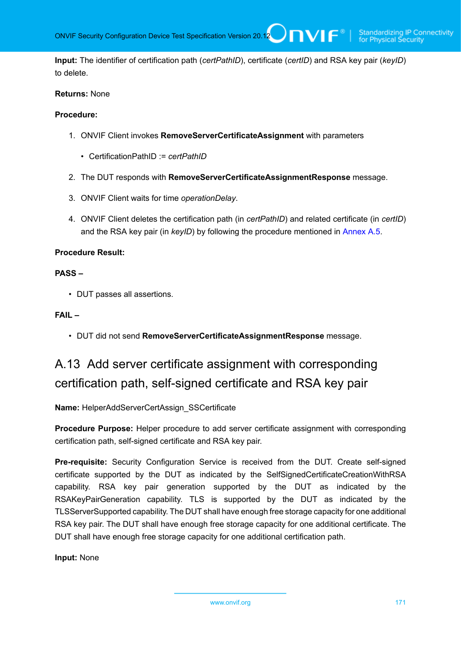**Input:** The identifier of certification path (*certPathID*), certificate (*certID*) and RSA key pair (*keyID*) to delete.

## **Returns:** None

#### **Procedure:**

- 1. ONVIF Client invokes **RemoveServerCertificateAssignment** with parameters
	- CertificationPathID := *certPathID*
- 2. The DUT responds with **RemoveServerCertificateAssignmentResponse** message.
- 3. ONVIF Client waits for time *operationDelay*.
- 4. ONVIF Client deletes the certification path (in *certPathID*) and related certificate (in *certID*) and the RSA key pair (in *keyID*) by following the procedure mentioned in [Annex A.5](#page-163-0).

#### **Procedure Result:**

#### **PASS –**

• DUT passes all assertions.

#### **FAIL –**

• DUT did not send **RemoveServerCertificateAssignmentResponse** message.

# A.13 Add server certificate assignment with corresponding certification path, self-signed certificate and RSA key pair

**Name:** HelperAddServerCertAssign\_SSCertificate

**Procedure Purpose:** Helper procedure to add server certificate assignment with corresponding certification path, self-signed certificate and RSA key pair.

**Pre-requisite:** Security Configuration Service is received from the DUT. Create self-signed certificate supported by the DUT as indicated by the SelfSignedCertificateCreationWithRSA capability. RSA key pair generation supported by the DUT as indicated by the RSAKeyPairGeneration capability. TLS is supported by the DUT as indicated by the TLSServerSupported capability. The DUT shall have enough free storage capacity for one additional RSA key pair. The DUT shall have enough free storage capacity for one additional certificate. The DUT shall have enough free storage capacity for one additional certification path.

**Input:** None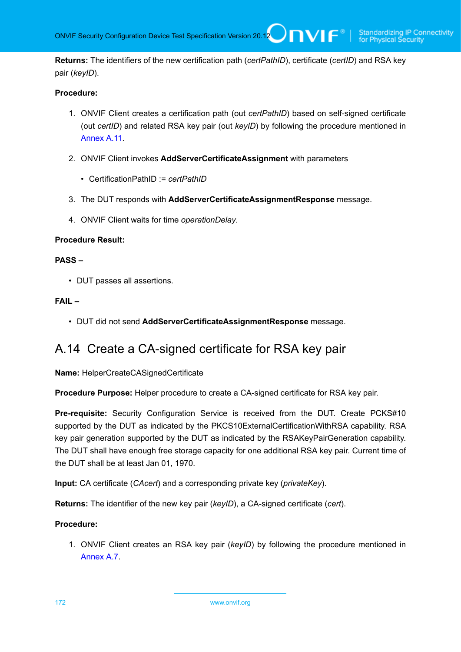**Returns:** The identifiers of the new certification path (*certPathID*), certificate (*certID*) and RSA key pair (*keyID*).

## **Procedure:**

- 1. ONVIF Client creates a certification path (out *certPathID*) based on self-signed certificate (out *certID*) and related RSA key pair (out *keyID*) by following the procedure mentioned in [Annex](#page-168-1) A.11.
- 2. ONVIF Client invokes **AddServerCertificateAssignment** with parameters
	- CertificationPathID := *certPathID*
- 3. The DUT responds with **AddServerCertificateAssignmentResponse** message.
- 4. ONVIF Client waits for time *operationDelay*.

## **Procedure Result:**

## **PASS –**

• DUT passes all assertions.

## **FAIL –**

• DUT did not send **AddServerCertificateAssignmentResponse** message.

## <span id="page-171-0"></span>A.14 Create a CA-signed certificate for RSA key pair

**Name:** HelperCreateCASignedCertificate

**Procedure Purpose:** Helper procedure to create a CA-signed certificate for RSA key pair.

**Pre-requisite:** Security Configuration Service is received from the DUT. Create PCKS#10 supported by the DUT as indicated by the PKCS10ExternalCertificationWithRSA capability. RSA key pair generation supported by the DUT as indicated by the RSAKeyPairGeneration capability. The DUT shall have enough free storage capacity for one additional RSA key pair. Current time of the DUT shall be at least Jan 01, 1970.

**Input:** CA certificate (*CAcert*) and a corresponding private key (*privateKey*).

**Returns:** The identifier of the new key pair (*keyID*), a CA-signed certificate (*cert*).

## **Procedure:**

1. ONVIF Client creates an RSA key pair (*keyID*) by following the procedure mentioned in [Annex A.7.](#page-164-1)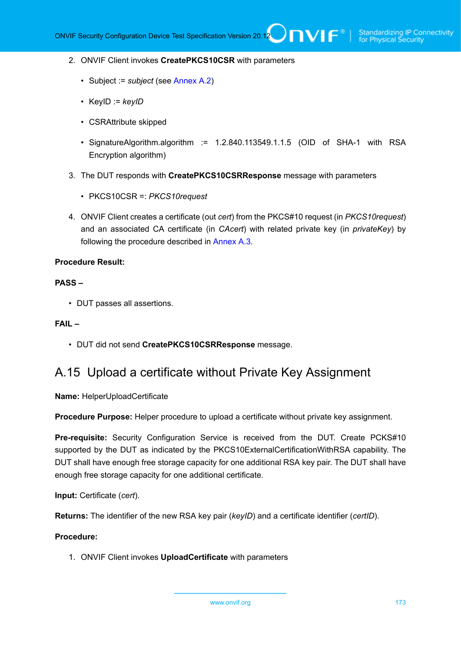#### 2. ONVIF Client invokes **CreatePKCS10CSR** with parameters

- Subject := *subject* (see [Annex A.2\)](#page-161-1)
- KeyID := *keyID*
- CSRAttribute skipped
- SignatureAlgorithm.algorithm := 1.2.840.113549.1.1.5 (OID of SHA-1 with RSA Encryption algorithm)
- 3. The DUT responds with **CreatePKCS10CSRResponse** message with parameters
	- PKCS10CSR =: *PKCS10request*
- 4. ONVIF Client creates a certificate (out *cert*) from the PKCS#10 request (in *PKCS10request*) and an associated CA certificate (in *CAcert*) with related private key (in *privateKey*) by following the procedure described in [Annex A.3.](#page-161-2)

#### **Procedure Result:**

#### **PASS –**

• DUT passes all assertions.

#### **FAIL –**

• DUT did not send **CreatePKCS10CSRResponse** message.

## <span id="page-172-0"></span>A.15 Upload a certificate without Private Key Assignment

**Name:** HelperUploadCertificate

**Procedure Purpose:** Helper procedure to upload a certificate without private key assignment.

**Pre-requisite:** Security Configuration Service is received from the DUT. Create PCKS#10 supported by the DUT as indicated by the PKCS10ExternalCertificationWithRSA capability. The DUT shall have enough free storage capacity for one additional RSA key pair. The DUT shall have enough free storage capacity for one additional certificate.

**Input:** Certificate (*cert*).

**Returns:** The identifier of the new RSA key pair (*keyID*) and a certificate identifier (*certID*).

#### **Procedure:**

1. ONVIF Client invokes **UploadCertificate** with parameters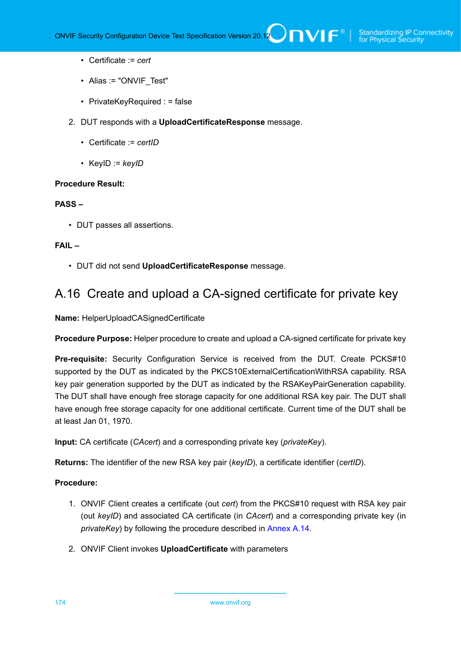- Certificate := *cert*
- Alias := "ONVIF Test"
- PrivateKeyRequired : = false
- 2. DUT responds with a **UploadCertificateResponse** message.
	- Certificate := *certID*
	- KeyID := *keyID*

#### **PASS –**

• DUT passes all assertions.

#### **FAIL –**

• DUT did not send **UploadCertificateResponse** message.

## <span id="page-173-0"></span>A.16 Create and upload a CA-signed certificate for private key

**Name:** HelperUploadCASignedCertificate

**Procedure Purpose:** Helper procedure to create and upload a CA-signed certificate for private key

**Pre-requisite:** Security Configuration Service is received from the DUT. Create PCKS#10 supported by the DUT as indicated by the PKCS10ExternalCertificationWithRSA capability. RSA key pair generation supported by the DUT as indicated by the RSAKeyPairGeneration capability. The DUT shall have enough free storage capacity for one additional RSA key pair. The DUT shall have enough free storage capacity for one additional certificate. Current time of the DUT shall be at least Jan 01, 1970.

**Input:** CA certificate (*CAcert*) and a corresponding private key (*privateKey*).

**Returns:** The identifier of the new RSA key pair (*keyID*), a certificate identifier (*certID*).

### **Procedure:**

- 1. ONVIF Client creates a certificate (out *cert*) from the PKCS#10 request with RSA key pair (out *keyID*) and associated CA certificate (in *CAcert*) and a corresponding private key (in *privateKey*) by following the procedure described in [Annex A.14.](#page-171-0)
- 2. ONVIF Client invokes **UploadCertificate** with parameters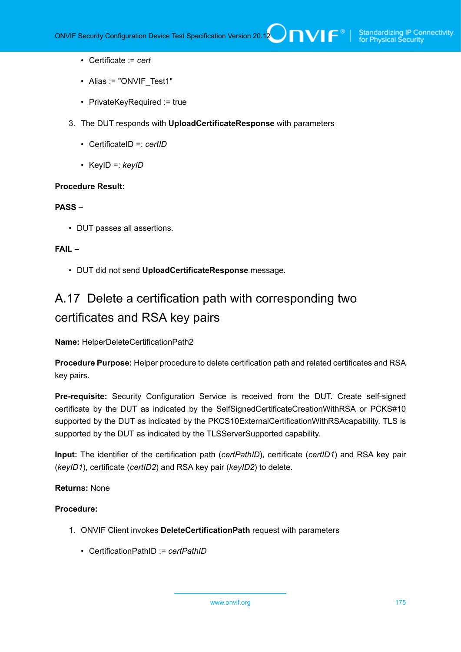- Certificate := *cert*
- Alias := "ONVIF Test1"
- PrivateKeyRequired := true
- 3. The DUT responds with **UploadCertificateResponse** with parameters
	- CertificateID =: *certID*
	- KeyID =: *keyID*

#### **PASS –**

• DUT passes all assertions.

## **FAIL –**

• DUT did not send **UploadCertificateResponse** message.

# <span id="page-174-0"></span>A.17 Delete a certification path with corresponding two certificates and RSA key pairs

**Name:** HelperDeleteCertificationPath2

**Procedure Purpose:** Helper procedure to delete certification path and related certificates and RSA key pairs.

**Pre-requisite:** Security Configuration Service is received from the DUT. Create self-signed certificate by the DUT as indicated by the SelfSignedCertificateCreationWithRSA or PCKS#10 supported by the DUT as indicated by the PKCS10ExternalCertificationWithRSAcapability. TLS is supported by the DUT as indicated by the TLSServerSupported capability.

**Input:** The identifier of the certification path (*certPathID*), certificate (*certID1*) and RSA key pair (*keyID1*), certificate (*certID2*) and RSA key pair (*keyID2*) to delete.

## **Returns:** None

## **Procedure:**

- 1. ONVIF Client invokes **DeleteCertificationPath** request with parameters
	- CertificationPathID := *certPathID*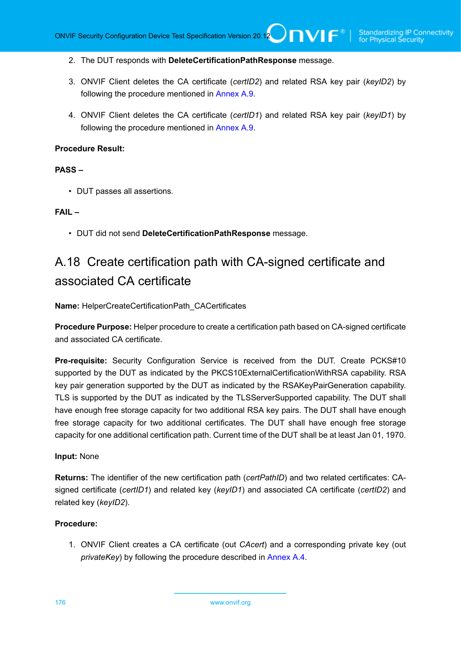- 2. The DUT responds with **DeleteCertificationPathResponse** message.
- 3. ONVIF Client deletes the CA certificate (*certID2*) and related RSA key pair (*keyID2*) by following the procedure mentioned in [Annex A.9](#page-167-0).
- 4. ONVIF Client deletes the CA certificate (*certID1*) and related RSA key pair (*keyID1*) by following the procedure mentioned in [Annex A.9](#page-167-0).

### **PASS –**

• DUT passes all assertions.

#### **FAIL –**

• DUT did not send **DeleteCertificationPathResponse** message.

# A.18 Create certification path with CA-signed certificate and associated CA certificate

**Name:** HelperCreateCertificationPath\_CACertificates

**Procedure Purpose:** Helper procedure to create a certification path based on CA-signed certificate and associated CA certificate.

**Pre-requisite:** Security Configuration Service is received from the DUT. Create PCKS#10 supported by the DUT as indicated by the PKCS10ExternalCertificationWithRSA capability. RSA key pair generation supported by the DUT as indicated by the RSAKeyPairGeneration capability. TLS is supported by the DUT as indicated by the TLSServerSupported capability. The DUT shall have enough free storage capacity for two additional RSA key pairs. The DUT shall have enough free storage capacity for two additional certificates. The DUT shall have enough free storage capacity for one additional certification path. Current time of the DUT shall be at least Jan 01, 1970.

#### **Input:** None

**Returns:** The identifier of the new certification path (*certPathID*) and two related certificates: CAsigned certificate (*certID1*) and related key (*keyID1*) and associated CA certificate (*certID2*) and related key (*keyID2*).

#### **Procedure:**

1. ONVIF Client creates a CA certificate (out *CAcert*) and a corresponding private key (out *privateKey*) by following the procedure described in [Annex A.4.](#page-162-0)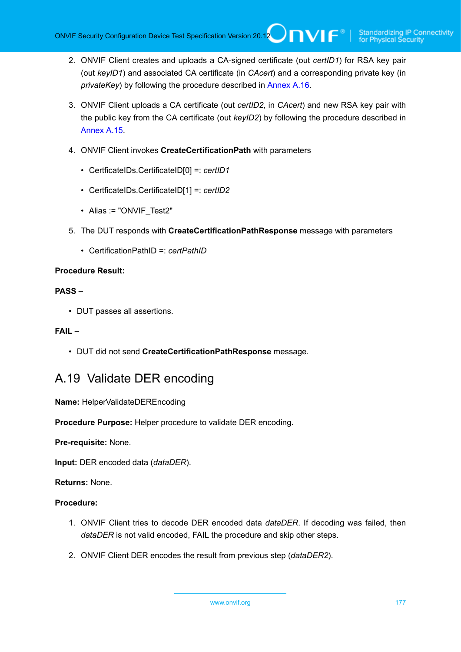- 2. ONVIF Client creates and uploads a CA-signed certificate (out *certID1*) for RSA key pair (out *keyID1*) and associated CA certificate (in *CAcert*) and a corresponding private key (in *privateKey*) by following the procedure described in [Annex A.16.](#page-173-0)
- 3. ONVIF Client uploads a CA certificate (out *certID2*, in *CAcert*) and new RSA key pair with the public key from the CA certificate (out *keyID2*) by following the procedure described in [Annex A.15.](#page-172-0)
- 4. ONVIF Client invokes **CreateCertificationPath** with parameters
	- CertficateIDs.CertificateID[0] =: *certID1*
	- CertficateIDs.CertificateID[1] =: *certID2*
	- Alias := "ONVIF Test2"
- 5. The DUT responds with **CreateCertificationPathResponse** message with parameters
	- CertificationPathID =: *certPathID*

## **PASS –**

• DUT passes all assertions.

## **FAIL –**

• DUT did not send **CreateCertificationPathResponse** message.

## A.19 Validate DER encoding

**Name:** HelperValidateDEREncoding

**Procedure Purpose:** Helper procedure to validate DER encoding.

**Pre-requisite:** None.

**Input:** DER encoded data (*dataDER*).

**Returns:** None.

## **Procedure:**

- 1. ONVIF Client tries to decode DER encoded data *dataDER*. If decoding was failed, then *dataDER* is not valid encoded, FAIL the procedure and skip other steps.
- 2. ONVIF Client DER encodes the result from previous step (*dataDER2*).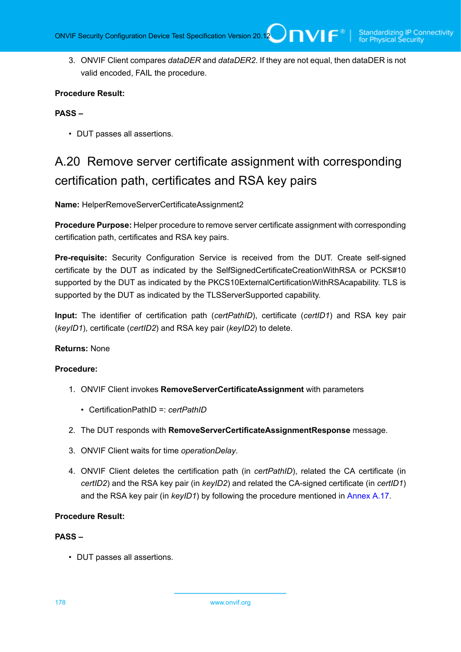3. ONVIF Client compares *dataDER* and *dataDER2*. If they are not equal, then dataDER is not valid encoded, FAIL the procedure.

## **Procedure Result:**

## **PASS –**

• DUT passes all assertions.

# A.20 Remove server certificate assignment with corresponding certification path, certificates and RSA key pairs

**Name:** HelperRemoveServerCertificateAssignment2

**Procedure Purpose:** Helper procedure to remove server certificate assignment with corresponding certification path, certificates and RSA key pairs.

**Pre-requisite:** Security Configuration Service is received from the DUT. Create self-signed certificate by the DUT as indicated by the SelfSignedCertificateCreationWithRSA or PCKS#10 supported by the DUT as indicated by the PKCS10ExternalCertificationWithRSAcapability. TLS is supported by the DUT as indicated by the TLSServerSupported capability.

**Input:** The identifier of certification path (*certPathID*), certificate (*certID1*) and RSA key pair (*keyID1*), certificate (*certID2*) and RSA key pair (*keyID2*) to delete.

## **Returns:** None

## **Procedure:**

- 1. ONVIF Client invokes **RemoveServerCertificateAssignment** with parameters
	- CertificationPathID =: *certPathID*
- 2. The DUT responds with **RemoveServerCertificateAssignmentResponse** message.
- 3. ONVIF Client waits for time *operationDelay*.
- 4. ONVIF Client deletes the certification path (in *certPathID*), related the CA certificate (in *certID2*) and the RSA key pair (in *keyID2*) and related the CA-signed certificate (in *certID1*) and the RSA key pair (in *keyID1*) by following the procedure mentioned in [Annex A.17.](#page-174-0)

#### **Procedure Result:**

#### **PASS –**

• DUT passes all assertions.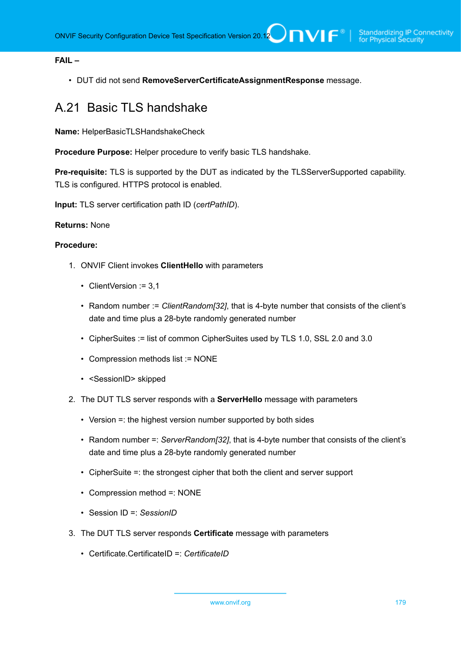## **FAIL –**

• DUT did not send **RemoveServerCertificateAssignmentResponse** message.

## <span id="page-178-0"></span>A.21 Basic TLS handshake

**Name:** HelperBasicTLSHandshakeCheck

**Procedure Purpose:** Helper procedure to verify basic TLS handshake.

**Pre-requisite:** TLS is supported by the DUT as indicated by the TLSServerSupported capability. TLS is configured. HTTPS protocol is enabled.

**Input:** TLS server certification path ID (*certPathID*).

## **Returns:** None

#### **Procedure:**

- 1. ONVIF Client invokes **ClientHello** with parameters
	- ClientVersion := 3,1
	- Random number := *ClientRandom[32]*, that is 4-byte number that consists of the client's date and time plus a 28-byte randomly generated number
	- CipherSuites := list of common CipherSuites used by TLS 1.0, SSL 2.0 and 3.0
	- Compression methods list := NONE
	- <SessionID> skipped
- 2. The DUT TLS server responds with a **ServerHello** message with parameters
	- Version =: the highest version number supported by both sides
	- Random number =: *ServerRandom[32]*, that is 4-byte number that consists of the client's date and time plus a 28-byte randomly generated number
	- CipherSuite =: the strongest cipher that both the client and server support
	- Compression method =: NONE
	- Session ID =: *SessionID*
- 3. The DUT TLS server responds **Certificate** message with parameters
	- Certificate.CertificateID =: *CertificateID*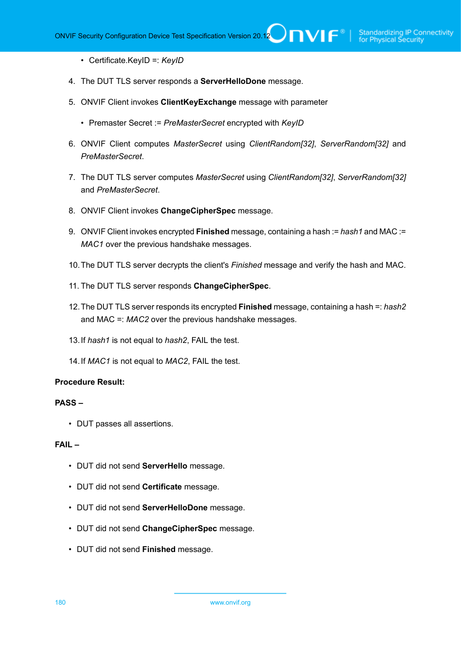• Certificate.KeyID =: *KeyID*

- 4. The DUT TLS server responds a **ServerHelloDone** message.
- 5. ONVIF Client invokes **ClientKeyExchange** message with parameter
	- Premaster Secret := *PreMasterSecret* encrypted with *KeyID*
- 6. ONVIF Client computes *MasterSecret* using *ClientRandom[32]*, *ServerRandom[32]* and *PreMasterSecret*.
- 7. The DUT TLS server computes *MasterSecret* using *ClientRandom[32]*, *ServerRandom[32]* and *PreMasterSecret*.
- 8. ONVIF Client invokes **ChangeCipherSpec** message.
- 9. ONVIF Client invokes encrypted **Finished** message, containing a hash := *hash1* and MAC := *MAC1* over the previous handshake messages.
- 10.The DUT TLS server decrypts the client's *Finished* message and verify the hash and MAC.
- 11. The DUT TLS server responds **ChangeCipherSpec**.
- 12.The DUT TLS server responds its encrypted **Finished** message, containing a hash =: *hash2* and MAC =: *MAC2* over the previous handshake messages.
- 13.If *hash1* is not equal to *hash2*, FAIL the test.
- 14.If *MAC1* is not equal to *MAC2*, FAIL the test.

#### **Procedure Result:**

#### **PASS –**

• DUT passes all assertions.

## **FAIL –**

- DUT did not send **ServerHello** message.
- DUT did not send **Certificate** message.
- DUT did not send **ServerHelloDone** message.
- DUT did not send **ChangeCipherSpec** message.
- DUT did not send **Finished** message.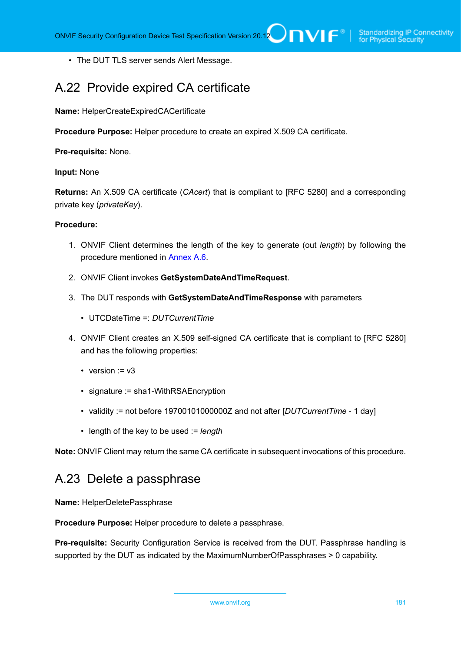• The DUT TLS server sends Alert Message.

# A.22 Provide expired CA certificate

**Name:** HelperCreateExpiredCACertificate

**Procedure Purpose:** Helper procedure to create an expired X.509 CA certificate.

**Pre-requisite:** None.

#### **Input:** None

**Returns:** An X.509 CA certificate (*CAcert*) that is compliant to [RFC 5280] and a corresponding private key (*privateKey*).

#### **Procedure:**

- 1. ONVIF Client determines the length of the key to generate (out *length*) by following the procedure mentioned in [Annex A.6](#page-164-0).
- 2. ONVIF Client invokes **GetSystemDateAndTimeRequest**.
- 3. The DUT responds with **GetSystemDateAndTimeResponse** with parameters
	- UTCDateTime =: *DUTCurrentTime*
- 4. ONVIF Client creates an X.509 self-signed CA certificate that is compliant to [RFC 5280] and has the following properties:
	- version  $:= v3$
	- signature := sha1-WithRSAEncryption
	- validity := not before 19700101000000Z and not after [*DUTCurrentTime* 1 day]
	- length of the key to be used := *length*

**Note:** ONVIF Client may return the same CA certificate in subsequent invocations of this procedure.

# A.23 Delete a passphrase

**Name:** HelperDeletePassphrase

**Procedure Purpose:** Helper procedure to delete a passphrase.

**Pre-requisite:** Security Configuration Service is received from the DUT. Passphrase handling is supported by the DUT as indicated by the MaximumNumberOfPassphrases > 0 capability.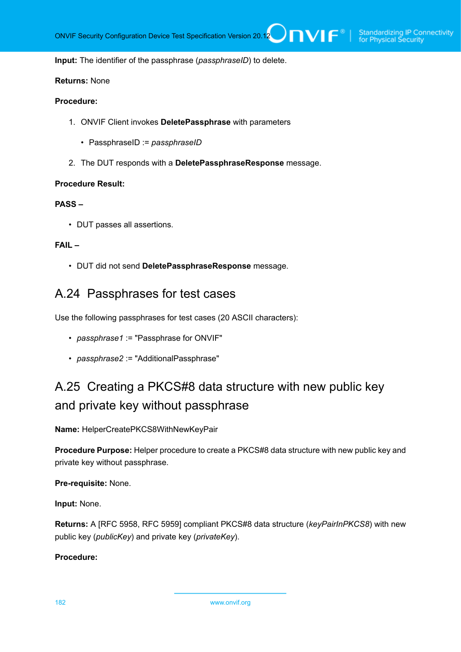**Input:** The identifier of the passphrase (*passphraseID*) to delete.

### **Returns:** None

### **Procedure:**

- 1. ONVIF Client invokes **DeletePassphrase** with parameters
	- PassphraseID := *passphraseID*
- 2. The DUT responds with a **DeletePassphraseResponse** message.

#### **Procedure Result:**

#### **PASS –**

• DUT passes all assertions.

### **FAIL –**

• DUT did not send **DeletePassphraseResponse** message.

# A.24 Passphrases for test cases

Use the following passphrases for test cases (20 ASCII characters):

- *passphrase1* := "Passphrase for ONVIF"
- *passphrase2* := "AdditionalPassphrase"

# A.25 Creating a PKCS#8 data structure with new public key and private key without passphrase

**Name:** HelperCreatePKCS8WithNewKeyPair

**Procedure Purpose:** Helper procedure to create a PKCS#8 data structure with new public key and private key without passphrase.

#### **Pre-requisite:** None.

**Input:** None.

**Returns:** A [RFC 5958, RFC 5959] compliant PKCS#8 data structure (*keyPairInPKCS8*) with new public key (*publicKey*) and private key (*privateKey*).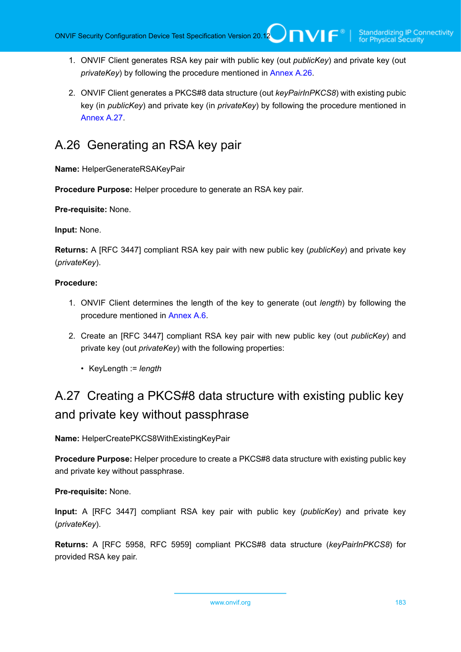- 1. ONVIF Client generates RSA key pair with public key (out *publicKey*) and private key (out *privateKey*) by following the procedure mentioned in [Annex A.26](#page-182-0).
- 2. ONVIF Client generates a PKCS#8 data structure (out *keyPairInPKCS8*) with existing pubic key (in *publicKey*) and private key (in *privateKey*) by following the procedure mentioned in [Annex A.27.](#page-182-1)

# <span id="page-182-0"></span>A.26 Generating an RSA key pair

**Name:** HelperGenerateRSAKeyPair

**Procedure Purpose:** Helper procedure to generate an RSA key pair.

**Pre-requisite:** None.

**Input:** None.

**Returns:** A [RFC 3447] compliant RSA key pair with new public key (*publicKey*) and private key (*privateKey*).

## **Procedure:**

- 1. ONVIF Client determines the length of the key to generate (out *length*) by following the procedure mentioned in [Annex A.6](#page-164-0).
- 2. Create an [RFC 3447] compliant RSA key pair with new public key (out *publicKey*) and private key (out *privateKey*) with the following properties:
	- KeyLength := *length*

# <span id="page-182-1"></span>A.27 Creating a PKCS#8 data structure with existing public key and private key without passphrase

**Name:** HelperCreatePKCS8WithExistingKeyPair

**Procedure Purpose:** Helper procedure to create a PKCS#8 data structure with existing public key and private key without passphrase.

**Pre-requisite:** None.

**Input:** A [RFC 3447] compliant RSA key pair with public key (*publicKey*) and private key (*privateKey*).

**Returns:** A [RFC 5958, RFC 5959] compliant PKCS#8 data structure (*keyPairInPKCS8*) for provided RSA key pair.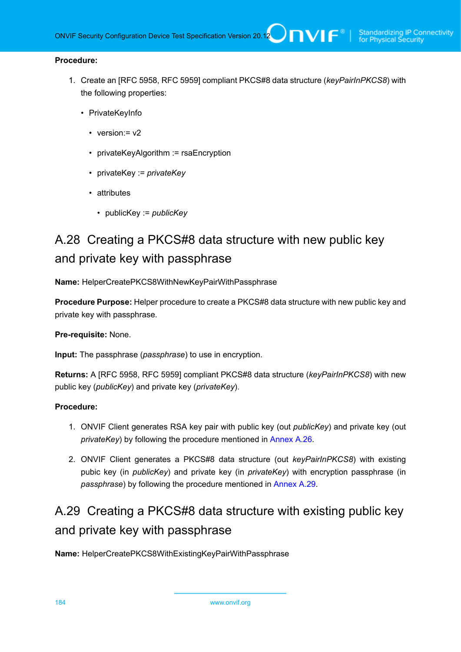### **Procedure:**

- 1. Create an [RFC 5958, RFC 5959] compliant PKCS#8 data structure (*keyPairInPKCS8*) with the following properties:
	- PrivateKeyInfo
		- version: = v2
		- privateKeyAlgorithm := rsaEncryption
		- privateKey := *privateKey*
		- attributes
			- publicKey := *publicKey*

# A.28 Creating a PKCS#8 data structure with new public key and private key with passphrase

**Name:** HelperCreatePKCS8WithNewKeyPairWithPassphrase

**Procedure Purpose:** Helper procedure to create a PKCS#8 data structure with new public key and private key with passphrase.

**Pre-requisite:** None.

**Input:** The passphrase (*passphrase*) to use in encryption.

**Returns:** A [RFC 5958, RFC 5959] compliant PKCS#8 data structure (*keyPairInPKCS8*) with new public key (*publicKey*) and private key (*privateKey*).

### **Procedure:**

- 1. ONVIF Client generates RSA key pair with public key (out *publicKey*) and private key (out *privateKey*) by following the procedure mentioned in [Annex A.26](#page-182-0).
- 2. ONVIF Client generates a PKCS#8 data structure (out *keyPairInPKCS8*) with existing pubic key (in *publicKey*) and private key (in *privateKey*) with encryption passphrase (in *passphrase*) by following the procedure mentioned in [Annex A.29.](#page-183-0)

# <span id="page-183-0"></span>A.29 Creating a PKCS#8 data structure with existing public key and private key with passphrase

**Name:** HelperCreatePKCS8WithExistingKeyPairWithPassphrase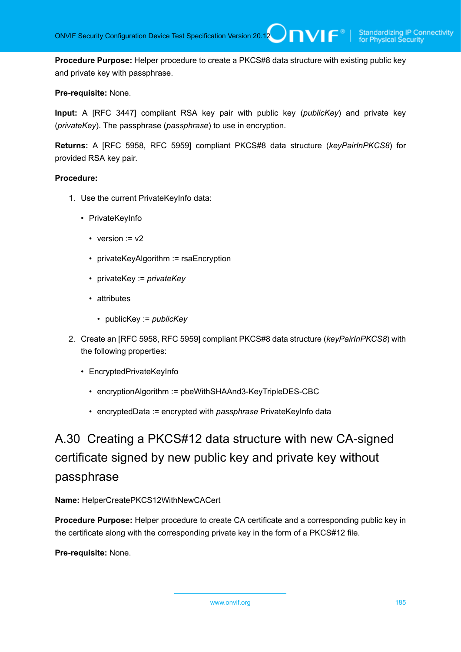**Procedure Purpose:** Helper procedure to create a PKCS#8 data structure with existing public key and private key with passphrase.

### **Pre-requisite:** None.

**Input:** A [RFC 3447] compliant RSA key pair with public key (*publicKey*) and private key (*privateKey*). The passphrase (*passphrase*) to use in encryption.

**Returns:** A [RFC 5958, RFC 5959] compliant PKCS#8 data structure (*keyPairInPKCS8*) for provided RSA key pair.

#### **Procedure:**

- 1. Use the current PrivateKeyInfo data:
	- PrivateKeyInfo
		- version  $:= v2$
		- privateKeyAlgorithm := rsaEncryption
		- privateKey := *privateKey*
		- attributes
			- publicKey := *publicKey*
- 2. Create an [RFC 5958, RFC 5959] compliant PKCS#8 data structure (*keyPairInPKCS8*) with the following properties:
	- EncryptedPrivateKeyInfo
		- encryptionAlgorithm := pbeWithSHAAnd3-KeyTripleDES-CBC
		- encryptedData := encrypted with *passphrase* PrivateKeyInfo data

# <span id="page-184-0"></span>A.30 Creating a PKCS#12 data structure with new CA-signed certificate signed by new public key and private key without passphrase

### **Name:** HelperCreatePKCS12WithNewCACert

**Procedure Purpose:** Helper procedure to create CA certificate and a corresponding public key in the certificate along with the corresponding private key in the form of a PKCS#12 file.

**Pre-requisite:** None.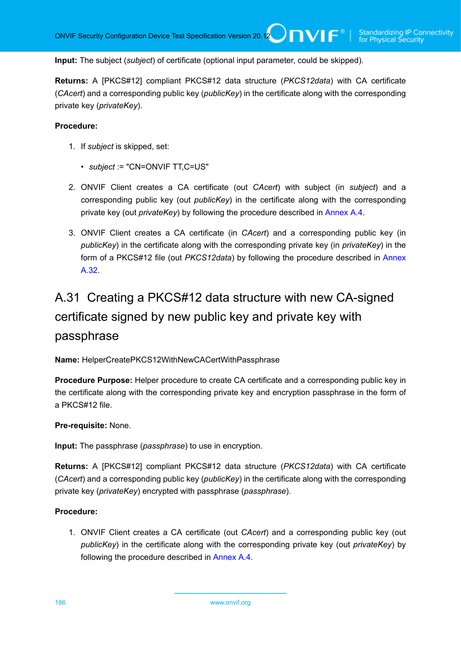**Input:** The subject (*subject*) of certificate (optional input parameter, could be skipped).

**Returns:** A [PKCS#12] compliant PKCS#12 data structure (*PKCS12data*) with CA certificate (*CAcert*) and a corresponding public key (*publicKey*) in the certificate along with the corresponding private key (*privateKey*).

#### **Procedure:**

- 1. If *subject* is skipped, set:
	- *subject* := "CN=ONVIF TT,C=US"
- 2. ONVIF Client creates a CA certificate (out *CAcert*) with subject (in *subject*) and a corresponding public key (out *publicKey*) in the certificate along with the corresponding private key (out *privateKey*) by following the procedure described in [Annex A.4](#page-162-0).
- 3. ONVIF Client creates a CA certificate (in *CAcert*) and a corresponding public key (in *publicKey*) in the certificate along with the corresponding private key (in *privateKey*) in the form of a PKCS#12 file (out *PKCS12data*) by following the procedure described in [Annex](#page-186-0) [A.32](#page-186-0).

# A.31 Creating a PKCS#12 data structure with new CA-signed certificate signed by new public key and private key with passphrase

**Name:** HelperCreatePKCS12WithNewCACertWithPassphrase

**Procedure Purpose:** Helper procedure to create CA certificate and a corresponding public key in the certificate along with the corresponding private key and encryption passphrase in the form of a PKCS#12 file.

### **Pre-requisite:** None.

**Input:** The passphrase (*passphrase*) to use in encryption.

**Returns:** A [PKCS#12] compliant PKCS#12 data structure (*PKCS12data*) with CA certificate (*CAcert*) and a corresponding public key (*publicKey*) in the certificate along with the corresponding private key (*privateKey*) encrypted with passphrase (*passphrase*).

### **Procedure:**

1. ONVIF Client creates a CA certificate (out *CAcert*) and a corresponding public key (out *publicKey*) in the certificate along with the corresponding private key (out *privateKey*) by following the procedure described in [Annex A.4.](#page-162-0)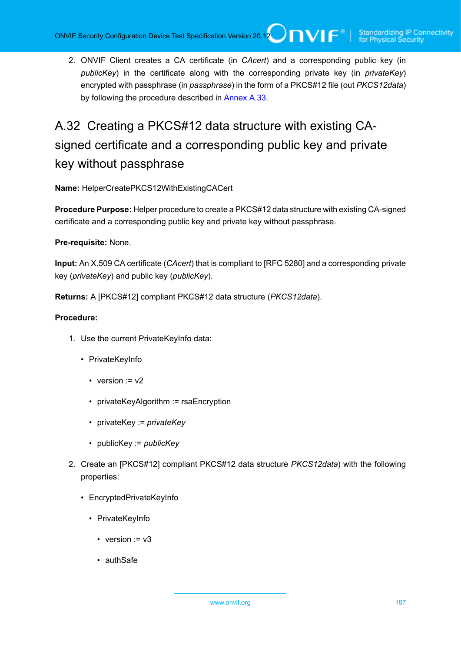2. ONVIF Client creates a CA certificate (in *CAcert*) and a corresponding public key (in *publicKey*) in the certificate along with the corresponding private key (in *privateKey*) encrypted with passphrase (in *passphrase*) in the form of a PKCS#12 file (out *PKCS12data*) by following the procedure described in [Annex A.33.](#page-187-0)

# <span id="page-186-0"></span>A.32 Creating a PKCS#12 data structure with existing CAsigned certificate and a corresponding public key and private key without passphrase

**Name:** HelperCreatePKCS12WithExistingCACert

**Procedure Purpose:** Helper procedure to create a PKCS#12 data structure with existing CA-signed certificate and a corresponding public key and private key without passphrase.

## **Pre-requisite:** None.

**Input:** An X.509 CA certificate (*CAcert*) that is compliant to [RFC 5280] and a corresponding private key (*privateKey*) and public key (*publicKey*).

**Returns:** A [PKCS#12] compliant PKCS#12 data structure (*PKCS12data*).

- 1. Use the current PrivateKeyInfo data:
	- PrivateKeyInfo
		- version  $v = v^2$
		- privateKeyAlgorithm := rsaEncryption
		- privateKey := *privateKey*
		- publicKey := *publicKey*
- 2. Create an [PKCS#12] compliant PKCS#12 data structure *PKCS12data*) with the following properties:
	- EncryptedPrivateKeyInfo
		- PrivateKeyInfo
			- version  $:= v3$
			- authSafe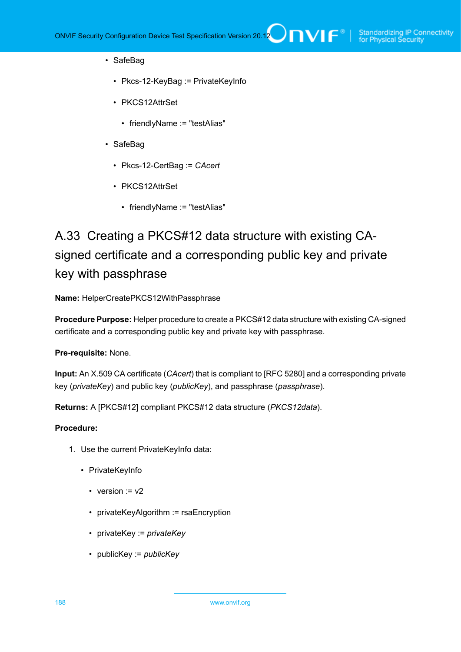- SafeBag
	- Pkcs-12-KeyBag := PrivateKeyInfo
	- PKCS12AttrSet
		- friendlyName := "testAlias"
- SafeBag
	- Pkcs-12-CertBag := *CAcert*
	- PKCS12AttrSet
		- friendlyName := "testAlias"

# <span id="page-187-0"></span>A.33 Creating a PKCS#12 data structure with existing CAsigned certificate and a corresponding public key and private key with passphrase

**Name:** HelperCreatePKCS12WithPassphrase

**Procedure Purpose:** Helper procedure to create a PKCS#12 data structure with existing CA-signed certificate and a corresponding public key and private key with passphrase.

**Pre-requisite:** None.

**Input:** An X.509 CA certificate (*CAcert*) that is compliant to [RFC 5280] and a corresponding private key (*privateKey*) and public key (*publicKey*), and passphrase (*passphrase*).

**Returns:** A [PKCS#12] compliant PKCS#12 data structure (*PKCS12data*).

- 1. Use the current PrivateKeyInfo data:
	- PrivateKeyInfo
		- version  $:= v2$
		- privateKeyAlgorithm := rsaEncryption
		- privateKey := *privateKey*
		- publicKey := *publicKey*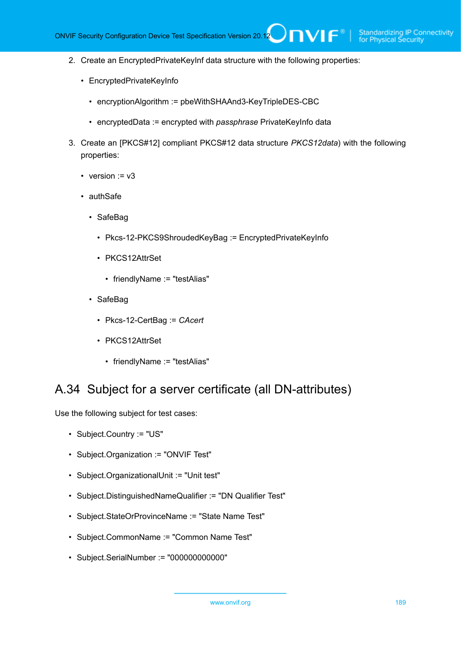- 2. Create an EncryptedPrivateKeyInf data structure with the following properties:
	- EncryptedPrivateKeyInfo
		- encryptionAlgorithm := pbeWithSHAAnd3-KeyTripleDES-CBC
		- encryptedData := encrypted with *passphrase* PrivateKeyInfo data
- 3. Create an [PKCS#12] compliant PKCS#12 data structure *PKCS12data*) with the following properties:
	- version  $= v3$
	- authSafe
		- SafeBag
			- Pkcs-12-PKCS9ShroudedKeyBag := EncryptedPrivateKeyInfo
			- PKCS12AttrSet
				- friendlyName := "testAlias"
		- SafeBag
			- Pkcs-12-CertBag := *CAcert*
			- PKCS12AttrSet
				- friendlyName := "testAlias"

# A.34 Subject for a server certificate (all DN-attributes)

Use the following subject for test cases:

- Subject.Country := "US"
- Subject.Organization := "ONVIF Test"
- Subject.OrganizationalUnit := "Unit test"
- Subject.DistinguishedNameQualifier := "DN Qualifier Test"
- Subject.StateOrProvinceName := "State Name Test"
- Subject.CommonName := "Common Name Test"
- Subject.SerialNumber := "000000000000"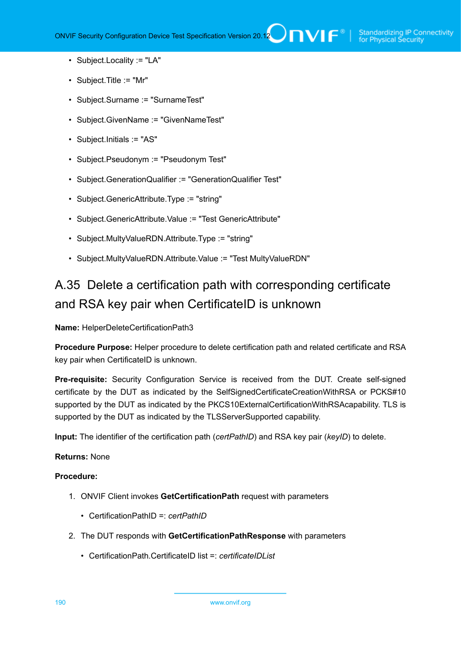- Subject.Locality := "LA"
- Subject.Title := "Mr"
- Subject.Surname := "SurnameTest"
- Subject.GivenName := "GivenNameTest"
- Subject.Initials := "AS"
- Subject.Pseudonym := "Pseudonym Test"
- Subject.GenerationQualifier := "GenerationQualifier Test"
- Subject.GenericAttribute.Type := "string"
- Subject.GenericAttribute.Value := "Test GenericAttribute"
- Subject.MultyValueRDN.Attribute.Type := "string"
- Subject.MultyValueRDN.Attribute.Value := "Test MultyValueRDN"

# A.35 Delete a certification path with corresponding certificate and RSA key pair when CertificateID is unknown

**Name:** HelperDeleteCertificationPath3

**Procedure Purpose:** Helper procedure to delete certification path and related certificate and RSA key pair when CertificateID is unknown.

**Pre-requisite:** Security Configuration Service is received from the DUT. Create self-signed certificate by the DUT as indicated by the SelfSignedCertificateCreationWithRSA or PCKS#10 supported by the DUT as indicated by the PKCS10ExternalCertificationWithRSAcapability. TLS is supported by the DUT as indicated by the TLSServerSupported capability.

**Input:** The identifier of the certification path (*certPathID*) and RSA key pair (*keyID*) to delete.

### **Returns:** None

- 1. ONVIF Client invokes **GetCertificationPath** request with parameters
	- CertificationPathID =: *certPathID*
- 2. The DUT responds with **GetCertificationPathResponse** with parameters
	- CertificationPath.CertificateID list =: *certificateIDList*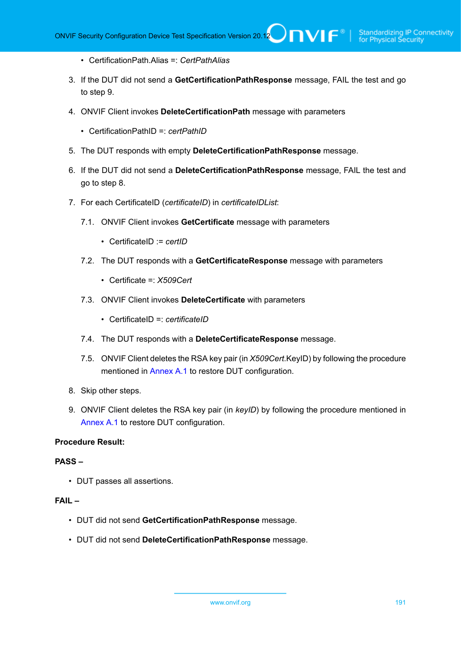- CertificationPath.Alias =: *CertPathAlias*
- 3. If the DUT did not send a **GetCertificationPathResponse** message, FAIL the test and go to step 9.
- 4. ONVIF Client invokes **DeleteCertificationPath** message with parameters
	- CertificationPathID =: *certPathID*
- 5. The DUT responds with empty **DeleteCertificationPathResponse** message.
- 6. If the DUT did not send a **DeleteCertificationPathResponse** message, FAIL the test and go to step 8.
- 7. For each CertificateID (*certificateID*) in *certificateIDList*:
	- 7.1. ONVIF Client invokes **GetCertificate** message with parameters
		- CertificateID := *certID*
	- 7.2. The DUT responds with a **GetCertificateResponse** message with parameters
		- Certificate =: *X509Cert*
	- 7.3. ONVIF Client invokes **DeleteCertificate** with parameters
		- CertificateID =: *certificateID*
	- 7.4. The DUT responds with a **DeleteCertificateResponse** message.
	- 7.5. ONVIF Client deletes the RSA key pair (in *X509Cert*.KeyID) by following the procedure mentioned in [Annex A.1](#page-161-0) to restore DUT configuration.
- 8. Skip other steps.
- 9. ONVIF Client deletes the RSA key pair (in *keyID*) by following the procedure mentioned in [Annex A.1](#page-161-0) to restore DUT configuration.

## **PASS –**

• DUT passes all assertions.

# **FAIL –**

- DUT did not send **GetCertificationPathResponse** message.
- DUT did not send **DeleteCertificationPathResponse** message.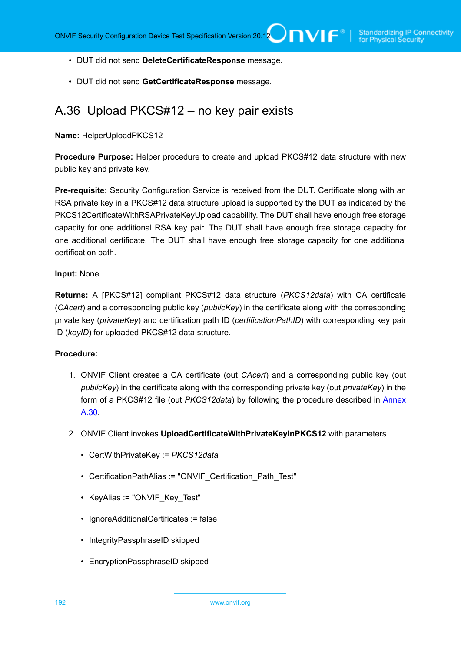- DUT did not send **DeleteCertificateResponse** message.
- DUT did not send **GetCertificateResponse** message.

# <span id="page-191-0"></span>A.36 Upload PKCS#12 – no key pair exists

**Name:** HelperUploadPKCS12

**Procedure Purpose:** Helper procedure to create and upload PKCS#12 data structure with new public key and private key.

**Pre-requisite:** Security Configuration Service is received from the DUT. Certificate along with an RSA private key in a PKCS#12 data structure upload is supported by the DUT as indicated by the PKCS12CertificateWithRSAPrivateKeyUpload capability. The DUT shall have enough free storage capacity for one additional RSA key pair. The DUT shall have enough free storage capacity for one additional certificate. The DUT shall have enough free storage capacity for one additional certification path.

#### **Input:** None

**Returns:** A [PKCS#12] compliant PKCS#12 data structure (*PKCS12data*) with CA certificate (*CAcert*) and a corresponding public key (*publicKey*) in the certificate along with the corresponding private key (*privateKey*) and certification path ID (*certificationPathID*) with corresponding key pair ID (*keyID*) for uploaded PKCS#12 data structure.

- 1. ONVIF Client creates a CA certificate (out *CAcert*) and a corresponding public key (out *publicKey*) in the certificate along with the corresponding private key (out *privateKey*) in the form of a PKCS#12 file (out *PKCS12data*) by following the procedure described in [Annex](#page-184-0) [A.30](#page-184-0).
- 2. ONVIF Client invokes **UploadCertificateWithPrivateKeyInPKCS12** with parameters
	- CertWithPrivateKey := *PKCS12data*
	- CertificationPathAlias := "ONVIF Certification Path Test"
	- KeyAlias := "ONVIF Key Test"
	- IgnoreAdditionalCertificates := false
	- IntegrityPassphraseID skipped
	- EncryptionPassphraseID skipped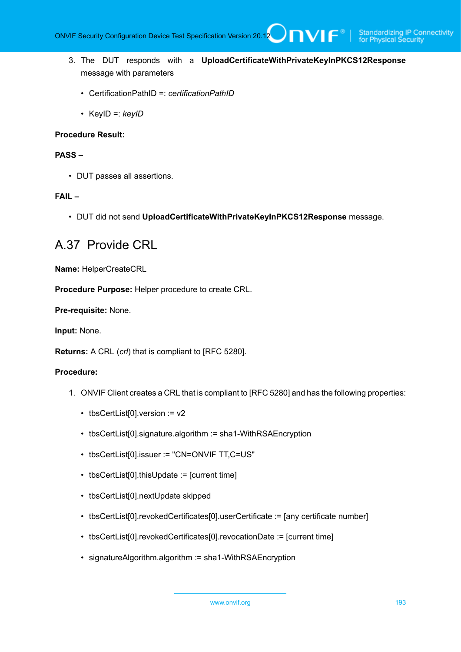- 3. The DUT responds with a **UploadCertificateWithPrivateKeyInPKCS12Response** message with parameters
	- CertificationPathID =: *certificationPathID*
	- KeyID =: *keyID*

#### **PASS –**

• DUT passes all assertions.

### **FAIL –**

• DUT did not send **UploadCertificateWithPrivateKeyInPKCS12Response** message.

# A.37 Provide CRL

**Name:** HelperCreateCRL

**Procedure Purpose:** Helper procedure to create CRL.

**Pre-requisite:** None.

**Input:** None.

**Returns:** A CRL (*crl*) that is compliant to [RFC 5280].

- 1. ONVIF Client creates a CRL that is compliant to [RFC 5280] and has the following properties:
	- tbsCertList[0].version := v2
	- tbsCertList[0].signature.algorithm := sha1-WithRSAEncryption
	- tbsCertList[0].issuer := "CN=ONVIF TT,C=US"
	- tbsCertList[0].thisUpdate := [current time]
	- tbsCertList[0].nextUpdate skipped
	- tbsCertList[0].revokedCertificates[0].userCertificate := [any certificate number]
	- tbsCertList[0].revokedCertificates[0].revocationDate := [current time]
	- signatureAlgorithm.algorithm := sha1-WithRSAEncryption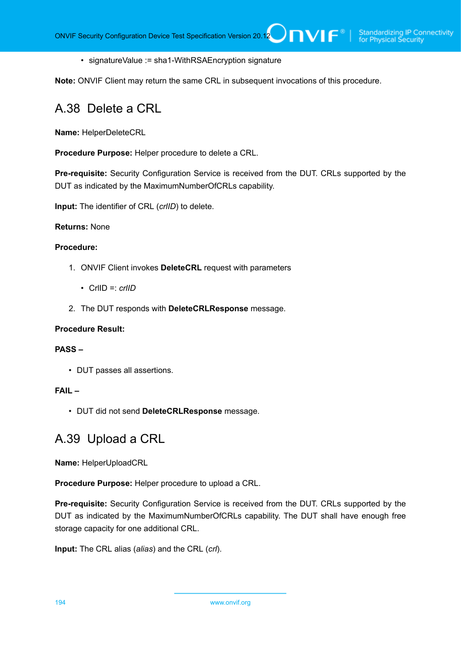• signatureValue := sha1-WithRSAEncryption signature

**Note:** ONVIF Client may return the same CRL in subsequent invocations of this procedure.

# A.38 Delete a CRL

**Name:** HelperDeleteCRL

**Procedure Purpose:** Helper procedure to delete a CRL.

**Pre-requisite:** Security Configuration Service is received from the DUT. CRLs supported by the DUT as indicated by the MaximumNumberOfCRLs capability.

**Input:** The identifier of CRL (*crlID*) to delete.

### **Returns:** None

#### **Procedure:**

- 1. ONVIF Client invokes **DeleteCRL** request with parameters
	- CrlID =: *crlID*
- 2. The DUT responds with **DeleteCRLResponse** message.

#### **Procedure Result:**

### **PASS –**

• DUT passes all assertions.

#### **FAIL –**

• DUT did not send **DeleteCRLResponse** message.

# A.39 Upload a CRL

**Name:** HelperUploadCRL

**Procedure Purpose:** Helper procedure to upload a CRL.

**Pre-requisite:** Security Configuration Service is received from the DUT. CRLs supported by the DUT as indicated by the MaximumNumberOfCRLs capability. The DUT shall have enough free storage capacity for one additional CRL.

**Input:** The CRL alias (*alias*) and the CRL (*crl*).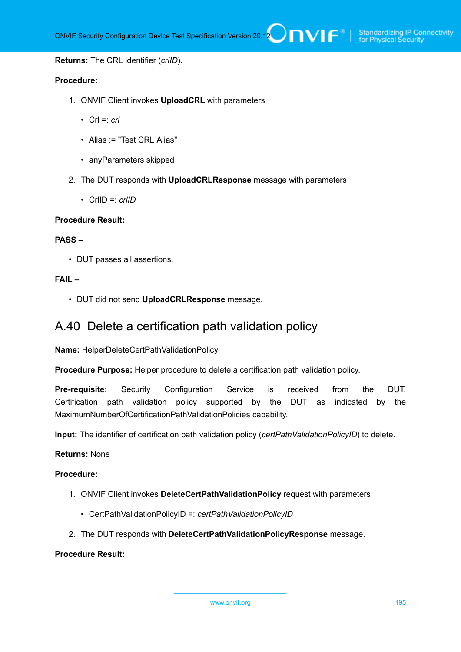#### **Returns:** The CRL identifier (*crlID*).

#### **Procedure:**

- 1. ONVIF Client invokes **UploadCRL** with parameters
	- $CrI =: crI$
	- Alias := "Test CRL Alias"
	- anyParameters skipped
- 2. The DUT responds with **UploadCRLResponse** message with parameters
	- CrlID =: *crlID*

#### **Procedure Result:**

#### **PASS –**

• DUT passes all assertions.

### **FAIL –**

• DUT did not send **UploadCRLResponse** message.

# A.40 Delete a certification path validation policy

**Name:** HelperDeleteCertPathValidationPolicy

**Procedure Purpose:** Helper procedure to delete a certification path validation policy.

**Pre-requisite:** Security Configuration Service is received from the DUT. Certification path validation policy supported by the DUT as indicated by the MaximumNumberOfCertificationPathValidationPolicies capability.

**Input:** The identifier of certification path validation policy (*certPathValidationPolicyID*) to delete.

#### **Returns:** None

#### **Procedure:**

- 1. ONVIF Client invokes **DeleteCertPathValidationPolicy** request with parameters
	- CertPathValidationPolicyID =: *certPathValidationPolicyID*
- 2. The DUT responds with **DeleteCertPathValidationPolicyResponse** message.

### **Procedure Result:**

www.onvif.org 195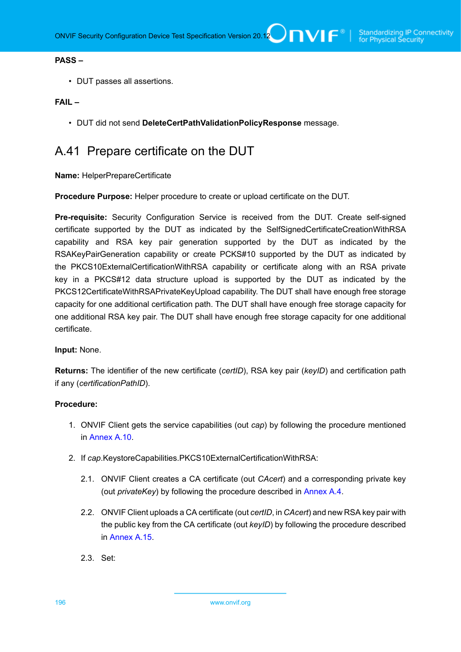#### **PASS –**

• DUT passes all assertions.

#### **FAIL –**

• DUT did not send **DeleteCertPathValidationPolicyResponse** message.

# <span id="page-195-0"></span>A.41 Prepare certificate on the DUT

**Name:** HelperPrepareCertificate

**Procedure Purpose:** Helper procedure to create or upload certificate on the DUT.

**Pre-requisite:** Security Configuration Service is received from the DUT. Create self-signed certificate supported by the DUT as indicated by the SelfSignedCertificateCreationWithRSA capability and RSA key pair generation supported by the DUT as indicated by the RSAKeyPairGeneration capability or create PCKS#10 supported by the DUT as indicated by the PKCS10ExternalCertificationWithRSA capability or certificate along with an RSA private key in a PKCS#12 data structure upload is supported by the DUT as indicated by the PKCS12CertificateWithRSAPrivateKeyUpload capability. The DUT shall have enough free storage capacity for one additional certification path. The DUT shall have enough free storage capacity for one additional RSA key pair. The DUT shall have enough free storage capacity for one additional certificate.

#### **Input:** None.

**Returns:** The identifier of the new certificate (*certID*), RSA key pair (*keyID*) and certification path if any (*certificationPathID*).

- 1. ONVIF Client gets the service capabilities (out *cap*) by following the procedure mentioned in [Annex A.10.](#page-168-0)
- 2. If *cap*.KeystoreCapabilities.PKCS10ExternalCertificationWithRSA:
	- 2.1. ONVIF Client creates a CA certificate (out *CAcert*) and a corresponding private key (out *privateKey*) by following the procedure described in [Annex A.4](#page-162-0).
	- 2.2. ONVIF Client uploads a CA certificate (out *certID*, in *CAcert*) and new RSA key pair with the public key from the CA certificate (out *keyID*) by following the procedure described in [Annex A.15](#page-172-0).
	- 2.3. Set: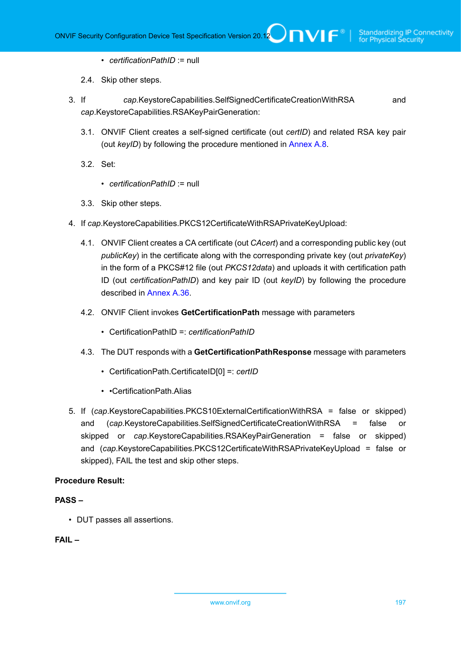- *certificationPathID* := null
- 2.4. Skip other steps.
- 3. If *cap*.KeystoreCapabilities.SelfSignedCertificateCreationWithRSA and *cap*.KeystoreCapabilities.RSAKeyPairGeneration:
	- 3.1. ONVIF Client creates a self-signed certificate (out *certID*) and related RSA key pair (out *keyID*) by following the procedure mentioned in [Annex A.8.](#page-166-0)
	- 3.2. Set:
		- *certificationPathID* := null
	- 3.3. Skip other steps.
- 4. If *cap*.KeystoreCapabilities.PKCS12CertificateWithRSAPrivateKeyUpload:
	- 4.1. ONVIF Client creates a CA certificate (out *CAcert*) and a corresponding public key (out *publicKey*) in the certificate along with the corresponding private key (out *privateKey*) in the form of a PKCS#12 file (out *PKCS12data*) and uploads it with certification path ID (out *certificationPathID*) and key pair ID (out *keyID*) by following the procedure described in [Annex A.36](#page-191-0).
	- 4.2. ONVIF Client invokes **GetCertificationPath** message with parameters
		- CertificationPathID =: *certificationPathID*
	- 4.3. The DUT responds with a **GetCertificationPathResponse** message with parameters
		- CertificationPath.CertificateID[0] =: *certID*
		- •CertificationPath.Alias
- 5. If (*cap*.KeystoreCapabilities.PKCS10ExternalCertificationWithRSA = false or skipped) and (*cap*.KeystoreCapabilities.SelfSignedCertificateCreationWithRSA = false or skipped or *cap*.KeystoreCapabilities.RSAKeyPairGeneration = false or skipped) and (*cap*.KeystoreCapabilities.PKCS12CertificateWithRSAPrivateKeyUpload = false or skipped), FAIL the test and skip other steps.

### **PASS –**

• DUT passes all assertions.

## **FAIL –**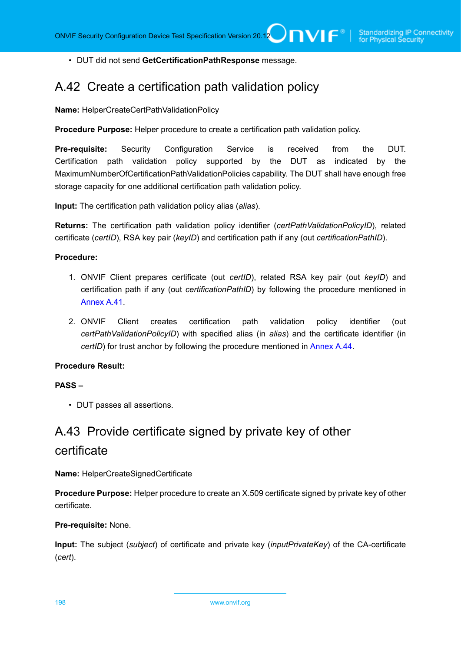• DUT did not send **GetCertificationPathResponse** message.

# A.42 Create a certification path validation policy

**Name:** HelperCreateCertPathValidationPolicy

**Procedure Purpose:** Helper procedure to create a certification path validation policy.

**Pre-requisite:** Security Configuration Service is received from the DUT. Certification path validation policy supported by the DUT as indicated by the MaximumNumberOfCertificationPathValidationPolicies capability. The DUT shall have enough free storage capacity for one additional certification path validation policy.

**Input:** The certification path validation policy alias (*alias*).

**Returns:** The certification path validation policy identifier (*certPathValidationPolicyID*), related certificate (*certID*), RSA key pair (*keyID*) and certification path if any (out *certificationPathID*).

#### **Procedure:**

- 1. ONVIF Client prepares certificate (out *certID*), related RSA key pair (out *keyID*) and certification path if any (out *certificationPathID*) by following the procedure mentioned in [Annex A.41.](#page-195-0)
- 2. ONVIF Client creates certification path validation policy identifier (out *certPathValidationPolicyID*) with specified alias (in *alias*) and the certificate identifier (in *certID*) for trust anchor by following the procedure mentioned in [Annex A.44.](#page-198-0)

## **Procedure Result:**

#### **PASS –**

• DUT passes all assertions.

# A.43 Provide certificate signed by private key of other certificate

**Name:** HelperCreateSignedCertificate

**Procedure Purpose:** Helper procedure to create an X.509 certificate signed by private key of other certificate.

#### **Pre-requisite:** None.

**Input:** The subject (*subject*) of certificate and private key (*inputPrivateKey*) of the CA-certificate (*cert*).

198 www.onvif.org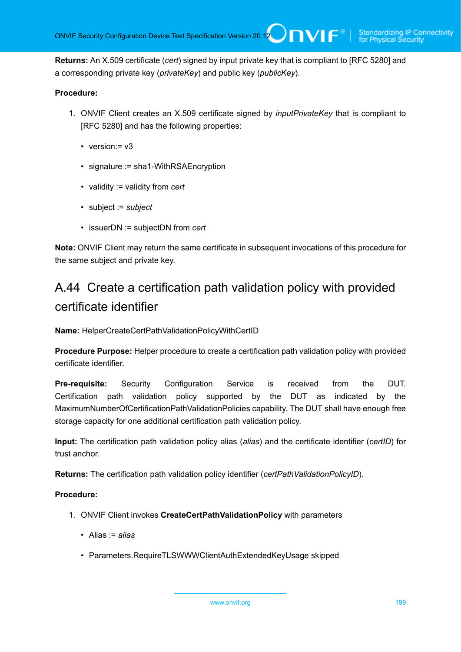**Returns:** An X.509 certificate (*cert*) signed by input private key that is compliant to [RFC 5280] and a corresponding private key (*privateKey*) and public key (*publicKey*).

### **Procedure:**

- 1. ONVIF Client creates an X.509 certificate signed by *inputPrivateKey* that is compliant to [RFC 5280] and has the following properties:
	- version: = v3
	- signature := sha1-WithRSAEncryption
	- validity := validity from *cert*
	- subject := *subject*
	- issuerDN := subjectDN from *cert*

**Note:** ONVIF Client may return the same certificate in subsequent invocations of this procedure for the same subject and private key.

# <span id="page-198-0"></span>A.44 Create a certification path validation policy with provided certificate identifier

**Name:** HelperCreateCertPathValidationPolicyWithCertID

**Procedure Purpose:** Helper procedure to create a certification path validation policy with provided certificate identifier.

**Pre-requisite:** Security Configuration Service is received from the DUT. Certification path validation policy supported by the DUT as indicated by the MaximumNumberOfCertificationPathValidationPolicies capability. The DUT shall have enough free storage capacity for one additional certification path validation policy.

**Input:** The certification path validation policy alias (*alias*) and the certificate identifier (*certID*) for trust anchor.

**Returns:** The certification path validation policy identifier (*certPathValidationPolicyID*).

- 1. ONVIF Client invokes **CreateCertPathValidationPolicy** with parameters
	- Alias := *alias*
	- Parameters.RequireTLSWWWClientAuthExtendedKeyUsage skipped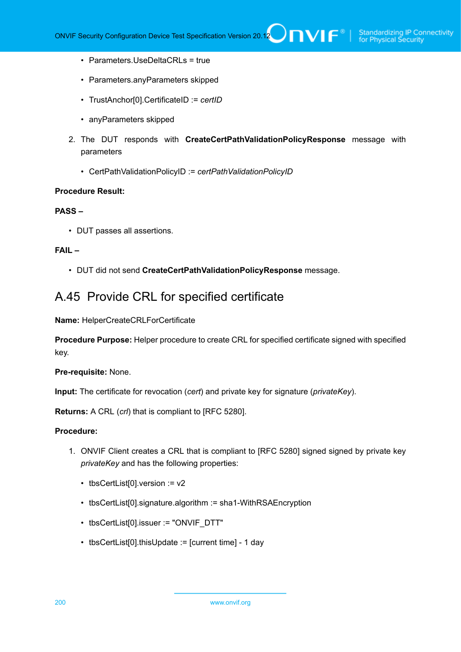- Parameters.UseDeltaCRLs = true
- Parameters.anyParameters skipped
- TrustAnchor[0].CertificateID := *certID*
- anyParameters skipped
- 2. The DUT responds with **CreateCertPathValidationPolicyResponse** message with parameters
	- CertPathValidationPolicyID := *certPathValidationPolicyID*

#### **PASS –**

• DUT passes all assertions.

### **FAIL –**

• DUT did not send **CreateCertPathValidationPolicyResponse** message.

# A.45 Provide CRL for specified certificate

**Name:** HelperCreateCRLForCertificate

**Procedure Purpose:** Helper procedure to create CRL for specified certificate signed with specified key.

**Pre-requisite:** None.

**Input:** The certificate for revocation (*cert*) and private key for signature (*privateKey*).

**Returns:** A CRL (*crl*) that is compliant to [RFC 5280].

- 1. ONVIF Client creates a CRL that is compliant to [RFC 5280] signed signed by private key *privateKey* and has the following properties:
	- tbsCertList[0].version := v2
	- tbsCertList[0].signature.algorithm := sha1-WithRSAEncryption
	- tbsCertList[0].issuer := "ONVIF\_DTT"
	- tbsCertList[0].thisUpdate := [current time] 1 day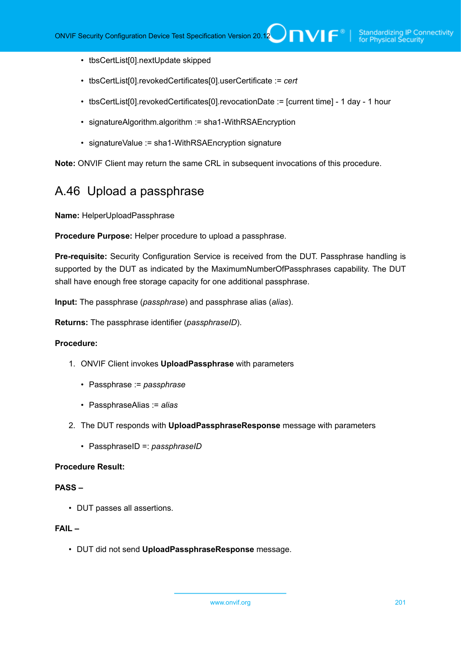- tbsCertList[0].nextUpdate skipped
- tbsCertList[0].revokedCertificates[0].userCertificate := *cert*
- tbsCertList[0].revokedCertificates[0].revocationDate := [current time] 1 day 1 hour
- signatureAlgorithm.algorithm := sha1-WithRSAEncryption
- signatureValue := sha1-WithRSAEncryption signature

**Note:** ONVIF Client may return the same CRL in subsequent invocations of this procedure.

# A.46 Upload a passphrase

**Name:** HelperUploadPassphrase

**Procedure Purpose:** Helper procedure to upload a passphrase.

**Pre-requisite:** Security Configuration Service is received from the DUT. Passphrase handling is supported by the DUT as indicated by the MaximumNumberOfPassphrases capability. The DUT shall have enough free storage capacity for one additional passphrase.

**Input:** The passphrase (*passphrase*) and passphrase alias (*alias*).

**Returns:** The passphrase identifier (*passphraseID*).

#### **Procedure:**

- 1. ONVIF Client invokes **UploadPassphrase** with parameters
	- Passphrase := *passphrase*
	- PassphraseAlias := *alias*
- 2. The DUT responds with **UploadPassphraseResponse** message with parameters
	- PassphraseID =: *passphraseID*

#### **Procedure Result:**

#### **PASS –**

• DUT passes all assertions.

## **FAIL –**

• DUT did not send **UploadPassphraseResponse** message.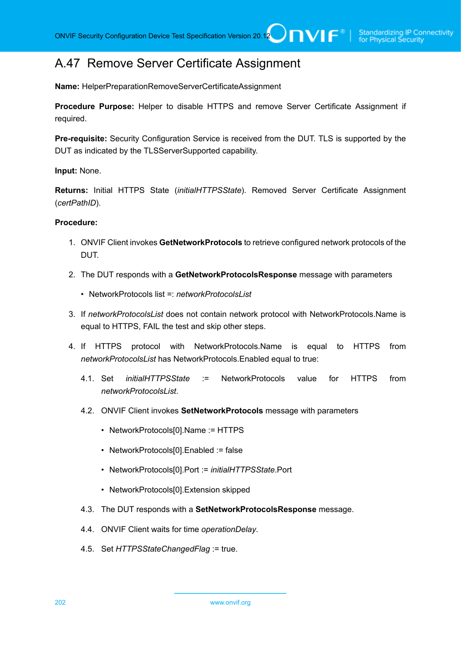# A.47 Remove Server Certificate Assignment

**Name:** HelperPreparationRemoveServerCertificateAssignment

**Procedure Purpose:** Helper to disable HTTPS and remove Server Certificate Assignment if required.

**Pre-requisite:** Security Configuration Service is received from the DUT. TLS is supported by the DUT as indicated by the TLSServerSupported capability.

**Input:** None.

**Returns:** Initial HTTPS State (*initialHTTPSState*). Removed Server Certificate Assignment (*certPathID*).

- 1. ONVIF Client invokes **GetNetworkProtocols** to retrieve configured network protocols of the DUT.
- 2. The DUT responds with a **GetNetworkProtocolsResponse** message with parameters
	- NetworkProtocols list =: *networkProtocolsList*
- 3. If *networkProtocolsList* does not contain network protocol with NetworkProtocols.Name is equal to HTTPS, FAIL the test and skip other steps.
- 4. If HTTPS protocol with NetworkProtocols.Name is equal to HTTPS from *networkProtocolsList* has NetworkProtocols.Enabled equal to true:
	- 4.1. Set *initialHTTPSState* := NetworkProtocols value for HTTPS from *networkProtocolsList*.
	- 4.2. ONVIF Client invokes **SetNetworkProtocols** message with parameters
		- NetworkProtocols[0].Name := HTTPS
		- NetworkProtocols[0].Enabled := false
		- NetworkProtocols[0].Port := *initialHTTPSState*.Port
		- NetworkProtocols[0].Extension skipped
	- 4.3. The DUT responds with a **SetNetworkProtocolsResponse** message.
	- 4.4. ONVIF Client waits for time *operationDelay*.
	- 4.5. Set *HTTPSStateChangedFlag* := true.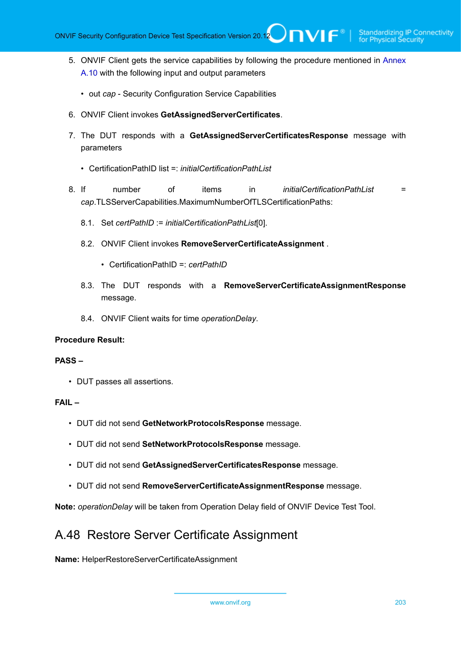- 5. ONVIF Client gets the service capabilities by following the procedure mentioned in [Annex](#page-168-0) [A.10](#page-168-0) with the following input and output parameters
	- out *cap* Security Configuration Service Capabilities
- 6. ONVIF Client invokes **GetAssignedServerCertificates**.
- 7. The DUT responds with a **GetAssignedServerCertificatesResponse** message with parameters
	- CertificationPathID list =: *initialCertificationPathList*
- 8. If number of items in *initialCertificationPathList* = *cap*.TLSServerCapabilities.MaximumNumberOfTLSCertificationPaths:
	- 8.1. Set *certPathID* := *initialCertificationPathList*[0].
	- 8.2. ONVIF Client invokes **RemoveServerCertificateAssignment** .
		- CertificationPathID =: *certPathID*
	- 8.3. The DUT responds with a **RemoveServerCertificateAssignmentResponse** message.
	- 8.4. ONVIF Client waits for time *operationDelay*.

### **PASS –**

• DUT passes all assertions.

### **FAIL –**

- DUT did not send **GetNetworkProtocolsResponse** message.
- DUT did not send **SetNetworkProtocolsResponse** message.
- DUT did not send **GetAssignedServerCertificatesResponse** message.
- DUT did not send **RemoveServerCertificateAssignmentResponse** message.

**Note:** *operationDelay* will be taken from Operation Delay field of ONVIF Device Test Tool.

# A.48 Restore Server Certificate Assignment

**Name:** HelperRestoreServerCertificateAssignment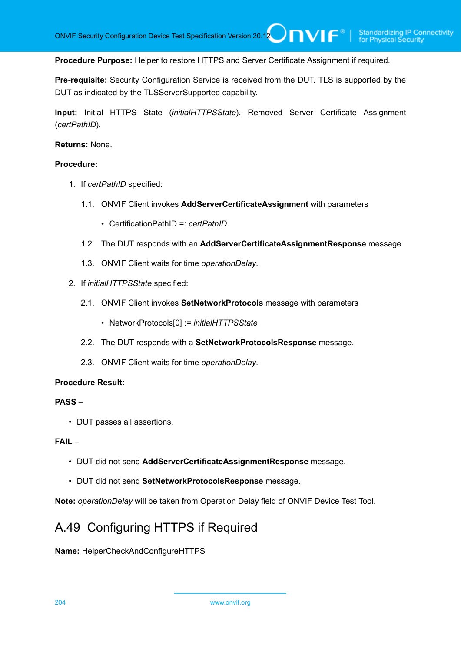**Procedure Purpose:** Helper to restore HTTPS and Server Certificate Assignment if required.

**Pre-requisite:** Security Configuration Service is received from the DUT. TLS is supported by the DUT as indicated by the TLSServerSupported capability.

**Input:** Initial HTTPS State (*initialHTTPSState*). Removed Server Certificate Assignment (*certPathID*).

#### **Returns:** None.

#### **Procedure:**

- 1. If *certPathID* specified:
	- 1.1. ONVIF Client invokes **AddServerCertificateAssignment** with parameters
		- CertificationPathID =: *certPathID*
	- 1.2. The DUT responds with an **AddServerCertificateAssignmentResponse** message.
	- 1.3. ONVIF Client waits for time *operationDelay*.
- 2. If *initialHTTPSState* specified:
	- 2.1. ONVIF Client invokes **SetNetworkProtocols** message with parameters
		- NetworkProtocols[0] := *initialHTTPSState*
	- 2.2. The DUT responds with a **SetNetworkProtocolsResponse** message.
	- 2.3. ONVIF Client waits for time *operationDelay*.

#### **Procedure Result:**

## **PASS –**

• DUT passes all assertions.

#### **FAIL –**

- DUT did not send **AddServerCertificateAssignmentResponse** message.
- DUT did not send **SetNetworkProtocolsResponse** message.

**Note:** *operationDelay* will be taken from Operation Delay field of ONVIF Device Test Tool.

# A.49 Configuring HTTPS if Required

**Name:** HelperCheckAndConfigureHTTPS

204 www.onvif.org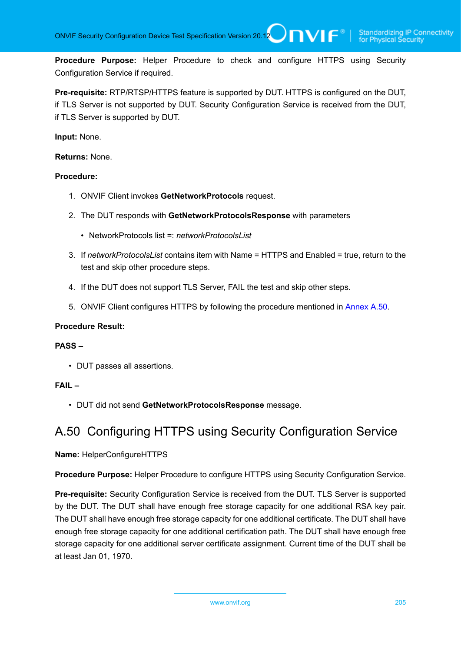**Procedure Purpose:** Helper Procedure to check and configure HTTPS using Security Configuration Service if required.

**Pre-requisite:** RTP/RTSP/HTTPS feature is supported by DUT. HTTPS is configured on the DUT, if TLS Server is not supported by DUT. Security Configuration Service is received from the DUT, if TLS Server is supported by DUT.

**Input:** None.

**Returns:** None.

#### **Procedure:**

- 1. ONVIF Client invokes **GetNetworkProtocols** request.
- 2. The DUT responds with **GetNetworkProtocolsResponse** with parameters
	- NetworkProtocols list = *networkProtocolsList*
- 3. If *networkProtocolsList* contains item with Name = HTTPS and Enabled = true, return to the test and skip other procedure steps.
- 4. If the DUT does not support TLS Server, FAIL the test and skip other steps.
- 5. ONVIF Client configures HTTPS by following the procedure mentioned in [Annex A.50](#page-204-0).

#### **Procedure Result:**

#### **PASS –**

• DUT passes all assertions.

# **FAIL –**

• DUT did not send **GetNetworkProtocolsResponse** message.

# <span id="page-204-0"></span>A.50 Configuring HTTPS using Security Configuration Service

#### **Name:** HelperConfigureHTTPS

**Procedure Purpose:** Helper Procedure to configure HTTPS using Security Configuration Service.

**Pre-requisite:** Security Configuration Service is received from the DUT. TLS Server is supported by the DUT. The DUT shall have enough free storage capacity for one additional RSA key pair. The DUT shall have enough free storage capacity for one additional certificate. The DUT shall have enough free storage capacity for one additional certification path. The DUT shall have enough free storage capacity for one additional server certificate assignment. Current time of the DUT shall be at least Jan 01, 1970.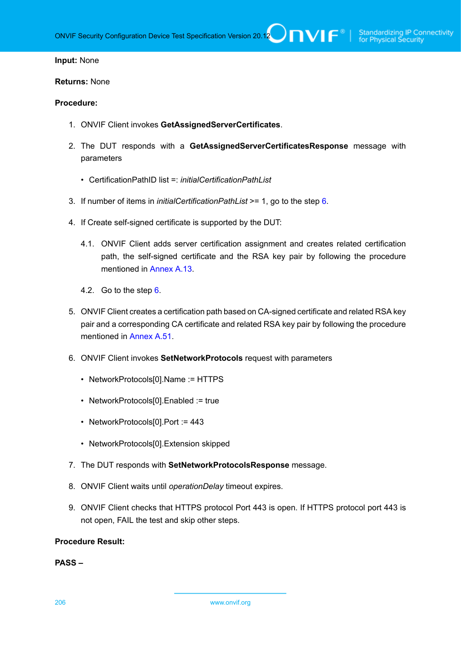#### **Input:** None

#### **Returns:** None

#### **Procedure:**

- 1. ONVIF Client invokes **GetAssignedServerCertificates**.
- 2. The DUT responds with a **GetAssignedServerCertificatesResponse** message with parameters
	- CertificationPathID list =: *initialCertificationPathList*
- 3. If number of items in *initialCertificationPathList* >= 1, go to the step [6.](#page-205-0)
- 4. If Create self-signed certificate is supported by the DUT:
	- 4.1. ONVIF Client adds server certification assignment and creates related certification path, the self-signed certificate and the RSA key pair by following the procedure mentioned in [Annex A.13.](#page-170-0)
	- 4.2. Go to the step [6](#page-205-0).
- 5. ONVIF Client creates a certification path based on CA-signed certificate and related RSA key pair and a corresponding CA certificate and related RSA key pair by following the procedure mentioned in [Annex A.51.](#page-206-0)
- <span id="page-205-0"></span>6. ONVIF Client invokes **SetNetworkProtocols** request with parameters
	- NetworkProtocols[0].Name := HTTPS
	- NetworkProtocols[0].Enabled := true
	- NetworkProtocols[0].Port := 443
	- NetworkProtocols[0].Extension skipped
- 7. The DUT responds with **SetNetworkProtocolsResponse** message.
- 8. ONVIF Client waits until *operationDelay* timeout expires.
- 9. ONVIF Client checks that HTTPS protocol Port 443 is open. If HTTPS protocol port 443 is not open, FAIL the test and skip other steps.

#### **Procedure Result:**

#### **PASS –**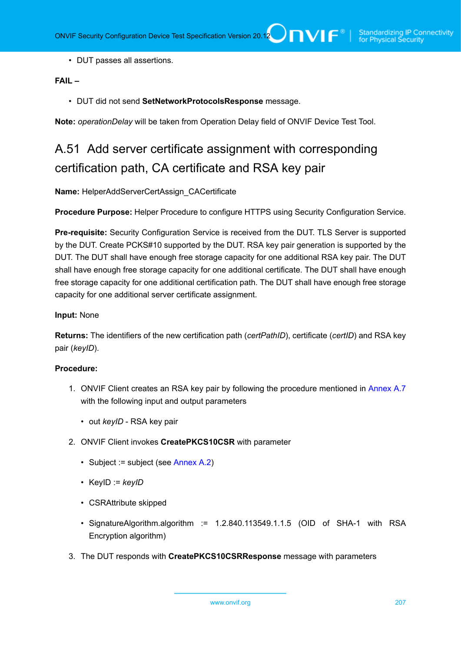• DUT passes all assertions.

# **FAIL –**

• DUT did not send **SetNetworkProtocolsResponse** message.

<span id="page-206-0"></span>**Note:** *operationDelay* will be taken from Operation Delay field of ONVIF Device Test Tool.

# A.51 Add server certificate assignment with corresponding certification path, CA certificate and RSA key pair

**Name:** HelperAddServerCertAssign\_CACertificate

**Procedure Purpose:** Helper Procedure to configure HTTPS using Security Configuration Service.

**Pre-requisite:** Security Configuration Service is received from the DUT. TLS Server is supported by the DUT. Create PCKS#10 supported by the DUT. RSA key pair generation is supported by the DUT. The DUT shall have enough free storage capacity for one additional RSA key pair. The DUT shall have enough free storage capacity for one additional certificate. The DUT shall have enough free storage capacity for one additional certification path. The DUT shall have enough free storage capacity for one additional server certificate assignment.

### **Input:** None

**Returns:** The identifiers of the new certification path (*certPathID*), certificate (*certID*) and RSA key pair (*keyID*).

- 1. ONVIF Client creates an RSA key pair by following the procedure mentioned in [Annex A.7](#page-164-1) with the following input and output parameters
	- out *keyID* RSA key pair
- 2. ONVIF Client invokes **CreatePKCS10CSR** with parameter
	- Subject := subject (see [Annex A.2\)](#page-161-1)
	- KeyID := *keyID*
	- CSRAttribute skipped
	- SignatureAlgorithm.algorithm := 1.2.840.113549.1.1.5 (OID of SHA-1 with RSA Encryption algorithm)
- 3. The DUT responds with **CreatePKCS10CSRResponse** message with parameters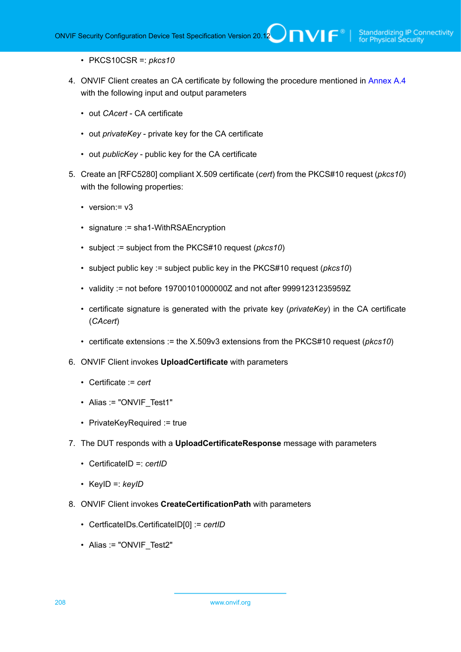- PKCS10CSR =: *pkcs10*
- 4. ONVIF Client creates an CA certificate by following the procedure mentioned in [Annex A.4](#page-162-0) with the following input and output parameters
	- out *CAcert* CA certificate
	- out *privateKey* private key for the CA certificate
	- out *publicKey* public key for the CA certificate
- 5. Create an [RFC5280] compliant X.509 certificate (*cert*) from the PKCS#10 request (*pkcs10*) with the following properties:
	- version: = v3
	- signature := sha1-WithRSAEncryption
	- subject := subject from the PKCS#10 request (*pkcs10*)
	- subject public key := subject public key in the PKCS#10 request (*pkcs10*)
	- validity := not before 19700101000000Z and not after 99991231235959Z
	- certificate signature is generated with the private key (*privateKey*) in the CA certificate (*CAcert*)
	- certificate extensions := the X.509v3 extensions from the PKCS#10 request (*pkcs10*)
- 6. ONVIF Client invokes **UploadCertificate** with parameters
	- Certificate := *cert*
	- Alias := "ONVIF Test1"
	- PrivateKeyRequired := true
- 7. The DUT responds with a **UploadCertificateResponse** message with parameters
	- CertificateID =: *certID*
	- KeyID =: *keyID*
- 8. ONVIF Client invokes **CreateCertificationPath** with parameters
	- CertficateIDs.CertificateID[0] := *certID*
	- Alias := "ONVIF\_Test2"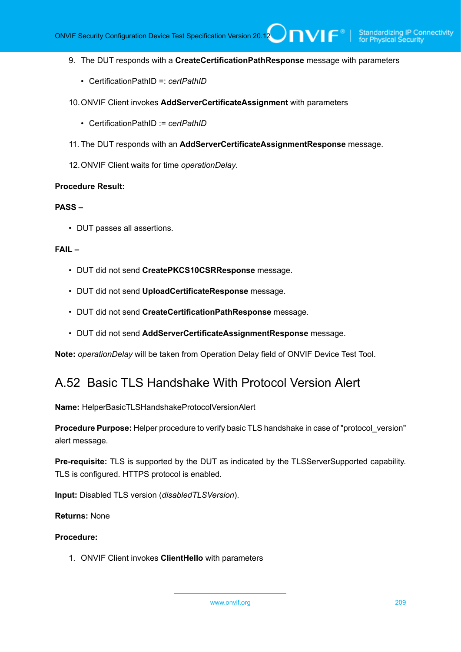- 9. The DUT responds with a **CreateCertificationPathResponse** message with parameters
	- CertificationPathID =: *certPathID*
- 10.ONVIF Client invokes **AddServerCertificateAssignment** with parameters
	- CertificationPathID := *certPathID*
- 11. The DUT responds with an **AddServerCertificateAssignmentResponse** message.
- 12.ONVIF Client waits for time *operationDelay*.

#### **PASS –**

• DUT passes all assertions.

### **FAIL –**

- DUT did not send **CreatePKCS10CSRResponse** message.
- DUT did not send **UploadCertificateResponse** message.
- DUT did not send **CreateCertificationPathResponse** message.
- DUT did not send **AddServerCertificateAssignmentResponse** message.

**Note:** *operationDelay* will be taken from Operation Delay field of ONVIF Device Test Tool.

# A.52 Basic TLS Handshake With Protocol Version Alert

**Name:** HelperBasicTLSHandshakeProtocolVersionAlert

**Procedure Purpose:** Helper procedure to verify basic TLS handshake in case of "protocol\_version" alert message.

**Pre-requisite:** TLS is supported by the DUT as indicated by the TLSServerSupported capability. TLS is configured. HTTPS protocol is enabled.

**Input:** Disabled TLS version (*disabledTLSVersion*).

**Returns:** None

#### **Procedure:**

1. ONVIF Client invokes **ClientHello** with parameters